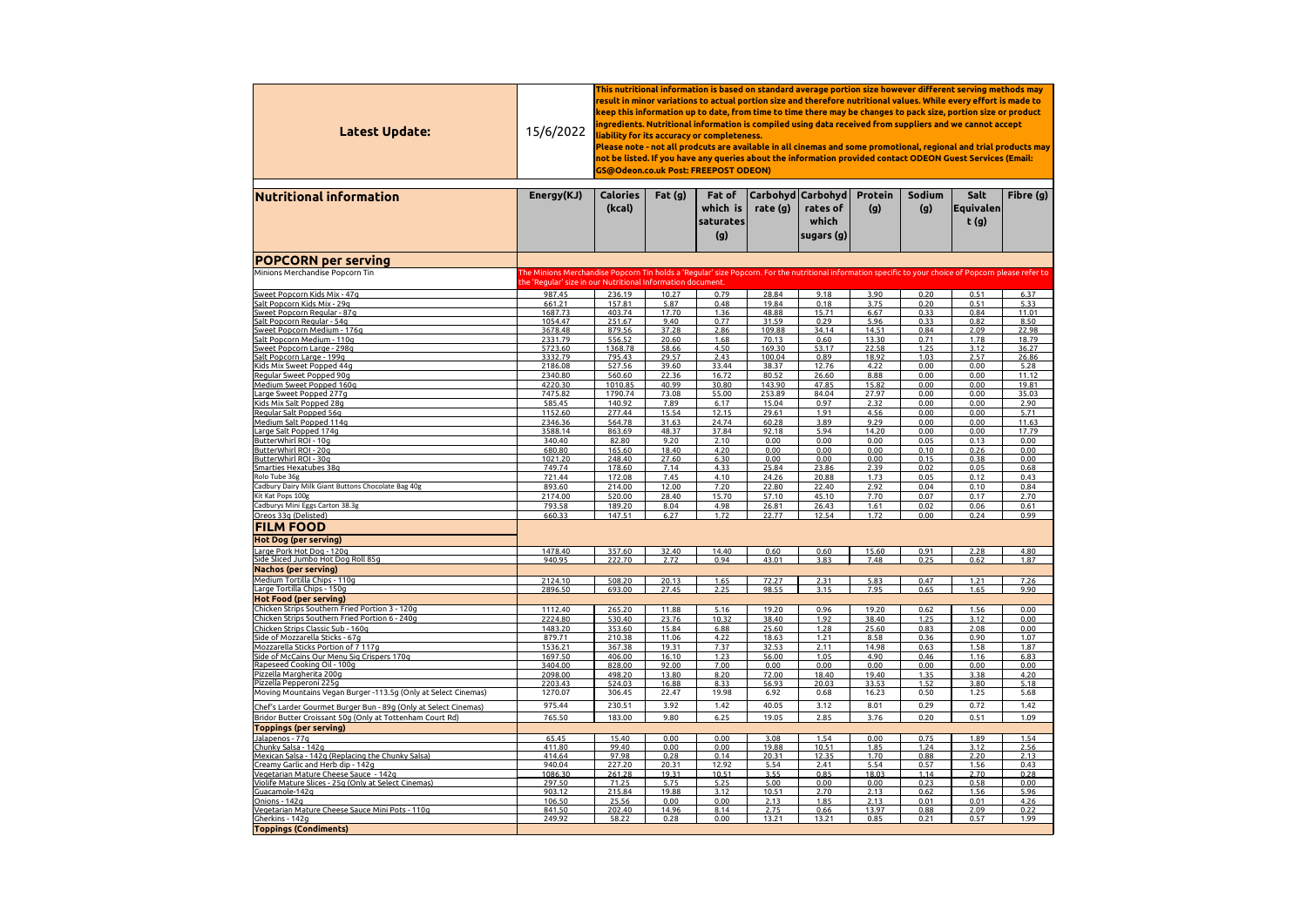| Latest Update:                                                                    | 15/6/2022                                                                                                                                              | This nutritional information is based on standard average portion size however different serving methods may<br>result in minor variations to actual portion size and therefore nutritional values. While every effort is made to<br>keep this information up to date, from time to time there may be changes to pack size, portion size or product<br>ingredients. Nutritional information is compiled using data received from suppliers and we cannot accept<br>liability for its accuracy or completeness.<br>Please note - not all prodcuts are available in all cinemas and some promotional, regional and trial products may<br>not be listed. If you have any queries about the information provided contact ODEON Guest Services (Email:<br>GS@Odeon.co.uk Post: FREEPOST ODEON)<br>Carbohyd   Carbohyd  <br>Sodium<br>Salt<br><b>Calories</b><br>Fat(g)<br><b>Protein</b><br>Fat of |                |                                     |                  |                                   |                |              |                    |                |  |  |  |
|-----------------------------------------------------------------------------------|--------------------------------------------------------------------------------------------------------------------------------------------------------|-----------------------------------------------------------------------------------------------------------------------------------------------------------------------------------------------------------------------------------------------------------------------------------------------------------------------------------------------------------------------------------------------------------------------------------------------------------------------------------------------------------------------------------------------------------------------------------------------------------------------------------------------------------------------------------------------------------------------------------------------------------------------------------------------------------------------------------------------------------------------------------------------|----------------|-------------------------------------|------------------|-----------------------------------|----------------|--------------|--------------------|----------------|--|--|--|
| <b>Nutritional information</b>                                                    | Energy(KJ)                                                                                                                                             | (kcal)                                                                                                                                                                                                                                                                                                                                                                                                                                                                                                                                                                                                                                                                                                                                                                                                                                                                                        |                | which is<br><b>saturates</b><br>(g) | rate $(g)$       | rates of<br>which<br>sugars $(g)$ | (g)            | (g)          | Equivalen <br>t(g) | Fibre (g)      |  |  |  |
| <b>POPCORN per serving</b>                                                        |                                                                                                                                                        |                                                                                                                                                                                                                                                                                                                                                                                                                                                                                                                                                                                                                                                                                                                                                                                                                                                                                               |                |                                     |                  |                                   |                |              |                    |                |  |  |  |
| Minions Merchandise Popcorn Tin                                                   | The Minions Merchandise Popcorn Tin holds a 'Regular' size Popcorn. For the nutritional information specific to your choice of Popcorn please refer to |                                                                                                                                                                                                                                                                                                                                                                                                                                                                                                                                                                                                                                                                                                                                                                                                                                                                                               |                |                                     |                  |                                   |                |              |                    |                |  |  |  |
|                                                                                   | the 'Regular' size in our Nutritional Information document.                                                                                            |                                                                                                                                                                                                                                                                                                                                                                                                                                                                                                                                                                                                                                                                                                                                                                                                                                                                                               |                |                                     |                  |                                   |                |              |                    |                |  |  |  |
| Sweet Popcorn Kids Mix - 47g                                                      | 987.45                                                                                                                                                 | 236.19                                                                                                                                                                                                                                                                                                                                                                                                                                                                                                                                                                                                                                                                                                                                                                                                                                                                                        | 10.27          | 0.79                                | 28.84            | 9.18                              | 3.90           | 0.20         | 0.51               | 6.37           |  |  |  |
| Salt Popcorn Kids Mix - 29g<br>Sweet Popcorn Regular - 87g                        | 661.21<br>1687.73                                                                                                                                      | 157.81<br>403.74                                                                                                                                                                                                                                                                                                                                                                                                                                                                                                                                                                                                                                                                                                                                                                                                                                                                              | 5.87<br>17.70  | 0.48<br>1.36                        | 19.84<br>48.88   | 0.18<br>15.71                     | 3.75<br>6.67   | 0.20<br>0.33 | 0.51<br>0.84       | 5.33<br>11.01  |  |  |  |
| Salt Popcorn Regular - 54g                                                        | 1054.47                                                                                                                                                | 251.67                                                                                                                                                                                                                                                                                                                                                                                                                                                                                                                                                                                                                                                                                                                                                                                                                                                                                        | 9.40           | 0.77                                | 31.59            | 0.29                              | 5.96           | 0.33         | 0.82               | 8.50           |  |  |  |
| Sweet Popcorn Medium - 176g                                                       | 3678.48                                                                                                                                                | 879.56                                                                                                                                                                                                                                                                                                                                                                                                                                                                                                                                                                                                                                                                                                                                                                                                                                                                                        | 37.28          | 2.86                                | 109.88           | 34.14                             | 14.51          | 0.84         | 2.09               | 22.98          |  |  |  |
| Salt Popcorn Medium - 110g                                                        | 2331.79                                                                                                                                                | 556.52                                                                                                                                                                                                                                                                                                                                                                                                                                                                                                                                                                                                                                                                                                                                                                                                                                                                                        | 20.60          | 1.68                                | 70.13            | 0.60                              | 13.30          | 0.71         | 1.78               | 18.79          |  |  |  |
| Sweet Popcorn Large - 298g<br>Salt Popcorn Large - 199g                           | 5723.60<br>3332.79                                                                                                                                     | 1368.78<br>795.43                                                                                                                                                                                                                                                                                                                                                                                                                                                                                                                                                                                                                                                                                                                                                                                                                                                                             | 58.66<br>29.57 | 4.50<br>2.43                        | 169.30<br>100.04 | 53.17<br>0.89                     | 22.58<br>18.92 | 1.25<br>1.03 | 3.12<br>2.57       | 36.27<br>26.86 |  |  |  |
| Kids Mix Sweet Popped 44g                                                         | 2186.08                                                                                                                                                | 527.56                                                                                                                                                                                                                                                                                                                                                                                                                                                                                                                                                                                                                                                                                                                                                                                                                                                                                        | 39.60          | 33.44                               | 38.37            | 12.76                             | 4.22           | 0.00         | 0.00               | 5.28           |  |  |  |
| Regular Sweet Popped 90g                                                          | 2340.80                                                                                                                                                | 560.60                                                                                                                                                                                                                                                                                                                                                                                                                                                                                                                                                                                                                                                                                                                                                                                                                                                                                        | 22.36          | 16.72                               | 80.52            | 26.60                             | 8.88           | 0.00         | 0.00               | 11.12          |  |  |  |
| Medium Sweet Popped 160g                                                          | 4220.30                                                                                                                                                | 1010.85                                                                                                                                                                                                                                                                                                                                                                                                                                                                                                                                                                                                                                                                                                                                                                                                                                                                                       | 40.99          | 30.80                               | 143.90           | 47.85                             | 15.82          | 0.00         | 0.00               | 19.81          |  |  |  |
| Large Sweet Popped 277g                                                           | 7475.82                                                                                                                                                | 1790.74                                                                                                                                                                                                                                                                                                                                                                                                                                                                                                                                                                                                                                                                                                                                                                                                                                                                                       | 73.08          | 55.00                               | 253.89           | 84.04                             | 27.97          | 0.00         | 0.00               | 35.03          |  |  |  |
| Kids Mix Salt Popped 28g<br>Regular Salt Popped 56q                               | 585.45<br>1152.60                                                                                                                                      | 140.92<br>277.44                                                                                                                                                                                                                                                                                                                                                                                                                                                                                                                                                                                                                                                                                                                                                                                                                                                                              | 7.89<br>15.54  | 6.17<br>12.15                       | 15.04<br>29.61   | 0.97<br>1.91                      | 2.32<br>4.56   | 0.00<br>0.00 | 0.00<br>0.00       | 2.90<br>5.71   |  |  |  |
| Medium Salt Popped 114g                                                           | 2346.36                                                                                                                                                | 564.78                                                                                                                                                                                                                                                                                                                                                                                                                                                                                                                                                                                                                                                                                                                                                                                                                                                                                        | 31.63          | 24.74                               | 60.28            | 3.89                              | 9.29           | 0.00         | 0.00               | 11.63          |  |  |  |
| Large Salt Popped 174g                                                            | 3588.14                                                                                                                                                | 863.69                                                                                                                                                                                                                                                                                                                                                                                                                                                                                                                                                                                                                                                                                                                                                                                                                                                                                        | 48.37          | 37.84                               | 92.18            | 5.94                              | 14.20          | 0.00         | 0.00               | 17.79          |  |  |  |
| ButterWhirl ROI - 10g                                                             | 340.40                                                                                                                                                 | 82.80                                                                                                                                                                                                                                                                                                                                                                                                                                                                                                                                                                                                                                                                                                                                                                                                                                                                                         | 9.20           | 2.10                                | 0.00             | 0.00                              | 0.00           | 0.05         | 0.13               | 0.00           |  |  |  |
| ButterWhirl ROI - 20g                                                             | 680.80                                                                                                                                                 | 165.60                                                                                                                                                                                                                                                                                                                                                                                                                                                                                                                                                                                                                                                                                                                                                                                                                                                                                        | 18.40          | 4.20                                | 0.00             | 0.00                              | 0.00           | 0.10         | 0.26               | 0.00           |  |  |  |
| ButterWhirl ROI - 30g                                                             | 1021.20                                                                                                                                                | 248.40                                                                                                                                                                                                                                                                                                                                                                                                                                                                                                                                                                                                                                                                                                                                                                                                                                                                                        | 27.60          | 6.30                                | 0.00             | 0.00                              | 0.00           | 0.15         | 0.38               | 0.00           |  |  |  |
| Smarties Hexatubes 38q<br>Rolo Tube 36g                                           | 749.74<br>721.44                                                                                                                                       | 178.60<br>172.08                                                                                                                                                                                                                                                                                                                                                                                                                                                                                                                                                                                                                                                                                                                                                                                                                                                                              | 7.14<br>7.45   | 4.33<br>4.10                        | 25.84<br>24.26   | 23.86<br>20.88                    | 2.39<br>1.73   | 0.02<br>0.05 | 0.05<br>0.12       | 0.68<br>0.43   |  |  |  |
| Cadbury Dairy Milk Giant Buttons Chocolate Bag 40g                                | 893.60                                                                                                                                                 | 214.00                                                                                                                                                                                                                                                                                                                                                                                                                                                                                                                                                                                                                                                                                                                                                                                                                                                                                        | 12.00          | 7.20                                | 22.80            | 22.40                             | 2.92           | 0.04         | 0.10               | 0.84           |  |  |  |
| Kit Kat Pops 100g                                                                 | 2174.00                                                                                                                                                | 520.00                                                                                                                                                                                                                                                                                                                                                                                                                                                                                                                                                                                                                                                                                                                                                                                                                                                                                        | 28.40          | 15.70                               | 57.10            | 45.10                             | 7.70           | 0.07         | 0.17               | 2.70           |  |  |  |
| Cadburys Mini Eggs Carton 38.3g                                                   | 793.58                                                                                                                                                 | 189.20                                                                                                                                                                                                                                                                                                                                                                                                                                                                                                                                                                                                                                                                                                                                                                                                                                                                                        | 8.04           | 4.98                                | 26.81            | 26.43                             | 1.61           | 0.02         | 0.06               | 0.61           |  |  |  |
| Oreos 33g (Delisted)                                                              | 660.33                                                                                                                                                 | 147.51                                                                                                                                                                                                                                                                                                                                                                                                                                                                                                                                                                                                                                                                                                                                                                                                                                                                                        | 6.27           | 1.72                                | 22.77            | 12.54                             | 1.72           | 0.00         | 0.24               | 0.99           |  |  |  |
| <b>FILM FOOD</b>                                                                  |                                                                                                                                                        |                                                                                                                                                                                                                                                                                                                                                                                                                                                                                                                                                                                                                                                                                                                                                                                                                                                                                               |                |                                     |                  |                                   |                |              |                    |                |  |  |  |
| Hot Dog (per serving)                                                             |                                                                                                                                                        |                                                                                                                                                                                                                                                                                                                                                                                                                                                                                                                                                                                                                                                                                                                                                                                                                                                                                               |                |                                     |                  |                                   |                |              |                    |                |  |  |  |
| Large Pork Hot Dog - 120g                                                         | 1478.40                                                                                                                                                | 357.60                                                                                                                                                                                                                                                                                                                                                                                                                                                                                                                                                                                                                                                                                                                                                                                                                                                                                        | 32.40          | 14.40                               | 0.60             | 0.60                              | 15.60          | 0.91         | 2.28               | 4.80           |  |  |  |
| Side Sliced Jumbo Hot Dog Roll 85g                                                | 940.95                                                                                                                                                 | 222.70                                                                                                                                                                                                                                                                                                                                                                                                                                                                                                                                                                                                                                                                                                                                                                                                                                                                                        | 2.72           | 0.94                                | 43.01            | 3.83                              | 7.48           | 0.25         | 0.62               | 1.87           |  |  |  |
| <b>Nachos (per serving)</b>                                                       |                                                                                                                                                        |                                                                                                                                                                                                                                                                                                                                                                                                                                                                                                                                                                                                                                                                                                                                                                                                                                                                                               |                |                                     |                  |                                   |                |              |                    |                |  |  |  |
| Medium Tortilla Chips - 110g<br>Large Tortilla Chips - 150g                       | 2124.10<br>2896.50                                                                                                                                     | 508.20<br>693.00                                                                                                                                                                                                                                                                                                                                                                                                                                                                                                                                                                                                                                                                                                                                                                                                                                                                              | 20.13<br>27.45 | 1.65<br>2.25                        | 72.27<br>98.55   | 2.31<br>3.15                      | 5.83<br>7.95   | 0.47<br>0.65 | 1.21<br>1.65       | 7.26<br>9.90   |  |  |  |
| <b>Hot Food (per serving)</b>                                                     |                                                                                                                                                        |                                                                                                                                                                                                                                                                                                                                                                                                                                                                                                                                                                                                                                                                                                                                                                                                                                                                                               |                |                                     |                  |                                   |                |              |                    |                |  |  |  |
| Chicken Strips Southern Fried Portion 3 - 120g                                    | 1112.40                                                                                                                                                | 265.20                                                                                                                                                                                                                                                                                                                                                                                                                                                                                                                                                                                                                                                                                                                                                                                                                                                                                        | 11.88          | 5.16                                | 19.20            | 0.96                              | 19.20          | 0.62         | 1.56               | 0.00           |  |  |  |
| Chicken Strips Southern Fried Portion 6 - 240g                                    | 2224.80                                                                                                                                                | 530.40                                                                                                                                                                                                                                                                                                                                                                                                                                                                                                                                                                                                                                                                                                                                                                                                                                                                                        | 23.76          | 10.32                               | 38.40            | 1.92                              | 38.40          | 1.25         | 3.12               | 0.00           |  |  |  |
| Chicken Strips Classic Sub - 160q                                                 | 1483.20                                                                                                                                                | 353.60                                                                                                                                                                                                                                                                                                                                                                                                                                                                                                                                                                                                                                                                                                                                                                                                                                                                                        | 15.84          | 6.88                                | 25.60            | 1.28                              | 25.60          | 0.83         | 2.08               | 0.00           |  |  |  |
| Side of Mozzarella Sticks - 67g                                                   | 879.71                                                                                                                                                 | 210.38                                                                                                                                                                                                                                                                                                                                                                                                                                                                                                                                                                                                                                                                                                                                                                                                                                                                                        | 11.06          | 4.22                                | 18.63            | 1.21                              | 8.58           | 0.36         | 0.90               | 1.07           |  |  |  |
| Mozzarella Sticks Portion of 7 117q<br>Side of McCains Our Menu Sig Crispers 170g | 1536.21<br>1697.50                                                                                                                                     | 367.38<br>406.00                                                                                                                                                                                                                                                                                                                                                                                                                                                                                                                                                                                                                                                                                                                                                                                                                                                                              | 19.31<br>16.10 | 7.37<br>1.23                        | 32.53<br>56.00   | 2.11<br>1.05                      | 14.98<br>4.90  | 0.63<br>0.46 | 1.58<br>1.16       | 1.87<br>6.83   |  |  |  |
| Rapeseed Cooking Oil - 100g                                                       | 3404.00                                                                                                                                                | 828.00                                                                                                                                                                                                                                                                                                                                                                                                                                                                                                                                                                                                                                                                                                                                                                                                                                                                                        | 92.00          | 7.00                                | 0.00             | 0.00                              | 0.00           | 0.00         | 0.00               | 0.00           |  |  |  |
| Pizzella Margherita 200g                                                          | 2098.00                                                                                                                                                | 498.20                                                                                                                                                                                                                                                                                                                                                                                                                                                                                                                                                                                                                                                                                                                                                                                                                                                                                        | 13.80          | 8.20                                | 72.00            | 18.40                             | 19.40          | 1.35         | 3.38               | 4.20           |  |  |  |
| Pizzella Pepperoni 225g                                                           | 2203.43                                                                                                                                                | 524.03                                                                                                                                                                                                                                                                                                                                                                                                                                                                                                                                                                                                                                                                                                                                                                                                                                                                                        | 16.88          | 8.33                                | 56.93            | 20.03                             | 33.53          | 1.52         | 3.80               | 5.18           |  |  |  |
| Moving Mountains Vegan Burger -113.5g (Only at Select Cinemas)                    | 1270.07                                                                                                                                                | 306.45                                                                                                                                                                                                                                                                                                                                                                                                                                                                                                                                                                                                                                                                                                                                                                                                                                                                                        | 22.47          | 19.98                               | 6.92             | 0.68                              | 16.23          | 0.50         | 1.25               | 5.68           |  |  |  |
| Chef's Larder Gourmet Burger Bun - 89g (Only at Select Cinemas)                   | 975.44                                                                                                                                                 | 230.51                                                                                                                                                                                                                                                                                                                                                                                                                                                                                                                                                                                                                                                                                                                                                                                                                                                                                        | 3.92           | 1.42                                | 40.05            | 3.12                              | 8.01           | 0.29         | 0.72               | 1.42           |  |  |  |
| Bridor Butter Croissant 50g (Only at Tottenham Court Rd)                          | 765.50                                                                                                                                                 | 183.00                                                                                                                                                                                                                                                                                                                                                                                                                                                                                                                                                                                                                                                                                                                                                                                                                                                                                        | 9.80           | 6.25                                | 19.05            | 2.85                              | 3.76           | 0.20         | 0.51               | 1.09           |  |  |  |
| <b>Toppings (per serving)</b>                                                     |                                                                                                                                                        |                                                                                                                                                                                                                                                                                                                                                                                                                                                                                                                                                                                                                                                                                                                                                                                                                                                                                               |                |                                     |                  |                                   |                |              |                    |                |  |  |  |
| Jalapenos - 77q<br>Chunky Salsa - 142g                                            | 65.45<br>411.80                                                                                                                                        | 15.40<br>99.40                                                                                                                                                                                                                                                                                                                                                                                                                                                                                                                                                                                                                                                                                                                                                                                                                                                                                | 0.00<br>0.00   | 0.00<br>0.00                        | 3.08<br>19.88    | 1.54<br>10.51                     | 0.00<br>1.85   | 0.75<br>1.24 | 1.89<br>3.12       | 1.54<br>2.56   |  |  |  |
| Mexican Salsa - 142g (Replacing the Chunky Salsa)                                 | 414.64                                                                                                                                                 | 97.98                                                                                                                                                                                                                                                                                                                                                                                                                                                                                                                                                                                                                                                                                                                                                                                                                                                                                         | 0.28           | 0.14                                | 20.31            | 12.35                             | 1.70           | 0.88         | 2.20               | 2.13           |  |  |  |
| Creamy Garlic and Herb dip - 142g                                                 | 940.04                                                                                                                                                 | 227.20                                                                                                                                                                                                                                                                                                                                                                                                                                                                                                                                                                                                                                                                                                                                                                                                                                                                                        | 20.31          | 12.92                               | 5.54             | 2.41                              | 5.54           | 0.57         | 1.56               | 0.43           |  |  |  |
| Vegetarian Mature Cheese Sauce - 142g                                             | 1086.30                                                                                                                                                | 261.28                                                                                                                                                                                                                                                                                                                                                                                                                                                                                                                                                                                                                                                                                                                                                                                                                                                                                        | 19.31          | <u>10.51</u>                        | 3.55             | 0.85                              | 18.03          | 1.14         | 2.70               | 0.28           |  |  |  |
| <u> Violife Mature Slices - 25q (Only at Select Cinemas)</u>                      | 297.50                                                                                                                                                 | 71.25                                                                                                                                                                                                                                                                                                                                                                                                                                                                                                                                                                                                                                                                                                                                                                                                                                                                                         | 5.75           | 5.25                                | 5.00             | 0.00                              | 0.00           | 0.23         | 0.58               | 0.00           |  |  |  |
| Guacamole-142g<br>Onions - 142g                                                   | 903.12<br>106.50                                                                                                                                       | 215.84<br>25.56                                                                                                                                                                                                                                                                                                                                                                                                                                                                                                                                                                                                                                                                                                                                                                                                                                                                               | 19.88<br>0.00  | 3.12<br>0.00                        | 10.51<br>2.13    | 2.70<br>1.85                      | 2.13<br>2.13   | 0.62<br>0.01 | 1.56<br>0.01       | 5.96<br>4.26   |  |  |  |
| Vegetarian Mature Cheese Sauce Mini Pots - 110g                                   | 841.50                                                                                                                                                 | 202.40                                                                                                                                                                                                                                                                                                                                                                                                                                                                                                                                                                                                                                                                                                                                                                                                                                                                                        | 14.96          | 8.14                                | 2.75             | 0.66                              | 13.97          | 0.88         | 2.09               | 0.22           |  |  |  |
| Gherkins - 142q                                                                   | 249.92                                                                                                                                                 | 58.22                                                                                                                                                                                                                                                                                                                                                                                                                                                                                                                                                                                                                                                                                                                                                                                                                                                                                         | 0.28           | 0.00                                | 13.21            | 13.21                             | 0.85           | 0.21         | 0.57               | 1.99           |  |  |  |
| <b>Toppings (Condiments)</b>                                                      |                                                                                                                                                        |                                                                                                                                                                                                                                                                                                                                                                                                                                                                                                                                                                                                                                                                                                                                                                                                                                                                                               |                |                                     |                  |                                   |                |              |                    |                |  |  |  |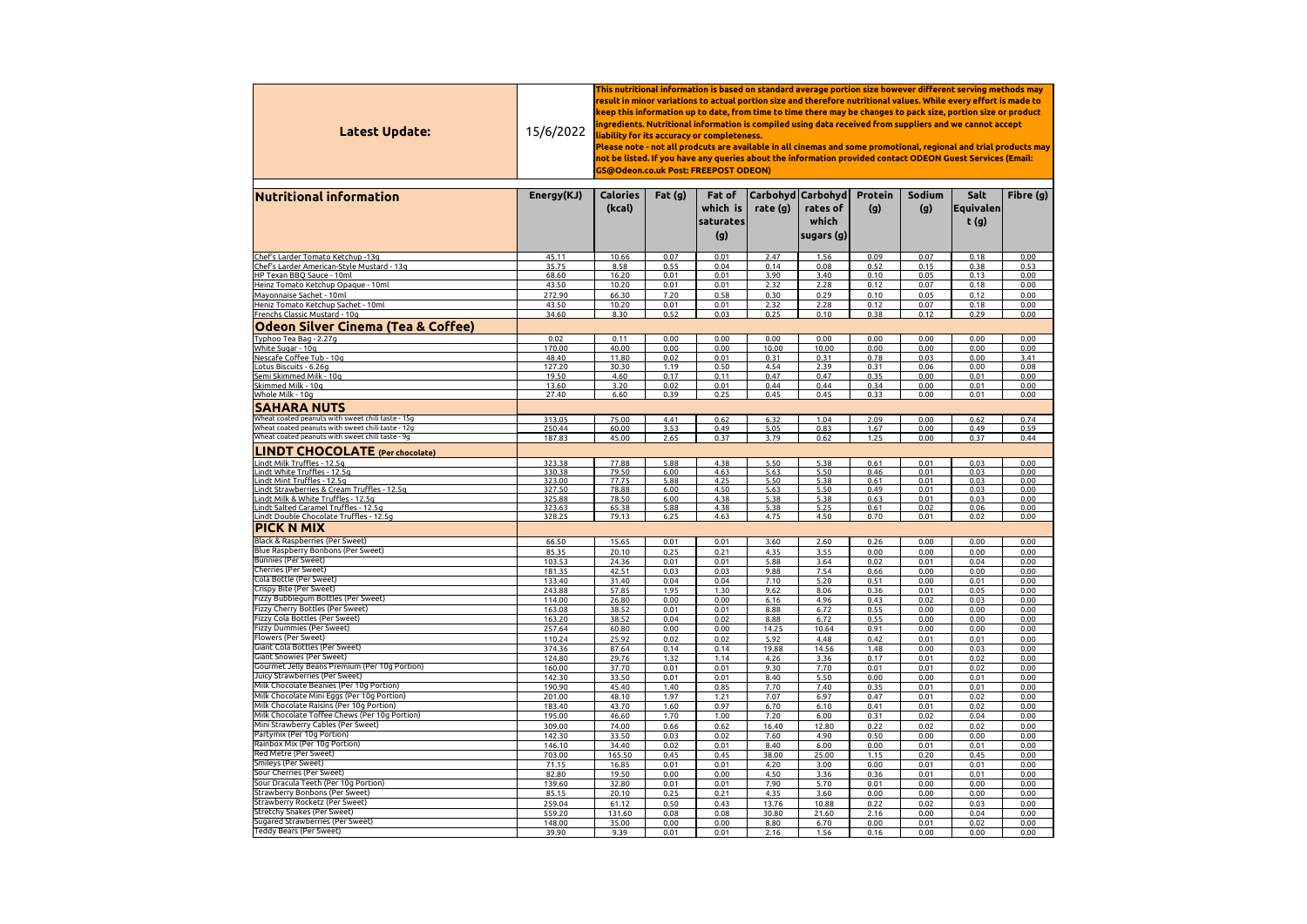| Latest Update:                                                                            | 15/6/2022        | This nutritional information is based on standard average portion size however different serving methods may<br>result in minor variations to actual portion size and therefore nutritional values. While every effort is made to<br>keep this information up to date, from time to time there may be changes to pack size, portion size or product<br>ingredients. Nutritional information is compiled using data received from suppliers and we cannot accept<br>liability for its accuracy or completeness.<br>Please note - not all prodcuts are available in all cinemas and some promotional, regional and trial products may<br>not be listed. If you have any queries about the information provided contact ODEON Guest Services (Email:<br>GS@Odeon.co.uk Post: FREEPOST ODEON) |              |                                        |               |                                                           |                       |               |                             |              |  |  |
|-------------------------------------------------------------------------------------------|------------------|-------------------------------------------------------------------------------------------------------------------------------------------------------------------------------------------------------------------------------------------------------------------------------------------------------------------------------------------------------------------------------------------------------------------------------------------------------------------------------------------------------------------------------------------------------------------------------------------------------------------------------------------------------------------------------------------------------------------------------------------------------------------------------------------|--------------|----------------------------------------|---------------|-----------------------------------------------------------|-----------------------|---------------|-----------------------------|--------------|--|--|
| <b>Nutritional information</b>                                                            | Energy(KJ)       | <b>Calories</b><br>(kcal)                                                                                                                                                                                                                                                                                                                                                                                                                                                                                                                                                                                                                                                                                                                                                                 | Fat $(g)$    | Fat of<br>which is<br>saturates<br>(g) | rate (g)      | Carbohyd   Carbohyd  <br>rates of<br>which<br> sugars (g) | <b>Protein</b><br>(g) | Sodium<br>(g) | Salt<br> Equivalen <br>t(g) | Fibre $(g)$  |  |  |
| Chef's Larder Tomato Ketchup -13g                                                         | 45.11            | 10.66                                                                                                                                                                                                                                                                                                                                                                                                                                                                                                                                                                                                                                                                                                                                                                                     | 0.07         | 0.01                                   | 2.47          | 1.56                                                      | 0.09                  | 0.07          | 0.18                        | 0.00         |  |  |
| Chef's Larder American-Style Mustard - 13g                                                | 35.75            | 8.58                                                                                                                                                                                                                                                                                                                                                                                                                                                                                                                                                                                                                                                                                                                                                                                      | 0.55         | 0.04                                   | 0.14          | 0.08                                                      | 0.52                  | 0.15          | 0.38                        | 0.53         |  |  |
| HP Texan BBQ Sauce - 10ml                                                                 | 68.60            | 16.20                                                                                                                                                                                                                                                                                                                                                                                                                                                                                                                                                                                                                                                                                                                                                                                     | 0.01         | 0.01                                   | 3.90          | 3.40                                                      | 0.10                  | 0.05          | 0.13                        | 0.00         |  |  |
| Heinz Tomato Ketchup Opaque - 10ml<br>Mayonnaise Sachet - 10ml                            | 43.50<br>272.90  | 10.20<br>66.30                                                                                                                                                                                                                                                                                                                                                                                                                                                                                                                                                                                                                                                                                                                                                                            | 0.01<br>7.20 | 0.01<br>0.58                           | 2.32<br>0.30  | 2.28<br>0.29                                              | 0.12<br>0.10          | 0.07<br>0.05  | 0.18<br>0.12                | 0.00<br>0.00 |  |  |
| Heniz Tomato Ketchup Sachet - 10ml                                                        | 43.50            | 10.20                                                                                                                                                                                                                                                                                                                                                                                                                                                                                                                                                                                                                                                                                                                                                                                     | 0.01         | 0.01                                   | 2.32          | 2.28                                                      | 0.12                  | 0.07          | 0.18                        | 0.00         |  |  |
| Frenchs Classic Mustard - 10g                                                             | 34.60            | 8.30                                                                                                                                                                                                                                                                                                                                                                                                                                                                                                                                                                                                                                                                                                                                                                                      | 0.52         | 0.03                                   | 0.25          | 0.10                                                      | 0.38                  | 0.12          | 0.29                        | 0.00         |  |  |
| <b>Odeon Silver Cinema (Tea &amp; Coffee)</b>                                             |                  |                                                                                                                                                                                                                                                                                                                                                                                                                                                                                                                                                                                                                                                                                                                                                                                           |              |                                        |               |                                                           |                       |               |                             |              |  |  |
| Typhoo Tea Bag - 2.27g                                                                    | 0.02             | 0.11                                                                                                                                                                                                                                                                                                                                                                                                                                                                                                                                                                                                                                                                                                                                                                                      | 0.00         | 0.00                                   | 0.00          | 0.00                                                      | 0.00                  | 0.00          | 0.00                        | 0.00         |  |  |
| White Sugar - 10g                                                                         | 170.00           | 40.00                                                                                                                                                                                                                                                                                                                                                                                                                                                                                                                                                                                                                                                                                                                                                                                     | 0.00         | 0.00                                   | 10.00         | 10.00                                                     | 0.00                  | 0.00          | 0.00                        | 0.00         |  |  |
| Nescafe Coffee Tub - 10g                                                                  | 48.40            | 11.80                                                                                                                                                                                                                                                                                                                                                                                                                                                                                                                                                                                                                                                                                                                                                                                     | 0.02         | 0.01                                   | 0.31          | 0.31                                                      | 0.78                  | 0.03          | 0.00                        | 3.41         |  |  |
| Lotus Biscuits - 6.26g<br>Semi Skimmed Milk - 10g                                         | 127.20<br>19.50  | 30.30<br>4.60                                                                                                                                                                                                                                                                                                                                                                                                                                                                                                                                                                                                                                                                                                                                                                             | 1.19<br>0.17 | 0.50<br>0.11                           | 4.54<br>0.47  | 2.39<br>0.47                                              | 0.31<br>0.35          | 0.06<br>0.00  | 0.00<br>0.01                | 0.08<br>0.00 |  |  |
| Skimmed Milk - 10g                                                                        | 13.60            | 3.20                                                                                                                                                                                                                                                                                                                                                                                                                                                                                                                                                                                                                                                                                                                                                                                      | 0.02         | 0.01                                   | 0.44          | 0.44                                                      | 0.34                  | 0.00          | 0.01                        | 0.00         |  |  |
| Whole Milk - 10g                                                                          | 27.40            | 6.60                                                                                                                                                                                                                                                                                                                                                                                                                                                                                                                                                                                                                                                                                                                                                                                      | 0.39         | 0.25                                   | 0.45          | 0.45                                                      | 0.33                  | 0.00          | 0.01                        | 0.00         |  |  |
| <b>SAHARA NUTS</b>                                                                        |                  |                                                                                                                                                                                                                                                                                                                                                                                                                                                                                                                                                                                                                                                                                                                                                                                           |              |                                        |               |                                                           |                       |               |                             |              |  |  |
| Wheat coated peanuts with sweet chili taste - 15g                                         | 313.05           | 75.00                                                                                                                                                                                                                                                                                                                                                                                                                                                                                                                                                                                                                                                                                                                                                                                     | 4.41         | 0.62                                   | 6.32          | 1.04                                                      | 2.09                  | 0.00          | 0.62                        | 0.74         |  |  |
| Wheat coated peanuts with sweet chili taste - 12g                                         | 250.44           | 60.00                                                                                                                                                                                                                                                                                                                                                                                                                                                                                                                                                                                                                                                                                                                                                                                     | 3.53         | 0.49                                   | 5.05          | 0.83                                                      | 1.67                  | 0.00          | 0.49                        | 0.59         |  |  |
| Wheat coated peanuts with sweet chili taste - 9g                                          | 187.83           | 45.00                                                                                                                                                                                                                                                                                                                                                                                                                                                                                                                                                                                                                                                                                                                                                                                     | 2.65         | 0.37                                   | 3.79          | 0.62                                                      | 1.25                  | 0.00          | 0.37                        | 0.44         |  |  |
| <b>LINDT CHOCOLATE</b> (Per chocolate)                                                    |                  |                                                                                                                                                                                                                                                                                                                                                                                                                                                                                                                                                                                                                                                                                                                                                                                           |              |                                        |               |                                                           |                       |               |                             |              |  |  |
| Lindt Milk Truffles - 12.5g<br>Lindt White Truffles - 12.5g                               | 323.38<br>330.38 | 77.88<br>79.50                                                                                                                                                                                                                                                                                                                                                                                                                                                                                                                                                                                                                                                                                                                                                                            | 5.88<br>6.00 | 4.38<br>4.63                           | 5.50<br>5.63  | 5.38<br>5.50                                              | 0.61<br>0.46          | 0.01<br>0.01  | 0.03<br>0.03                | 0.00<br>0.00 |  |  |
| Lindt Mint Truffles - 12.5g                                                               | 323.00           | 77.75                                                                                                                                                                                                                                                                                                                                                                                                                                                                                                                                                                                                                                                                                                                                                                                     | 5.88         | 4.25                                   | 5.50          | 5.38                                                      | 0.61                  | 0.01          | 0.03                        | 0.00         |  |  |
| Lindt Strawberries & Cream Truffles - 12.5g                                               | 327.50           | 78.88                                                                                                                                                                                                                                                                                                                                                                                                                                                                                                                                                                                                                                                                                                                                                                                     | 6.00         | 4.50                                   | 5.63          | 5.50                                                      | 0.49                  | 0.01          | 0.03                        | 0.00         |  |  |
| Lindt Milk & White Truffles - 12.5g                                                       | 325.88           | 78.50                                                                                                                                                                                                                                                                                                                                                                                                                                                                                                                                                                                                                                                                                                                                                                                     | 6.00         | 4.38                                   | 5.38          | 5.38                                                      | 0.63                  | 0.01          | 0.03                        | 0.00         |  |  |
| Lindt Salted Caramel Truffles - 12.5g<br>Lindt Double Chocolate Truffles - 12.5g          | 323.63<br>328.25 | 65.38<br>79.13                                                                                                                                                                                                                                                                                                                                                                                                                                                                                                                                                                                                                                                                                                                                                                            | 5.88<br>6.25 | 4.38<br>4.63                           | 5.38<br>4.75  | 5.25<br>4.50                                              | 0.61<br>0.70          | 0.02<br>0.01  | 0.06<br>0.02                | 0.00<br>0.00 |  |  |
| <b>PICK N MIX</b>                                                                         |                  |                                                                                                                                                                                                                                                                                                                                                                                                                                                                                                                                                                                                                                                                                                                                                                                           |              |                                        |               |                                                           |                       |               |                             |              |  |  |
| Black & Raspberries (Per Sweet)                                                           | 66.50            | 15.65                                                                                                                                                                                                                                                                                                                                                                                                                                                                                                                                                                                                                                                                                                                                                                                     | 0.01         | 0.01                                   | 3.60          | 2.60                                                      | 0.26                  | 0.00          | 0.00                        | 0.00         |  |  |
| Blue Raspberry Bonbons (Per Sweet)<br><b>Bunnies (Per Sweet)</b>                          | 85.35            | 20.10                                                                                                                                                                                                                                                                                                                                                                                                                                                                                                                                                                                                                                                                                                                                                                                     | 0.25         | 0.21                                   | 4.35          | 3.55                                                      | 0.00                  | 0.00          | 0.00                        | 0.00         |  |  |
| <b>Cherries (Per Sweet)</b>                                                               | 103.53<br>181.35 | 24.36<br>42.51                                                                                                                                                                                                                                                                                                                                                                                                                                                                                                                                                                                                                                                                                                                                                                            | 0.01<br>0.03 | 0.01<br>0.03                           | 5.88<br>9.88  | 3.64<br>7.54                                              | 0.02<br>0.66          | 0.01<br>0.00  | 0.04<br>0.00                | 0.00<br>0.00 |  |  |
| <b>Cola Bottle (Per Sweet)</b>                                                            | 133.40           | 31.40                                                                                                                                                                                                                                                                                                                                                                                                                                                                                                                                                                                                                                                                                                                                                                                     | 0.04         | 0.04                                   | 7.10          | 5.20                                                      | 0.51                  | 0.00          | 0.01                        | 0.00         |  |  |
| Crispy Bite (Per Sweet)                                                                   | 243.88           | 57.85                                                                                                                                                                                                                                                                                                                                                                                                                                                                                                                                                                                                                                                                                                                                                                                     | 1.95         | 1.30                                   | 9.62          | 8.06                                                      | 0.36                  | 0.01          | 0.05                        | 0.00         |  |  |
| Fizzy Bubblegum Bottles (Per Sweet)<br>Fizzy Cherry Bottles (Per Sweet)                   | 114.00           | 26.80                                                                                                                                                                                                                                                                                                                                                                                                                                                                                                                                                                                                                                                                                                                                                                                     | 0.00         | 0.00                                   | 6.16          | 4.96                                                      | 0.43                  | 0.02          | 0.03                        | 0.00         |  |  |
| Fizzy Cola Bottles (Per Sweet)                                                            | 163.08<br>163.20 | 38.52<br>38.52                                                                                                                                                                                                                                                                                                                                                                                                                                                                                                                                                                                                                                                                                                                                                                            | 0.01<br>0.04 | 0.01<br>0.02                           | 8.88<br>8.88  | 6.72<br>6.72                                              | 0.55<br>0.55          | 0.00<br>0.00  | 0.00<br>0.00                | 0.00<br>0.00 |  |  |
| <b>Fizzy Dummies (Per Sweet)</b>                                                          | 257.64           | 60.80                                                                                                                                                                                                                                                                                                                                                                                                                                                                                                                                                                                                                                                                                                                                                                                     | 0.00         | 0.00                                   | 14.25         | 10.64                                                     | 0.91                  | 0.00          | 0.00                        | 0.00         |  |  |
| Flowers (Per Sweet)                                                                       | 110.24           | 25.92                                                                                                                                                                                                                                                                                                                                                                                                                                                                                                                                                                                                                                                                                                                                                                                     | 0.02         | 0.02                                   | 5.92          | 4.48                                                      | 0.42                  | 0.01          | 0.01                        | 0.00         |  |  |
| Giant Cola Bottles (Per Sweet)                                                            | 374.36           | 87.64                                                                                                                                                                                                                                                                                                                                                                                                                                                                                                                                                                                                                                                                                                                                                                                     | 0.14         | 0.14                                   | 19.88         | 14.56                                                     | 1.48                  | 0.00          | 0.03                        | 0.00         |  |  |
| <b>Giant Snowies (Per Sweet)</b><br>Gourmet Jelly Beans Premium (Per 10g Portion)         | 124.80<br>160.00 | 29.76<br>37.70                                                                                                                                                                                                                                                                                                                                                                                                                                                                                                                                                                                                                                                                                                                                                                            | 1.32<br>0.01 | 1.14<br>0.01                           | 4.26<br>9.30  | 3.36<br>7.70                                              | 0.17<br>0.01          | 0.01<br>0.01  | 0.02<br>0.02                | 0.00<br>0.00 |  |  |
| Juicy Strawberries (Per Sweet)                                                            | 142.30           | 33.50                                                                                                                                                                                                                                                                                                                                                                                                                                                                                                                                                                                                                                                                                                                                                                                     | 0.01         | 0.01                                   | 8.40          | 5.50                                                      | 0.00                  | 0.00          | 0.01                        | 0.00         |  |  |
| Milk Chocolate Beanies (Per 10g Portion)                                                  | 190.90           | 45.40                                                                                                                                                                                                                                                                                                                                                                                                                                                                                                                                                                                                                                                                                                                                                                                     | 1.40         | 0.85                                   | 7.70          | 7.40                                                      | 0.35                  | 0.01          | 0.01                        | 0.00         |  |  |
| Milk Chocolate Mini Eggs (Per 10g Portion)                                                | 201.00           | 48.10                                                                                                                                                                                                                                                                                                                                                                                                                                                                                                                                                                                                                                                                                                                                                                                     | 1.97         | 1.21                                   | 7.07          | 6.97                                                      | 0.47                  | 0.01          | 0.02                        | 0.00         |  |  |
| Milk Chocolate Raisins (Per 10g Portion)<br>Milk Chocolate Toffee Chews (Per 10g Portion) | 183.40           | 43.70                                                                                                                                                                                                                                                                                                                                                                                                                                                                                                                                                                                                                                                                                                                                                                                     | 1.60         | 0.97                                   | 6.70          | 6.10                                                      | 0.41                  | 0.01          | 0.02                        | 0.00         |  |  |
| Mini Strawberry Cables (Per Sweet)                                                        | 195.00<br>309.00 | 46.60<br>74.00                                                                                                                                                                                                                                                                                                                                                                                                                                                                                                                                                                                                                                                                                                                                                                            | 1.70<br>0.66 | 1.00<br>0.62                           | 7.20<br>16.40 | 6.00<br>12.80                                             | 0.31<br>0.22          | 0.02<br>0.02  | 0.04<br>0.02                | 0.00<br>0.00 |  |  |
| Partymix (Per 10g Portion)                                                                | 142.30           | 33.50                                                                                                                                                                                                                                                                                                                                                                                                                                                                                                                                                                                                                                                                                                                                                                                     | 0.03         | 0.02                                   | 7.60          | 4.90                                                      | 0.50                  | 0.00          | 0.00                        | 0.00         |  |  |
| Rainbox Mix (Per 10g Portion)                                                             | 146.10           | 34.40                                                                                                                                                                                                                                                                                                                                                                                                                                                                                                                                                                                                                                                                                                                                                                                     | 0.02         | 0.01                                   | 8.40          | 6.00                                                      | 0.00                  | 0.01          | 0.01                        | 0.00         |  |  |
| <b>Red Metre (Per Sweet)</b>                                                              | 703.00           | 165.50                                                                                                                                                                                                                                                                                                                                                                                                                                                                                                                                                                                                                                                                                                                                                                                    | 0.45         | 0.45                                   | 38.00         | 25.00                                                     | 1.15                  | 0.20          | 0.45                        | 0.00         |  |  |
| Smileys (Per Sweet)<br>Sour Cherries (Per Sweet)                                          | 71.15            | 16.85                                                                                                                                                                                                                                                                                                                                                                                                                                                                                                                                                                                                                                                                                                                                                                                     | 0.01         | 0.01                                   | 4.20          | 3.00                                                      | 0.00                  | 0.01          | 0.01                        | 0.00         |  |  |
| Sour Dracula Teeth (Per 10g Portion)                                                      | 82.80<br>139.60  | 19.50<br>32.80                                                                                                                                                                                                                                                                                                                                                                                                                                                                                                                                                                                                                                                                                                                                                                            | 0.00<br>0.01 | 0.00<br>0.01                           | 4.50<br>7.90  | 3.36<br>5.70                                              | 0.36<br>0.01          | 0.01<br>0.00  | 0.01<br>0.00                | 0.00<br>0.00 |  |  |
| Strawberry Bonbons (Per Sweet)                                                            | 85.15            | 20.10                                                                                                                                                                                                                                                                                                                                                                                                                                                                                                                                                                                                                                                                                                                                                                                     | 0.25         | 0.21                                   | 4.35          | 3.60                                                      | 0.00                  | 0.00          | 0.00                        | 0.00         |  |  |
| Strawberry Rocketz (Per Sweet)                                                            | 259.04           | 61.12                                                                                                                                                                                                                                                                                                                                                                                                                                                                                                                                                                                                                                                                                                                                                                                     | 0.50         | 0.43                                   | 13.76         | 10.88                                                     | 0.22                  | 0.02          | 0.03                        | 0.00         |  |  |
| <b>Stretchy Snakes (Per Sweet)</b>                                                        | 559.20           | 131.60                                                                                                                                                                                                                                                                                                                                                                                                                                                                                                                                                                                                                                                                                                                                                                                    | 0.08         | 0.08                                   | 30.80         | 21.60                                                     | 2.16                  | 0.00          | 0.04                        | 0.00         |  |  |
| Sugared Strawberries (Per Sweet)<br><b>Teddy Bears (Per Sweet)</b>                        | 148.00           | 35.00                                                                                                                                                                                                                                                                                                                                                                                                                                                                                                                                                                                                                                                                                                                                                                                     | 0.00         | 0.00                                   | 8.80          | 6.70                                                      | 0.00                  | 0.01          | 0.02                        | 0.00         |  |  |
|                                                                                           | 39.90            | 9.39                                                                                                                                                                                                                                                                                                                                                                                                                                                                                                                                                                                                                                                                                                                                                                                      | 0.01         | 0.01                                   | 2.16          | 1.56                                                      | 0.16                  | 0.00          | 0.00                        | 0.00         |  |  |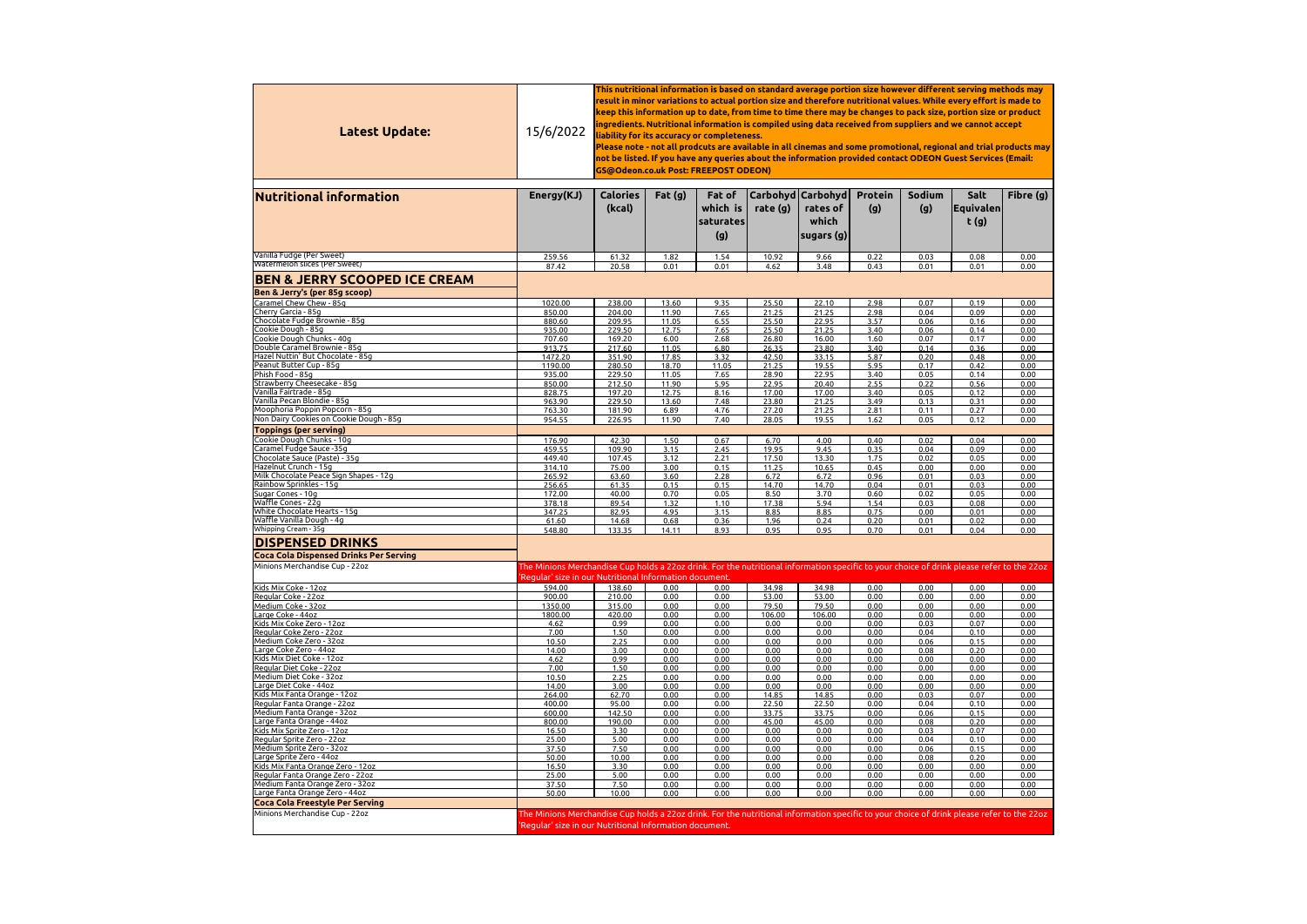| Latest Update:                                                                  | This nutritional information is based on standard average portion size however different serving methods may<br>result in minor variations to actual portion size and therefore nutritional values. While every effort is made to<br>keep this information up to date, from time to time there may be changes to pack size, portion size or product<br>ingredients. Nutritional information is compiled using data received from suppliers and we cannot accept<br>15/6/2022<br>liability for its accuracy or completeness.<br>Please note - not all prodcuts are available in all cinemas and some promotional, regional and trial products may<br>not be listed. If you have any queries about the information provided contact ODEON Guest Services (Email:<br>GS@Odeon.co.uk Post: FREEPOST ODEON) |                           |                |                                        |                 |                                                         |                       |                      |                                  |              |  |  |
|---------------------------------------------------------------------------------|--------------------------------------------------------------------------------------------------------------------------------------------------------------------------------------------------------------------------------------------------------------------------------------------------------------------------------------------------------------------------------------------------------------------------------------------------------------------------------------------------------------------------------------------------------------------------------------------------------------------------------------------------------------------------------------------------------------------------------------------------------------------------------------------------------|---------------------------|----------------|----------------------------------------|-----------------|---------------------------------------------------------|-----------------------|----------------------|----------------------------------|--------------|--|--|
| <b>Nutritional information</b>                                                  | Energy(KJ)                                                                                                                                                                                                                                                                                                                                                                                                                                                                                                                                                                                                                                                                                                                                                                                             | <b>Calories</b><br>(kcal) | Fat $(g)$      | Fat of<br>which is<br>saturates<br>(g) | rate (g)        | Carbohyd   Carbohyd<br>rates of<br>which<br> sugars (g) | <b>Protein</b><br>(g) | <b>Sodium</b><br>(g) | Salt<br><b>Equivalen</b><br>t(g) | Fibre (g)    |  |  |
| Vanilla Fudge (Per Sweet)                                                       | 259.56                                                                                                                                                                                                                                                                                                                                                                                                                                                                                                                                                                                                                                                                                                                                                                                                 | 61.32                     | 1.82           | 1.54                                   | 10.92           | 9.66                                                    | 0.22                  | 0.03                 | 0.08                             | 0.00         |  |  |
| Watermelon slices (Per Sweet)                                                   | 87.42                                                                                                                                                                                                                                                                                                                                                                                                                                                                                                                                                                                                                                                                                                                                                                                                  | 20.58                     | 0.01           | 0.01                                   | 4.62            | 3.48                                                    | 0.43                  | 0.01                 | 0.01                             | 0.00         |  |  |
| <b>BEN &amp; JERRY SCOOPED ICE CREAM</b>                                        |                                                                                                                                                                                                                                                                                                                                                                                                                                                                                                                                                                                                                                                                                                                                                                                                        |                           |                |                                        |                 |                                                         |                       |                      |                                  |              |  |  |
| <b>Ben &amp; Jerry's (per 85g scoop)</b><br>Caramel Chew Chew - 85g             | 1020.00                                                                                                                                                                                                                                                                                                                                                                                                                                                                                                                                                                                                                                                                                                                                                                                                | 238.00                    | 13.60          | 9.35                                   | 25.50           | 22.10                                                   | 2.98                  | 0.07                 | 0.19                             | 0.00         |  |  |
| Cherry Garcia - 85g                                                             | 850.00                                                                                                                                                                                                                                                                                                                                                                                                                                                                                                                                                                                                                                                                                                                                                                                                 | 204.00                    | 11.90          | 7.65                                   | 21.25           | 21.25                                                   | 2.98                  | 0.04                 | 0.09                             | 0.00         |  |  |
| Chocolate Fudge Brownie - 85g<br>Cookie Dough - 85g                             | 880.60                                                                                                                                                                                                                                                                                                                                                                                                                                                                                                                                                                                                                                                                                                                                                                                                 | 209.95                    | 11.05          | 6.55                                   | 25.50           | 22.95                                                   | 3.57                  | 0.06                 | 0.16                             | 0.00         |  |  |
| Cookie Dough Chunks - 40g                                                       | 935.00<br>707.60                                                                                                                                                                                                                                                                                                                                                                                                                                                                                                                                                                                                                                                                                                                                                                                       | 229.50<br>169.20          | 12.75<br>6.00  | 7.65<br>2.68                           | 25.50<br>26.80  | 21.25<br>16.00                                          | 3.40<br>1.60          | 0.06<br>0.07         | 0.14<br>0.17                     | 0.00<br>0.00 |  |  |
| Double Caramel Brownie - 85g                                                    | 913.75                                                                                                                                                                                                                                                                                                                                                                                                                                                                                                                                                                                                                                                                                                                                                                                                 | 217.60                    | 11.05          | 6.80                                   | 26.35           | 23.80                                                   | 3.40                  | 0.14                 | 0.36                             | 0.00         |  |  |
| Hazel Nuttin' But Chocolate - 85g<br>Peanut Butter Cup - 85g                    | 1472.20<br>1190.00                                                                                                                                                                                                                                                                                                                                                                                                                                                                                                                                                                                                                                                                                                                                                                                     | 351.90<br>280.50          | 17.85<br>18.70 | 3.32<br>11.05                          | 42.50<br>21.25  | 33.15<br>19.55                                          | 5.87<br>5.95          | 0.20<br>0.17         | 0.48<br>0.42                     | 0.00<br>0.00 |  |  |
| Phish Food - 85g                                                                | 935.00                                                                                                                                                                                                                                                                                                                                                                                                                                                                                                                                                                                                                                                                                                                                                                                                 | 229.50                    | 11.05          | 7.65                                   | 28.90           | 22.95                                                   | 3.40                  | 0.05                 | 0.14                             | 0.00         |  |  |
| Strawberry Cheesecake - 85g<br>Vanilla Fairtrade - 85g                          | 850.00<br>828.75                                                                                                                                                                                                                                                                                                                                                                                                                                                                                                                                                                                                                                                                                                                                                                                       | 212.50<br>197.20          | 11.90<br>12.75 | 5.95<br>8.16                           | 22.95<br>17.00  | 20.40<br>17.00                                          | 2.55<br>3.40          | 0.22<br>0.05         | 0.56<br>0.12                     | 0.00<br>0.00 |  |  |
| Vanilla Pecan Blondie - 85g                                                     | 963.90                                                                                                                                                                                                                                                                                                                                                                                                                                                                                                                                                                                                                                                                                                                                                                                                 | 229.50                    | 13.60          | 7.48                                   | 23.80           | 21.25                                                   | 3.49                  | 0.13                 | 0.31                             | 0.00         |  |  |
| Moophoria Poppin Popcorn - 85g                                                  | 763.30                                                                                                                                                                                                                                                                                                                                                                                                                                                                                                                                                                                                                                                                                                                                                                                                 | 181.90                    | 6.89           | 4.76                                   | 27.20           | 21.25                                                   | 2.81                  | 0.11                 | 0.27                             | 0.00         |  |  |
| Non Dairy Cookies on Cookie Dough - 85g                                         | 954.55                                                                                                                                                                                                                                                                                                                                                                                                                                                                                                                                                                                                                                                                                                                                                                                                 | 226.95                    | 11.90          | 7.40                                   | 28.05           | 19.55                                                   | 1.62                  | 0.05                 | 0.12                             | 0.00         |  |  |
| <b>Toppings (per serving)</b><br>Cookie Dough Chunks - 10g                      | 176.90                                                                                                                                                                                                                                                                                                                                                                                                                                                                                                                                                                                                                                                                                                                                                                                                 | 42.30                     | 1.50           | 0.67                                   | 6.70            | 4.00                                                    | 0.40                  | 0.02                 | 0.04                             | 0.00         |  |  |
| Caramel Fudge Sauce -35g                                                        | 459.55                                                                                                                                                                                                                                                                                                                                                                                                                                                                                                                                                                                                                                                                                                                                                                                                 | 109.90                    | 3.15           | 2.45                                   | 19.95           | 9.45                                                    | 0.35                  | 0.04                 | 0.09                             | 0.00         |  |  |
| Chocolate Sauce (Paste) - 35g<br>Hazelnut Crunch - 15g                          | 449.40                                                                                                                                                                                                                                                                                                                                                                                                                                                                                                                                                                                                                                                                                                                                                                                                 | 107.45                    | 3.12           | 2.21                                   | 17.50           | 13.30                                                   | 1.75                  | 0.02                 | 0.05                             | 0.00         |  |  |
| Milk Chocolate Peace Sign Shapes - 12g                                          | 314.10<br>265.92                                                                                                                                                                                                                                                                                                                                                                                                                                                                                                                                                                                                                                                                                                                                                                                       | 75.00<br>63.60            | 3.00<br>3.60   | 0.15<br>2.28                           | 11.25<br>6.72   | 10.65<br>6.72                                           | 0.45<br>0.96          | 0.00<br>0.01         | 0.00<br>0.03                     | 0.00<br>0.00 |  |  |
| Rainbow Sprinkles - 15g                                                         | 256.65                                                                                                                                                                                                                                                                                                                                                                                                                                                                                                                                                                                                                                                                                                                                                                                                 | 61.35                     | 0.15           | 0.15                                   | 14.70           | 14.70                                                   | 0.04                  | 0.01                 | 0.03                             | 0.00         |  |  |
| Sugar Cones - 10g<br>Waffle Cones - 22g                                         | 172.00<br>378.18                                                                                                                                                                                                                                                                                                                                                                                                                                                                                                                                                                                                                                                                                                                                                                                       | 40.00<br>89.54            | 0.70<br>1.32   | 0.05<br>1.10                           | 8.50<br>17.38   | 3.70<br>5.94                                            | 0.60<br>1.54          | 0.02<br>0.03         | 0.05<br>0.08                     | 0.00<br>0.00 |  |  |
| White Chocolate Hearts - 15g                                                    | 347.25                                                                                                                                                                                                                                                                                                                                                                                                                                                                                                                                                                                                                                                                                                                                                                                                 | 82.95                     | 4.95           | 3.15                                   | 8.85            | 8.85                                                    | 0.75                  | 0.00                 | 0.01                             | 0.00         |  |  |
| Waffle Vanilla Dough - 4g                                                       | 61.60                                                                                                                                                                                                                                                                                                                                                                                                                                                                                                                                                                                                                                                                                                                                                                                                  | 14.68                     | 0.68           | 0.36                                   | 1.96            | 0.24                                                    | 0.20                  | 0.01                 | 0.02                             | 0.00         |  |  |
| Whipping Cream - 35g                                                            | 548.80                                                                                                                                                                                                                                                                                                                                                                                                                                                                                                                                                                                                                                                                                                                                                                                                 | 133.35                    | 14.11          | 8.93                                   | 0.95            | 0.95                                                    | 0.70                  | 0.01                 | 0.04                             | 0.00         |  |  |
| <b>DISPENSED DRINKS</b>                                                         |                                                                                                                                                                                                                                                                                                                                                                                                                                                                                                                                                                                                                                                                                                                                                                                                        |                           |                |                                        |                 |                                                         |                       |                      |                                  |              |  |  |
| <b>Coca Cola Dispensed Drinks Per Serving</b><br>Minions Merchandise Cup - 22oz |                                                                                                                                                                                                                                                                                                                                                                                                                                                                                                                                                                                                                                                                                                                                                                                                        |                           |                |                                        |                 |                                                         |                       |                      |                                  |              |  |  |
|                                                                                 | The Minions Merchandise Cup holds a 22oz drink. For the nutritional information specific to your choice of drink please refer to the 22oz<br>'Regular' size in our Nutritional Information document.                                                                                                                                                                                                                                                                                                                                                                                                                                                                                                                                                                                                   |                           |                |                                        |                 |                                                         |                       |                      |                                  |              |  |  |
| Kids Mix Coke - 12oz                                                            | 594.00                                                                                                                                                                                                                                                                                                                                                                                                                                                                                                                                                                                                                                                                                                                                                                                                 | 138.60                    | 0.00           | 0.00                                   | 34.98           | 34.98                                                   | 0.00                  | 0.00                 | 0.00                             | 0.00         |  |  |
| Regular Coke - 22oz                                                             | 900.00                                                                                                                                                                                                                                                                                                                                                                                                                                                                                                                                                                                                                                                                                                                                                                                                 | 210.00                    | 0.00           | 0.00                                   | 53.00           | 53.00                                                   | 0.00                  | 0.00                 | 0.00                             | 0.00         |  |  |
| Medium Coke - 32oz<br>Large Coke - 44oz                                         | 1350.00<br>1800.00                                                                                                                                                                                                                                                                                                                                                                                                                                                                                                                                                                                                                                                                                                                                                                                     | 315.00<br>420.00          | 0.00<br>0.00   | 0.00<br>0.00                           | 79.50<br>106.00 | 79.50<br>106.00                                         | 0.00<br>0.00          | 0.00<br>0.00         | 0.00<br>0.00                     | 0.00<br>0.00 |  |  |
| Kids Mix Coke Zero - 12oz                                                       | 4.62                                                                                                                                                                                                                                                                                                                                                                                                                                                                                                                                                                                                                                                                                                                                                                                                   | 0.99                      | 0.00           | 0.00                                   | 0.00            | 0.00                                                    | 0.00                  | 0.03                 | 0.07                             | 0.00         |  |  |
| Regular Coke Zero - 22oz<br>Medium Coke Zero - 32oz                             | 7.00                                                                                                                                                                                                                                                                                                                                                                                                                                                                                                                                                                                                                                                                                                                                                                                                   | 1.50                      | 0.00           | 0.00                                   | 0.00            | 0.00                                                    | 0.00                  | 0.04                 | 0.10                             | 0.00         |  |  |
| Large Coke Zero - 44oz                                                          | 10.50<br>14.00                                                                                                                                                                                                                                                                                                                                                                                                                                                                                                                                                                                                                                                                                                                                                                                         | 2.25<br>3.00              | 0.00<br>0.00   | 0.00<br>0.00                           | 0.00<br>0.00    | 0.00<br>0.00                                            | 0.00<br>0.00          | 0.06<br>0.08         | 0.15<br>0.20                     | 0.00<br>0.00 |  |  |
| Kids Mix Diet Coke - 12oz                                                       | 4.62                                                                                                                                                                                                                                                                                                                                                                                                                                                                                                                                                                                                                                                                                                                                                                                                   | 0.99                      | 0.00           | 0.00                                   | 0.00            | 0.00                                                    | 0.00                  | 0.00                 | 0.00                             | 0.00         |  |  |
| Regular Diet Coke - 22oz<br>Medium Diet Coke - 32oz                             | 7.00<br>10.50                                                                                                                                                                                                                                                                                                                                                                                                                                                                                                                                                                                                                                                                                                                                                                                          | 1.50<br>2.25              | 0.00<br>0.00   | 0.00<br>0.00                           | 0.00<br>0.00    | 0.00<br>0.00                                            | 0.00<br>0.00          | 0.00<br>0.00         | 0.00<br>0.00                     | 0.00<br>0.00 |  |  |
| Large Diet Coke - 44oz                                                          | 14.00                                                                                                                                                                                                                                                                                                                                                                                                                                                                                                                                                                                                                                                                                                                                                                                                  | 3.00                      | 0.00           | 0.00                                   | 0.00            | 0.00                                                    | 0.00                  | 0.00                 | 0.00                             | 0.00         |  |  |
| Kids Mix Fanta Orange - 12oz                                                    | 264.00                                                                                                                                                                                                                                                                                                                                                                                                                                                                                                                                                                                                                                                                                                                                                                                                 | 62.70                     | 0.00           | 0.00                                   | 14.85           | 14.85                                                   | 0.00                  | 0.03                 | 0.07                             | 0.00         |  |  |
| Regular Fanta Orange - 22oz<br>Medium Fanta Orange - 32oz                       | 400.00<br>600.00                                                                                                                                                                                                                                                                                                                                                                                                                                                                                                                                                                                                                                                                                                                                                                                       | 95.00<br>142.50           | 0.00<br>0.00   | 0.00<br>0.00                           | 22.50<br>33.75  | 22.50<br>33.75                                          | 0.00<br>0.00          | 0.04<br>0.06         | 0.10<br>0.15                     | 0.00<br>0.00 |  |  |
| Large Fanta Orange - 44oz                                                       | 800.00                                                                                                                                                                                                                                                                                                                                                                                                                                                                                                                                                                                                                                                                                                                                                                                                 | 190.00                    | 0.00           | 0.00                                   | 45.00           | 45.00                                                   | 0.00                  | 0.08                 | 0.20                             | 0.00         |  |  |
| Kids Mix Sprite Zero - 12oz<br>Regular Sprite Zero - 22oz                       | 16.50<br>25.00                                                                                                                                                                                                                                                                                                                                                                                                                                                                                                                                                                                                                                                                                                                                                                                         | 3.30<br>5.00              | 0.00<br>0.00   | 0.00<br>0.00                           | 0.00<br>0.00    | 0.00<br>0.00                                            | 0.00<br>0.00          | 0.03<br>0.04         | 0.07<br>0.10                     | 0.00<br>0.00 |  |  |
| Medium Sprite Zero - 32oz                                                       | 37.50                                                                                                                                                                                                                                                                                                                                                                                                                                                                                                                                                                                                                                                                                                                                                                                                  | 7.50                      | 0.00           | 0.00                                   | 0.00            | 0.00                                                    | 0.00                  | 0.06                 | 0.15                             | 0.00         |  |  |
| Large Sprite Zero - 44oz                                                        | 50.00                                                                                                                                                                                                                                                                                                                                                                                                                                                                                                                                                                                                                                                                                                                                                                                                  | 10.00                     | 0.00           | 0.00                                   | 0.00            | 0.00                                                    | 0.00                  | 0.08                 | 0.20                             | 0.00         |  |  |
| Kids Mix Fanta Orange Zero - 12oz<br>Regular Fanta Orange Zero - 22oz           | 16.50<br>25.00                                                                                                                                                                                                                                                                                                                                                                                                                                                                                                                                                                                                                                                                                                                                                                                         | 3.30<br>5.00              | 0.00<br>0.00   | 0.00<br>0.00                           | 0.00<br>0.00    | 0.00<br>0.00                                            | 0.00<br>0.00          | 0.00<br>0.00         | 0.00<br>0.00                     | 0.00<br>0.00 |  |  |
| Medium Fanta Orange Zero - 32oz                                                 | 37.50                                                                                                                                                                                                                                                                                                                                                                                                                                                                                                                                                                                                                                                                                                                                                                                                  | 7.50                      | 0.00           | 0.00                                   | 0.00            | 0.00                                                    | 0.00                  | 0.00                 | 0.00                             | 0.00         |  |  |
| Large Fanta Orange Zero - 44oz                                                  | 50.00                                                                                                                                                                                                                                                                                                                                                                                                                                                                                                                                                                                                                                                                                                                                                                                                  | 10.00                     | 0.00           | 0.00                                   | 0.00            | 0.00                                                    | 0.00                  | 0.00                 | 0.00                             | 0.00         |  |  |
| <b>Coca Cola Freestyle Per Serving</b><br>Minions Merchandise Cup - 22oz        | The Minions Merchandise Cup holds a 22oz drink. For the nutritional information specific to your choice of drink please refer to the 22oz                                                                                                                                                                                                                                                                                                                                                                                                                                                                                                                                                                                                                                                              |                           |                |                                        |                 |                                                         |                       |                      |                                  |              |  |  |
|                                                                                 | 'Regular' size in our Nutritional Information document.                                                                                                                                                                                                                                                                                                                                                                                                                                                                                                                                                                                                                                                                                                                                                |                           |                |                                        |                 |                                                         |                       |                      |                                  |              |  |  |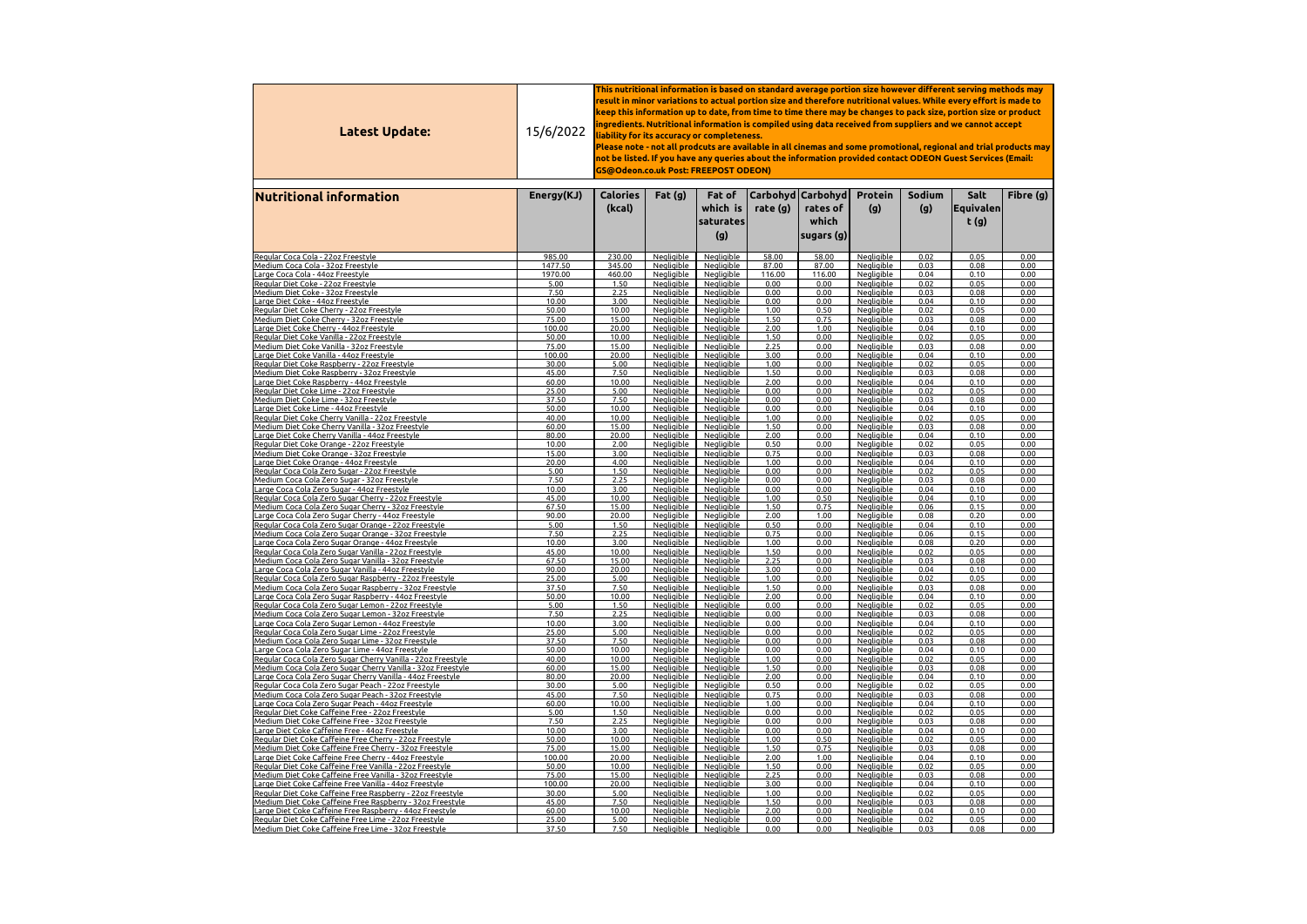| Carbohyd   Carbohyd  <br>Sodium<br>Salt<br><b>Calories</b><br>Fat(g)<br>Fat of<br><b>Protein</b><br><b>Nutritional information</b><br>Energy(KJ)<br>which is<br>(g)<br> Equivalen <br>(kcal)<br>rate (g)<br>rates of<br>(g)<br>which<br>t(g)<br>saturates<br>(g)<br>sugars $(g)$<br>Negligible<br>Negligible<br>Regular Coca Cola - 22oz Freestyle<br>985.00<br><b>Negligible</b><br>58.00<br>58.00<br>0.02<br>0.05<br>230.00<br>0.00<br>Negligible<br>Medium Coca Cola - 32oz Freestyle<br>1477.50<br><b>Negligible</b><br>87.00<br>87.00<br><b>Negligible</b><br>0.03<br>0.08<br>0.00<br>345.00<br>Negligible<br>1970.00<br><b>Negligible</b><br>116.00<br><b>Negligible</b><br>0.04<br>0.10<br>0.00<br>Large Coca Cola - 44oz Freestyle<br>460.00<br>116.00<br>Negligible<br>0.00<br>Negligible<br>0.02<br>0.05<br>Regular Diet Coke - 22oz Freestyle<br>5.00<br>1.50<br>Negligible<br>0.00<br>0.00<br>Negligible<br>0.00<br>Medium Diet Coke - 32oz Freestyle<br>7.50<br>2.25<br>0.00<br><b>Negligible</b><br>0.03<br>0.08<br>0.00<br><b>Negligible</b><br>Large Diet Coke - 44oz Freestyle<br>3.00<br>0.00<br><b>Negligible</b><br>0.00<br><b>Negligible</b><br>0.04<br>0.10<br>0.00<br>10.00<br><b>Negligible</b><br>Regular Diet Coke Cherry - 22oz Freestyle<br>10.00<br><b>Negligible</b><br><b>Negligible</b><br>1.00<br>0.50<br><b>Negligible</b><br>0.02<br>0.05<br>0.00<br>50.00<br>Medium Diet Coke Cherry - 32oz Freestyle<br>Negligible<br>1.50<br>0.75<br>15.00<br>Negligible<br><b>Negligible</b><br>0.03<br>0.08<br>0.00<br>75.00<br>Large Diet Coke Cherry - 44oz Freestyle<br>Negligible<br>2.00<br>1.00<br>0.04<br>0.00<br>100.00<br>20.00<br>Negligible<br><b>Negligible</b><br>0.10<br>Regular Diet Coke Vanilla - 22oz Freestyle<br><b>Negligible</b><br>Negligible<br>1.50<br>0.00<br><b>Negligible</b><br>0.02<br>0.05<br>0.00<br>50.00<br>10.00<br>Medium Diet Coke Vanilla - 32oz Freestyle<br>2.25<br>75.00<br>Negligible<br>Negligible<br>0.00<br><b>Negligible</b><br>0.03<br>0.08<br>0.00<br>15.00<br>3.00<br>0.04<br>Large Diet Coke Vanilla - 44oz Freestyle<br>Nealiaible<br>Negligible<br>0.00<br><b>Negligible</b><br>0.10<br>0.00<br>100.00<br>20.00<br>1.00<br><b>Negligible</b><br>0.02<br>Regular Diet Coke Raspberry - 22oz Freestyle<br>5.00<br><u>Negligible</u><br><u>Negligible</u><br>0.00<br>0.05<br>0.00<br>30.00<br>7.50<br><b>Negligible</b><br>Medium Diet Coke Raspberry - 32oz Freestyle<br><b>Negligible</b><br><u>Negligible</u><br>1.50<br>0.00<br>0.03<br>0.08<br>0.00<br>45.00<br>2.00<br>0.00<br>0.10<br>Large Diet Coke Raspberry - 44oz Freestyle<br><b>Negligible</b><br><b>Negligible</b><br><b>Negligible</b><br>0.04<br>0.00<br>60.00<br>10.00<br>25.00<br><u>Negligible</u><br>0.00<br>0.00<br><u>Negligible</u><br>0.02<br>0.05<br>0.00<br>Regular Diet Coke Lime - 22oz Freestyle<br>5.00<br>Negligible<br>37.50<br>7.50<br><b>Negligible</b><br><b>Negligible</b><br><u> Medium Diet Coke Lime - 32oz Freestyle</u><br><b>Negligible</b><br>0.00<br>0.00<br>0.03<br>0.08<br>0.00<br>10.00<br>0.00<br>0.00<br><b>Negligible</b><br>0.10<br>0.00<br>Large Diet Coke Lime - 44oz Freestyle<br>50.00<br><b>Negligible</b><br>Negligible<br>0.04<br>40.00<br>1.00<br>0.00<br>0.02<br>0.05<br>0.00<br>Regular Diet Coke Cherry Vanilla - 22oz Freestyle<br>10.00<br>Negligible<br>Negligible<br><b>Negligible</b><br>Negligible<br>Negligible<br>1.50<br>0.00<br>0.03<br>0.08<br>0.00<br>Medium Diet Coke Cherry Vanilla - 32oz Freestyle<br>60.00<br>15.00<br><b>Negligible</b><br>20.00<br>Negligible<br>Negligible<br>2.00<br>0.00<br>Negligible<br>0.04<br>0.10<br>0.00<br>Large Diet Coke Cherry Vanilla - 44oz Freestyle<br>80.00<br>2.00<br>0.50<br>0.00<br><b>Negligible</b><br>0.02<br>0.05<br>0.00<br>10.00<br><b>Negligible</b><br>Negligible<br>Regular Diet Coke Orange - 22oz Freestyle<br>0.75<br>0.08<br>15.00<br>3.00<br>Negligible<br>Negligible<br>0.00<br><b>Negligible</b><br>0.03<br>0.00<br><u> Medium Diet Coke Orange - 32oz Freestyle</u><br>1.00<br>Negligible<br>0.04<br>0.10<br>0.00<br>20.00<br>4.00<br>Negligible<br>Negligible<br>0.00<br><u> Large Diet Coke Orange - 44oz Freestyle </u><br>5.00<br>Negligible<br>0.00<br><b>Negligible</b><br>0.02<br>0.05<br>0.00<br>1.50<br><b>Negligible</b><br>0.00<br>Regular Coca Cola Zero Sugar - 22oz Freestyle<br>7.50<br>Negligible<br>0.00<br><b>Negligible</b><br>0.08<br>0.00<br>2.25<br><b>Negligible</b><br>0.00<br>0.03<br><u> Medium Coca Cola Zero Sugar - 32oz Freestyle</u><br>0.00<br>0.10<br>10.00<br>3.00<br>Negligible<br>0.00<br><b>Negligible</b><br>0.04<br>0.00<br><b>Negligible</b><br><u> Large Coca Cola Zero Sugar - 44oz Freestyle</u><br>1.00<br>0.10<br>0.00<br>45.00<br>10.00<br>Negligible<br>Negligible<br>0.50<br><b>Negligible</b><br>0.04<br>Regular Coca Cola Zero Sugar Cherry - 22oz Freestyle<br>67.50<br>15.00<br>1.50<br>0.75<br>0.15<br>0.00<br>Negligible<br>Negligible<br><b>Negligible</b><br>0.06<br><u> Medium Coca Cola Zero Sugar Cherry - 32oz Freestyle</u><br>2.00<br>1.00<br>0.20<br>0.00<br>90.00<br>20.00<br><b>Negligible</b><br><b>Negligible</b><br><b>Negligible</b><br>0.08<br><u> Large Coca Cola Zero Sugar Cherry - 44oz Freestyle </u><br>5.00<br>0.50<br>0.00<br>0.00<br>1.50<br><b>Negligible</b><br>Negligible<br><b>Negligible</b><br>0.04<br>0.10<br>Regular Coca Cola Zero Sugar Orange - 22oz Freestyle<br>2.25<br>7.50<br><b>Negligible</b><br>Negligible<br>0.75<br>0.00<br><b>Negligible</b><br>0.15<br>0.00<br>Medium Coca Cola Zero Sugar Orange - 32oz Freestyle<br>0.06<br>10.00<br>3.00<br>Negligible<br>1.00<br>0.00<br>Negligible<br>0.08<br>0.20<br>0.00<br>Negligible<br><u> Large Coca Cola Zero Sugar Orange - 44oz Freestyle</u><br>45.00<br>10.00<br>1.50<br>0.00<br>0.02<br>0.05<br>0.00<br>Negligible<br>Negligible<br><b>Negligible</b><br><u> Regular Coca Cola Zero Sugar Vanilla - 22oz Freestyle</u><br><b>Negligible</b><br>67.50<br>15.00<br><b>Negligible</b><br>Negligible<br>2.25<br>0.00<br>0.03<br>0.08<br>0.00<br><u> Medium Coca Cola Zero Sugar Vanilla - 32oz Freestyle</u><br>90.00<br>Negligible<br>Negligible<br>3.00<br>0.00<br>Negligible<br>0.04<br>0.10<br>0.00<br><u> Large Coca Cola Zero Sugar Vanilla - 44oz F</u> reestyle<br>20.00<br>Negligible<br><b>Negligible</b><br>Negligible<br>1.00<br>0.02<br>0.05<br>0.00<br>25.00<br>5.00<br>0.00<br>Regular Coca Cola Zero Sugar Raspberry - 22oz Freestyle<br>Negligible<br>37.50<br>7.50<br>Negligible<br>Negligible<br>1.50<br>0.08<br>0.00<br>0.03<br>0.00<br>Medium Coca Cola Zero Sugar Raspberry - 32oz Freestyle<br>50.00<br>2.00<br>0.10<br>10.00<br>Negligible<br>Negligible<br>0.00<br>Negligible<br>0.04<br>0.00<br>Large Coca Cola Zero Sugar Raspberry - 44oz Freestyle<br>5.00<br><b>Negligible</b><br>0.00<br><b>Negligible</b><br>0.05<br>0.00<br>1.50<br><b>Negligible</b><br>0.00<br>0.02<br>Regular Coca Cola Zero Sugar Lemon - 22oz Freestyle<br>7.50<br>2.25<br><b>Negligible</b><br>Negligible<br>0.00<br>0.00<br><b>Negligible</b><br>0.08<br>0.00<br>Medium Coca Cola Zero Sugar Lemon - 32oz Freestyle<br>0.03<br>10.00<br>3.00<br>Negligible<br>0.00<br>0.00<br><b>Negligible</b><br>0.04<br>0.00<br><u> Large Coca Cola Zero Sugar Lemon - 44oz Freestyle</u><br><b>Negligible</b><br>0.10<br>5.00<br>Negligible<br>0.00<br>0.00<br><b>Negligible</b><br>0.02<br>0.05<br>0.00<br>25.00<br><b>Negligible</b><br>Regular Coca Cola Zero Sugar Lime - 22oz Freestyle<br>7.50<br>37.50<br>0.00<br>0.00<br>0.03<br>0.08<br>0.00<br><b>Negligible</b><br>Negligible<br><b>Negligible</b><br><u> Medium Coca Cola Zero Sugar Lime - 32oz Freestyle</u><br>50.00<br>10.00<br>0.00<br>0.00<br><b>Negligible</b><br>0.04<br>0.10<br>0.00<br><b>Negligible</b><br>Negligible<br><u> Large Coca Cola Zero Sugar Lime - 44oz Freestyle</u><br>1.00<br>Negligible<br>0.02<br>0.05<br>0.00<br>40.00<br>10.00<br>Negligible<br>Negligible<br>0.00<br>Regular Coca Cola Zero Sugar Cherry Vanilla - 22oz Freestyle<br>Negligible<br><b>Negligible</b><br>0.03<br>0.08<br>60.00<br>15.00<br><b>Negligible</b><br>1.50<br>0.00<br>0.00<br><u> Medium Coca Cola Zero Sugar Cherry Vanilla - 32oz Freestyle</u><br>Negligible<br>Negligible<br>2.00<br>0.00<br>Negligible<br>0.04<br>0.10<br>0.00<br>80.00<br>20.00<br><u> Large Coca Cola Zero Sugar Cherry Vanilla - 44oz Freestyle</u><br>0.50<br>30.00<br>5.00<br>Negligible<br>0.00<br><b>Negligible</b><br>0.02<br>0.05<br>0.00<br><b>Negligible</b><br>Regular Coca Cola Zero Sugar Peach - 22oz Freestyle<br>Negligible<br>7.50<br><b>Negligible</b><br>Negligible<br>0.75<br>0.08<br>45.00<br>0.00<br>0.03<br>0.00<br>Medium Coca Cola Zero Sugar Peach - 32oz Freestyle<br>1.00<br>0.00<br>0.00<br>60.00<br>10.00<br><b>Negligible</b><br><b>Negligible</b><br><b>Negligible</b><br>0.04<br>0.10<br>Large Coca Cola Zero Sugar Peach - 44oz Freestyle<br> Regular Diet Coke Caffeine Free - 22oz Freestyle<br>5.00<br>Nealiaible<br>0.02<br>0.05<br>1.50<br>Nealiaible<br>Nealiaible<br>0.00<br>0.00<br>0.00<br>Medium Diet Coke Caffeine Free - 32oz Freestyle<br>7.50<br>Negligible<br>Negligible<br>Negligible<br>2.25<br>0.00<br>0.00<br>0.03<br>0.08<br>0.00<br>Negligible<br>0.00<br>0.00<br>Negligible<br>Large Diet Coke Caffeine Free - 44oz Freestyle<br>10.00<br>3.00<br>Negligible<br>0.04<br>0.10<br>0.00<br>Regular Diet Coke Caffeine Free Cherry - 22oz Freestyle<br>50.00<br>10.00<br><b>Negligible</b><br>Negligible<br>1.00<br>0.50<br><b>Negligible</b><br>0.02<br>0.05<br>0.00<br>Medium Diet Coke Caffeine Free Cherry - 32oz Freestyle<br>75.00<br>15.00<br>Negligible<br>Negligible<br>1.50<br>0.75<br>Negligible<br>0.03<br>0.08<br>0.00<br>Large Diet Coke Caffeine Free Cherry - 44oz Freestyle<br>Negligible<br>2.00<br>1.00<br><b>Negligible</b><br>0.04<br>100.00<br>20.00<br><b>Negligible</b><br>0.10<br>0.00<br>Regular <u>Diet Coke Caffeine Free Vanilla - 22oz Freestyle</u><br>1.50<br><b>Negligible</b><br>0.02<br>0.05<br>10.00<br>Nealiaible<br>Negligible<br>0.00<br>0.00<br>50.00<br><b>Negligible</b><br>Medium Diet Coke Caffeine Free Vanilla - 32oz Freestyle<br>75.00<br>15.00<br><b>Negligible</b><br>Negligible<br>2.25<br>0.00<br>0.03<br>0.08<br>0.00<br>Negligible<br>Large Diet Coke Caffeine Free Vanilla - 44oz Freestyle<br>100.00<br>Negligible<br><b>Negligible</b><br>3.00<br>0.00<br>0.04<br>0.10<br>0.00<br>20.00<br>Regular Diet C <u>oke Caffeine Free Raspberry - 22oz Freestyle</u><br>5.00<br>Negligible<br>Negligible<br>1.00<br>Negligible<br>0.02<br>0.05<br>30.00<br>0.00<br>0.00<br>7.50<br>1.50<br>0.00<br>Negligible<br>0.08<br>Medium Diet Coke Caffeine Free Raspberry - 32oz Freestyle<br>45.00<br><b>Negligible</b><br>Negligible<br>0.03<br>0.00<br>2.00<br>Large Diet Coke Caffeine Free Raspberry - 44oz Freestyle<br>60.00<br>10.00<br><b>Negligible</b><br>Negligible<br>0.00<br><b>Negligible</b><br>0.04<br>0.10<br>0.00<br>Regular Diet Coke Caffeine Free Lime - 22oz Freestyle<br>5.00<br><b>Negligible</b><br>Negligible<br>0.00<br>0.00<br><b>Negligible</b><br>0.02<br>0.05<br>0.00<br>25.00 | Latest Update:                                       | 15/6/2022 | This nutritional information is based on standard average portion size however different serving methods may $\,$<br>result in minor variations to actual portion size and therefore nutritional values. While every effort is made to<br>keep this information up to date, from time to time there may be changes to pack size, portion size or product<br>ingredients. Nutritional information is compiled using data received from suppliers and we cannot accept $\,$<br>liability for its accuracy or completeness.<br>Please note - not all prodcuts are available in all cinemas and some promotional, regional and trial products may<br>not be listed. If you have any queries about the information provided contact ODEON Guest Services (Email:<br><b>GS@Odeon.co.uk Post: FREEPOST ODEON)</b> |                   |                   |      |      |                   |      |      |           |  |  |
|-----------------------------------------------------------------------------------------------------------------------------------------------------------------------------------------------------------------------------------------------------------------------------------------------------------------------------------------------------------------------------------------------------------------------------------------------------------------------------------------------------------------------------------------------------------------------------------------------------------------------------------------------------------------------------------------------------------------------------------------------------------------------------------------------------------------------------------------------------------------------------------------------------------------------------------------------------------------------------------------------------------------------------------------------------------------------------------------------------------------------------------------------------------------------------------------------------------------------------------------------------------------------------------------------------------------------------------------------------------------------------------------------------------------------------------------------------------------------------------------------------------------------------------------------------------------------------------------------------------------------------------------------------------------------------------------------------------------------------------------------------------------------------------------------------------------------------------------------------------------------------------------------------------------------------------------------------------------------------------------------------------------------------------------------------------------------------------------------------------------------------------------------------------------------------------------------------------------------------------------------------------------------------------------------------------------------------------------------------------------------------------------------------------------------------------------------------------------------------------------------------------------------------------------------------------------------------------------------------------------------------------------------------------------------------------------------------------------------------------------------------------------------------------------------------------------------------------------------------------------------------------------------------------------------------------------------------------------------------------------------------------------------------------------------------------------------------------------------------------------------------------------------------------------------------------------------------------------------------------------------------------------------------------------------------------------------------------------------------------------------------------------------------------------------------------------------------------------------------------------------------------------------------------------------------------------------------------------------------------------------------------------------------------------------------------------------------------------------------------------------------------------------------------------------------------------------------------------------------------------------------------------------------------------------------------------------------------------------------------------------------------------------------------------------------------------------------------------------------------------------------------------------------------------------------------------------------------------------------------------------------------------------------------------------------------------------------------------------------------------------------------------------------------------------------------------------------------------------------------------------------------------------------------------------------------------------------------------------------------------------------------------------------------------------------------------------------------------------------------------------------------------------------------------------------------------------------------------------------------------------------------------------------------------------------------------------------------------------------------------------------------------------------------------------------------------------------------------------------------------------------------------------------------------------------------------------------------------------------------------------------------------------------------------------------------------------------------------------------------------------------------------------------------------------------------------------------------------------------------------------------------------------------------------------------------------------------------------------------------------------------------------------------------------------------------------------------------------------------------------------------------------------------------------------------------------------------------------------------------------------------------------------------------------------------------------------------------------------------------------------------------------------------------------------------------------------------------------------------------------------------------------------------------------------------------------------------------------------------------------------------------------------------------------------------------------------------------------------------------------------------------------------------------------------------------------------------------------------------------------------------------------------------------------------------------------------------------------------------------------------------------------------------------------------------------------------------------------------------------------------------------------------------------------------------------------------------------------------------------------------------------------------------------------------------------------------------------------------------------------------------------------------------------------------------------------------------------------------------------------------------------------------------------------------------------------------------------------------------------------------------------------------------------------------------------------------------------------------------------------------------------------------------------------------------------------------------------------------------------------------------------------------------------------------------------------------------------------------------------------------------------------------------------------------------------------------------------------------------------------------------------------------------------------------------------------------------------------------------------------------------------------------------------------------------------------------------------------------------------------------------------------------------------------------------------------------------------------------------------------------------------------------------------------------------------------------------------------------------------------------------------------------------------------------------------------------------------------------------------------------------------------------------------------------------------------------------------------------------------------------------------------------------------------------------------------------------------------------------------------------------------------------------------------------------------------------------------------------------------------------------------------------------------------------------------------------------------------------------------------------------------------------------------------------------------------------------------------------------------------------------------------------------------------------------------------------------------------------------------------------------------------------------------------------------------------------------------------------------------------------------------------------------------------------------------------------------------------------------------------------------------------------------------------------------------------------------------------------------------------------------------------------------------------------------------------------------------------------------------------------------------------------------------------------------------------------------------------------------------------------------------------------------------------------------------------------------------------------------------------------------------------------------------------------------------------------------------------------------------------------------------------------------------------------------------------------------------------------------------------------------------------------------------------------------------------------------------------------------------------------------------------------------------------------------------------------------------------------------------------------------------------------------------------------------------------------------------------------------------------------------------------------------------------------------------------------------------------------------------------------------------------------------------------------------------------------------------------------------------------------------------------------------------------------------------------------------------------------------------------------------------------------------------------------------------------------------------------------------------------------------------------------------------------------------------------------------------------------------------------------------------------------------------------------|------------------------------------------------------|-----------|------------------------------------------------------------------------------------------------------------------------------------------------------------------------------------------------------------------------------------------------------------------------------------------------------------------------------------------------------------------------------------------------------------------------------------------------------------------------------------------------------------------------------------------------------------------------------------------------------------------------------------------------------------------------------------------------------------------------------------------------------------------------------------------------------------|-------------------|-------------------|------|------|-------------------|------|------|-----------|--|--|
|                                                                                                                                                                                                                                                                                                                                                                                                                                                                                                                                                                                                                                                                                                                                                                                                                                                                                                                                                                                                                                                                                                                                                                                                                                                                                                                                                                                                                                                                                                                                                                                                                                                                                                                                                                                                                                                                                                                                                                                                                                                                                                                                                                                                                                                                                                                                                                                                                                                                                                                                                                                                                                                                                                                                                                                                                                                                                                                                                                                                                                                                                                                                                                                                                                                                                                                                                                                                                                                                                                                                                                                                                                                                                                                                                                                                                                                                                                                                                                                                                                                                                                                                                                                                                                                                                                                                                                                                                                                                                                                                                                                                                                                                                                                                                                                                                                                                                                                                                                                                                                                                                                                                                                                                                                                                                                                                                                                                                                                                                                                                                                                                                                                                                                                                                                                                                                                                                                                                                                                                                                                                                                                                                                                                                                                                                                                                                                                                                                                                                                                                                                                                                                                                                                                                                                                                                                                                                                                                                                                                                                                                                                                                                                                                                                                                                                                                                                                                                                                                                                                                                                                                                                                                                                                                                                                                                                                                                                                                                                                                                                                                                                                                                                                                                                                                                                                                                                                                                                                                                                                                                                                                                                                                                                                                                                                                                                                                                                                                                                                                                                                                                                                                                                                                                                                                                                                                                                                                                                                                                                                                                                                                                                                                                                                                                                                                                                                                                                                                                                                                                                                                                                                                                                                                                                                                                                                                                                                                                                                                                                                                                                                                                                                                                                                                                                                                                                                                                                                                                                                                                                                                                                                                                                       |                                                      |           |                                                                                                                                                                                                                                                                                                                                                                                                                                                                                                                                                                                                                                                                                                                                                                                                            |                   |                   |      |      |                   |      |      | Fibre (g) |  |  |
|                                                                                                                                                                                                                                                                                                                                                                                                                                                                                                                                                                                                                                                                                                                                                                                                                                                                                                                                                                                                                                                                                                                                                                                                                                                                                                                                                                                                                                                                                                                                                                                                                                                                                                                                                                                                                                                                                                                                                                                                                                                                                                                                                                                                                                                                                                                                                                                                                                                                                                                                                                                                                                                                                                                                                                                                                                                                                                                                                                                                                                                                                                                                                                                                                                                                                                                                                                                                                                                                                                                                                                                                                                                                                                                                                                                                                                                                                                                                                                                                                                                                                                                                                                                                                                                                                                                                                                                                                                                                                                                                                                                                                                                                                                                                                                                                                                                                                                                                                                                                                                                                                                                                                                                                                                                                                                                                                                                                                                                                                                                                                                                                                                                                                                                                                                                                                                                                                                                                                                                                                                                                                                                                                                                                                                                                                                                                                                                                                                                                                                                                                                                                                                                                                                                                                                                                                                                                                                                                                                                                                                                                                                                                                                                                                                                                                                                                                                                                                                                                                                                                                                                                                                                                                                                                                                                                                                                                                                                                                                                                                                                                                                                                                                                                                                                                                                                                                                                                                                                                                                                                                                                                                                                                                                                                                                                                                                                                                                                                                                                                                                                                                                                                                                                                                                                                                                                                                                                                                                                                                                                                                                                                                                                                                                                                                                                                                                                                                                                                                                                                                                                                                                                                                                                                                                                                                                                                                                                                                                                                                                                                                                                                                                                                                                                                                                                                                                                                                                                                                                                                                                                                                                                                                                       |                                                      |           |                                                                                                                                                                                                                                                                                                                                                                                                                                                                                                                                                                                                                                                                                                                                                                                                            |                   |                   |      |      |                   |      |      |           |  |  |
|                                                                                                                                                                                                                                                                                                                                                                                                                                                                                                                                                                                                                                                                                                                                                                                                                                                                                                                                                                                                                                                                                                                                                                                                                                                                                                                                                                                                                                                                                                                                                                                                                                                                                                                                                                                                                                                                                                                                                                                                                                                                                                                                                                                                                                                                                                                                                                                                                                                                                                                                                                                                                                                                                                                                                                                                                                                                                                                                                                                                                                                                                                                                                                                                                                                                                                                                                                                                                                                                                                                                                                                                                                                                                                                                                                                                                                                                                                                                                                                                                                                                                                                                                                                                                                                                                                                                                                                                                                                                                                                                                                                                                                                                                                                                                                                                                                                                                                                                                                                                                                                                                                                                                                                                                                                                                                                                                                                                                                                                                                                                                                                                                                                                                                                                                                                                                                                                                                                                                                                                                                                                                                                                                                                                                                                                                                                                                                                                                                                                                                                                                                                                                                                                                                                                                                                                                                                                                                                                                                                                                                                                                                                                                                                                                                                                                                                                                                                                                                                                                                                                                                                                                                                                                                                                                                                                                                                                                                                                                                                                                                                                                                                                                                                                                                                                                                                                                                                                                                                                                                                                                                                                                                                                                                                                                                                                                                                                                                                                                                                                                                                                                                                                                                                                                                                                                                                                                                                                                                                                                                                                                                                                                                                                                                                                                                                                                                                                                                                                                                                                                                                                                                                                                                                                                                                                                                                                                                                                                                                                                                                                                                                                                                                                                                                                                                                                                                                                                                                                                                                                                                                                                                                                                                       |                                                      |           |                                                                                                                                                                                                                                                                                                                                                                                                                                                                                                                                                                                                                                                                                                                                                                                                            |                   |                   |      |      |                   |      |      |           |  |  |
|                                                                                                                                                                                                                                                                                                                                                                                                                                                                                                                                                                                                                                                                                                                                                                                                                                                                                                                                                                                                                                                                                                                                                                                                                                                                                                                                                                                                                                                                                                                                                                                                                                                                                                                                                                                                                                                                                                                                                                                                                                                                                                                                                                                                                                                                                                                                                                                                                                                                                                                                                                                                                                                                                                                                                                                                                                                                                                                                                                                                                                                                                                                                                                                                                                                                                                                                                                                                                                                                                                                                                                                                                                                                                                                                                                                                                                                                                                                                                                                                                                                                                                                                                                                                                                                                                                                                                                                                                                                                                                                                                                                                                                                                                                                                                                                                                                                                                                                                                                                                                                                                                                                                                                                                                                                                                                                                                                                                                                                                                                                                                                                                                                                                                                                                                                                                                                                                                                                                                                                                                                                                                                                                                                                                                                                                                                                                                                                                                                                                                                                                                                                                                                                                                                                                                                                                                                                                                                                                                                                                                                                                                                                                                                                                                                                                                                                                                                                                                                                                                                                                                                                                                                                                                                                                                                                                                                                                                                                                                                                                                                                                                                                                                                                                                                                                                                                                                                                                                                                                                                                                                                                                                                                                                                                                                                                                                                                                                                                                                                                                                                                                                                                                                                                                                                                                                                                                                                                                                                                                                                                                                                                                                                                                                                                                                                                                                                                                                                                                                                                                                                                                                                                                                                                                                                                                                                                                                                                                                                                                                                                                                                                                                                                                                                                                                                                                                                                                                                                                                                                                                                                                                                                                                                       |                                                      |           |                                                                                                                                                                                                                                                                                                                                                                                                                                                                                                                                                                                                                                                                                                                                                                                                            |                   |                   |      |      |                   |      |      |           |  |  |
|                                                                                                                                                                                                                                                                                                                                                                                                                                                                                                                                                                                                                                                                                                                                                                                                                                                                                                                                                                                                                                                                                                                                                                                                                                                                                                                                                                                                                                                                                                                                                                                                                                                                                                                                                                                                                                                                                                                                                                                                                                                                                                                                                                                                                                                                                                                                                                                                                                                                                                                                                                                                                                                                                                                                                                                                                                                                                                                                                                                                                                                                                                                                                                                                                                                                                                                                                                                                                                                                                                                                                                                                                                                                                                                                                                                                                                                                                                                                                                                                                                                                                                                                                                                                                                                                                                                                                                                                                                                                                                                                                                                                                                                                                                                                                                                                                                                                                                                                                                                                                                                                                                                                                                                                                                                                                                                                                                                                                                                                                                                                                                                                                                                                                                                                                                                                                                                                                                                                                                                                                                                                                                                                                                                                                                                                                                                                                                                                                                                                                                                                                                                                                                                                                                                                                                                                                                                                                                                                                                                                                                                                                                                                                                                                                                                                                                                                                                                                                                                                                                                                                                                                                                                                                                                                                                                                                                                                                                                                                                                                                                                                                                                                                                                                                                                                                                                                                                                                                                                                                                                                                                                                                                                                                                                                                                                                                                                                                                                                                                                                                                                                                                                                                                                                                                                                                                                                                                                                                                                                                                                                                                                                                                                                                                                                                                                                                                                                                                                                                                                                                                                                                                                                                                                                                                                                                                                                                                                                                                                                                                                                                                                                                                                                                                                                                                                                                                                                                                                                                                                                                                                                                                                                                                       |                                                      |           |                                                                                                                                                                                                                                                                                                                                                                                                                                                                                                                                                                                                                                                                                                                                                                                                            |                   |                   |      |      |                   |      |      |           |  |  |
|                                                                                                                                                                                                                                                                                                                                                                                                                                                                                                                                                                                                                                                                                                                                                                                                                                                                                                                                                                                                                                                                                                                                                                                                                                                                                                                                                                                                                                                                                                                                                                                                                                                                                                                                                                                                                                                                                                                                                                                                                                                                                                                                                                                                                                                                                                                                                                                                                                                                                                                                                                                                                                                                                                                                                                                                                                                                                                                                                                                                                                                                                                                                                                                                                                                                                                                                                                                                                                                                                                                                                                                                                                                                                                                                                                                                                                                                                                                                                                                                                                                                                                                                                                                                                                                                                                                                                                                                                                                                                                                                                                                                                                                                                                                                                                                                                                                                                                                                                                                                                                                                                                                                                                                                                                                                                                                                                                                                                                                                                                                                                                                                                                                                                                                                                                                                                                                                                                                                                                                                                                                                                                                                                                                                                                                                                                                                                                                                                                                                                                                                                                                                                                                                                                                                                                                                                                                                                                                                                                                                                                                                                                                                                                                                                                                                                                                                                                                                                                                                                                                                                                                                                                                                                                                                                                                                                                                                                                                                                                                                                                                                                                                                                                                                                                                                                                                                                                                                                                                                                                                                                                                                                                                                                                                                                                                                                                                                                                                                                                                                                                                                                                                                                                                                                                                                                                                                                                                                                                                                                                                                                                                                                                                                                                                                                                                                                                                                                                                                                                                                                                                                                                                                                                                                                                                                                                                                                                                                                                                                                                                                                                                                                                                                                                                                                                                                                                                                                                                                                                                                                                                                                                                                                                       |                                                      |           |                                                                                                                                                                                                                                                                                                                                                                                                                                                                                                                                                                                                                                                                                                                                                                                                            |                   |                   |      |      |                   |      |      |           |  |  |
|                                                                                                                                                                                                                                                                                                                                                                                                                                                                                                                                                                                                                                                                                                                                                                                                                                                                                                                                                                                                                                                                                                                                                                                                                                                                                                                                                                                                                                                                                                                                                                                                                                                                                                                                                                                                                                                                                                                                                                                                                                                                                                                                                                                                                                                                                                                                                                                                                                                                                                                                                                                                                                                                                                                                                                                                                                                                                                                                                                                                                                                                                                                                                                                                                                                                                                                                                                                                                                                                                                                                                                                                                                                                                                                                                                                                                                                                                                                                                                                                                                                                                                                                                                                                                                                                                                                                                                                                                                                                                                                                                                                                                                                                                                                                                                                                                                                                                                                                                                                                                                                                                                                                                                                                                                                                                                                                                                                                                                                                                                                                                                                                                                                                                                                                                                                                                                                                                                                                                                                                                                                                                                                                                                                                                                                                                                                                                                                                                                                                                                                                                                                                                                                                                                                                                                                                                                                                                                                                                                                                                                                                                                                                                                                                                                                                                                                                                                                                                                                                                                                                                                                                                                                                                                                                                                                                                                                                                                                                                                                                                                                                                                                                                                                                                                                                                                                                                                                                                                                                                                                                                                                                                                                                                                                                                                                                                                                                                                                                                                                                                                                                                                                                                                                                                                                                                                                                                                                                                                                                                                                                                                                                                                                                                                                                                                                                                                                                                                                                                                                                                                                                                                                                                                                                                                                                                                                                                                                                                                                                                                                                                                                                                                                                                                                                                                                                                                                                                                                                                                                                                                                                                                                                                                       |                                                      |           |                                                                                                                                                                                                                                                                                                                                                                                                                                                                                                                                                                                                                                                                                                                                                                                                            |                   |                   |      |      |                   |      |      |           |  |  |
|                                                                                                                                                                                                                                                                                                                                                                                                                                                                                                                                                                                                                                                                                                                                                                                                                                                                                                                                                                                                                                                                                                                                                                                                                                                                                                                                                                                                                                                                                                                                                                                                                                                                                                                                                                                                                                                                                                                                                                                                                                                                                                                                                                                                                                                                                                                                                                                                                                                                                                                                                                                                                                                                                                                                                                                                                                                                                                                                                                                                                                                                                                                                                                                                                                                                                                                                                                                                                                                                                                                                                                                                                                                                                                                                                                                                                                                                                                                                                                                                                                                                                                                                                                                                                                                                                                                                                                                                                                                                                                                                                                                                                                                                                                                                                                                                                                                                                                                                                                                                                                                                                                                                                                                                                                                                                                                                                                                                                                                                                                                                                                                                                                                                                                                                                                                                                                                                                                                                                                                                                                                                                                                                                                                                                                                                                                                                                                                                                                                                                                                                                                                                                                                                                                                                                                                                                                                                                                                                                                                                                                                                                                                                                                                                                                                                                                                                                                                                                                                                                                                                                                                                                                                                                                                                                                                                                                                                                                                                                                                                                                                                                                                                                                                                                                                                                                                                                                                                                                                                                                                                                                                                                                                                                                                                                                                                                                                                                                                                                                                                                                                                                                                                                                                                                                                                                                                                                                                                                                                                                                                                                                                                                                                                                                                                                                                                                                                                                                                                                                                                                                                                                                                                                                                                                                                                                                                                                                                                                                                                                                                                                                                                                                                                                                                                                                                                                                                                                                                                                                                                                                                                                                                                                                       |                                                      |           |                                                                                                                                                                                                                                                                                                                                                                                                                                                                                                                                                                                                                                                                                                                                                                                                            |                   |                   |      |      |                   |      |      |           |  |  |
|                                                                                                                                                                                                                                                                                                                                                                                                                                                                                                                                                                                                                                                                                                                                                                                                                                                                                                                                                                                                                                                                                                                                                                                                                                                                                                                                                                                                                                                                                                                                                                                                                                                                                                                                                                                                                                                                                                                                                                                                                                                                                                                                                                                                                                                                                                                                                                                                                                                                                                                                                                                                                                                                                                                                                                                                                                                                                                                                                                                                                                                                                                                                                                                                                                                                                                                                                                                                                                                                                                                                                                                                                                                                                                                                                                                                                                                                                                                                                                                                                                                                                                                                                                                                                                                                                                                                                                                                                                                                                                                                                                                                                                                                                                                                                                                                                                                                                                                                                                                                                                                                                                                                                                                                                                                                                                                                                                                                                                                                                                                                                                                                                                                                                                                                                                                                                                                                                                                                                                                                                                                                                                                                                                                                                                                                                                                                                                                                                                                                                                                                                                                                                                                                                                                                                                                                                                                                                                                                                                                                                                                                                                                                                                                                                                                                                                                                                                                                                                                                                                                                                                                                                                                                                                                                                                                                                                                                                                                                                                                                                                                                                                                                                                                                                                                                                                                                                                                                                                                                                                                                                                                                                                                                                                                                                                                                                                                                                                                                                                                                                                                                                                                                                                                                                                                                                                                                                                                                                                                                                                                                                                                                                                                                                                                                                                                                                                                                                                                                                                                                                                                                                                                                                                                                                                                                                                                                                                                                                                                                                                                                                                                                                                                                                                                                                                                                                                                                                                                                                                                                                                                                                                                                                                       |                                                      |           |                                                                                                                                                                                                                                                                                                                                                                                                                                                                                                                                                                                                                                                                                                                                                                                                            |                   |                   |      |      |                   |      |      |           |  |  |
|                                                                                                                                                                                                                                                                                                                                                                                                                                                                                                                                                                                                                                                                                                                                                                                                                                                                                                                                                                                                                                                                                                                                                                                                                                                                                                                                                                                                                                                                                                                                                                                                                                                                                                                                                                                                                                                                                                                                                                                                                                                                                                                                                                                                                                                                                                                                                                                                                                                                                                                                                                                                                                                                                                                                                                                                                                                                                                                                                                                                                                                                                                                                                                                                                                                                                                                                                                                                                                                                                                                                                                                                                                                                                                                                                                                                                                                                                                                                                                                                                                                                                                                                                                                                                                                                                                                                                                                                                                                                                                                                                                                                                                                                                                                                                                                                                                                                                                                                                                                                                                                                                                                                                                                                                                                                                                                                                                                                                                                                                                                                                                                                                                                                                                                                                                                                                                                                                                                                                                                                                                                                                                                                                                                                                                                                                                                                                                                                                                                                                                                                                                                                                                                                                                                                                                                                                                                                                                                                                                                                                                                                                                                                                                                                                                                                                                                                                                                                                                                                                                                                                                                                                                                                                                                                                                                                                                                                                                                                                                                                                                                                                                                                                                                                                                                                                                                                                                                                                                                                                                                                                                                                                                                                                                                                                                                                                                                                                                                                                                                                                                                                                                                                                                                                                                                                                                                                                                                                                                                                                                                                                                                                                                                                                                                                                                                                                                                                                                                                                                                                                                                                                                                                                                                                                                                                                                                                                                                                                                                                                                                                                                                                                                                                                                                                                                                                                                                                                                                                                                                                                                                                                                                                                                       |                                                      |           |                                                                                                                                                                                                                                                                                                                                                                                                                                                                                                                                                                                                                                                                                                                                                                                                            |                   |                   |      |      |                   |      |      |           |  |  |
|                                                                                                                                                                                                                                                                                                                                                                                                                                                                                                                                                                                                                                                                                                                                                                                                                                                                                                                                                                                                                                                                                                                                                                                                                                                                                                                                                                                                                                                                                                                                                                                                                                                                                                                                                                                                                                                                                                                                                                                                                                                                                                                                                                                                                                                                                                                                                                                                                                                                                                                                                                                                                                                                                                                                                                                                                                                                                                                                                                                                                                                                                                                                                                                                                                                                                                                                                                                                                                                                                                                                                                                                                                                                                                                                                                                                                                                                                                                                                                                                                                                                                                                                                                                                                                                                                                                                                                                                                                                                                                                                                                                                                                                                                                                                                                                                                                                                                                                                                                                                                                                                                                                                                                                                                                                                                                                                                                                                                                                                                                                                                                                                                                                                                                                                                                                                                                                                                                                                                                                                                                                                                                                                                                                                                                                                                                                                                                                                                                                                                                                                                                                                                                                                                                                                                                                                                                                                                                                                                                                                                                                                                                                                                                                                                                                                                                                                                                                                                                                                                                                                                                                                                                                                                                                                                                                                                                                                                                                                                                                                                                                                                                                                                                                                                                                                                                                                                                                                                                                                                                                                                                                                                                                                                                                                                                                                                                                                                                                                                                                                                                                                                                                                                                                                                                                                                                                                                                                                                                                                                                                                                                                                                                                                                                                                                                                                                                                                                                                                                                                                                                                                                                                                                                                                                                                                                                                                                                                                                                                                                                                                                                                                                                                                                                                                                                                                                                                                                                                                                                                                                                                                                                                                                                       |                                                      |           |                                                                                                                                                                                                                                                                                                                                                                                                                                                                                                                                                                                                                                                                                                                                                                                                            |                   |                   |      |      |                   |      |      |           |  |  |
|                                                                                                                                                                                                                                                                                                                                                                                                                                                                                                                                                                                                                                                                                                                                                                                                                                                                                                                                                                                                                                                                                                                                                                                                                                                                                                                                                                                                                                                                                                                                                                                                                                                                                                                                                                                                                                                                                                                                                                                                                                                                                                                                                                                                                                                                                                                                                                                                                                                                                                                                                                                                                                                                                                                                                                                                                                                                                                                                                                                                                                                                                                                                                                                                                                                                                                                                                                                                                                                                                                                                                                                                                                                                                                                                                                                                                                                                                                                                                                                                                                                                                                                                                                                                                                                                                                                                                                                                                                                                                                                                                                                                                                                                                                                                                                                                                                                                                                                                                                                                                                                                                                                                                                                                                                                                                                                                                                                                                                                                                                                                                                                                                                                                                                                                                                                                                                                                                                                                                                                                                                                                                                                                                                                                                                                                                                                                                                                                                                                                                                                                                                                                                                                                                                                                                                                                                                                                                                                                                                                                                                                                                                                                                                                                                                                                                                                                                                                                                                                                                                                                                                                                                                                                                                                                                                                                                                                                                                                                                                                                                                                                                                                                                                                                                                                                                                                                                                                                                                                                                                                                                                                                                                                                                                                                                                                                                                                                                                                                                                                                                                                                                                                                                                                                                                                                                                                                                                                                                                                                                                                                                                                                                                                                                                                                                                                                                                                                                                                                                                                                                                                                                                                                                                                                                                                                                                                                                                                                                                                                                                                                                                                                                                                                                                                                                                                                                                                                                                                                                                                                                                                                                                                                                                       |                                                      |           |                                                                                                                                                                                                                                                                                                                                                                                                                                                                                                                                                                                                                                                                                                                                                                                                            |                   |                   |      |      |                   |      |      |           |  |  |
|                                                                                                                                                                                                                                                                                                                                                                                                                                                                                                                                                                                                                                                                                                                                                                                                                                                                                                                                                                                                                                                                                                                                                                                                                                                                                                                                                                                                                                                                                                                                                                                                                                                                                                                                                                                                                                                                                                                                                                                                                                                                                                                                                                                                                                                                                                                                                                                                                                                                                                                                                                                                                                                                                                                                                                                                                                                                                                                                                                                                                                                                                                                                                                                                                                                                                                                                                                                                                                                                                                                                                                                                                                                                                                                                                                                                                                                                                                                                                                                                                                                                                                                                                                                                                                                                                                                                                                                                                                                                                                                                                                                                                                                                                                                                                                                                                                                                                                                                                                                                                                                                                                                                                                                                                                                                                                                                                                                                                                                                                                                                                                                                                                                                                                                                                                                                                                                                                                                                                                                                                                                                                                                                                                                                                                                                                                                                                                                                                                                                                                                                                                                                                                                                                                                                                                                                                                                                                                                                                                                                                                                                                                                                                                                                                                                                                                                                                                                                                                                                                                                                                                                                                                                                                                                                                                                                                                                                                                                                                                                                                                                                                                                                                                                                                                                                                                                                                                                                                                                                                                                                                                                                                                                                                                                                                                                                                                                                                                                                                                                                                                                                                                                                                                                                                                                                                                                                                                                                                                                                                                                                                                                                                                                                                                                                                                                                                                                                                                                                                                                                                                                                                                                                                                                                                                                                                                                                                                                                                                                                                                                                                                                                                                                                                                                                                                                                                                                                                                                                                                                                                                                                                                                                                                       |                                                      |           |                                                                                                                                                                                                                                                                                                                                                                                                                                                                                                                                                                                                                                                                                                                                                                                                            |                   |                   |      |      |                   |      |      |           |  |  |
|                                                                                                                                                                                                                                                                                                                                                                                                                                                                                                                                                                                                                                                                                                                                                                                                                                                                                                                                                                                                                                                                                                                                                                                                                                                                                                                                                                                                                                                                                                                                                                                                                                                                                                                                                                                                                                                                                                                                                                                                                                                                                                                                                                                                                                                                                                                                                                                                                                                                                                                                                                                                                                                                                                                                                                                                                                                                                                                                                                                                                                                                                                                                                                                                                                                                                                                                                                                                                                                                                                                                                                                                                                                                                                                                                                                                                                                                                                                                                                                                                                                                                                                                                                                                                                                                                                                                                                                                                                                                                                                                                                                                                                                                                                                                                                                                                                                                                                                                                                                                                                                                                                                                                                                                                                                                                                                                                                                                                                                                                                                                                                                                                                                                                                                                                                                                                                                                                                                                                                                                                                                                                                                                                                                                                                                                                                                                                                                                                                                                                                                                                                                                                                                                                                                                                                                                                                                                                                                                                                                                                                                                                                                                                                                                                                                                                                                                                                                                                                                                                                                                                                                                                                                                                                                                                                                                                                                                                                                                                                                                                                                                                                                                                                                                                                                                                                                                                                                                                                                                                                                                                                                                                                                                                                                                                                                                                                                                                                                                                                                                                                                                                                                                                                                                                                                                                                                                                                                                                                                                                                                                                                                                                                                                                                                                                                                                                                                                                                                                                                                                                                                                                                                                                                                                                                                                                                                                                                                                                                                                                                                                                                                                                                                                                                                                                                                                                                                                                                                                                                                                                                                                                                                                                                       |                                                      |           |                                                                                                                                                                                                                                                                                                                                                                                                                                                                                                                                                                                                                                                                                                                                                                                                            |                   |                   |      |      |                   |      |      |           |  |  |
|                                                                                                                                                                                                                                                                                                                                                                                                                                                                                                                                                                                                                                                                                                                                                                                                                                                                                                                                                                                                                                                                                                                                                                                                                                                                                                                                                                                                                                                                                                                                                                                                                                                                                                                                                                                                                                                                                                                                                                                                                                                                                                                                                                                                                                                                                                                                                                                                                                                                                                                                                                                                                                                                                                                                                                                                                                                                                                                                                                                                                                                                                                                                                                                                                                                                                                                                                                                                                                                                                                                                                                                                                                                                                                                                                                                                                                                                                                                                                                                                                                                                                                                                                                                                                                                                                                                                                                                                                                                                                                                                                                                                                                                                                                                                                                                                                                                                                                                                                                                                                                                                                                                                                                                                                                                                                                                                                                                                                                                                                                                                                                                                                                                                                                                                                                                                                                                                                                                                                                                                                                                                                                                                                                                                                                                                                                                                                                                                                                                                                                                                                                                                                                                                                                                                                                                                                                                                                                                                                                                                                                                                                                                                                                                                                                                                                                                                                                                                                                                                                                                                                                                                                                                                                                                                                                                                                                                                                                                                                                                                                                                                                                                                                                                                                                                                                                                                                                                                                                                                                                                                                                                                                                                                                                                                                                                                                                                                                                                                                                                                                                                                                                                                                                                                                                                                                                                                                                                                                                                                                                                                                                                                                                                                                                                                                                                                                                                                                                                                                                                                                                                                                                                                                                                                                                                                                                                                                                                                                                                                                                                                                                                                                                                                                                                                                                                                                                                                                                                                                                                                                                                                                                                                                                       |                                                      |           |                                                                                                                                                                                                                                                                                                                                                                                                                                                                                                                                                                                                                                                                                                                                                                                                            |                   |                   |      |      |                   |      |      |           |  |  |
|                                                                                                                                                                                                                                                                                                                                                                                                                                                                                                                                                                                                                                                                                                                                                                                                                                                                                                                                                                                                                                                                                                                                                                                                                                                                                                                                                                                                                                                                                                                                                                                                                                                                                                                                                                                                                                                                                                                                                                                                                                                                                                                                                                                                                                                                                                                                                                                                                                                                                                                                                                                                                                                                                                                                                                                                                                                                                                                                                                                                                                                                                                                                                                                                                                                                                                                                                                                                                                                                                                                                                                                                                                                                                                                                                                                                                                                                                                                                                                                                                                                                                                                                                                                                                                                                                                                                                                                                                                                                                                                                                                                                                                                                                                                                                                                                                                                                                                                                                                                                                                                                                                                                                                                                                                                                                                                                                                                                                                                                                                                                                                                                                                                                                                                                                                                                                                                                                                                                                                                                                                                                                                                                                                                                                                                                                                                                                                                                                                                                                                                                                                                                                                                                                                                                                                                                                                                                                                                                                                                                                                                                                                                                                                                                                                                                                                                                                                                                                                                                                                                                                                                                                                                                                                                                                                                                                                                                                                                                                                                                                                                                                                                                                                                                                                                                                                                                                                                                                                                                                                                                                                                                                                                                                                                                                                                                                                                                                                                                                                                                                                                                                                                                                                                                                                                                                                                                                                                                                                                                                                                                                                                                                                                                                                                                                                                                                                                                                                                                                                                                                                                                                                                                                                                                                                                                                                                                                                                                                                                                                                                                                                                                                                                                                                                                                                                                                                                                                                                                                                                                                                                                                                                                                                       |                                                      |           |                                                                                                                                                                                                                                                                                                                                                                                                                                                                                                                                                                                                                                                                                                                                                                                                            |                   |                   |      |      |                   |      |      |           |  |  |
|                                                                                                                                                                                                                                                                                                                                                                                                                                                                                                                                                                                                                                                                                                                                                                                                                                                                                                                                                                                                                                                                                                                                                                                                                                                                                                                                                                                                                                                                                                                                                                                                                                                                                                                                                                                                                                                                                                                                                                                                                                                                                                                                                                                                                                                                                                                                                                                                                                                                                                                                                                                                                                                                                                                                                                                                                                                                                                                                                                                                                                                                                                                                                                                                                                                                                                                                                                                                                                                                                                                                                                                                                                                                                                                                                                                                                                                                                                                                                                                                                                                                                                                                                                                                                                                                                                                                                                                                                                                                                                                                                                                                                                                                                                                                                                                                                                                                                                                                                                                                                                                                                                                                                                                                                                                                                                                                                                                                                                                                                                                                                                                                                                                                                                                                                                                                                                                                                                                                                                                                                                                                                                                                                                                                                                                                                                                                                                                                                                                                                                                                                                                                                                                                                                                                                                                                                                                                                                                                                                                                                                                                                                                                                                                                                                                                                                                                                                                                                                                                                                                                                                                                                                                                                                                                                                                                                                                                                                                                                                                                                                                                                                                                                                                                                                                                                                                                                                                                                                                                                                                                                                                                                                                                                                                                                                                                                                                                                                                                                                                                                                                                                                                                                                                                                                                                                                                                                                                                                                                                                                                                                                                                                                                                                                                                                                                                                                                                                                                                                                                                                                                                                                                                                                                                                                                                                                                                                                                                                                                                                                                                                                                                                                                                                                                                                                                                                                                                                                                                                                                                                                                                                                                                                                       |                                                      |           |                                                                                                                                                                                                                                                                                                                                                                                                                                                                                                                                                                                                                                                                                                                                                                                                            |                   |                   |      |      |                   |      |      |           |  |  |
|                                                                                                                                                                                                                                                                                                                                                                                                                                                                                                                                                                                                                                                                                                                                                                                                                                                                                                                                                                                                                                                                                                                                                                                                                                                                                                                                                                                                                                                                                                                                                                                                                                                                                                                                                                                                                                                                                                                                                                                                                                                                                                                                                                                                                                                                                                                                                                                                                                                                                                                                                                                                                                                                                                                                                                                                                                                                                                                                                                                                                                                                                                                                                                                                                                                                                                                                                                                                                                                                                                                                                                                                                                                                                                                                                                                                                                                                                                                                                                                                                                                                                                                                                                                                                                                                                                                                                                                                                                                                                                                                                                                                                                                                                                                                                                                                                                                                                                                                                                                                                                                                                                                                                                                                                                                                                                                                                                                                                                                                                                                                                                                                                                                                                                                                                                                                                                                                                                                                                                                                                                                                                                                                                                                                                                                                                                                                                                                                                                                                                                                                                                                                                                                                                                                                                                                                                                                                                                                                                                                                                                                                                                                                                                                                                                                                                                                                                                                                                                                                                                                                                                                                                                                                                                                                                                                                                                                                                                                                                                                                                                                                                                                                                                                                                                                                                                                                                                                                                                                                                                                                                                                                                                                                                                                                                                                                                                                                                                                                                                                                                                                                                                                                                                                                                                                                                                                                                                                                                                                                                                                                                                                                                                                                                                                                                                                                                                                                                                                                                                                                                                                                                                                                                                                                                                                                                                                                                                                                                                                                                                                                                                                                                                                                                                                                                                                                                                                                                                                                                                                                                                                                                                                                                                       |                                                      |           |                                                                                                                                                                                                                                                                                                                                                                                                                                                                                                                                                                                                                                                                                                                                                                                                            |                   |                   |      |      |                   |      |      |           |  |  |
|                                                                                                                                                                                                                                                                                                                                                                                                                                                                                                                                                                                                                                                                                                                                                                                                                                                                                                                                                                                                                                                                                                                                                                                                                                                                                                                                                                                                                                                                                                                                                                                                                                                                                                                                                                                                                                                                                                                                                                                                                                                                                                                                                                                                                                                                                                                                                                                                                                                                                                                                                                                                                                                                                                                                                                                                                                                                                                                                                                                                                                                                                                                                                                                                                                                                                                                                                                                                                                                                                                                                                                                                                                                                                                                                                                                                                                                                                                                                                                                                                                                                                                                                                                                                                                                                                                                                                                                                                                                                                                                                                                                                                                                                                                                                                                                                                                                                                                                                                                                                                                                                                                                                                                                                                                                                                                                                                                                                                                                                                                                                                                                                                                                                                                                                                                                                                                                                                                                                                                                                                                                                                                                                                                                                                                                                                                                                                                                                                                                                                                                                                                                                                                                                                                                                                                                                                                                                                                                                                                                                                                                                                                                                                                                                                                                                                                                                                                                                                                                                                                                                                                                                                                                                                                                                                                                                                                                                                                                                                                                                                                                                                                                                                                                                                                                                                                                                                                                                                                                                                                                                                                                                                                                                                                                                                                                                                                                                                                                                                                                                                                                                                                                                                                                                                                                                                                                                                                                                                                                                                                                                                                                                                                                                                                                                                                                                                                                                                                                                                                                                                                                                                                                                                                                                                                                                                                                                                                                                                                                                                                                                                                                                                                                                                                                                                                                                                                                                                                                                                                                                                                                                                                                                                                       |                                                      |           |                                                                                                                                                                                                                                                                                                                                                                                                                                                                                                                                                                                                                                                                                                                                                                                                            |                   |                   |      |      |                   |      |      |           |  |  |
|                                                                                                                                                                                                                                                                                                                                                                                                                                                                                                                                                                                                                                                                                                                                                                                                                                                                                                                                                                                                                                                                                                                                                                                                                                                                                                                                                                                                                                                                                                                                                                                                                                                                                                                                                                                                                                                                                                                                                                                                                                                                                                                                                                                                                                                                                                                                                                                                                                                                                                                                                                                                                                                                                                                                                                                                                                                                                                                                                                                                                                                                                                                                                                                                                                                                                                                                                                                                                                                                                                                                                                                                                                                                                                                                                                                                                                                                                                                                                                                                                                                                                                                                                                                                                                                                                                                                                                                                                                                                                                                                                                                                                                                                                                                                                                                                                                                                                                                                                                                                                                                                                                                                                                                                                                                                                                                                                                                                                                                                                                                                                                                                                                                                                                                                                                                                                                                                                                                                                                                                                                                                                                                                                                                                                                                                                                                                                                                                                                                                                                                                                                                                                                                                                                                                                                                                                                                                                                                                                                                                                                                                                                                                                                                                                                                                                                                                                                                                                                                                                                                                                                                                                                                                                                                                                                                                                                                                                                                                                                                                                                                                                                                                                                                                                                                                                                                                                                                                                                                                                                                                                                                                                                                                                                                                                                                                                                                                                                                                                                                                                                                                                                                                                                                                                                                                                                                                                                                                                                                                                                                                                                                                                                                                                                                                                                                                                                                                                                                                                                                                                                                                                                                                                                                                                                                                                                                                                                                                                                                                                                                                                                                                                                                                                                                                                                                                                                                                                                                                                                                                                                                                                                                                                                       |                                                      |           |                                                                                                                                                                                                                                                                                                                                                                                                                                                                                                                                                                                                                                                                                                                                                                                                            |                   |                   |      |      |                   |      |      |           |  |  |
|                                                                                                                                                                                                                                                                                                                                                                                                                                                                                                                                                                                                                                                                                                                                                                                                                                                                                                                                                                                                                                                                                                                                                                                                                                                                                                                                                                                                                                                                                                                                                                                                                                                                                                                                                                                                                                                                                                                                                                                                                                                                                                                                                                                                                                                                                                                                                                                                                                                                                                                                                                                                                                                                                                                                                                                                                                                                                                                                                                                                                                                                                                                                                                                                                                                                                                                                                                                                                                                                                                                                                                                                                                                                                                                                                                                                                                                                                                                                                                                                                                                                                                                                                                                                                                                                                                                                                                                                                                                                                                                                                                                                                                                                                                                                                                                                                                                                                                                                                                                                                                                                                                                                                                                                                                                                                                                                                                                                                                                                                                                                                                                                                                                                                                                                                                                                                                                                                                                                                                                                                                                                                                                                                                                                                                                                                                                                                                                                                                                                                                                                                                                                                                                                                                                                                                                                                                                                                                                                                                                                                                                                                                                                                                                                                                                                                                                                                                                                                                                                                                                                                                                                                                                                                                                                                                                                                                                                                                                                                                                                                                                                                                                                                                                                                                                                                                                                                                                                                                                                                                                                                                                                                                                                                                                                                                                                                                                                                                                                                                                                                                                                                                                                                                                                                                                                                                                                                                                                                                                                                                                                                                                                                                                                                                                                                                                                                                                                                                                                                                                                                                                                                                                                                                                                                                                                                                                                                                                                                                                                                                                                                                                                                                                                                                                                                                                                                                                                                                                                                                                                                                                                                                                                                                       |                                                      |           |                                                                                                                                                                                                                                                                                                                                                                                                                                                                                                                                                                                                                                                                                                                                                                                                            |                   |                   |      |      |                   |      |      |           |  |  |
|                                                                                                                                                                                                                                                                                                                                                                                                                                                                                                                                                                                                                                                                                                                                                                                                                                                                                                                                                                                                                                                                                                                                                                                                                                                                                                                                                                                                                                                                                                                                                                                                                                                                                                                                                                                                                                                                                                                                                                                                                                                                                                                                                                                                                                                                                                                                                                                                                                                                                                                                                                                                                                                                                                                                                                                                                                                                                                                                                                                                                                                                                                                                                                                                                                                                                                                                                                                                                                                                                                                                                                                                                                                                                                                                                                                                                                                                                                                                                                                                                                                                                                                                                                                                                                                                                                                                                                                                                                                                                                                                                                                                                                                                                                                                                                                                                                                                                                                                                                                                                                                                                                                                                                                                                                                                                                                                                                                                                                                                                                                                                                                                                                                                                                                                                                                                                                                                                                                                                                                                                                                                                                                                                                                                                                                                                                                                                                                                                                                                                                                                                                                                                                                                                                                                                                                                                                                                                                                                                                                                                                                                                                                                                                                                                                                                                                                                                                                                                                                                                                                                                                                                                                                                                                                                                                                                                                                                                                                                                                                                                                                                                                                                                                                                                                                                                                                                                                                                                                                                                                                                                                                                                                                                                                                                                                                                                                                                                                                                                                                                                                                                                                                                                                                                                                                                                                                                                                                                                                                                                                                                                                                                                                                                                                                                                                                                                                                                                                                                                                                                                                                                                                                                                                                                                                                                                                                                                                                                                                                                                                                                                                                                                                                                                                                                                                                                                                                                                                                                                                                                                                                                                                                                                                       |                                                      |           |                                                                                                                                                                                                                                                                                                                                                                                                                                                                                                                                                                                                                                                                                                                                                                                                            |                   |                   |      |      |                   |      |      |           |  |  |
|                                                                                                                                                                                                                                                                                                                                                                                                                                                                                                                                                                                                                                                                                                                                                                                                                                                                                                                                                                                                                                                                                                                                                                                                                                                                                                                                                                                                                                                                                                                                                                                                                                                                                                                                                                                                                                                                                                                                                                                                                                                                                                                                                                                                                                                                                                                                                                                                                                                                                                                                                                                                                                                                                                                                                                                                                                                                                                                                                                                                                                                                                                                                                                                                                                                                                                                                                                                                                                                                                                                                                                                                                                                                                                                                                                                                                                                                                                                                                                                                                                                                                                                                                                                                                                                                                                                                                                                                                                                                                                                                                                                                                                                                                                                                                                                                                                                                                                                                                                                                                                                                                                                                                                                                                                                                                                                                                                                                                                                                                                                                                                                                                                                                                                                                                                                                                                                                                                                                                                                                                                                                                                                                                                                                                                                                                                                                                                                                                                                                                                                                                                                                                                                                                                                                                                                                                                                                                                                                                                                                                                                                                                                                                                                                                                                                                                                                                                                                                                                                                                                                                                                                                                                                                                                                                                                                                                                                                                                                                                                                                                                                                                                                                                                                                                                                                                                                                                                                                                                                                                                                                                                                                                                                                                                                                                                                                                                                                                                                                                                                                                                                                                                                                                                                                                                                                                                                                                                                                                                                                                                                                                                                                                                                                                                                                                                                                                                                                                                                                                                                                                                                                                                                                                                                                                                                                                                                                                                                                                                                                                                                                                                                                                                                                                                                                                                                                                                                                                                                                                                                                                                                                                                                                                       |                                                      |           |                                                                                                                                                                                                                                                                                                                                                                                                                                                                                                                                                                                                                                                                                                                                                                                                            |                   |                   |      |      |                   |      |      |           |  |  |
|                                                                                                                                                                                                                                                                                                                                                                                                                                                                                                                                                                                                                                                                                                                                                                                                                                                                                                                                                                                                                                                                                                                                                                                                                                                                                                                                                                                                                                                                                                                                                                                                                                                                                                                                                                                                                                                                                                                                                                                                                                                                                                                                                                                                                                                                                                                                                                                                                                                                                                                                                                                                                                                                                                                                                                                                                                                                                                                                                                                                                                                                                                                                                                                                                                                                                                                                                                                                                                                                                                                                                                                                                                                                                                                                                                                                                                                                                                                                                                                                                                                                                                                                                                                                                                                                                                                                                                                                                                                                                                                                                                                                                                                                                                                                                                                                                                                                                                                                                                                                                                                                                                                                                                                                                                                                                                                                                                                                                                                                                                                                                                                                                                                                                                                                                                                                                                                                                                                                                                                                                                                                                                                                                                                                                                                                                                                                                                                                                                                                                                                                                                                                                                                                                                                                                                                                                                                                                                                                                                                                                                                                                                                                                                                                                                                                                                                                                                                                                                                                                                                                                                                                                                                                                                                                                                                                                                                                                                                                                                                                                                                                                                                                                                                                                                                                                                                                                                                                                                                                                                                                                                                                                                                                                                                                                                                                                                                                                                                                                                                                                                                                                                                                                                                                                                                                                                                                                                                                                                                                                                                                                                                                                                                                                                                                                                                                                                                                                                                                                                                                                                                                                                                                                                                                                                                                                                                                                                                                                                                                                                                                                                                                                                                                                                                                                                                                                                                                                                                                                                                                                                                                                                                                                                       |                                                      |           |                                                                                                                                                                                                                                                                                                                                                                                                                                                                                                                                                                                                                                                                                                                                                                                                            |                   |                   |      |      |                   |      |      |           |  |  |
|                                                                                                                                                                                                                                                                                                                                                                                                                                                                                                                                                                                                                                                                                                                                                                                                                                                                                                                                                                                                                                                                                                                                                                                                                                                                                                                                                                                                                                                                                                                                                                                                                                                                                                                                                                                                                                                                                                                                                                                                                                                                                                                                                                                                                                                                                                                                                                                                                                                                                                                                                                                                                                                                                                                                                                                                                                                                                                                                                                                                                                                                                                                                                                                                                                                                                                                                                                                                                                                                                                                                                                                                                                                                                                                                                                                                                                                                                                                                                                                                                                                                                                                                                                                                                                                                                                                                                                                                                                                                                                                                                                                                                                                                                                                                                                                                                                                                                                                                                                                                                                                                                                                                                                                                                                                                                                                                                                                                                                                                                                                                                                                                                                                                                                                                                                                                                                                                                                                                                                                                                                                                                                                                                                                                                                                                                                                                                                                                                                                                                                                                                                                                                                                                                                                                                                                                                                                                                                                                                                                                                                                                                                                                                                                                                                                                                                                                                                                                                                                                                                                                                                                                                                                                                                                                                                                                                                                                                                                                                                                                                                                                                                                                                                                                                                                                                                                                                                                                                                                                                                                                                                                                                                                                                                                                                                                                                                                                                                                                                                                                                                                                                                                                                                                                                                                                                                                                                                                                                                                                                                                                                                                                                                                                                                                                                                                                                                                                                                                                                                                                                                                                                                                                                                                                                                                                                                                                                                                                                                                                                                                                                                                                                                                                                                                                                                                                                                                                                                                                                                                                                                                                                                                                                                       |                                                      |           |                                                                                                                                                                                                                                                                                                                                                                                                                                                                                                                                                                                                                                                                                                                                                                                                            |                   |                   |      |      |                   |      |      |           |  |  |
|                                                                                                                                                                                                                                                                                                                                                                                                                                                                                                                                                                                                                                                                                                                                                                                                                                                                                                                                                                                                                                                                                                                                                                                                                                                                                                                                                                                                                                                                                                                                                                                                                                                                                                                                                                                                                                                                                                                                                                                                                                                                                                                                                                                                                                                                                                                                                                                                                                                                                                                                                                                                                                                                                                                                                                                                                                                                                                                                                                                                                                                                                                                                                                                                                                                                                                                                                                                                                                                                                                                                                                                                                                                                                                                                                                                                                                                                                                                                                                                                                                                                                                                                                                                                                                                                                                                                                                                                                                                                                                                                                                                                                                                                                                                                                                                                                                                                                                                                                                                                                                                                                                                                                                                                                                                                                                                                                                                                                                                                                                                                                                                                                                                                                                                                                                                                                                                                                                                                                                                                                                                                                                                                                                                                                                                                                                                                                                                                                                                                                                                                                                                                                                                                                                                                                                                                                                                                                                                                                                                                                                                                                                                                                                                                                                                                                                                                                                                                                                                                                                                                                                                                                                                                                                                                                                                                                                                                                                                                                                                                                                                                                                                                                                                                                                                                                                                                                                                                                                                                                                                                                                                                                                                                                                                                                                                                                                                                                                                                                                                                                                                                                                                                                                                                                                                                                                                                                                                                                                                                                                                                                                                                                                                                                                                                                                                                                                                                                                                                                                                                                                                                                                                                                                                                                                                                                                                                                                                                                                                                                                                                                                                                                                                                                                                                                                                                                                                                                                                                                                                                                                                                                                                                                                       |                                                      |           |                                                                                                                                                                                                                                                                                                                                                                                                                                                                                                                                                                                                                                                                                                                                                                                                            |                   |                   |      |      |                   |      |      |           |  |  |
|                                                                                                                                                                                                                                                                                                                                                                                                                                                                                                                                                                                                                                                                                                                                                                                                                                                                                                                                                                                                                                                                                                                                                                                                                                                                                                                                                                                                                                                                                                                                                                                                                                                                                                                                                                                                                                                                                                                                                                                                                                                                                                                                                                                                                                                                                                                                                                                                                                                                                                                                                                                                                                                                                                                                                                                                                                                                                                                                                                                                                                                                                                                                                                                                                                                                                                                                                                                                                                                                                                                                                                                                                                                                                                                                                                                                                                                                                                                                                                                                                                                                                                                                                                                                                                                                                                                                                                                                                                                                                                                                                                                                                                                                                                                                                                                                                                                                                                                                                                                                                                                                                                                                                                                                                                                                                                                                                                                                                                                                                                                                                                                                                                                                                                                                                                                                                                                                                                                                                                                                                                                                                                                                                                                                                                                                                                                                                                                                                                                                                                                                                                                                                                                                                                                                                                                                                                                                                                                                                                                                                                                                                                                                                                                                                                                                                                                                                                                                                                                                                                                                                                                                                                                                                                                                                                                                                                                                                                                                                                                                                                                                                                                                                                                                                                                                                                                                                                                                                                                                                                                                                                                                                                                                                                                                                                                                                                                                                                                                                                                                                                                                                                                                                                                                                                                                                                                                                                                                                                                                                                                                                                                                                                                                                                                                                                                                                                                                                                                                                                                                                                                                                                                                                                                                                                                                                                                                                                                                                                                                                                                                                                                                                                                                                                                                                                                                                                                                                                                                                                                                                                                                                                                                                                       |                                                      |           |                                                                                                                                                                                                                                                                                                                                                                                                                                                                                                                                                                                                                                                                                                                                                                                                            |                   |                   |      |      |                   |      |      |           |  |  |
|                                                                                                                                                                                                                                                                                                                                                                                                                                                                                                                                                                                                                                                                                                                                                                                                                                                                                                                                                                                                                                                                                                                                                                                                                                                                                                                                                                                                                                                                                                                                                                                                                                                                                                                                                                                                                                                                                                                                                                                                                                                                                                                                                                                                                                                                                                                                                                                                                                                                                                                                                                                                                                                                                                                                                                                                                                                                                                                                                                                                                                                                                                                                                                                                                                                                                                                                                                                                                                                                                                                                                                                                                                                                                                                                                                                                                                                                                                                                                                                                                                                                                                                                                                                                                                                                                                                                                                                                                                                                                                                                                                                                                                                                                                                                                                                                                                                                                                                                                                                                                                                                                                                                                                                                                                                                                                                                                                                                                                                                                                                                                                                                                                                                                                                                                                                                                                                                                                                                                                                                                                                                                                                                                                                                                                                                                                                                                                                                                                                                                                                                                                                                                                                                                                                                                                                                                                                                                                                                                                                                                                                                                                                                                                                                                                                                                                                                                                                                                                                                                                                                                                                                                                                                                                                                                                                                                                                                                                                                                                                                                                                                                                                                                                                                                                                                                                                                                                                                                                                                                                                                                                                                                                                                                                                                                                                                                                                                                                                                                                                                                                                                                                                                                                                                                                                                                                                                                                                                                                                                                                                                                                                                                                                                                                                                                                                                                                                                                                                                                                                                                                                                                                                                                                                                                                                                                                                                                                                                                                                                                                                                                                                                                                                                                                                                                                                                                                                                                                                                                                                                                                                                                                                                                                       |                                                      |           |                                                                                                                                                                                                                                                                                                                                                                                                                                                                                                                                                                                                                                                                                                                                                                                                            |                   |                   |      |      |                   |      |      |           |  |  |
|                                                                                                                                                                                                                                                                                                                                                                                                                                                                                                                                                                                                                                                                                                                                                                                                                                                                                                                                                                                                                                                                                                                                                                                                                                                                                                                                                                                                                                                                                                                                                                                                                                                                                                                                                                                                                                                                                                                                                                                                                                                                                                                                                                                                                                                                                                                                                                                                                                                                                                                                                                                                                                                                                                                                                                                                                                                                                                                                                                                                                                                                                                                                                                                                                                                                                                                                                                                                                                                                                                                                                                                                                                                                                                                                                                                                                                                                                                                                                                                                                                                                                                                                                                                                                                                                                                                                                                                                                                                                                                                                                                                                                                                                                                                                                                                                                                                                                                                                                                                                                                                                                                                                                                                                                                                                                                                                                                                                                                                                                                                                                                                                                                                                                                                                                                                                                                                                                                                                                                                                                                                                                                                                                                                                                                                                                                                                                                                                                                                                                                                                                                                                                                                                                                                                                                                                                                                                                                                                                                                                                                                                                                                                                                                                                                                                                                                                                                                                                                                                                                                                                                                                                                                                                                                                                                                                                                                                                                                                                                                                                                                                                                                                                                                                                                                                                                                                                                                                                                                                                                                                                                                                                                                                                                                                                                                                                                                                                                                                                                                                                                                                                                                                                                                                                                                                                                                                                                                                                                                                                                                                                                                                                                                                                                                                                                                                                                                                                                                                                                                                                                                                                                                                                                                                                                                                                                                                                                                                                                                                                                                                                                                                                                                                                                                                                                                                                                                                                                                                                                                                                                                                                                                                                                       |                                                      |           |                                                                                                                                                                                                                                                                                                                                                                                                                                                                                                                                                                                                                                                                                                                                                                                                            |                   |                   |      |      |                   |      |      |           |  |  |
|                                                                                                                                                                                                                                                                                                                                                                                                                                                                                                                                                                                                                                                                                                                                                                                                                                                                                                                                                                                                                                                                                                                                                                                                                                                                                                                                                                                                                                                                                                                                                                                                                                                                                                                                                                                                                                                                                                                                                                                                                                                                                                                                                                                                                                                                                                                                                                                                                                                                                                                                                                                                                                                                                                                                                                                                                                                                                                                                                                                                                                                                                                                                                                                                                                                                                                                                                                                                                                                                                                                                                                                                                                                                                                                                                                                                                                                                                                                                                                                                                                                                                                                                                                                                                                                                                                                                                                                                                                                                                                                                                                                                                                                                                                                                                                                                                                                                                                                                                                                                                                                                                                                                                                                                                                                                                                                                                                                                                                                                                                                                                                                                                                                                                                                                                                                                                                                                                                                                                                                                                                                                                                                                                                                                                                                                                                                                                                                                                                                                                                                                                                                                                                                                                                                                                                                                                                                                                                                                                                                                                                                                                                                                                                                                                                                                                                                                                                                                                                                                                                                                                                                                                                                                                                                                                                                                                                                                                                                                                                                                                                                                                                                                                                                                                                                                                                                                                                                                                                                                                                                                                                                                                                                                                                                                                                                                                                                                                                                                                                                                                                                                                                                                                                                                                                                                                                                                                                                                                                                                                                                                                                                                                                                                                                                                                                                                                                                                                                                                                                                                                                                                                                                                                                                                                                                                                                                                                                                                                                                                                                                                                                                                                                                                                                                                                                                                                                                                                                                                                                                                                                                                                                                                                                       |                                                      |           |                                                                                                                                                                                                                                                                                                                                                                                                                                                                                                                                                                                                                                                                                                                                                                                                            |                   |                   |      |      |                   |      |      |           |  |  |
|                                                                                                                                                                                                                                                                                                                                                                                                                                                                                                                                                                                                                                                                                                                                                                                                                                                                                                                                                                                                                                                                                                                                                                                                                                                                                                                                                                                                                                                                                                                                                                                                                                                                                                                                                                                                                                                                                                                                                                                                                                                                                                                                                                                                                                                                                                                                                                                                                                                                                                                                                                                                                                                                                                                                                                                                                                                                                                                                                                                                                                                                                                                                                                                                                                                                                                                                                                                                                                                                                                                                                                                                                                                                                                                                                                                                                                                                                                                                                                                                                                                                                                                                                                                                                                                                                                                                                                                                                                                                                                                                                                                                                                                                                                                                                                                                                                                                                                                                                                                                                                                                                                                                                                                                                                                                                                                                                                                                                                                                                                                                                                                                                                                                                                                                                                                                                                                                                                                                                                                                                                                                                                                                                                                                                                                                                                                                                                                                                                                                                                                                                                                                                                                                                                                                                                                                                                                                                                                                                                                                                                                                                                                                                                                                                                                                                                                                                                                                                                                                                                                                                                                                                                                                                                                                                                                                                                                                                                                                                                                                                                                                                                                                                                                                                                                                                                                                                                                                                                                                                                                                                                                                                                                                                                                                                                                                                                                                                                                                                                                                                                                                                                                                                                                                                                                                                                                                                                                                                                                                                                                                                                                                                                                                                                                                                                                                                                                                                                                                                                                                                                                                                                                                                                                                                                                                                                                                                                                                                                                                                                                                                                                                                                                                                                                                                                                                                                                                                                                                                                                                                                                                                                                                                                       |                                                      |           |                                                                                                                                                                                                                                                                                                                                                                                                                                                                                                                                                                                                                                                                                                                                                                                                            |                   |                   |      |      |                   |      |      |           |  |  |
|                                                                                                                                                                                                                                                                                                                                                                                                                                                                                                                                                                                                                                                                                                                                                                                                                                                                                                                                                                                                                                                                                                                                                                                                                                                                                                                                                                                                                                                                                                                                                                                                                                                                                                                                                                                                                                                                                                                                                                                                                                                                                                                                                                                                                                                                                                                                                                                                                                                                                                                                                                                                                                                                                                                                                                                                                                                                                                                                                                                                                                                                                                                                                                                                                                                                                                                                                                                                                                                                                                                                                                                                                                                                                                                                                                                                                                                                                                                                                                                                                                                                                                                                                                                                                                                                                                                                                                                                                                                                                                                                                                                                                                                                                                                                                                                                                                                                                                                                                                                                                                                                                                                                                                                                                                                                                                                                                                                                                                                                                                                                                                                                                                                                                                                                                                                                                                                                                                                                                                                                                                                                                                                                                                                                                                                                                                                                                                                                                                                                                                                                                                                                                                                                                                                                                                                                                                                                                                                                                                                                                                                                                                                                                                                                                                                                                                                                                                                                                                                                                                                                                                                                                                                                                                                                                                                                                                                                                                                                                                                                                                                                                                                                                                                                                                                                                                                                                                                                                                                                                                                                                                                                                                                                                                                                                                                                                                                                                                                                                                                                                                                                                                                                                                                                                                                                                                                                                                                                                                                                                                                                                                                                                                                                                                                                                                                                                                                                                                                                                                                                                                                                                                                                                                                                                                                                                                                                                                                                                                                                                                                                                                                                                                                                                                                                                                                                                                                                                                                                                                                                                                                                                                                                                                       |                                                      |           |                                                                                                                                                                                                                                                                                                                                                                                                                                                                                                                                                                                                                                                                                                                                                                                                            |                   |                   |      |      |                   |      |      |           |  |  |
|                                                                                                                                                                                                                                                                                                                                                                                                                                                                                                                                                                                                                                                                                                                                                                                                                                                                                                                                                                                                                                                                                                                                                                                                                                                                                                                                                                                                                                                                                                                                                                                                                                                                                                                                                                                                                                                                                                                                                                                                                                                                                                                                                                                                                                                                                                                                                                                                                                                                                                                                                                                                                                                                                                                                                                                                                                                                                                                                                                                                                                                                                                                                                                                                                                                                                                                                                                                                                                                                                                                                                                                                                                                                                                                                                                                                                                                                                                                                                                                                                                                                                                                                                                                                                                                                                                                                                                                                                                                                                                                                                                                                                                                                                                                                                                                                                                                                                                                                                                                                                                                                                                                                                                                                                                                                                                                                                                                                                                                                                                                                                                                                                                                                                                                                                                                                                                                                                                                                                                                                                                                                                                                                                                                                                                                                                                                                                                                                                                                                                                                                                                                                                                                                                                                                                                                                                                                                                                                                                                                                                                                                                                                                                                                                                                                                                                                                                                                                                                                                                                                                                                                                                                                                                                                                                                                                                                                                                                                                                                                                                                                                                                                                                                                                                                                                                                                                                                                                                                                                                                                                                                                                                                                                                                                                                                                                                                                                                                                                                                                                                                                                                                                                                                                                                                                                                                                                                                                                                                                                                                                                                                                                                                                                                                                                                                                                                                                                                                                                                                                                                                                                                                                                                                                                                                                                                                                                                                                                                                                                                                                                                                                                                                                                                                                                                                                                                                                                                                                                                                                                                                                                                                                                                                       |                                                      |           |                                                                                                                                                                                                                                                                                                                                                                                                                                                                                                                                                                                                                                                                                                                                                                                                            |                   |                   |      |      |                   |      |      |           |  |  |
|                                                                                                                                                                                                                                                                                                                                                                                                                                                                                                                                                                                                                                                                                                                                                                                                                                                                                                                                                                                                                                                                                                                                                                                                                                                                                                                                                                                                                                                                                                                                                                                                                                                                                                                                                                                                                                                                                                                                                                                                                                                                                                                                                                                                                                                                                                                                                                                                                                                                                                                                                                                                                                                                                                                                                                                                                                                                                                                                                                                                                                                                                                                                                                                                                                                                                                                                                                                                                                                                                                                                                                                                                                                                                                                                                                                                                                                                                                                                                                                                                                                                                                                                                                                                                                                                                                                                                                                                                                                                                                                                                                                                                                                                                                                                                                                                                                                                                                                                                                                                                                                                                                                                                                                                                                                                                                                                                                                                                                                                                                                                                                                                                                                                                                                                                                                                                                                                                                                                                                                                                                                                                                                                                                                                                                                                                                                                                                                                                                                                                                                                                                                                                                                                                                                                                                                                                                                                                                                                                                                                                                                                                                                                                                                                                                                                                                                                                                                                                                                                                                                                                                                                                                                                                                                                                                                                                                                                                                                                                                                                                                                                                                                                                                                                                                                                                                                                                                                                                                                                                                                                                                                                                                                                                                                                                                                                                                                                                                                                                                                                                                                                                                                                                                                                                                                                                                                                                                                                                                                                                                                                                                                                                                                                                                                                                                                                                                                                                                                                                                                                                                                                                                                                                                                                                                                                                                                                                                                                                                                                                                                                                                                                                                                                                                                                                                                                                                                                                                                                                                                                                                                                                                                                                                       |                                                      |           |                                                                                                                                                                                                                                                                                                                                                                                                                                                                                                                                                                                                                                                                                                                                                                                                            |                   |                   |      |      |                   |      |      |           |  |  |
|                                                                                                                                                                                                                                                                                                                                                                                                                                                                                                                                                                                                                                                                                                                                                                                                                                                                                                                                                                                                                                                                                                                                                                                                                                                                                                                                                                                                                                                                                                                                                                                                                                                                                                                                                                                                                                                                                                                                                                                                                                                                                                                                                                                                                                                                                                                                                                                                                                                                                                                                                                                                                                                                                                                                                                                                                                                                                                                                                                                                                                                                                                                                                                                                                                                                                                                                                                                                                                                                                                                                                                                                                                                                                                                                                                                                                                                                                                                                                                                                                                                                                                                                                                                                                                                                                                                                                                                                                                                                                                                                                                                                                                                                                                                                                                                                                                                                                                                                                                                                                                                                                                                                                                                                                                                                                                                                                                                                                                                                                                                                                                                                                                                                                                                                                                                                                                                                                                                                                                                                                                                                                                                                                                                                                                                                                                                                                                                                                                                                                                                                                                                                                                                                                                                                                                                                                                                                                                                                                                                                                                                                                                                                                                                                                                                                                                                                                                                                                                                                                                                                                                                                                                                                                                                                                                                                                                                                                                                                                                                                                                                                                                                                                                                                                                                                                                                                                                                                                                                                                                                                                                                                                                                                                                                                                                                                                                                                                                                                                                                                                                                                                                                                                                                                                                                                                                                                                                                                                                                                                                                                                                                                                                                                                                                                                                                                                                                                                                                                                                                                                                                                                                                                                                                                                                                                                                                                                                                                                                                                                                                                                                                                                                                                                                                                                                                                                                                                                                                                                                                                                                                                                                                                                                       |                                                      |           |                                                                                                                                                                                                                                                                                                                                                                                                                                                                                                                                                                                                                                                                                                                                                                                                            |                   |                   |      |      |                   |      |      |           |  |  |
|                                                                                                                                                                                                                                                                                                                                                                                                                                                                                                                                                                                                                                                                                                                                                                                                                                                                                                                                                                                                                                                                                                                                                                                                                                                                                                                                                                                                                                                                                                                                                                                                                                                                                                                                                                                                                                                                                                                                                                                                                                                                                                                                                                                                                                                                                                                                                                                                                                                                                                                                                                                                                                                                                                                                                                                                                                                                                                                                                                                                                                                                                                                                                                                                                                                                                                                                                                                                                                                                                                                                                                                                                                                                                                                                                                                                                                                                                                                                                                                                                                                                                                                                                                                                                                                                                                                                                                                                                                                                                                                                                                                                                                                                                                                                                                                                                                                                                                                                                                                                                                                                                                                                                                                                                                                                                                                                                                                                                                                                                                                                                                                                                                                                                                                                                                                                                                                                                                                                                                                                                                                                                                                                                                                                                                                                                                                                                                                                                                                                                                                                                                                                                                                                                                                                                                                                                                                                                                                                                                                                                                                                                                                                                                                                                                                                                                                                                                                                                                                                                                                                                                                                                                                                                                                                                                                                                                                                                                                                                                                                                                                                                                                                                                                                                                                                                                                                                                                                                                                                                                                                                                                                                                                                                                                                                                                                                                                                                                                                                                                                                                                                                                                                                                                                                                                                                                                                                                                                                                                                                                                                                                                                                                                                                                                                                                                                                                                                                                                                                                                                                                                                                                                                                                                                                                                                                                                                                                                                                                                                                                                                                                                                                                                                                                                                                                                                                                                                                                                                                                                                                                                                                                                                                                       |                                                      |           |                                                                                                                                                                                                                                                                                                                                                                                                                                                                                                                                                                                                                                                                                                                                                                                                            |                   |                   |      |      |                   |      |      |           |  |  |
|                                                                                                                                                                                                                                                                                                                                                                                                                                                                                                                                                                                                                                                                                                                                                                                                                                                                                                                                                                                                                                                                                                                                                                                                                                                                                                                                                                                                                                                                                                                                                                                                                                                                                                                                                                                                                                                                                                                                                                                                                                                                                                                                                                                                                                                                                                                                                                                                                                                                                                                                                                                                                                                                                                                                                                                                                                                                                                                                                                                                                                                                                                                                                                                                                                                                                                                                                                                                                                                                                                                                                                                                                                                                                                                                                                                                                                                                                                                                                                                                                                                                                                                                                                                                                                                                                                                                                                                                                                                                                                                                                                                                                                                                                                                                                                                                                                                                                                                                                                                                                                                                                                                                                                                                                                                                                                                                                                                                                                                                                                                                                                                                                                                                                                                                                                                                                                                                                                                                                                                                                                                                                                                                                                                                                                                                                                                                                                                                                                                                                                                                                                                                                                                                                                                                                                                                                                                                                                                                                                                                                                                                                                                                                                                                                                                                                                                                                                                                                                                                                                                                                                                                                                                                                                                                                                                                                                                                                                                                                                                                                                                                                                                                                                                                                                                                                                                                                                                                                                                                                                                                                                                                                                                                                                                                                                                                                                                                                                                                                                                                                                                                                                                                                                                                                                                                                                                                                                                                                                                                                                                                                                                                                                                                                                                                                                                                                                                                                                                                                                                                                                                                                                                                                                                                                                                                                                                                                                                                                                                                                                                                                                                                                                                                                                                                                                                                                                                                                                                                                                                                                                                                                                                                                                       |                                                      |           |                                                                                                                                                                                                                                                                                                                                                                                                                                                                                                                                                                                                                                                                                                                                                                                                            |                   |                   |      |      |                   |      |      |           |  |  |
|                                                                                                                                                                                                                                                                                                                                                                                                                                                                                                                                                                                                                                                                                                                                                                                                                                                                                                                                                                                                                                                                                                                                                                                                                                                                                                                                                                                                                                                                                                                                                                                                                                                                                                                                                                                                                                                                                                                                                                                                                                                                                                                                                                                                                                                                                                                                                                                                                                                                                                                                                                                                                                                                                                                                                                                                                                                                                                                                                                                                                                                                                                                                                                                                                                                                                                                                                                                                                                                                                                                                                                                                                                                                                                                                                                                                                                                                                                                                                                                                                                                                                                                                                                                                                                                                                                                                                                                                                                                                                                                                                                                                                                                                                                                                                                                                                                                                                                                                                                                                                                                                                                                                                                                                                                                                                                                                                                                                                                                                                                                                                                                                                                                                                                                                                                                                                                                                                                                                                                                                                                                                                                                                                                                                                                                                                                                                                                                                                                                                                                                                                                                                                                                                                                                                                                                                                                                                                                                                                                                                                                                                                                                                                                                                                                                                                                                                                                                                                                                                                                                                                                                                                                                                                                                                                                                                                                                                                                                                                                                                                                                                                                                                                                                                                                                                                                                                                                                                                                                                                                                                                                                                                                                                                                                                                                                                                                                                                                                                                                                                                                                                                                                                                                                                                                                                                                                                                                                                                                                                                                                                                                                                                                                                                                                                                                                                                                                                                                                                                                                                                                                                                                                                                                                                                                                                                                                                                                                                                                                                                                                                                                                                                                                                                                                                                                                                                                                                                                                                                                                                                                                                                                                                                                       |                                                      |           |                                                                                                                                                                                                                                                                                                                                                                                                                                                                                                                                                                                                                                                                                                                                                                                                            |                   |                   |      |      |                   |      |      |           |  |  |
|                                                                                                                                                                                                                                                                                                                                                                                                                                                                                                                                                                                                                                                                                                                                                                                                                                                                                                                                                                                                                                                                                                                                                                                                                                                                                                                                                                                                                                                                                                                                                                                                                                                                                                                                                                                                                                                                                                                                                                                                                                                                                                                                                                                                                                                                                                                                                                                                                                                                                                                                                                                                                                                                                                                                                                                                                                                                                                                                                                                                                                                                                                                                                                                                                                                                                                                                                                                                                                                                                                                                                                                                                                                                                                                                                                                                                                                                                                                                                                                                                                                                                                                                                                                                                                                                                                                                                                                                                                                                                                                                                                                                                                                                                                                                                                                                                                                                                                                                                                                                                                                                                                                                                                                                                                                                                                                                                                                                                                                                                                                                                                                                                                                                                                                                                                                                                                                                                                                                                                                                                                                                                                                                                                                                                                                                                                                                                                                                                                                                                                                                                                                                                                                                                                                                                                                                                                                                                                                                                                                                                                                                                                                                                                                                                                                                                                                                                                                                                                                                                                                                                                                                                                                                                                                                                                                                                                                                                                                                                                                                                                                                                                                                                                                                                                                                                                                                                                                                                                                                                                                                                                                                                                                                                                                                                                                                                                                                                                                                                                                                                                                                                                                                                                                                                                                                                                                                                                                                                                                                                                                                                                                                                                                                                                                                                                                                                                                                                                                                                                                                                                                                                                                                                                                                                                                                                                                                                                                                                                                                                                                                                                                                                                                                                                                                                                                                                                                                                                                                                                                                                                                                                                                                                                       |                                                      |           |                                                                                                                                                                                                                                                                                                                                                                                                                                                                                                                                                                                                                                                                                                                                                                                                            |                   |                   |      |      |                   |      |      |           |  |  |
|                                                                                                                                                                                                                                                                                                                                                                                                                                                                                                                                                                                                                                                                                                                                                                                                                                                                                                                                                                                                                                                                                                                                                                                                                                                                                                                                                                                                                                                                                                                                                                                                                                                                                                                                                                                                                                                                                                                                                                                                                                                                                                                                                                                                                                                                                                                                                                                                                                                                                                                                                                                                                                                                                                                                                                                                                                                                                                                                                                                                                                                                                                                                                                                                                                                                                                                                                                                                                                                                                                                                                                                                                                                                                                                                                                                                                                                                                                                                                                                                                                                                                                                                                                                                                                                                                                                                                                                                                                                                                                                                                                                                                                                                                                                                                                                                                                                                                                                                                                                                                                                                                                                                                                                                                                                                                                                                                                                                                                                                                                                                                                                                                                                                                                                                                                                                                                                                                                                                                                                                                                                                                                                                                                                                                                                                                                                                                                                                                                                                                                                                                                                                                                                                                                                                                                                                                                                                                                                                                                                                                                                                                                                                                                                                                                                                                                                                                                                                                                                                                                                                                                                                                                                                                                                                                                                                                                                                                                                                                                                                                                                                                                                                                                                                                                                                                                                                                                                                                                                                                                                                                                                                                                                                                                                                                                                                                                                                                                                                                                                                                                                                                                                                                                                                                                                                                                                                                                                                                                                                                                                                                                                                                                                                                                                                                                                                                                                                                                                                                                                                                                                                                                                                                                                                                                                                                                                                                                                                                                                                                                                                                                                                                                                                                                                                                                                                                                                                                                                                                                                                                                                                                                                                                                       |                                                      |           |                                                                                                                                                                                                                                                                                                                                                                                                                                                                                                                                                                                                                                                                                                                                                                                                            |                   |                   |      |      |                   |      |      |           |  |  |
|                                                                                                                                                                                                                                                                                                                                                                                                                                                                                                                                                                                                                                                                                                                                                                                                                                                                                                                                                                                                                                                                                                                                                                                                                                                                                                                                                                                                                                                                                                                                                                                                                                                                                                                                                                                                                                                                                                                                                                                                                                                                                                                                                                                                                                                                                                                                                                                                                                                                                                                                                                                                                                                                                                                                                                                                                                                                                                                                                                                                                                                                                                                                                                                                                                                                                                                                                                                                                                                                                                                                                                                                                                                                                                                                                                                                                                                                                                                                                                                                                                                                                                                                                                                                                                                                                                                                                                                                                                                                                                                                                                                                                                                                                                                                                                                                                                                                                                                                                                                                                                                                                                                                                                                                                                                                                                                                                                                                                                                                                                                                                                                                                                                                                                                                                                                                                                                                                                                                                                                                                                                                                                                                                                                                                                                                                                                                                                                                                                                                                                                                                                                                                                                                                                                                                                                                                                                                                                                                                                                                                                                                                                                                                                                                                                                                                                                                                                                                                                                                                                                                                                                                                                                                                                                                                                                                                                                                                                                                                                                                                                                                                                                                                                                                                                                                                                                                                                                                                                                                                                                                                                                                                                                                                                                                                                                                                                                                                                                                                                                                                                                                                                                                                                                                                                                                                                                                                                                                                                                                                                                                                                                                                                                                                                                                                                                                                                                                                                                                                                                                                                                                                                                                                                                                                                                                                                                                                                                                                                                                                                                                                                                                                                                                                                                                                                                                                                                                                                                                                                                                                                                                                                                                                                       |                                                      |           |                                                                                                                                                                                                                                                                                                                                                                                                                                                                                                                                                                                                                                                                                                                                                                                                            |                   |                   |      |      |                   |      |      |           |  |  |
|                                                                                                                                                                                                                                                                                                                                                                                                                                                                                                                                                                                                                                                                                                                                                                                                                                                                                                                                                                                                                                                                                                                                                                                                                                                                                                                                                                                                                                                                                                                                                                                                                                                                                                                                                                                                                                                                                                                                                                                                                                                                                                                                                                                                                                                                                                                                                                                                                                                                                                                                                                                                                                                                                                                                                                                                                                                                                                                                                                                                                                                                                                                                                                                                                                                                                                                                                                                                                                                                                                                                                                                                                                                                                                                                                                                                                                                                                                                                                                                                                                                                                                                                                                                                                                                                                                                                                                                                                                                                                                                                                                                                                                                                                                                                                                                                                                                                                                                                                                                                                                                                                                                                                                                                                                                                                                                                                                                                                                                                                                                                                                                                                                                                                                                                                                                                                                                                                                                                                                                                                                                                                                                                                                                                                                                                                                                                                                                                                                                                                                                                                                                                                                                                                                                                                                                                                                                                                                                                                                                                                                                                                                                                                                                                                                                                                                                                                                                                                                                                                                                                                                                                                                                                                                                                                                                                                                                                                                                                                                                                                                                                                                                                                                                                                                                                                                                                                                                                                                                                                                                                                                                                                                                                                                                                                                                                                                                                                                                                                                                                                                                                                                                                                                                                                                                                                                                                                                                                                                                                                                                                                                                                                                                                                                                                                                                                                                                                                                                                                                                                                                                                                                                                                                                                                                                                                                                                                                                                                                                                                                                                                                                                                                                                                                                                                                                                                                                                                                                                                                                                                                                                                                                                                                       |                                                      |           |                                                                                                                                                                                                                                                                                                                                                                                                                                                                                                                                                                                                                                                                                                                                                                                                            |                   |                   |      |      |                   |      |      |           |  |  |
|                                                                                                                                                                                                                                                                                                                                                                                                                                                                                                                                                                                                                                                                                                                                                                                                                                                                                                                                                                                                                                                                                                                                                                                                                                                                                                                                                                                                                                                                                                                                                                                                                                                                                                                                                                                                                                                                                                                                                                                                                                                                                                                                                                                                                                                                                                                                                                                                                                                                                                                                                                                                                                                                                                                                                                                                                                                                                                                                                                                                                                                                                                                                                                                                                                                                                                                                                                                                                                                                                                                                                                                                                                                                                                                                                                                                                                                                                                                                                                                                                                                                                                                                                                                                                                                                                                                                                                                                                                                                                                                                                                                                                                                                                                                                                                                                                                                                                                                                                                                                                                                                                                                                                                                                                                                                                                                                                                                                                                                                                                                                                                                                                                                                                                                                                                                                                                                                                                                                                                                                                                                                                                                                                                                                                                                                                                                                                                                                                                                                                                                                                                                                                                                                                                                                                                                                                                                                                                                                                                                                                                                                                                                                                                                                                                                                                                                                                                                                                                                                                                                                                                                                                                                                                                                                                                                                                                                                                                                                                                                                                                                                                                                                                                                                                                                                                                                                                                                                                                                                                                                                                                                                                                                                                                                                                                                                                                                                                                                                                                                                                                                                                                                                                                                                                                                                                                                                                                                                                                                                                                                                                                                                                                                                                                                                                                                                                                                                                                                                                                                                                                                                                                                                                                                                                                                                                                                                                                                                                                                                                                                                                                                                                                                                                                                                                                                                                                                                                                                                                                                                                                                                                                                                                                       |                                                      |           |                                                                                                                                                                                                                                                                                                                                                                                                                                                                                                                                                                                                                                                                                                                                                                                                            |                   |                   |      |      |                   |      |      |           |  |  |
|                                                                                                                                                                                                                                                                                                                                                                                                                                                                                                                                                                                                                                                                                                                                                                                                                                                                                                                                                                                                                                                                                                                                                                                                                                                                                                                                                                                                                                                                                                                                                                                                                                                                                                                                                                                                                                                                                                                                                                                                                                                                                                                                                                                                                                                                                                                                                                                                                                                                                                                                                                                                                                                                                                                                                                                                                                                                                                                                                                                                                                                                                                                                                                                                                                                                                                                                                                                                                                                                                                                                                                                                                                                                                                                                                                                                                                                                                                                                                                                                                                                                                                                                                                                                                                                                                                                                                                                                                                                                                                                                                                                                                                                                                                                                                                                                                                                                                                                                                                                                                                                                                                                                                                                                                                                                                                                                                                                                                                                                                                                                                                                                                                                                                                                                                                                                                                                                                                                                                                                                                                                                                                                                                                                                                                                                                                                                                                                                                                                                                                                                                                                                                                                                                                                                                                                                                                                                                                                                                                                                                                                                                                                                                                                                                                                                                                                                                                                                                                                                                                                                                                                                                                                                                                                                                                                                                                                                                                                                                                                                                                                                                                                                                                                                                                                                                                                                                                                                                                                                                                                                                                                                                                                                                                                                                                                                                                                                                                                                                                                                                                                                                                                                                                                                                                                                                                                                                                                                                                                                                                                                                                                                                                                                                                                                                                                                                                                                                                                                                                                                                                                                                                                                                                                                                                                                                                                                                                                                                                                                                                                                                                                                                                                                                                                                                                                                                                                                                                                                                                                                                                                                                                                                                                       |                                                      |           |                                                                                                                                                                                                                                                                                                                                                                                                                                                                                                                                                                                                                                                                                                                                                                                                            |                   |                   |      |      |                   |      |      |           |  |  |
|                                                                                                                                                                                                                                                                                                                                                                                                                                                                                                                                                                                                                                                                                                                                                                                                                                                                                                                                                                                                                                                                                                                                                                                                                                                                                                                                                                                                                                                                                                                                                                                                                                                                                                                                                                                                                                                                                                                                                                                                                                                                                                                                                                                                                                                                                                                                                                                                                                                                                                                                                                                                                                                                                                                                                                                                                                                                                                                                                                                                                                                                                                                                                                                                                                                                                                                                                                                                                                                                                                                                                                                                                                                                                                                                                                                                                                                                                                                                                                                                                                                                                                                                                                                                                                                                                                                                                                                                                                                                                                                                                                                                                                                                                                                                                                                                                                                                                                                                                                                                                                                                                                                                                                                                                                                                                                                                                                                                                                                                                                                                                                                                                                                                                                                                                                                                                                                                                                                                                                                                                                                                                                                                                                                                                                                                                                                                                                                                                                                                                                                                                                                                                                                                                                                                                                                                                                                                                                                                                                                                                                                                                                                                                                                                                                                                                                                                                                                                                                                                                                                                                                                                                                                                                                                                                                                                                                                                                                                                                                                                                                                                                                                                                                                                                                                                                                                                                                                                                                                                                                                                                                                                                                                                                                                                                                                                                                                                                                                                                                                                                                                                                                                                                                                                                                                                                                                                                                                                                                                                                                                                                                                                                                                                                                                                                                                                                                                                                                                                                                                                                                                                                                                                                                                                                                                                                                                                                                                                                                                                                                                                                                                                                                                                                                                                                                                                                                                                                                                                                                                                                                                                                                                                                                       |                                                      |           |                                                                                                                                                                                                                                                                                                                                                                                                                                                                                                                                                                                                                                                                                                                                                                                                            |                   |                   |      |      |                   |      |      |           |  |  |
|                                                                                                                                                                                                                                                                                                                                                                                                                                                                                                                                                                                                                                                                                                                                                                                                                                                                                                                                                                                                                                                                                                                                                                                                                                                                                                                                                                                                                                                                                                                                                                                                                                                                                                                                                                                                                                                                                                                                                                                                                                                                                                                                                                                                                                                                                                                                                                                                                                                                                                                                                                                                                                                                                                                                                                                                                                                                                                                                                                                                                                                                                                                                                                                                                                                                                                                                                                                                                                                                                                                                                                                                                                                                                                                                                                                                                                                                                                                                                                                                                                                                                                                                                                                                                                                                                                                                                                                                                                                                                                                                                                                                                                                                                                                                                                                                                                                                                                                                                                                                                                                                                                                                                                                                                                                                                                                                                                                                                                                                                                                                                                                                                                                                                                                                                                                                                                                                                                                                                                                                                                                                                                                                                                                                                                                                                                                                                                                                                                                                                                                                                                                                                                                                                                                                                                                                                                                                                                                                                                                                                                                                                                                                                                                                                                                                                                                                                                                                                                                                                                                                                                                                                                                                                                                                                                                                                                                                                                                                                                                                                                                                                                                                                                                                                                                                                                                                                                                                                                                                                                                                                                                                                                                                                                                                                                                                                                                                                                                                                                                                                                                                                                                                                                                                                                                                                                                                                                                                                                                                                                                                                                                                                                                                                                                                                                                                                                                                                                                                                                                                                                                                                                                                                                                                                                                                                                                                                                                                                                                                                                                                                                                                                                                                                                                                                                                                                                                                                                                                                                                                                                                                                                                                                                       |                                                      |           |                                                                                                                                                                                                                                                                                                                                                                                                                                                                                                                                                                                                                                                                                                                                                                                                            |                   |                   |      |      |                   |      |      |           |  |  |
|                                                                                                                                                                                                                                                                                                                                                                                                                                                                                                                                                                                                                                                                                                                                                                                                                                                                                                                                                                                                                                                                                                                                                                                                                                                                                                                                                                                                                                                                                                                                                                                                                                                                                                                                                                                                                                                                                                                                                                                                                                                                                                                                                                                                                                                                                                                                                                                                                                                                                                                                                                                                                                                                                                                                                                                                                                                                                                                                                                                                                                                                                                                                                                                                                                                                                                                                                                                                                                                                                                                                                                                                                                                                                                                                                                                                                                                                                                                                                                                                                                                                                                                                                                                                                                                                                                                                                                                                                                                                                                                                                                                                                                                                                                                                                                                                                                                                                                                                                                                                                                                                                                                                                                                                                                                                                                                                                                                                                                                                                                                                                                                                                                                                                                                                                                                                                                                                                                                                                                                                                                                                                                                                                                                                                                                                                                                                                                                                                                                                                                                                                                                                                                                                                                                                                                                                                                                                                                                                                                                                                                                                                                                                                                                                                                                                                                                                                                                                                                                                                                                                                                                                                                                                                                                                                                                                                                                                                                                                                                                                                                                                                                                                                                                                                                                                                                                                                                                                                                                                                                                                                                                                                                                                                                                                                                                                                                                                                                                                                                                                                                                                                                                                                                                                                                                                                                                                                                                                                                                                                                                                                                                                                                                                                                                                                                                                                                                                                                                                                                                                                                                                                                                                                                                                                                                                                                                                                                                                                                                                                                                                                                                                                                                                                                                                                                                                                                                                                                                                                                                                                                                                                                                                                                       |                                                      |           |                                                                                                                                                                                                                                                                                                                                                                                                                                                                                                                                                                                                                                                                                                                                                                                                            |                   |                   |      |      |                   |      |      |           |  |  |
|                                                                                                                                                                                                                                                                                                                                                                                                                                                                                                                                                                                                                                                                                                                                                                                                                                                                                                                                                                                                                                                                                                                                                                                                                                                                                                                                                                                                                                                                                                                                                                                                                                                                                                                                                                                                                                                                                                                                                                                                                                                                                                                                                                                                                                                                                                                                                                                                                                                                                                                                                                                                                                                                                                                                                                                                                                                                                                                                                                                                                                                                                                                                                                                                                                                                                                                                                                                                                                                                                                                                                                                                                                                                                                                                                                                                                                                                                                                                                                                                                                                                                                                                                                                                                                                                                                                                                                                                                                                                                                                                                                                                                                                                                                                                                                                                                                                                                                                                                                                                                                                                                                                                                                                                                                                                                                                                                                                                                                                                                                                                                                                                                                                                                                                                                                                                                                                                                                                                                                                                                                                                                                                                                                                                                                                                                                                                                                                                                                                                                                                                                                                                                                                                                                                                                                                                                                                                                                                                                                                                                                                                                                                                                                                                                                                                                                                                                                                                                                                                                                                                                                                                                                                                                                                                                                                                                                                                                                                                                                                                                                                                                                                                                                                                                                                                                                                                                                                                                                                                                                                                                                                                                                                                                                                                                                                                                                                                                                                                                                                                                                                                                                                                                                                                                                                                                                                                                                                                                                                                                                                                                                                                                                                                                                                                                                                                                                                                                                                                                                                                                                                                                                                                                                                                                                                                                                                                                                                                                                                                                                                                                                                                                                                                                                                                                                                                                                                                                                                                                                                                                                                                                                                                                                       |                                                      |           |                                                                                                                                                                                                                                                                                                                                                                                                                                                                                                                                                                                                                                                                                                                                                                                                            |                   |                   |      |      |                   |      |      |           |  |  |
|                                                                                                                                                                                                                                                                                                                                                                                                                                                                                                                                                                                                                                                                                                                                                                                                                                                                                                                                                                                                                                                                                                                                                                                                                                                                                                                                                                                                                                                                                                                                                                                                                                                                                                                                                                                                                                                                                                                                                                                                                                                                                                                                                                                                                                                                                                                                                                                                                                                                                                                                                                                                                                                                                                                                                                                                                                                                                                                                                                                                                                                                                                                                                                                                                                                                                                                                                                                                                                                                                                                                                                                                                                                                                                                                                                                                                                                                                                                                                                                                                                                                                                                                                                                                                                                                                                                                                                                                                                                                                                                                                                                                                                                                                                                                                                                                                                                                                                                                                                                                                                                                                                                                                                                                                                                                                                                                                                                                                                                                                                                                                                                                                                                                                                                                                                                                                                                                                                                                                                                                                                                                                                                                                                                                                                                                                                                                                                                                                                                                                                                                                                                                                                                                                                                                                                                                                                                                                                                                                                                                                                                                                                                                                                                                                                                                                                                                                                                                                                                                                                                                                                                                                                                                                                                                                                                                                                                                                                                                                                                                                                                                                                                                                                                                                                                                                                                                                                                                                                                                                                                                                                                                                                                                                                                                                                                                                                                                                                                                                                                                                                                                                                                                                                                                                                                                                                                                                                                                                                                                                                                                                                                                                                                                                                                                                                                                                                                                                                                                                                                                                                                                                                                                                                                                                                                                                                                                                                                                                                                                                                                                                                                                                                                                                                                                                                                                                                                                                                                                                                                                                                                                                                                                                                       |                                                      |           |                                                                                                                                                                                                                                                                                                                                                                                                                                                                                                                                                                                                                                                                                                                                                                                                            |                   |                   |      |      |                   |      |      |           |  |  |
|                                                                                                                                                                                                                                                                                                                                                                                                                                                                                                                                                                                                                                                                                                                                                                                                                                                                                                                                                                                                                                                                                                                                                                                                                                                                                                                                                                                                                                                                                                                                                                                                                                                                                                                                                                                                                                                                                                                                                                                                                                                                                                                                                                                                                                                                                                                                                                                                                                                                                                                                                                                                                                                                                                                                                                                                                                                                                                                                                                                                                                                                                                                                                                                                                                                                                                                                                                                                                                                                                                                                                                                                                                                                                                                                                                                                                                                                                                                                                                                                                                                                                                                                                                                                                                                                                                                                                                                                                                                                                                                                                                                                                                                                                                                                                                                                                                                                                                                                                                                                                                                                                                                                                                                                                                                                                                                                                                                                                                                                                                                                                                                                                                                                                                                                                                                                                                                                                                                                                                                                                                                                                                                                                                                                                                                                                                                                                                                                                                                                                                                                                                                                                                                                                                                                                                                                                                                                                                                                                                                                                                                                                                                                                                                                                                                                                                                                                                                                                                                                                                                                                                                                                                                                                                                                                                                                                                                                                                                                                                                                                                                                                                                                                                                                                                                                                                                                                                                                                                                                                                                                                                                                                                                                                                                                                                                                                                                                                                                                                                                                                                                                                                                                                                                                                                                                                                                                                                                                                                                                                                                                                                                                                                                                                                                                                                                                                                                                                                                                                                                                                                                                                                                                                                                                                                                                                                                                                                                                                                                                                                                                                                                                                                                                                                                                                                                                                                                                                                                                                                                                                                                                                                                                                                       |                                                      |           |                                                                                                                                                                                                                                                                                                                                                                                                                                                                                                                                                                                                                                                                                                                                                                                                            |                   |                   |      |      |                   |      |      |           |  |  |
|                                                                                                                                                                                                                                                                                                                                                                                                                                                                                                                                                                                                                                                                                                                                                                                                                                                                                                                                                                                                                                                                                                                                                                                                                                                                                                                                                                                                                                                                                                                                                                                                                                                                                                                                                                                                                                                                                                                                                                                                                                                                                                                                                                                                                                                                                                                                                                                                                                                                                                                                                                                                                                                                                                                                                                                                                                                                                                                                                                                                                                                                                                                                                                                                                                                                                                                                                                                                                                                                                                                                                                                                                                                                                                                                                                                                                                                                                                                                                                                                                                                                                                                                                                                                                                                                                                                                                                                                                                                                                                                                                                                                                                                                                                                                                                                                                                                                                                                                                                                                                                                                                                                                                                                                                                                                                                                                                                                                                                                                                                                                                                                                                                                                                                                                                                                                                                                                                                                                                                                                                                                                                                                                                                                                                                                                                                                                                                                                                                                                                                                                                                                                                                                                                                                                                                                                                                                                                                                                                                                                                                                                                                                                                                                                                                                                                                                                                                                                                                                                                                                                                                                                                                                                                                                                                                                                                                                                                                                                                                                                                                                                                                                                                                                                                                                                                                                                                                                                                                                                                                                                                                                                                                                                                                                                                                                                                                                                                                                                                                                                                                                                                                                                                                                                                                                                                                                                                                                                                                                                                                                                                                                                                                                                                                                                                                                                                                                                                                                                                                                                                                                                                                                                                                                                                                                                                                                                                                                                                                                                                                                                                                                                                                                                                                                                                                                                                                                                                                                                                                                                                                                                                                                                                                       |                                                      |           |                                                                                                                                                                                                                                                                                                                                                                                                                                                                                                                                                                                                                                                                                                                                                                                                            |                   |                   |      |      |                   |      |      |           |  |  |
|                                                                                                                                                                                                                                                                                                                                                                                                                                                                                                                                                                                                                                                                                                                                                                                                                                                                                                                                                                                                                                                                                                                                                                                                                                                                                                                                                                                                                                                                                                                                                                                                                                                                                                                                                                                                                                                                                                                                                                                                                                                                                                                                                                                                                                                                                                                                                                                                                                                                                                                                                                                                                                                                                                                                                                                                                                                                                                                                                                                                                                                                                                                                                                                                                                                                                                                                                                                                                                                                                                                                                                                                                                                                                                                                                                                                                                                                                                                                                                                                                                                                                                                                                                                                                                                                                                                                                                                                                                                                                                                                                                                                                                                                                                                                                                                                                                                                                                                                                                                                                                                                                                                                                                                                                                                                                                                                                                                                                                                                                                                                                                                                                                                                                                                                                                                                                                                                                                                                                                                                                                                                                                                                                                                                                                                                                                                                                                                                                                                                                                                                                                                                                                                                                                                                                                                                                                                                                                                                                                                                                                                                                                                                                                                                                                                                                                                                                                                                                                                                                                                                                                                                                                                                                                                                                                                                                                                                                                                                                                                                                                                                                                                                                                                                                                                                                                                                                                                                                                                                                                                                                                                                                                                                                                                                                                                                                                                                                                                                                                                                                                                                                                                                                                                                                                                                                                                                                                                                                                                                                                                                                                                                                                                                                                                                                                                                                                                                                                                                                                                                                                                                                                                                                                                                                                                                                                                                                                                                                                                                                                                                                                                                                                                                                                                                                                                                                                                                                                                                                                                                                                                                                                                                                                       |                                                      |           |                                                                                                                                                                                                                                                                                                                                                                                                                                                                                                                                                                                                                                                                                                                                                                                                            |                   |                   |      |      |                   |      |      |           |  |  |
|                                                                                                                                                                                                                                                                                                                                                                                                                                                                                                                                                                                                                                                                                                                                                                                                                                                                                                                                                                                                                                                                                                                                                                                                                                                                                                                                                                                                                                                                                                                                                                                                                                                                                                                                                                                                                                                                                                                                                                                                                                                                                                                                                                                                                                                                                                                                                                                                                                                                                                                                                                                                                                                                                                                                                                                                                                                                                                                                                                                                                                                                                                                                                                                                                                                                                                                                                                                                                                                                                                                                                                                                                                                                                                                                                                                                                                                                                                                                                                                                                                                                                                                                                                                                                                                                                                                                                                                                                                                                                                                                                                                                                                                                                                                                                                                                                                                                                                                                                                                                                                                                                                                                                                                                                                                                                                                                                                                                                                                                                                                                                                                                                                                                                                                                                                                                                                                                                                                                                                                                                                                                                                                                                                                                                                                                                                                                                                                                                                                                                                                                                                                                                                                                                                                                                                                                                                                                                                                                                                                                                                                                                                                                                                                                                                                                                                                                                                                                                                                                                                                                                                                                                                                                                                                                                                                                                                                                                                                                                                                                                                                                                                                                                                                                                                                                                                                                                                                                                                                                                                                                                                                                                                                                                                                                                                                                                                                                                                                                                                                                                                                                                                                                                                                                                                                                                                                                                                                                                                                                                                                                                                                                                                                                                                                                                                                                                                                                                                                                                                                                                                                                                                                                                                                                                                                                                                                                                                                                                                                                                                                                                                                                                                                                                                                                                                                                                                                                                                                                                                                                                                                                                                                                                                       |                                                      |           |                                                                                                                                                                                                                                                                                                                                                                                                                                                                                                                                                                                                                                                                                                                                                                                                            |                   |                   |      |      |                   |      |      |           |  |  |
|                                                                                                                                                                                                                                                                                                                                                                                                                                                                                                                                                                                                                                                                                                                                                                                                                                                                                                                                                                                                                                                                                                                                                                                                                                                                                                                                                                                                                                                                                                                                                                                                                                                                                                                                                                                                                                                                                                                                                                                                                                                                                                                                                                                                                                                                                                                                                                                                                                                                                                                                                                                                                                                                                                                                                                                                                                                                                                                                                                                                                                                                                                                                                                                                                                                                                                                                                                                                                                                                                                                                                                                                                                                                                                                                                                                                                                                                                                                                                                                                                                                                                                                                                                                                                                                                                                                                                                                                                                                                                                                                                                                                                                                                                                                                                                                                                                                                                                                                                                                                                                                                                                                                                                                                                                                                                                                                                                                                                                                                                                                                                                                                                                                                                                                                                                                                                                                                                                                                                                                                                                                                                                                                                                                                                                                                                                                                                                                                                                                                                                                                                                                                                                                                                                                                                                                                                                                                                                                                                                                                                                                                                                                                                                                                                                                                                                                                                                                                                                                                                                                                                                                                                                                                                                                                                                                                                                                                                                                                                                                                                                                                                                                                                                                                                                                                                                                                                                                                                                                                                                                                                                                                                                                                                                                                                                                                                                                                                                                                                                                                                                                                                                                                                                                                                                                                                                                                                                                                                                                                                                                                                                                                                                                                                                                                                                                                                                                                                                                                                                                                                                                                                                                                                                                                                                                                                                                                                                                                                                                                                                                                                                                                                                                                                                                                                                                                                                                                                                                                                                                                                                                                                                                                                                       |                                                      |           |                                                                                                                                                                                                                                                                                                                                                                                                                                                                                                                                                                                                                                                                                                                                                                                                            |                   |                   |      |      |                   |      |      |           |  |  |
|                                                                                                                                                                                                                                                                                                                                                                                                                                                                                                                                                                                                                                                                                                                                                                                                                                                                                                                                                                                                                                                                                                                                                                                                                                                                                                                                                                                                                                                                                                                                                                                                                                                                                                                                                                                                                                                                                                                                                                                                                                                                                                                                                                                                                                                                                                                                                                                                                                                                                                                                                                                                                                                                                                                                                                                                                                                                                                                                                                                                                                                                                                                                                                                                                                                                                                                                                                                                                                                                                                                                                                                                                                                                                                                                                                                                                                                                                                                                                                                                                                                                                                                                                                                                                                                                                                                                                                                                                                                                                                                                                                                                                                                                                                                                                                                                                                                                                                                                                                                                                                                                                                                                                                                                                                                                                                                                                                                                                                                                                                                                                                                                                                                                                                                                                                                                                                                                                                                                                                                                                                                                                                                                                                                                                                                                                                                                                                                                                                                                                                                                                                                                                                                                                                                                                                                                                                                                                                                                                                                                                                                                                                                                                                                                                                                                                                                                                                                                                                                                                                                                                                                                                                                                                                                                                                                                                                                                                                                                                                                                                                                                                                                                                                                                                                                                                                                                                                                                                                                                                                                                                                                                                                                                                                                                                                                                                                                                                                                                                                                                                                                                                                                                                                                                                                                                                                                                                                                                                                                                                                                                                                                                                                                                                                                                                                                                                                                                                                                                                                                                                                                                                                                                                                                                                                                                                                                                                                                                                                                                                                                                                                                                                                                                                                                                                                                                                                                                                                                                                                                                                                                                                                                                                                       |                                                      |           |                                                                                                                                                                                                                                                                                                                                                                                                                                                                                                                                                                                                                                                                                                                                                                                                            |                   |                   |      |      |                   |      |      |           |  |  |
|                                                                                                                                                                                                                                                                                                                                                                                                                                                                                                                                                                                                                                                                                                                                                                                                                                                                                                                                                                                                                                                                                                                                                                                                                                                                                                                                                                                                                                                                                                                                                                                                                                                                                                                                                                                                                                                                                                                                                                                                                                                                                                                                                                                                                                                                                                                                                                                                                                                                                                                                                                                                                                                                                                                                                                                                                                                                                                                                                                                                                                                                                                                                                                                                                                                                                                                                                                                                                                                                                                                                                                                                                                                                                                                                                                                                                                                                                                                                                                                                                                                                                                                                                                                                                                                                                                                                                                                                                                                                                                                                                                                                                                                                                                                                                                                                                                                                                                                                                                                                                                                                                                                                                                                                                                                                                                                                                                                                                                                                                                                                                                                                                                                                                                                                                                                                                                                                                                                                                                                                                                                                                                                                                                                                                                                                                                                                                                                                                                                                                                                                                                                                                                                                                                                                                                                                                                                                                                                                                                                                                                                                                                                                                                                                                                                                                                                                                                                                                                                                                                                                                                                                                                                                                                                                                                                                                                                                                                                                                                                                                                                                                                                                                                                                                                                                                                                                                                                                                                                                                                                                                                                                                                                                                                                                                                                                                                                                                                                                                                                                                                                                                                                                                                                                                                                                                                                                                                                                                                                                                                                                                                                                                                                                                                                                                                                                                                                                                                                                                                                                                                                                                                                                                                                                                                                                                                                                                                                                                                                                                                                                                                                                                                                                                                                                                                                                                                                                                                                                                                                                                                                                                                                                                                       | Medium Diet Coke Caffeine Free Lime - 32oz Freestyle | 37.50     | 7.50                                                                                                                                                                                                                                                                                                                                                                                                                                                                                                                                                                                                                                                                                                                                                                                                       | <b>Negligible</b> | <u>Negligible</u> | 0.00 | 0.00 | <u>Negligible</u> | 0.03 | 0.08 | 0.00      |  |  |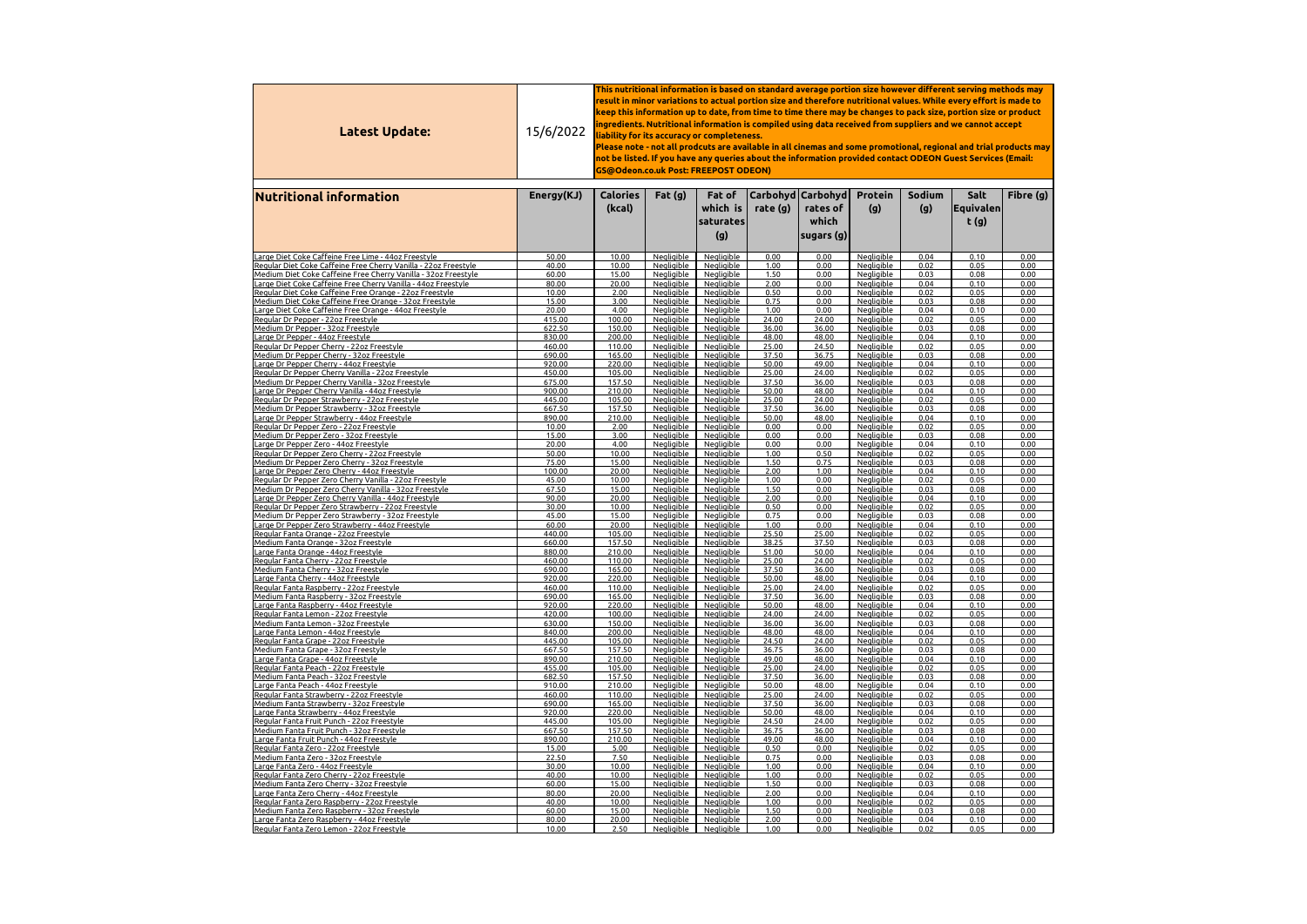| Fibre (g)<br> Carbohyd Carbohyd <br><b>Protein</b><br><b>Sodium</b><br>Salt<br><b>Nutritional information</b><br>Energy(KJ)<br><b>Calories</b><br>Fat(g)<br>Fat of<br>which is<br>rate $(g)$<br>(g)<br>(g)<br> Equivalen <br>(kcal)<br>rates of<br>which<br>t(g)<br>saturates<br>(g)<br> sugars (g) <br>Large Diet Coke Caffeine Free Lime - 44oz Freestyle<br><b>Negligible</b><br><b>Negligible</b><br>0.00<br>0.04<br>0.10<br>50.00<br>10.00<br>0.00<br><b>Negligible</b><br>0.00<br>1.00<br>0.00<br>Regular Diet Coke Caffeine Free Cherry Vanilla - 22oz Freestyle<br><b>Negligible</b><br>Negligible<br>0.02<br>0.05<br>0.00<br>40.00<br>10.00<br><b>Negligible</b><br>1.50<br>Medium Diet Coke Caffeine Free Cherry Vanilla - 32oz Freestyle<br>0.00<br>0.03<br>0.08<br>0.00<br>60.00<br>15.00<br><b>Negligible</b><br><b>Negligible</b><br>Negligible<br>Large Diet Coke Caffeine Free Cherry Vanilla - 44oz Freestyle<br>20.00<br>2.00<br>0.00<br>80.00<br><b>Negligible</b><br><b>Negligible</b><br><b>Negligible</b><br>0.04<br>0.10<br>0.00<br>Regular Diet Coke Caffeine Free Orange - 22oz Freestyle<br>0.50<br>10.00<br>2.00<br><b>Negligible</b><br><b>Negligible</b><br>0.00<br><b>Negligible</b><br>0.02<br>0.05<br>0.00<br>Medium Diet Coke Caffeine Free Orange - 32oz Freestyle<br>3.00<br>Negligible<br><b>Negligible</b><br>0.75<br>0.00<br>Negligible<br>0.03<br>0.08<br>0.00<br>15.00<br>Large Diet Coke Caffeine Free Orange - 44oz Freestyle<br>4.00<br><b>Negligible</b><br><b>Negligible</b><br>1.00<br>0.00<br><b>Negligible</b><br>0.04<br>20.00<br>0.10<br>0.00<br>Negligible<br>24.00<br>24.00<br>0.02<br>Regular Dr Pepper - 22oz Freestyle<br>100.00<br><b>Negligible</b><br>Negligible<br>0.05<br>0.00<br>415.00<br>Medium Dr Pepper - 32oz Freestyle<br>622.50<br>Negligible<br>36.00<br>36.00<br>0.03<br>0.08<br>0.00<br>150.00<br><b>Negligible</b><br>Negligible<br><b>Negligible</b><br>Large Dr Pepper - 44oz Freestyle<br><b>Negligible</b><br>48.00<br>48.00<br>0.04<br>830.00<br>200.00<br><u>Negligible</u><br>0.10<br>0.00<br><b>Negligible</b><br>Regular Dr Pepper Cherry - 22oz Freestyle<br><b>Negligible</b><br>0.02<br>25.00<br>24.50<br><b>Negligible</b><br>0.05<br>0.00<br>460.00<br>110.00<br>Medium Dr Pepper Cherry - 32oz Freestyle<br><b>Negligible</b><br>37.50<br>36.75<br>0.03<br>0.08<br>0.00<br>690.00<br>165.00<br><u>Negligible</u><br><b>Negligible</b><br>Large Dr Pepper Cherry - 44oz Freestyle<br><b>Negligible</b><br><b>Negligible</b><br>50.00<br>49.00<br><b>Negligible</b><br>0.04<br>0.10<br>0.00<br>920.00<br>220.00<br>Regular Dr Pepper Cherry Vanilla - 22oz Freestyle<br>24.00<br>Negligible<br>25.00<br>Negligible<br>0.02<br>0.05<br>0.00<br>450.00<br>105.00<br><b>Negligible</b><br>36.00<br>Medium Dr Pepper Cherry Vanilla - 32oz Freestyle<br>157.50<br>37.50<br><b>Negligible</b><br>0.03<br>0.08<br>0.00<br>675.00<br><b>Negligible</b><br><b>Negligible</b><br>lLarge Dr Pepper Cherry Vanilla - 44oz Freestyle<br>900.00<br>210.00<br>Negligible<br>Negligible<br>50.00<br>48.00<br><b>Negligible</b><br>0.04<br>0.10<br>0.00<br><b>Negligible</b><br><b>Negligible</b><br>445.00<br>105.00<br>25.00<br>24.00<br><b>Negligible</b><br>0.02<br>0.05<br>0.00<br>Regular Dr Pepper Strawberry - 22oz Freestyle<br>Negligible<br>37.50<br>36.00<br>Medium Dr Pepper Strawberry - 32oz Freestyle<br>667.50<br>157.50<br>Negligible<br>Negligible<br>0.03<br>0.08<br>0.00<br>890.00<br>210.00<br>Negligible<br>Negligible<br>50.00<br>48.00<br>0.04<br>0.10<br>0.00<br>Large Dr Pepper Strawberry - 44oz Freestyle<br>Negligible<br>0.05<br>10.00<br>2.00<br><b>Negligible</b><br>Negligible<br>0.00<br>0.00<br>0.02<br>0.00<br>Regular Dr Pepper Zero - 22oz Freestyle<br><b>Negligible</b><br>15.00<br>3.00<br>Negligible<br>0.00<br>0.00<br>0.03<br>0.08<br>0.00<br>Negligible<br>Negligible<br>Medium Dr Pepper Zero - 32oz Freestyle<br>Negligible<br><b>Negligible</b><br>20.00<br>4.00<br>0.00<br>0.00<br><b>Negligible</b><br>0.04<br>0.10<br>0.00<br>Large Dr Pepper Zero - 44oz Freestyle<br>Negligible<br>50.00<br>10.00<br><b>Negligible</b><br>1.00<br>0.50<br>0.02<br>0.05<br>0.00<br>Regular Dr Pepper Zero Cherry - 22oz Freestyle<br><b>Negliaible</b><br>75.00<br>0.75<br>0.08<br>15.00<br><b>Negligible</b><br>1.50<br>0.03<br>0.00<br>Medium Dr Pepper Zero Cherry - 32oz Freestyle<br><b>Negligible</b><br>Negligible<br><b>Negligible</b><br>20.00<br><b>Negligible</b><br>2.00<br><b>Negligible</b><br>0.10<br>Large Dr Pepper Zero Cherry - 44oz Freestyle<br>100.00<br>1.00<br>0.04<br>0.00<br>10.00<br><b>Negligible</b><br>1.00<br>0.00<br>0.05<br>0.00<br>Regular Dr Pepper Zero Cherry Vanilla - 22oz Freestyle<br>45.00<br><b>Negligible</b><br>Negligible<br>0.02<br>67.50<br>1.50<br>15.00<br><b>Negligible</b><br>0.00<br>0.03<br>0.08<br>0.00<br><u> Medium Dr Pepper Zero Cherry Vanilla - 32oz Freestyle</u><br><b>Negligible</b><br><b>Negligible</b><br><b>Negligible</b><br>Large D <u>r Pepper Zero Cherry Vanilla - 44oz Freestyle</u><br>90.00<br>20.00<br><b>Negligible</b><br>2.00<br>0.00<br><b>Negligible</b><br>0.04<br>0.10<br>0.00<br>Negligible<br>0.02<br>30.00<br>10.00<br><b>Negligible</b><br>0.50<br>0.00<br>Negligible<br>0.05<br>0.00<br>Regular Dr Pepper Zero Strawberry - 22oz Freestyle<br><b>Negligible</b><br>0.75<br>45.00<br>15.00<br>0.00<br>0.03<br>0.08<br>0.00<br>Medium Dr Pepper Zero Strawberry - 32oz Freestyle<br><b>Negligible</b><br><b>Negligible</b><br>60.00<br>20.00<br>Negligible<br>0.00<br>0.04<br>0.10<br>0.00<br>Negligible<br>1.00<br>Negligible<br>Large Dr Pepper Zero Strawberry - 44oz Freestyle<br>0.05<br>440.00<br>105.00<br><b>Negligible</b><br>25.50<br>25.00<br>0.02<br>0.00<br>Regular Fanta Orange - 22oz Freestyle<br>Negligible<br><b>Negligible</b><br>37.50<br>157.50<br>Negligible<br>38.25<br>0.03<br>0.08<br>0.00<br>660.00<br>Negligible<br>Medium Fanta Orange - 32oz Freestyle<br><b>Negligible</b><br>0.10<br>880.00<br>Negligible<br>51.00<br>50.00<br>0.04<br>0.00<br>210.00<br>Negligible<br>Negligible<br>Large Fanta Orange - 44oz Freestyle<br>0.02<br>460.00<br><b>Negligible</b><br><b>Negligible</b><br>25.00<br>24.00<br><b>Negligible</b><br>0.05<br>0.00<br>Regular Fanta Cherry - 22oz Freestyle<br>110.00<br>Negligible<br>37.50<br>36.00<br>690.00<br>165.00<br><b>Negligible</b><br>0.03<br>0.08<br>0.00<br>Negligible<br>Medium Fanta Cherry - 32oz Freestyle<br><b>Negligible</b><br><b>Negligible</b><br>50.00<br>48.00<br>0.10<br>Large Fanta Cherry - 44oz Freestyle<br>920.00<br>220.00<br><b>Negligible</b><br>0.04<br>0.00<br>460.00<br>Negligible<br>25.00<br>24.00<br>0.02<br>0.05<br>0.00<br>110.00<br><b>Negligible</b><br>Negligible<br>Regular Fanta Raspberry - 22oz Freestyle<br>37.50<br>36.00<br>0.03<br>0.08<br>Medium Fanta Raspberry - 32oz Freestyle<br>690.00<br>165.00<br>Negligible<br><b>Negligible</b><br>Negligible<br>0.00<br><b>Negligible</b><br>50.00<br>48.00<br>0.04<br>0.10<br>Large Fanta Raspberry - 44oz Freestyle<br>920.00<br>220.00<br><b>Negligible</b><br><b>Negligible</b><br>0.00<br>Negligible<br>24.00<br>24.00<br>0.02<br>0.05<br>0.00<br>Regular Fanta Lemon - 22oz Freestyle<br>420.00<br>100.00<br><b>Negligible</b><br>Negligible<br>Negligible<br>0.03<br>630.00<br>Negligible<br>36.00<br>36.00<br><b>Negligible</b><br>0.08<br>0.00<br>Medium Fanta Lemon - 32oz Freestyle<br>150.00<br>840.00<br>Negligible<br>48.00<br>48.00<br>0.04<br>0.10<br>0.00<br>200.00<br>Negligible<br>Negligible<br>Large Fanta Lemon - 44oz Freestyle<br>0.02<br>0.05<br>0.00<br>445.00<br>105.00<br>Negligible<br>24.50<br>24.00<br>Regular Fanta Grape - 22oz Freestyle<br><b>Negligible</b><br><b>Negligible</b><br><b>Negligible</b><br>36.75<br>36.00<br>0.03<br>0.08<br>0.00<br>667.50<br>157.50<br><b>Negligible</b><br><b>Negligible</b><br><u> Medium Fanta Grape - 32oz Freestyle</u><br><b>Negligible</b><br>49.00<br>48.00<br>0.04<br>0.10<br>0.00<br>890.00<br>210.00<br><b>Negligible</b><br><b>Negligible</b><br>Large Fanta Grape - 44oz Freestyle<br>455.00<br><b>Negligible</b><br>25.00<br>24.00<br>0.02<br>0.05<br>0.00<br>Regular Fanta Peach - 22oz Freestyle<br>105.00<br><b>Negligible</b><br><b>Negligible</b><br>37.50<br>36.00<br>682.50<br>Negligible<br>0.03<br>0.08<br>0.00<br>157.50<br><b>Negligible</b><br>Negligible<br>Medium Fanta Peach - 32oz Freestyle<br>910.00<br>50.00<br>48.00<br>0.04<br>0.10<br>0.00<br>210.00<br>Negligible<br>Negligible<br>Large Fanta Peach - 44oz Freestyle<br><b>Negligible</b><br><b>Negligible</b><br>24.00<br>0.02<br>0.05<br>0.00<br>Regular Fanta Strawberry - 22oz Freestyle<br>460.00<br>110.00<br><b>Negligible</b><br>25.00<br><b>Negligible</b><br>37.50<br>36.00<br>0.00<br>690.00<br>165.00<br><b>Negligible</b><br>0.03<br>0.08<br>Medium Fanta Strawberry - 32oz Freestyle<br><b>Negligible</b><br><b>Negligible</b><br>220.00<br>Negligible<br><u>Negligible</u><br>50.00<br>48.00<br><u>Negligible</u><br>0.04<br>0.10<br>0.00<br>920.00<br><u> Large Fanta Strawberry - 44oz Freestyle</u><br><u>Negligible</u><br>0.02<br>0.05<br>Regular Fanta Fruit Punch - 22oz Freestyle<br>445.00<br>105.00<br><u>Negligible</u><br>24.50<br>24.00<br><u>Negligible</u><br>0.00<br>667.50<br>36.00<br>Medium Fanta Fruit Punch - 32oz Freestyle<br>157.50<br>Negligible<br>Negligible<br>36.75<br>Negligible<br>0.03<br>0.08<br>0.00<br><b>Negligible</b><br>Large Fanta Fruit Punch - 44oz Freestyle<br>890.00<br>210.00<br><b>Negligible</b><br>49.00<br>48.00<br><b>Negligible</b><br>0.04<br>0.10<br>0.00<br>Negligible<br>Regular Fanta Zero - 22oz Freestyle<br>Negligible<br><b>Negligible</b><br>0.02<br>0.05<br>15.00<br>5.00<br>0.50<br>0.00<br>0.00<br>7.50<br><b>Negligible</b><br>0.75<br>0.08<br>22.50<br><b>Negligible</b><br>0.00<br><b>Negligible</b><br>0.03<br>0.00<br><u> Medium Fanta Zero - 32oz Freestyle</u><br><b>Negligible</b><br>30.00<br>10.00<br><u>Negligible</u><br>1.00<br><b>Negligible</b><br>0.04<br>0.00<br>Large Fanta Zero - 44oz Freestyle<br>0.00<br>0.10<br><b>Negligible</b><br>Negligible<br><b>Negligible</b><br>0.02<br>Regular Fanta Zero Cherry - 22oz Freestyle<br>40.00<br>10.00<br>1.00<br>0.00<br>0.05<br>0.00<br>1.50<br>Medium Fanta Zero Cherry - 32oz Freestyle<br>60.00<br>15.00<br><b>Negligible</b><br>Negligible<br>0.00<br><b>Negligible</b><br>0.03<br>0.08<br>0.00<br>Large Fanta Zero Cherry - 44oz Freestyle<br>80.00<br>20.00<br><b>Negligible</b><br>Negligible<br>2.00<br>0.00<br><b>Negligible</b><br>0.04<br>0.10<br>0.00<br>Negligible<br>Regular Fanta Zero Raspberry - 22oz Freestyle<br>40.00<br>10.00<br>Negligible<br>1.00<br>0.00<br>Negligible<br>0.02<br>0.05<br>0.00<br>Medium Fanta Zero Raspberry - 32oz Freestyle<br>60.00<br>15.00<br><b>Negligible</b><br><u>Negligible</u><br>1.50<br>0.00<br><b>Negligible</b><br>0.03<br>0.08<br>0.00<br>Large Fanta Zero Raspberry - 44oz Freestyle<br>80.00<br>20.00<br><u>Negligible</u><br><u>Negligible</u><br>2.00<br>0.00<br><u>Negligible</u><br>0.04<br>0.00<br>0.10<br>Regular Fanta Zero Lemon - 22oz Freestyle<br>10.00<br>2.50<br><b>Negligible</b><br>0.02<br>0.00<br><u>Negligible</u><br>1.00<br>0.00<br><u>Negligible</u><br>0.05 | Latest Update: | 15/6/2022 | This nutritional information is based on standard average portion size however different serving methods may $\,$<br>result in minor variations to actual portion size and therefore nutritional values. While every effort is made to<br>keep this information up to date, from time to time there may be changes to pack size, portion size or product<br>ingredients. Nutritional information is compiled using data received from suppliers and we cannot accept<br>liability for its accuracy or completeness.<br>Please note - not all prodcuts are available in all cinemas and some promotional, regional and trial products may<br>not be listed. If you have any queries about the information provided contact ODEON Guest Services (Email:<br><b>GS@Odeon.co.uk Post: FREEPOST ODEON)</b> |  |  |  |  |  |  |  |  |  |  |
|-----------------------------------------------------------------------------------------------------------------------------------------------------------------------------------------------------------------------------------------------------------------------------------------------------------------------------------------------------------------------------------------------------------------------------------------------------------------------------------------------------------------------------------------------------------------------------------------------------------------------------------------------------------------------------------------------------------------------------------------------------------------------------------------------------------------------------------------------------------------------------------------------------------------------------------------------------------------------------------------------------------------------------------------------------------------------------------------------------------------------------------------------------------------------------------------------------------------------------------------------------------------------------------------------------------------------------------------------------------------------------------------------------------------------------------------------------------------------------------------------------------------------------------------------------------------------------------------------------------------------------------------------------------------------------------------------------------------------------------------------------------------------------------------------------------------------------------------------------------------------------------------------------------------------------------------------------------------------------------------------------------------------------------------------------------------------------------------------------------------------------------------------------------------------------------------------------------------------------------------------------------------------------------------------------------------------------------------------------------------------------------------------------------------------------------------------------------------------------------------------------------------------------------------------------------------------------------------------------------------------------------------------------------------------------------------------------------------------------------------------------------------------------------------------------------------------------------------------------------------------------------------------------------------------------------------------------------------------------------------------------------------------------------------------------------------------------------------------------------------------------------------------------------------------------------------------------------------------------------------------------------------------------------------------------------------------------------------------------------------------------------------------------------------------------------------------------------------------------------------------------------------------------------------------------------------------------------------------------------------------------------------------------------------------------------------------------------------------------------------------------------------------------------------------------------------------------------------------------------------------------------------------------------------------------------------------------------------------------------------------------------------------------------------------------------------------------------------------------------------------------------------------------------------------------------------------------------------------------------------------------------------------------------------------------------------------------------------------------------------------------------------------------------------------------------------------------------------------------------------------------------------------------------------------------------------------------------------------------------------------------------------------------------------------------------------------------------------------------------------------------------------------------------------------------------------------------------------------------------------------------------------------------------------------------------------------------------------------------------------------------------------------------------------------------------------------------------------------------------------------------------------------------------------------------------------------------------------------------------------------------------------------------------------------------------------------------------------------------------------------------------------------------------------------------------------------------------------------------------------------------------------------------------------------------------------------------------------------------------------------------------------------------------------------------------------------------------------------------------------------------------------------------------------------------------------------------------------------------------------------------------------------------------------------------------------------------------------------------------------------------------------------------------------------------------------------------------------------------------------------------------------------------------------------------------------------------------------------------------------------------------------------------------------------------------------------------------------------------------------------------------------------------------------------------------------------------------------------------------------------------------------------------------------------------------------------------------------------------------------------------------------------------------------------------------------------------------------------------------------------------------------------------------------------------------------------------------------------------------------------------------------------------------------------------------------------------------------------------------------------------------------------------------------------------------------------------------------------------------------------------------------------------------------------------------------------------------------------------------------------------------------------------------------------------------------------------------------------------------------------------------------------------------------------------------------------------------------------------------------------------------------------------------------------------------------------------------------------------------------------------------------------------------------------------------------------------------------------------------------------------------------------------------------------------------------------------------------------------------------------------------------------------------------------------------------------------------------------------------------------------------------------------------------------------------------------------------------------------------------------------------------------------------------------------------------------------------------------------------------------------------------------------------------------------------------------------------------------------------------------------------------------------------------------------------------------------------------------------------------------------------------------------------------------------------------------------------------------------------------------------------------------------------------------------------------------------------------------------------------------------------------------------------------------------------------------------------------------------------------------------------------------------------------------------------------------------------------------------------------------------------------------------------------------------------------------------------------------------------------------------------------------------------------------------------------------------------------------------------------------------------------------------------------------------------------------------------------------------------------------------------------------------------------------------------------------------------------------------------------------------------------------------------------------------------------------------------------------------------------------------------------------------------------------------------------------------------------------------------------------------------------------------------------------------------------------------------------------------------------------------------------------------------------------------------------------------------------------------------------------------------------------------------------------------------------------------------------------------------------------------------------------------------------------------------------------------------------------------------------------------------------------------------------------------------------------------------------------------------------------------------------------------------------------------------------------------------------------------------------------------------------------------------------------------------------------------------------------------------------------------------------------------------------------------------------------------------------------------------------------------------------------------------------------------------------------------------------------------------------------------------------------------------------------------------------------------------------------------------------------------------------------------------------------------------------------------------------------------------------------------------------------------------------------------------------------------------------------------------------------------------------------------------------------------------------|----------------|-----------|-------------------------------------------------------------------------------------------------------------------------------------------------------------------------------------------------------------------------------------------------------------------------------------------------------------------------------------------------------------------------------------------------------------------------------------------------------------------------------------------------------------------------------------------------------------------------------------------------------------------------------------------------------------------------------------------------------------------------------------------------------------------------------------------------------|--|--|--|--|--|--|--|--|--|--|
|                                                                                                                                                                                                                                                                                                                                                                                                                                                                                                                                                                                                                                                                                                                                                                                                                                                                                                                                                                                                                                                                                                                                                                                                                                                                                                                                                                                                                                                                                                                                                                                                                                                                                                                                                                                                                                                                                                                                                                                                                                                                                                                                                                                                                                                                                                                                                                                                                                                                                                                                                                                                                                                                                                                                                                                                                                                                                                                                                                                                                                                                                                                                                                                                                                                                                                                                                                                                                                                                                                                                                                                                                                                                                                                                                                                                                                                                                                                                                                                                                                                                                                                                                                                                                                                                                                                                                                                                                                                                                                                                                                                                                                                                                                                                                                                                                                                                                                                                                                                                                                                                                                                                                                                                                                                                                                                                                                                                                                                                                                                                                                                                                                                                                                                                                                                                                                                                                                                                                                                                                                                                                                                                                                                                                                                                                                                                                                                                                                                                                                                                                                                                                                                                                                                                                                                                                                                                                                                                                                                                                                                                                                                                                                                                                                                                                                                                                                                                                                                                                                                                                                                                                                                                                                                                                                                                                                                                                                                                                                                                                                                                                                                                                                                                                                                                                                                                                                                                                                                                                                                                                                                                                                                                                                                                                                                                                                                                                                                                                                                                                                                                                                                                                                                                                                                                                                                                                                                                                                                                                                                                                                                                                                                                                                                                                                                                                                                                                                                                                                                                                                                                                                                                                                                                                                                                                                                                                                                                                                                                                                                                                                                                                                                                                                                                                                                                                                                                                                                                                                                                                                                                                                                                                                                                                                                                                                                 |                |           |                                                                                                                                                                                                                                                                                                                                                                                                                                                                                                                                                                                                                                                                                                                                                                                                       |  |  |  |  |  |  |  |  |  |  |
|                                                                                                                                                                                                                                                                                                                                                                                                                                                                                                                                                                                                                                                                                                                                                                                                                                                                                                                                                                                                                                                                                                                                                                                                                                                                                                                                                                                                                                                                                                                                                                                                                                                                                                                                                                                                                                                                                                                                                                                                                                                                                                                                                                                                                                                                                                                                                                                                                                                                                                                                                                                                                                                                                                                                                                                                                                                                                                                                                                                                                                                                                                                                                                                                                                                                                                                                                                                                                                                                                                                                                                                                                                                                                                                                                                                                                                                                                                                                                                                                                                                                                                                                                                                                                                                                                                                                                                                                                                                                                                                                                                                                                                                                                                                                                                                                                                                                                                                                                                                                                                                                                                                                                                                                                                                                                                                                                                                                                                                                                                                                                                                                                                                                                                                                                                                                                                                                                                                                                                                                                                                                                                                                                                                                                                                                                                                                                                                                                                                                                                                                                                                                                                                                                                                                                                                                                                                                                                                                                                                                                                                                                                                                                                                                                                                                                                                                                                                                                                                                                                                                                                                                                                                                                                                                                                                                                                                                                                                                                                                                                                                                                                                                                                                                                                                                                                                                                                                                                                                                                                                                                                                                                                                                                                                                                                                                                                                                                                                                                                                                                                                                                                                                                                                                                                                                                                                                                                                                                                                                                                                                                                                                                                                                                                                                                                                                                                                                                                                                                                                                                                                                                                                                                                                                                                                                                                                                                                                                                                                                                                                                                                                                                                                                                                                                                                                                                                                                                                                                                                                                                                                                                                                                                                                                                                                                                                                 |                |           |                                                                                                                                                                                                                                                                                                                                                                                                                                                                                                                                                                                                                                                                                                                                                                                                       |  |  |  |  |  |  |  |  |  |  |
|                                                                                                                                                                                                                                                                                                                                                                                                                                                                                                                                                                                                                                                                                                                                                                                                                                                                                                                                                                                                                                                                                                                                                                                                                                                                                                                                                                                                                                                                                                                                                                                                                                                                                                                                                                                                                                                                                                                                                                                                                                                                                                                                                                                                                                                                                                                                                                                                                                                                                                                                                                                                                                                                                                                                                                                                                                                                                                                                                                                                                                                                                                                                                                                                                                                                                                                                                                                                                                                                                                                                                                                                                                                                                                                                                                                                                                                                                                                                                                                                                                                                                                                                                                                                                                                                                                                                                                                                                                                                                                                                                                                                                                                                                                                                                                                                                                                                                                                                                                                                                                                                                                                                                                                                                                                                                                                                                                                                                                                                                                                                                                                                                                                                                                                                                                                                                                                                                                                                                                                                                                                                                                                                                                                                                                                                                                                                                                                                                                                                                                                                                                                                                                                                                                                                                                                                                                                                                                                                                                                                                                                                                                                                                                                                                                                                                                                                                                                                                                                                                                                                                                                                                                                                                                                                                                                                                                                                                                                                                                                                                                                                                                                                                                                                                                                                                                                                                                                                                                                                                                                                                                                                                                                                                                                                                                                                                                                                                                                                                                                                                                                                                                                                                                                                                                                                                                                                                                                                                                                                                                                                                                                                                                                                                                                                                                                                                                                                                                                                                                                                                                                                                                                                                                                                                                                                                                                                                                                                                                                                                                                                                                                                                                                                                                                                                                                                                                                                                                                                                                                                                                                                                                                                                                                                                                                                                                                 |                |           |                                                                                                                                                                                                                                                                                                                                                                                                                                                                                                                                                                                                                                                                                                                                                                                                       |  |  |  |  |  |  |  |  |  |  |
|                                                                                                                                                                                                                                                                                                                                                                                                                                                                                                                                                                                                                                                                                                                                                                                                                                                                                                                                                                                                                                                                                                                                                                                                                                                                                                                                                                                                                                                                                                                                                                                                                                                                                                                                                                                                                                                                                                                                                                                                                                                                                                                                                                                                                                                                                                                                                                                                                                                                                                                                                                                                                                                                                                                                                                                                                                                                                                                                                                                                                                                                                                                                                                                                                                                                                                                                                                                                                                                                                                                                                                                                                                                                                                                                                                                                                                                                                                                                                                                                                                                                                                                                                                                                                                                                                                                                                                                                                                                                                                                                                                                                                                                                                                                                                                                                                                                                                                                                                                                                                                                                                                                                                                                                                                                                                                                                                                                                                                                                                                                                                                                                                                                                                                                                                                                                                                                                                                                                                                                                                                                                                                                                                                                                                                                                                                                                                                                                                                                                                                                                                                                                                                                                                                                                                                                                                                                                                                                                                                                                                                                                                                                                                                                                                                                                                                                                                                                                                                                                                                                                                                                                                                                                                                                                                                                                                                                                                                                                                                                                                                                                                                                                                                                                                                                                                                                                                                                                                                                                                                                                                                                                                                                                                                                                                                                                                                                                                                                                                                                                                                                                                                                                                                                                                                                                                                                                                                                                                                                                                                                                                                                                                                                                                                                                                                                                                                                                                                                                                                                                                                                                                                                                                                                                                                                                                                                                                                                                                                                                                                                                                                                                                                                                                                                                                                                                                                                                                                                                                                                                                                                                                                                                                                                                                                                                                                                 |                |           |                                                                                                                                                                                                                                                                                                                                                                                                                                                                                                                                                                                                                                                                                                                                                                                                       |  |  |  |  |  |  |  |  |  |  |
|                                                                                                                                                                                                                                                                                                                                                                                                                                                                                                                                                                                                                                                                                                                                                                                                                                                                                                                                                                                                                                                                                                                                                                                                                                                                                                                                                                                                                                                                                                                                                                                                                                                                                                                                                                                                                                                                                                                                                                                                                                                                                                                                                                                                                                                                                                                                                                                                                                                                                                                                                                                                                                                                                                                                                                                                                                                                                                                                                                                                                                                                                                                                                                                                                                                                                                                                                                                                                                                                                                                                                                                                                                                                                                                                                                                                                                                                                                                                                                                                                                                                                                                                                                                                                                                                                                                                                                                                                                                                                                                                                                                                                                                                                                                                                                                                                                                                                                                                                                                                                                                                                                                                                                                                                                                                                                                                                                                                                                                                                                                                                                                                                                                                                                                                                                                                                                                                                                                                                                                                                                                                                                                                                                                                                                                                                                                                                                                                                                                                                                                                                                                                                                                                                                                                                                                                                                                                                                                                                                                                                                                                                                                                                                                                                                                                                                                                                                                                                                                                                                                                                                                                                                                                                                                                                                                                                                                                                                                                                                                                                                                                                                                                                                                                                                                                                                                                                                                                                                                                                                                                                                                                                                                                                                                                                                                                                                                                                                                                                                                                                                                                                                                                                                                                                                                                                                                                                                                                                                                                                                                                                                                                                                                                                                                                                                                                                                                                                                                                                                                                                                                                                                                                                                                                                                                                                                                                                                                                                                                                                                                                                                                                                                                                                                                                                                                                                                                                                                                                                                                                                                                                                                                                                                                                                                                                                                                 |                |           |                                                                                                                                                                                                                                                                                                                                                                                                                                                                                                                                                                                                                                                                                                                                                                                                       |  |  |  |  |  |  |  |  |  |  |
|                                                                                                                                                                                                                                                                                                                                                                                                                                                                                                                                                                                                                                                                                                                                                                                                                                                                                                                                                                                                                                                                                                                                                                                                                                                                                                                                                                                                                                                                                                                                                                                                                                                                                                                                                                                                                                                                                                                                                                                                                                                                                                                                                                                                                                                                                                                                                                                                                                                                                                                                                                                                                                                                                                                                                                                                                                                                                                                                                                                                                                                                                                                                                                                                                                                                                                                                                                                                                                                                                                                                                                                                                                                                                                                                                                                                                                                                                                                                                                                                                                                                                                                                                                                                                                                                                                                                                                                                                                                                                                                                                                                                                                                                                                                                                                                                                                                                                                                                                                                                                                                                                                                                                                                                                                                                                                                                                                                                                                                                                                                                                                                                                                                                                                                                                                                                                                                                                                                                                                                                                                                                                                                                                                                                                                                                                                                                                                                                                                                                                                                                                                                                                                                                                                                                                                                                                                                                                                                                                                                                                                                                                                                                                                                                                                                                                                                                                                                                                                                                                                                                                                                                                                                                                                                                                                                                                                                                                                                                                                                                                                                                                                                                                                                                                                                                                                                                                                                                                                                                                                                                                                                                                                                                                                                                                                                                                                                                                                                                                                                                                                                                                                                                                                                                                                                                                                                                                                                                                                                                                                                                                                                                                                                                                                                                                                                                                                                                                                                                                                                                                                                                                                                                                                                                                                                                                                                                                                                                                                                                                                                                                                                                                                                                                                                                                                                                                                                                                                                                                                                                                                                                                                                                                                                                                                                                                                                 |                |           |                                                                                                                                                                                                                                                                                                                                                                                                                                                                                                                                                                                                                                                                                                                                                                                                       |  |  |  |  |  |  |  |  |  |  |
|                                                                                                                                                                                                                                                                                                                                                                                                                                                                                                                                                                                                                                                                                                                                                                                                                                                                                                                                                                                                                                                                                                                                                                                                                                                                                                                                                                                                                                                                                                                                                                                                                                                                                                                                                                                                                                                                                                                                                                                                                                                                                                                                                                                                                                                                                                                                                                                                                                                                                                                                                                                                                                                                                                                                                                                                                                                                                                                                                                                                                                                                                                                                                                                                                                                                                                                                                                                                                                                                                                                                                                                                                                                                                                                                                                                                                                                                                                                                                                                                                                                                                                                                                                                                                                                                                                                                                                                                                                                                                                                                                                                                                                                                                                                                                                                                                                                                                                                                                                                                                                                                                                                                                                                                                                                                                                                                                                                                                                                                                                                                                                                                                                                                                                                                                                                                                                                                                                                                                                                                                                                                                                                                                                                                                                                                                                                                                                                                                                                                                                                                                                                                                                                                                                                                                                                                                                                                                                                                                                                                                                                                                                                                                                                                                                                                                                                                                                                                                                                                                                                                                                                                                                                                                                                                                                                                                                                                                                                                                                                                                                                                                                                                                                                                                                                                                                                                                                                                                                                                                                                                                                                                                                                                                                                                                                                                                                                                                                                                                                                                                                                                                                                                                                                                                                                                                                                                                                                                                                                                                                                                                                                                                                                                                                                                                                                                                                                                                                                                                                                                                                                                                                                                                                                                                                                                                                                                                                                                                                                                                                                                                                                                                                                                                                                                                                                                                                                                                                                                                                                                                                                                                                                                                                                                                                                                                                                 |                |           |                                                                                                                                                                                                                                                                                                                                                                                                                                                                                                                                                                                                                                                                                                                                                                                                       |  |  |  |  |  |  |  |  |  |  |
|                                                                                                                                                                                                                                                                                                                                                                                                                                                                                                                                                                                                                                                                                                                                                                                                                                                                                                                                                                                                                                                                                                                                                                                                                                                                                                                                                                                                                                                                                                                                                                                                                                                                                                                                                                                                                                                                                                                                                                                                                                                                                                                                                                                                                                                                                                                                                                                                                                                                                                                                                                                                                                                                                                                                                                                                                                                                                                                                                                                                                                                                                                                                                                                                                                                                                                                                                                                                                                                                                                                                                                                                                                                                                                                                                                                                                                                                                                                                                                                                                                                                                                                                                                                                                                                                                                                                                                                                                                                                                                                                                                                                                                                                                                                                                                                                                                                                                                                                                                                                                                                                                                                                                                                                                                                                                                                                                                                                                                                                                                                                                                                                                                                                                                                                                                                                                                                                                                                                                                                                                                                                                                                                                                                                                                                                                                                                                                                                                                                                                                                                                                                                                                                                                                                                                                                                                                                                                                                                                                                                                                                                                                                                                                                                                                                                                                                                                                                                                                                                                                                                                                                                                                                                                                                                                                                                                                                                                                                                                                                                                                                                                                                                                                                                                                                                                                                                                                                                                                                                                                                                                                                                                                                                                                                                                                                                                                                                                                                                                                                                                                                                                                                                                                                                                                                                                                                                                                                                                                                                                                                                                                                                                                                                                                                                                                                                                                                                                                                                                                                                                                                                                                                                                                                                                                                                                                                                                                                                                                                                                                                                                                                                                                                                                                                                                                                                                                                                                                                                                                                                                                                                                                                                                                                                                                                                                                                 |                |           |                                                                                                                                                                                                                                                                                                                                                                                                                                                                                                                                                                                                                                                                                                                                                                                                       |  |  |  |  |  |  |  |  |  |  |
|                                                                                                                                                                                                                                                                                                                                                                                                                                                                                                                                                                                                                                                                                                                                                                                                                                                                                                                                                                                                                                                                                                                                                                                                                                                                                                                                                                                                                                                                                                                                                                                                                                                                                                                                                                                                                                                                                                                                                                                                                                                                                                                                                                                                                                                                                                                                                                                                                                                                                                                                                                                                                                                                                                                                                                                                                                                                                                                                                                                                                                                                                                                                                                                                                                                                                                                                                                                                                                                                                                                                                                                                                                                                                                                                                                                                                                                                                                                                                                                                                                                                                                                                                                                                                                                                                                                                                                                                                                                                                                                                                                                                                                                                                                                                                                                                                                                                                                                                                                                                                                                                                                                                                                                                                                                                                                                                                                                                                                                                                                                                                                                                                                                                                                                                                                                                                                                                                                                                                                                                                                                                                                                                                                                                                                                                                                                                                                                                                                                                                                                                                                                                                                                                                                                                                                                                                                                                                                                                                                                                                                                                                                                                                                                                                                                                                                                                                                                                                                                                                                                                                                                                                                                                                                                                                                                                                                                                                                                                                                                                                                                                                                                                                                                                                                                                                                                                                                                                                                                                                                                                                                                                                                                                                                                                                                                                                                                                                                                                                                                                                                                                                                                                                                                                                                                                                                                                                                                                                                                                                                                                                                                                                                                                                                                                                                                                                                                                                                                                                                                                                                                                                                                                                                                                                                                                                                                                                                                                                                                                                                                                                                                                                                                                                                                                                                                                                                                                                                                                                                                                                                                                                                                                                                                                                                                                                                                 |                |           |                                                                                                                                                                                                                                                                                                                                                                                                                                                                                                                                                                                                                                                                                                                                                                                                       |  |  |  |  |  |  |  |  |  |  |
|                                                                                                                                                                                                                                                                                                                                                                                                                                                                                                                                                                                                                                                                                                                                                                                                                                                                                                                                                                                                                                                                                                                                                                                                                                                                                                                                                                                                                                                                                                                                                                                                                                                                                                                                                                                                                                                                                                                                                                                                                                                                                                                                                                                                                                                                                                                                                                                                                                                                                                                                                                                                                                                                                                                                                                                                                                                                                                                                                                                                                                                                                                                                                                                                                                                                                                                                                                                                                                                                                                                                                                                                                                                                                                                                                                                                                                                                                                                                                                                                                                                                                                                                                                                                                                                                                                                                                                                                                                                                                                                                                                                                                                                                                                                                                                                                                                                                                                                                                                                                                                                                                                                                                                                                                                                                                                                                                                                                                                                                                                                                                                                                                                                                                                                                                                                                                                                                                                                                                                                                                                                                                                                                                                                                                                                                                                                                                                                                                                                                                                                                                                                                                                                                                                                                                                                                                                                                                                                                                                                                                                                                                                                                                                                                                                                                                                                                                                                                                                                                                                                                                                                                                                                                                                                                                                                                                                                                                                                                                                                                                                                                                                                                                                                                                                                                                                                                                                                                                                                                                                                                                                                                                                                                                                                                                                                                                                                                                                                                                                                                                                                                                                                                                                                                                                                                                                                                                                                                                                                                                                                                                                                                                                                                                                                                                                                                                                                                                                                                                                                                                                                                                                                                                                                                                                                                                                                                                                                                                                                                                                                                                                                                                                                                                                                                                                                                                                                                                                                                                                                                                                                                                                                                                                                                                                                                                                                 |                |           |                                                                                                                                                                                                                                                                                                                                                                                                                                                                                                                                                                                                                                                                                                                                                                                                       |  |  |  |  |  |  |  |  |  |  |
|                                                                                                                                                                                                                                                                                                                                                                                                                                                                                                                                                                                                                                                                                                                                                                                                                                                                                                                                                                                                                                                                                                                                                                                                                                                                                                                                                                                                                                                                                                                                                                                                                                                                                                                                                                                                                                                                                                                                                                                                                                                                                                                                                                                                                                                                                                                                                                                                                                                                                                                                                                                                                                                                                                                                                                                                                                                                                                                                                                                                                                                                                                                                                                                                                                                                                                                                                                                                                                                                                                                                                                                                                                                                                                                                                                                                                                                                                                                                                                                                                                                                                                                                                                                                                                                                                                                                                                                                                                                                                                                                                                                                                                                                                                                                                                                                                                                                                                                                                                                                                                                                                                                                                                                                                                                                                                                                                                                                                                                                                                                                                                                                                                                                                                                                                                                                                                                                                                                                                                                                                                                                                                                                                                                                                                                                                                                                                                                                                                                                                                                                                                                                                                                                                                                                                                                                                                                                                                                                                                                                                                                                                                                                                                                                                                                                                                                                                                                                                                                                                                                                                                                                                                                                                                                                                                                                                                                                                                                                                                                                                                                                                                                                                                                                                                                                                                                                                                                                                                                                                                                                                                                                                                                                                                                                                                                                                                                                                                                                                                                                                                                                                                                                                                                                                                                                                                                                                                                                                                                                                                                                                                                                                                                                                                                                                                                                                                                                                                                                                                                                                                                                                                                                                                                                                                                                                                                                                                                                                                                                                                                                                                                                                                                                                                                                                                                                                                                                                                                                                                                                                                                                                                                                                                                                                                                                                                                 |                |           |                                                                                                                                                                                                                                                                                                                                                                                                                                                                                                                                                                                                                                                                                                                                                                                                       |  |  |  |  |  |  |  |  |  |  |
|                                                                                                                                                                                                                                                                                                                                                                                                                                                                                                                                                                                                                                                                                                                                                                                                                                                                                                                                                                                                                                                                                                                                                                                                                                                                                                                                                                                                                                                                                                                                                                                                                                                                                                                                                                                                                                                                                                                                                                                                                                                                                                                                                                                                                                                                                                                                                                                                                                                                                                                                                                                                                                                                                                                                                                                                                                                                                                                                                                                                                                                                                                                                                                                                                                                                                                                                                                                                                                                                                                                                                                                                                                                                                                                                                                                                                                                                                                                                                                                                                                                                                                                                                                                                                                                                                                                                                                                                                                                                                                                                                                                                                                                                                                                                                                                                                                                                                                                                                                                                                                                                                                                                                                                                                                                                                                                                                                                                                                                                                                                                                                                                                                                                                                                                                                                                                                                                                                                                                                                                                                                                                                                                                                                                                                                                                                                                                                                                                                                                                                                                                                                                                                                                                                                                                                                                                                                                                                                                                                                                                                                                                                                                                                                                                                                                                                                                                                                                                                                                                                                                                                                                                                                                                                                                                                                                                                                                                                                                                                                                                                                                                                                                                                                                                                                                                                                                                                                                                                                                                                                                                                                                                                                                                                                                                                                                                                                                                                                                                                                                                                                                                                                                                                                                                                                                                                                                                                                                                                                                                                                                                                                                                                                                                                                                                                                                                                                                                                                                                                                                                                                                                                                                                                                                                                                                                                                                                                                                                                                                                                                                                                                                                                                                                                                                                                                                                                                                                                                                                                                                                                                                                                                                                                                                                                                                                                                 |                |           |                                                                                                                                                                                                                                                                                                                                                                                                                                                                                                                                                                                                                                                                                                                                                                                                       |  |  |  |  |  |  |  |  |  |  |
|                                                                                                                                                                                                                                                                                                                                                                                                                                                                                                                                                                                                                                                                                                                                                                                                                                                                                                                                                                                                                                                                                                                                                                                                                                                                                                                                                                                                                                                                                                                                                                                                                                                                                                                                                                                                                                                                                                                                                                                                                                                                                                                                                                                                                                                                                                                                                                                                                                                                                                                                                                                                                                                                                                                                                                                                                                                                                                                                                                                                                                                                                                                                                                                                                                                                                                                                                                                                                                                                                                                                                                                                                                                                                                                                                                                                                                                                                                                                                                                                                                                                                                                                                                                                                                                                                                                                                                                                                                                                                                                                                                                                                                                                                                                                                                                                                                                                                                                                                                                                                                                                                                                                                                                                                                                                                                                                                                                                                                                                                                                                                                                                                                                                                                                                                                                                                                                                                                                                                                                                                                                                                                                                                                                                                                                                                                                                                                                                                                                                                                                                                                                                                                                                                                                                                                                                                                                                                                                                                                                                                                                                                                                                                                                                                                                                                                                                                                                                                                                                                                                                                                                                                                                                                                                                                                                                                                                                                                                                                                                                                                                                                                                                                                                                                                                                                                                                                                                                                                                                                                                                                                                                                                                                                                                                                                                                                                                                                                                                                                                                                                                                                                                                                                                                                                                                                                                                                                                                                                                                                                                                                                                                                                                                                                                                                                                                                                                                                                                                                                                                                                                                                                                                                                                                                                                                                                                                                                                                                                                                                                                                                                                                                                                                                                                                                                                                                                                                                                                                                                                                                                                                                                                                                                                                                                                                                                                 |                |           |                                                                                                                                                                                                                                                                                                                                                                                                                                                                                                                                                                                                                                                                                                                                                                                                       |  |  |  |  |  |  |  |  |  |  |
|                                                                                                                                                                                                                                                                                                                                                                                                                                                                                                                                                                                                                                                                                                                                                                                                                                                                                                                                                                                                                                                                                                                                                                                                                                                                                                                                                                                                                                                                                                                                                                                                                                                                                                                                                                                                                                                                                                                                                                                                                                                                                                                                                                                                                                                                                                                                                                                                                                                                                                                                                                                                                                                                                                                                                                                                                                                                                                                                                                                                                                                                                                                                                                                                                                                                                                                                                                                                                                                                                                                                                                                                                                                                                                                                                                                                                                                                                                                                                                                                                                                                                                                                                                                                                                                                                                                                                                                                                                                                                                                                                                                                                                                                                                                                                                                                                                                                                                                                                                                                                                                                                                                                                                                                                                                                                                                                                                                                                                                                                                                                                                                                                                                                                                                                                                                                                                                                                                                                                                                                                                                                                                                                                                                                                                                                                                                                                                                                                                                                                                                                                                                                                                                                                                                                                                                                                                                                                                                                                                                                                                                                                                                                                                                                                                                                                                                                                                                                                                                                                                                                                                                                                                                                                                                                                                                                                                                                                                                                                                                                                                                                                                                                                                                                                                                                                                                                                                                                                                                                                                                                                                                                                                                                                                                                                                                                                                                                                                                                                                                                                                                                                                                                                                                                                                                                                                                                                                                                                                                                                                                                                                                                                                                                                                                                                                                                                                                                                                                                                                                                                                                                                                                                                                                                                                                                                                                                                                                                                                                                                                                                                                                                                                                                                                                                                                                                                                                                                                                                                                                                                                                                                                                                                                                                                                                                                                                 |                |           |                                                                                                                                                                                                                                                                                                                                                                                                                                                                                                                                                                                                                                                                                                                                                                                                       |  |  |  |  |  |  |  |  |  |  |
|                                                                                                                                                                                                                                                                                                                                                                                                                                                                                                                                                                                                                                                                                                                                                                                                                                                                                                                                                                                                                                                                                                                                                                                                                                                                                                                                                                                                                                                                                                                                                                                                                                                                                                                                                                                                                                                                                                                                                                                                                                                                                                                                                                                                                                                                                                                                                                                                                                                                                                                                                                                                                                                                                                                                                                                                                                                                                                                                                                                                                                                                                                                                                                                                                                                                                                                                                                                                                                                                                                                                                                                                                                                                                                                                                                                                                                                                                                                                                                                                                                                                                                                                                                                                                                                                                                                                                                                                                                                                                                                                                                                                                                                                                                                                                                                                                                                                                                                                                                                                                                                                                                                                                                                                                                                                                                                                                                                                                                                                                                                                                                                                                                                                                                                                                                                                                                                                                                                                                                                                                                                                                                                                                                                                                                                                                                                                                                                                                                                                                                                                                                                                                                                                                                                                                                                                                                                                                                                                                                                                                                                                                                                                                                                                                                                                                                                                                                                                                                                                                                                                                                                                                                                                                                                                                                                                                                                                                                                                                                                                                                                                                                                                                                                                                                                                                                                                                                                                                                                                                                                                                                                                                                                                                                                                                                                                                                                                                                                                                                                                                                                                                                                                                                                                                                                                                                                                                                                                                                                                                                                                                                                                                                                                                                                                                                                                                                                                                                                                                                                                                                                                                                                                                                                                                                                                                                                                                                                                                                                                                                                                                                                                                                                                                                                                                                                                                                                                                                                                                                                                                                                                                                                                                                                                                                                                                                                 |                |           |                                                                                                                                                                                                                                                                                                                                                                                                                                                                                                                                                                                                                                                                                                                                                                                                       |  |  |  |  |  |  |  |  |  |  |
|                                                                                                                                                                                                                                                                                                                                                                                                                                                                                                                                                                                                                                                                                                                                                                                                                                                                                                                                                                                                                                                                                                                                                                                                                                                                                                                                                                                                                                                                                                                                                                                                                                                                                                                                                                                                                                                                                                                                                                                                                                                                                                                                                                                                                                                                                                                                                                                                                                                                                                                                                                                                                                                                                                                                                                                                                                                                                                                                                                                                                                                                                                                                                                                                                                                                                                                                                                                                                                                                                                                                                                                                                                                                                                                                                                                                                                                                                                                                                                                                                                                                                                                                                                                                                                                                                                                                                                                                                                                                                                                                                                                                                                                                                                                                                                                                                                                                                                                                                                                                                                                                                                                                                                                                                                                                                                                                                                                                                                                                                                                                                                                                                                                                                                                                                                                                                                                                                                                                                                                                                                                                                                                                                                                                                                                                                                                                                                                                                                                                                                                                                                                                                                                                                                                                                                                                                                                                                                                                                                                                                                                                                                                                                                                                                                                                                                                                                                                                                                                                                                                                                                                                                                                                                                                                                                                                                                                                                                                                                                                                                                                                                                                                                                                                                                                                                                                                                                                                                                                                                                                                                                                                                                                                                                                                                                                                                                                                                                                                                                                                                                                                                                                                                                                                                                                                                                                                                                                                                                                                                                                                                                                                                                                                                                                                                                                                                                                                                                                                                                                                                                                                                                                                                                                                                                                                                                                                                                                                                                                                                                                                                                                                                                                                                                                                                                                                                                                                                                                                                                                                                                                                                                                                                                                                                                                                                                                 |                |           |                                                                                                                                                                                                                                                                                                                                                                                                                                                                                                                                                                                                                                                                                                                                                                                                       |  |  |  |  |  |  |  |  |  |  |
|                                                                                                                                                                                                                                                                                                                                                                                                                                                                                                                                                                                                                                                                                                                                                                                                                                                                                                                                                                                                                                                                                                                                                                                                                                                                                                                                                                                                                                                                                                                                                                                                                                                                                                                                                                                                                                                                                                                                                                                                                                                                                                                                                                                                                                                                                                                                                                                                                                                                                                                                                                                                                                                                                                                                                                                                                                                                                                                                                                                                                                                                                                                                                                                                                                                                                                                                                                                                                                                                                                                                                                                                                                                                                                                                                                                                                                                                                                                                                                                                                                                                                                                                                                                                                                                                                                                                                                                                                                                                                                                                                                                                                                                                                                                                                                                                                                                                                                                                                                                                                                                                                                                                                                                                                                                                                                                                                                                                                                                                                                                                                                                                                                                                                                                                                                                                                                                                                                                                                                                                                                                                                                                                                                                                                                                                                                                                                                                                                                                                                                                                                                                                                                                                                                                                                                                                                                                                                                                                                                                                                                                                                                                                                                                                                                                                                                                                                                                                                                                                                                                                                                                                                                                                                                                                                                                                                                                                                                                                                                                                                                                                                                                                                                                                                                                                                                                                                                                                                                                                                                                                                                                                                                                                                                                                                                                                                                                                                                                                                                                                                                                                                                                                                                                                                                                                                                                                                                                                                                                                                                                                                                                                                                                                                                                                                                                                                                                                                                                                                                                                                                                                                                                                                                                                                                                                                                                                                                                                                                                                                                                                                                                                                                                                                                                                                                                                                                                                                                                                                                                                                                                                                                                                                                                                                                                                                                                 |                |           |                                                                                                                                                                                                                                                                                                                                                                                                                                                                                                                                                                                                                                                                                                                                                                                                       |  |  |  |  |  |  |  |  |  |  |
|                                                                                                                                                                                                                                                                                                                                                                                                                                                                                                                                                                                                                                                                                                                                                                                                                                                                                                                                                                                                                                                                                                                                                                                                                                                                                                                                                                                                                                                                                                                                                                                                                                                                                                                                                                                                                                                                                                                                                                                                                                                                                                                                                                                                                                                                                                                                                                                                                                                                                                                                                                                                                                                                                                                                                                                                                                                                                                                                                                                                                                                                                                                                                                                                                                                                                                                                                                                                                                                                                                                                                                                                                                                                                                                                                                                                                                                                                                                                                                                                                                                                                                                                                                                                                                                                                                                                                                                                                                                                                                                                                                                                                                                                                                                                                                                                                                                                                                                                                                                                                                                                                                                                                                                                                                                                                                                                                                                                                                                                                                                                                                                                                                                                                                                                                                                                                                                                                                                                                                                                                                                                                                                                                                                                                                                                                                                                                                                                                                                                                                                                                                                                                                                                                                                                                                                                                                                                                                                                                                                                                                                                                                                                                                                                                                                                                                                                                                                                                                                                                                                                                                                                                                                                                                                                                                                                                                                                                                                                                                                                                                                                                                                                                                                                                                                                                                                                                                                                                                                                                                                                                                                                                                                                                                                                                                                                                                                                                                                                                                                                                                                                                                                                                                                                                                                                                                                                                                                                                                                                                                                                                                                                                                                                                                                                                                                                                                                                                                                                                                                                                                                                                                                                                                                                                                                                                                                                                                                                                                                                                                                                                                                                                                                                                                                                                                                                                                                                                                                                                                                                                                                                                                                                                                                                                                                                                                                 |                |           |                                                                                                                                                                                                                                                                                                                                                                                                                                                                                                                                                                                                                                                                                                                                                                                                       |  |  |  |  |  |  |  |  |  |  |
|                                                                                                                                                                                                                                                                                                                                                                                                                                                                                                                                                                                                                                                                                                                                                                                                                                                                                                                                                                                                                                                                                                                                                                                                                                                                                                                                                                                                                                                                                                                                                                                                                                                                                                                                                                                                                                                                                                                                                                                                                                                                                                                                                                                                                                                                                                                                                                                                                                                                                                                                                                                                                                                                                                                                                                                                                                                                                                                                                                                                                                                                                                                                                                                                                                                                                                                                                                                                                                                                                                                                                                                                                                                                                                                                                                                                                                                                                                                                                                                                                                                                                                                                                                                                                                                                                                                                                                                                                                                                                                                                                                                                                                                                                                                                                                                                                                                                                                                                                                                                                                                                                                                                                                                                                                                                                                                                                                                                                                                                                                                                                                                                                                                                                                                                                                                                                                                                                                                                                                                                                                                                                                                                                                                                                                                                                                                                                                                                                                                                                                                                                                                                                                                                                                                                                                                                                                                                                                                                                                                                                                                                                                                                                                                                                                                                                                                                                                                                                                                                                                                                                                                                                                                                                                                                                                                                                                                                                                                                                                                                                                                                                                                                                                                                                                                                                                                                                                                                                                                                                                                                                                                                                                                                                                                                                                                                                                                                                                                                                                                                                                                                                                                                                                                                                                                                                                                                                                                                                                                                                                                                                                                                                                                                                                                                                                                                                                                                                                                                                                                                                                                                                                                                                                                                                                                                                                                                                                                                                                                                                                                                                                                                                                                                                                                                                                                                                                                                                                                                                                                                                                                                                                                                                                                                                                                                                                                 |                |           |                                                                                                                                                                                                                                                                                                                                                                                                                                                                                                                                                                                                                                                                                                                                                                                                       |  |  |  |  |  |  |  |  |  |  |
|                                                                                                                                                                                                                                                                                                                                                                                                                                                                                                                                                                                                                                                                                                                                                                                                                                                                                                                                                                                                                                                                                                                                                                                                                                                                                                                                                                                                                                                                                                                                                                                                                                                                                                                                                                                                                                                                                                                                                                                                                                                                                                                                                                                                                                                                                                                                                                                                                                                                                                                                                                                                                                                                                                                                                                                                                                                                                                                                                                                                                                                                                                                                                                                                                                                                                                                                                                                                                                                                                                                                                                                                                                                                                                                                                                                                                                                                                                                                                                                                                                                                                                                                                                                                                                                                                                                                                                                                                                                                                                                                                                                                                                                                                                                                                                                                                                                                                                                                                                                                                                                                                                                                                                                                                                                                                                                                                                                                                                                                                                                                                                                                                                                                                                                                                                                                                                                                                                                                                                                                                                                                                                                                                                                                                                                                                                                                                                                                                                                                                                                                                                                                                                                                                                                                                                                                                                                                                                                                                                                                                                                                                                                                                                                                                                                                                                                                                                                                                                                                                                                                                                                                                                                                                                                                                                                                                                                                                                                                                                                                                                                                                                                                                                                                                                                                                                                                                                                                                                                                                                                                                                                                                                                                                                                                                                                                                                                                                                                                                                                                                                                                                                                                                                                                                                                                                                                                                                                                                                                                                                                                                                                                                                                                                                                                                                                                                                                                                                                                                                                                                                                                                                                                                                                                                                                                                                                                                                                                                                                                                                                                                                                                                                                                                                                                                                                                                                                                                                                                                                                                                                                                                                                                                                                                                                                                                                                 |                |           |                                                                                                                                                                                                                                                                                                                                                                                                                                                                                                                                                                                                                                                                                                                                                                                                       |  |  |  |  |  |  |  |  |  |  |
|                                                                                                                                                                                                                                                                                                                                                                                                                                                                                                                                                                                                                                                                                                                                                                                                                                                                                                                                                                                                                                                                                                                                                                                                                                                                                                                                                                                                                                                                                                                                                                                                                                                                                                                                                                                                                                                                                                                                                                                                                                                                                                                                                                                                                                                                                                                                                                                                                                                                                                                                                                                                                                                                                                                                                                                                                                                                                                                                                                                                                                                                                                                                                                                                                                                                                                                                                                                                                                                                                                                                                                                                                                                                                                                                                                                                                                                                                                                                                                                                                                                                                                                                                                                                                                                                                                                                                                                                                                                                                                                                                                                                                                                                                                                                                                                                                                                                                                                                                                                                                                                                                                                                                                                                                                                                                                                                                                                                                                                                                                                                                                                                                                                                                                                                                                                                                                                                                                                                                                                                                                                                                                                                                                                                                                                                                                                                                                                                                                                                                                                                                                                                                                                                                                                                                                                                                                                                                                                                                                                                                                                                                                                                                                                                                                                                                                                                                                                                                                                                                                                                                                                                                                                                                                                                                                                                                                                                                                                                                                                                                                                                                                                                                                                                                                                                                                                                                                                                                                                                                                                                                                                                                                                                                                                                                                                                                                                                                                                                                                                                                                                                                                                                                                                                                                                                                                                                                                                                                                                                                                                                                                                                                                                                                                                                                                                                                                                                                                                                                                                                                                                                                                                                                                                                                                                                                                                                                                                                                                                                                                                                                                                                                                                                                                                                                                                                                                                                                                                                                                                                                                                                                                                                                                                                                                                                                                                 |                |           |                                                                                                                                                                                                                                                                                                                                                                                                                                                                                                                                                                                                                                                                                                                                                                                                       |  |  |  |  |  |  |  |  |  |  |
|                                                                                                                                                                                                                                                                                                                                                                                                                                                                                                                                                                                                                                                                                                                                                                                                                                                                                                                                                                                                                                                                                                                                                                                                                                                                                                                                                                                                                                                                                                                                                                                                                                                                                                                                                                                                                                                                                                                                                                                                                                                                                                                                                                                                                                                                                                                                                                                                                                                                                                                                                                                                                                                                                                                                                                                                                                                                                                                                                                                                                                                                                                                                                                                                                                                                                                                                                                                                                                                                                                                                                                                                                                                                                                                                                                                                                                                                                                                                                                                                                                                                                                                                                                                                                                                                                                                                                                                                                                                                                                                                                                                                                                                                                                                                                                                                                                                                                                                                                                                                                                                                                                                                                                                                                                                                                                                                                                                                                                                                                                                                                                                                                                                                                                                                                                                                                                                                                                                                                                                                                                                                                                                                                                                                                                                                                                                                                                                                                                                                                                                                                                                                                                                                                                                                                                                                                                                                                                                                                                                                                                                                                                                                                                                                                                                                                                                                                                                                                                                                                                                                                                                                                                                                                                                                                                                                                                                                                                                                                                                                                                                                                                                                                                                                                                                                                                                                                                                                                                                                                                                                                                                                                                                                                                                                                                                                                                                                                                                                                                                                                                                                                                                                                                                                                                                                                                                                                                                                                                                                                                                                                                                                                                                                                                                                                                                                                                                                                                                                                                                                                                                                                                                                                                                                                                                                                                                                                                                                                                                                                                                                                                                                                                                                                                                                                                                                                                                                                                                                                                                                                                                                                                                                                                                                                                                                                                                 |                |           |                                                                                                                                                                                                                                                                                                                                                                                                                                                                                                                                                                                                                                                                                                                                                                                                       |  |  |  |  |  |  |  |  |  |  |
|                                                                                                                                                                                                                                                                                                                                                                                                                                                                                                                                                                                                                                                                                                                                                                                                                                                                                                                                                                                                                                                                                                                                                                                                                                                                                                                                                                                                                                                                                                                                                                                                                                                                                                                                                                                                                                                                                                                                                                                                                                                                                                                                                                                                                                                                                                                                                                                                                                                                                                                                                                                                                                                                                                                                                                                                                                                                                                                                                                                                                                                                                                                                                                                                                                                                                                                                                                                                                                                                                                                                                                                                                                                                                                                                                                                                                                                                                                                                                                                                                                                                                                                                                                                                                                                                                                                                                                                                                                                                                                                                                                                                                                                                                                                                                                                                                                                                                                                                                                                                                                                                                                                                                                                                                                                                                                                                                                                                                                                                                                                                                                                                                                                                                                                                                                                                                                                                                                                                                                                                                                                                                                                                                                                                                                                                                                                                                                                                                                                                                                                                                                                                                                                                                                                                                                                                                                                                                                                                                                                                                                                                                                                                                                                                                                                                                                                                                                                                                                                                                                                                                                                                                                                                                                                                                                                                                                                                                                                                                                                                                                                                                                                                                                                                                                                                                                                                                                                                                                                                                                                                                                                                                                                                                                                                                                                                                                                                                                                                                                                                                                                                                                                                                                                                                                                                                                                                                                                                                                                                                                                                                                                                                                                                                                                                                                                                                                                                                                                                                                                                                                                                                                                                                                                                                                                                                                                                                                                                                                                                                                                                                                                                                                                                                                                                                                                                                                                                                                                                                                                                                                                                                                                                                                                                                                                                                                                 |                |           |                                                                                                                                                                                                                                                                                                                                                                                                                                                                                                                                                                                                                                                                                                                                                                                                       |  |  |  |  |  |  |  |  |  |  |
|                                                                                                                                                                                                                                                                                                                                                                                                                                                                                                                                                                                                                                                                                                                                                                                                                                                                                                                                                                                                                                                                                                                                                                                                                                                                                                                                                                                                                                                                                                                                                                                                                                                                                                                                                                                                                                                                                                                                                                                                                                                                                                                                                                                                                                                                                                                                                                                                                                                                                                                                                                                                                                                                                                                                                                                                                                                                                                                                                                                                                                                                                                                                                                                                                                                                                                                                                                                                                                                                                                                                                                                                                                                                                                                                                                                                                                                                                                                                                                                                                                                                                                                                                                                                                                                                                                                                                                                                                                                                                                                                                                                                                                                                                                                                                                                                                                                                                                                                                                                                                                                                                                                                                                                                                                                                                                                                                                                                                                                                                                                                                                                                                                                                                                                                                                                                                                                                                                                                                                                                                                                                                                                                                                                                                                                                                                                                                                                                                                                                                                                                                                                                                                                                                                                                                                                                                                                                                                                                                                                                                                                                                                                                                                                                                                                                                                                                                                                                                                                                                                                                                                                                                                                                                                                                                                                                                                                                                                                                                                                                                                                                                                                                                                                                                                                                                                                                                                                                                                                                                                                                                                                                                                                                                                                                                                                                                                                                                                                                                                                                                                                                                                                                                                                                                                                                                                                                                                                                                                                                                                                                                                                                                                                                                                                                                                                                                                                                                                                                                                                                                                                                                                                                                                                                                                                                                                                                                                                                                                                                                                                                                                                                                                                                                                                                                                                                                                                                                                                                                                                                                                                                                                                                                                                                                                                                                                                 |                |           |                                                                                                                                                                                                                                                                                                                                                                                                                                                                                                                                                                                                                                                                                                                                                                                                       |  |  |  |  |  |  |  |  |  |  |
|                                                                                                                                                                                                                                                                                                                                                                                                                                                                                                                                                                                                                                                                                                                                                                                                                                                                                                                                                                                                                                                                                                                                                                                                                                                                                                                                                                                                                                                                                                                                                                                                                                                                                                                                                                                                                                                                                                                                                                                                                                                                                                                                                                                                                                                                                                                                                                                                                                                                                                                                                                                                                                                                                                                                                                                                                                                                                                                                                                                                                                                                                                                                                                                                                                                                                                                                                                                                                                                                                                                                                                                                                                                                                                                                                                                                                                                                                                                                                                                                                                                                                                                                                                                                                                                                                                                                                                                                                                                                                                                                                                                                                                                                                                                                                                                                                                                                                                                                                                                                                                                                                                                                                                                                                                                                                                                                                                                                                                                                                                                                                                                                                                                                                                                                                                                                                                                                                                                                                                                                                                                                                                                                                                                                                                                                                                                                                                                                                                                                                                                                                                                                                                                                                                                                                                                                                                                                                                                                                                                                                                                                                                                                                                                                                                                                                                                                                                                                                                                                                                                                                                                                                                                                                                                                                                                                                                                                                                                                                                                                                                                                                                                                                                                                                                                                                                                                                                                                                                                                                                                                                                                                                                                                                                                                                                                                                                                                                                                                                                                                                                                                                                                                                                                                                                                                                                                                                                                                                                                                                                                                                                                                                                                                                                                                                                                                                                                                                                                                                                                                                                                                                                                                                                                                                                                                                                                                                                                                                                                                                                                                                                                                                                                                                                                                                                                                                                                                                                                                                                                                                                                                                                                                                                                                                                                                                                                 |                |           |                                                                                                                                                                                                                                                                                                                                                                                                                                                                                                                                                                                                                                                                                                                                                                                                       |  |  |  |  |  |  |  |  |  |  |
|                                                                                                                                                                                                                                                                                                                                                                                                                                                                                                                                                                                                                                                                                                                                                                                                                                                                                                                                                                                                                                                                                                                                                                                                                                                                                                                                                                                                                                                                                                                                                                                                                                                                                                                                                                                                                                                                                                                                                                                                                                                                                                                                                                                                                                                                                                                                                                                                                                                                                                                                                                                                                                                                                                                                                                                                                                                                                                                                                                                                                                                                                                                                                                                                                                                                                                                                                                                                                                                                                                                                                                                                                                                                                                                                                                                                                                                                                                                                                                                                                                                                                                                                                                                                                                                                                                                                                                                                                                                                                                                                                                                                                                                                                                                                                                                                                                                                                                                                                                                                                                                                                                                                                                                                                                                                                                                                                                                                                                                                                                                                                                                                                                                                                                                                                                                                                                                                                                                                                                                                                                                                                                                                                                                                                                                                                                                                                                                                                                                                                                                                                                                                                                                                                                                                                                                                                                                                                                                                                                                                                                                                                                                                                                                                                                                                                                                                                                                                                                                                                                                                                                                                                                                                                                                                                                                                                                                                                                                                                                                                                                                                                                                                                                                                                                                                                                                                                                                                                                                                                                                                                                                                                                                                                                                                                                                                                                                                                                                                                                                                                                                                                                                                                                                                                                                                                                                                                                                                                                                                                                                                                                                                                                                                                                                                                                                                                                                                                                                                                                                                                                                                                                                                                                                                                                                                                                                                                                                                                                                                                                                                                                                                                                                                                                                                                                                                                                                                                                                                                                                                                                                                                                                                                                                                                                                                                                                 |                |           |                                                                                                                                                                                                                                                                                                                                                                                                                                                                                                                                                                                                                                                                                                                                                                                                       |  |  |  |  |  |  |  |  |  |  |
|                                                                                                                                                                                                                                                                                                                                                                                                                                                                                                                                                                                                                                                                                                                                                                                                                                                                                                                                                                                                                                                                                                                                                                                                                                                                                                                                                                                                                                                                                                                                                                                                                                                                                                                                                                                                                                                                                                                                                                                                                                                                                                                                                                                                                                                                                                                                                                                                                                                                                                                                                                                                                                                                                                                                                                                                                                                                                                                                                                                                                                                                                                                                                                                                                                                                                                                                                                                                                                                                                                                                                                                                                                                                                                                                                                                                                                                                                                                                                                                                                                                                                                                                                                                                                                                                                                                                                                                                                                                                                                                                                                                                                                                                                                                                                                                                                                                                                                                                                                                                                                                                                                                                                                                                                                                                                                                                                                                                                                                                                                                                                                                                                                                                                                                                                                                                                                                                                                                                                                                                                                                                                                                                                                                                                                                                                                                                                                                                                                                                                                                                                                                                                                                                                                                                                                                                                                                                                                                                                                                                                                                                                                                                                                                                                                                                                                                                                                                                                                                                                                                                                                                                                                                                                                                                                                                                                                                                                                                                                                                                                                                                                                                                                                                                                                                                                                                                                                                                                                                                                                                                                                                                                                                                                                                                                                                                                                                                                                                                                                                                                                                                                                                                                                                                                                                                                                                                                                                                                                                                                                                                                                                                                                                                                                                                                                                                                                                                                                                                                                                                                                                                                                                                                                                                                                                                                                                                                                                                                                                                                                                                                                                                                                                                                                                                                                                                                                                                                                                                                                                                                                                                                                                                                                                                                                                                                                                 |                |           |                                                                                                                                                                                                                                                                                                                                                                                                                                                                                                                                                                                                                                                                                                                                                                                                       |  |  |  |  |  |  |  |  |  |  |
|                                                                                                                                                                                                                                                                                                                                                                                                                                                                                                                                                                                                                                                                                                                                                                                                                                                                                                                                                                                                                                                                                                                                                                                                                                                                                                                                                                                                                                                                                                                                                                                                                                                                                                                                                                                                                                                                                                                                                                                                                                                                                                                                                                                                                                                                                                                                                                                                                                                                                                                                                                                                                                                                                                                                                                                                                                                                                                                                                                                                                                                                                                                                                                                                                                                                                                                                                                                                                                                                                                                                                                                                                                                                                                                                                                                                                                                                                                                                                                                                                                                                                                                                                                                                                                                                                                                                                                                                                                                                                                                                                                                                                                                                                                                                                                                                                                                                                                                                                                                                                                                                                                                                                                                                                                                                                                                                                                                                                                                                                                                                                                                                                                                                                                                                                                                                                                                                                                                                                                                                                                                                                                                                                                                                                                                                                                                                                                                                                                                                                                                                                                                                                                                                                                                                                                                                                                                                                                                                                                                                                                                                                                                                                                                                                                                                                                                                                                                                                                                                                                                                                                                                                                                                                                                                                                                                                                                                                                                                                                                                                                                                                                                                                                                                                                                                                                                                                                                                                                                                                                                                                                                                                                                                                                                                                                                                                                                                                                                                                                                                                                                                                                                                                                                                                                                                                                                                                                                                                                                                                                                                                                                                                                                                                                                                                                                                                                                                                                                                                                                                                                                                                                                                                                                                                                                                                                                                                                                                                                                                                                                                                                                                                                                                                                                                                                                                                                                                                                                                                                                                                                                                                                                                                                                                                                                                                                                 |                |           |                                                                                                                                                                                                                                                                                                                                                                                                                                                                                                                                                                                                                                                                                                                                                                                                       |  |  |  |  |  |  |  |  |  |  |
|                                                                                                                                                                                                                                                                                                                                                                                                                                                                                                                                                                                                                                                                                                                                                                                                                                                                                                                                                                                                                                                                                                                                                                                                                                                                                                                                                                                                                                                                                                                                                                                                                                                                                                                                                                                                                                                                                                                                                                                                                                                                                                                                                                                                                                                                                                                                                                                                                                                                                                                                                                                                                                                                                                                                                                                                                                                                                                                                                                                                                                                                                                                                                                                                                                                                                                                                                                                                                                                                                                                                                                                                                                                                                                                                                                                                                                                                                                                                                                                                                                                                                                                                                                                                                                                                                                                                                                                                                                                                                                                                                                                                                                                                                                                                                                                                                                                                                                                                                                                                                                                                                                                                                                                                                                                                                                                                                                                                                                                                                                                                                                                                                                                                                                                                                                                                                                                                                                                                                                                                                                                                                                                                                                                                                                                                                                                                                                                                                                                                                                                                                                                                                                                                                                                                                                                                                                                                                                                                                                                                                                                                                                                                                                                                                                                                                                                                                                                                                                                                                                                                                                                                                                                                                                                                                                                                                                                                                                                                                                                                                                                                                                                                                                                                                                                                                                                                                                                                                                                                                                                                                                                                                                                                                                                                                                                                                                                                                                                                                                                                                                                                                                                                                                                                                                                                                                                                                                                                                                                                                                                                                                                                                                                                                                                                                                                                                                                                                                                                                                                                                                                                                                                                                                                                                                                                                                                                                                                                                                                                                                                                                                                                                                                                                                                                                                                                                                                                                                                                                                                                                                                                                                                                                                                                                                                                                                                 |                |           |                                                                                                                                                                                                                                                                                                                                                                                                                                                                                                                                                                                                                                                                                                                                                                                                       |  |  |  |  |  |  |  |  |  |  |
|                                                                                                                                                                                                                                                                                                                                                                                                                                                                                                                                                                                                                                                                                                                                                                                                                                                                                                                                                                                                                                                                                                                                                                                                                                                                                                                                                                                                                                                                                                                                                                                                                                                                                                                                                                                                                                                                                                                                                                                                                                                                                                                                                                                                                                                                                                                                                                                                                                                                                                                                                                                                                                                                                                                                                                                                                                                                                                                                                                                                                                                                                                                                                                                                                                                                                                                                                                                                                                                                                                                                                                                                                                                                                                                                                                                                                                                                                                                                                                                                                                                                                                                                                                                                                                                                                                                                                                                                                                                                                                                                                                                                                                                                                                                                                                                                                                                                                                                                                                                                                                                                                                                                                                                                                                                                                                                                                                                                                                                                                                                                                                                                                                                                                                                                                                                                                                                                                                                                                                                                                                                                                                                                                                                                                                                                                                                                                                                                                                                                                                                                                                                                                                                                                                                                                                                                                                                                                                                                                                                                                                                                                                                                                                                                                                                                                                                                                                                                                                                                                                                                                                                                                                                                                                                                                                                                                                                                                                                                                                                                                                                                                                                                                                                                                                                                                                                                                                                                                                                                                                                                                                                                                                                                                                                                                                                                                                                                                                                                                                                                                                                                                                                                                                                                                                                                                                                                                                                                                                                                                                                                                                                                                                                                                                                                                                                                                                                                                                                                                                                                                                                                                                                                                                                                                                                                                                                                                                                                                                                                                                                                                                                                                                                                                                                                                                                                                                                                                                                                                                                                                                                                                                                                                                                                                                                                                                                 |                |           |                                                                                                                                                                                                                                                                                                                                                                                                                                                                                                                                                                                                                                                                                                                                                                                                       |  |  |  |  |  |  |  |  |  |  |
|                                                                                                                                                                                                                                                                                                                                                                                                                                                                                                                                                                                                                                                                                                                                                                                                                                                                                                                                                                                                                                                                                                                                                                                                                                                                                                                                                                                                                                                                                                                                                                                                                                                                                                                                                                                                                                                                                                                                                                                                                                                                                                                                                                                                                                                                                                                                                                                                                                                                                                                                                                                                                                                                                                                                                                                                                                                                                                                                                                                                                                                                                                                                                                                                                                                                                                                                                                                                                                                                                                                                                                                                                                                                                                                                                                                                                                                                                                                                                                                                                                                                                                                                                                                                                                                                                                                                                                                                                                                                                                                                                                                                                                                                                                                                                                                                                                                                                                                                                                                                                                                                                                                                                                                                                                                                                                                                                                                                                                                                                                                                                                                                                                                                                                                                                                                                                                                                                                                                                                                                                                                                                                                                                                                                                                                                                                                                                                                                                                                                                                                                                                                                                                                                                                                                                                                                                                                                                                                                                                                                                                                                                                                                                                                                                                                                                                                                                                                                                                                                                                                                                                                                                                                                                                                                                                                                                                                                                                                                                                                                                                                                                                                                                                                                                                                                                                                                                                                                                                                                                                                                                                                                                                                                                                                                                                                                                                                                                                                                                                                                                                                                                                                                                                                                                                                                                                                                                                                                                                                                                                                                                                                                                                                                                                                                                                                                                                                                                                                                                                                                                                                                                                                                                                                                                                                                                                                                                                                                                                                                                                                                                                                                                                                                                                                                                                                                                                                                                                                                                                                                                                                                                                                                                                                                                                                                                                                 |                |           |                                                                                                                                                                                                                                                                                                                                                                                                                                                                                                                                                                                                                                                                                                                                                                                                       |  |  |  |  |  |  |  |  |  |  |
|                                                                                                                                                                                                                                                                                                                                                                                                                                                                                                                                                                                                                                                                                                                                                                                                                                                                                                                                                                                                                                                                                                                                                                                                                                                                                                                                                                                                                                                                                                                                                                                                                                                                                                                                                                                                                                                                                                                                                                                                                                                                                                                                                                                                                                                                                                                                                                                                                                                                                                                                                                                                                                                                                                                                                                                                                                                                                                                                                                                                                                                                                                                                                                                                                                                                                                                                                                                                                                                                                                                                                                                                                                                                                                                                                                                                                                                                                                                                                                                                                                                                                                                                                                                                                                                                                                                                                                                                                                                                                                                                                                                                                                                                                                                                                                                                                                                                                                                                                                                                                                                                                                                                                                                                                                                                                                                                                                                                                                                                                                                                                                                                                                                                                                                                                                                                                                                                                                                                                                                                                                                                                                                                                                                                                                                                                                                                                                                                                                                                                                                                                                                                                                                                                                                                                                                                                                                                                                                                                                                                                                                                                                                                                                                                                                                                                                                                                                                                                                                                                                                                                                                                                                                                                                                                                                                                                                                                                                                                                                                                                                                                                                                                                                                                                                                                                                                                                                                                                                                                                                                                                                                                                                                                                                                                                                                                                                                                                                                                                                                                                                                                                                                                                                                                                                                                                                                                                                                                                                                                                                                                                                                                                                                                                                                                                                                                                                                                                                                                                                                                                                                                                                                                                                                                                                                                                                                                                                                                                                                                                                                                                                                                                                                                                                                                                                                                                                                                                                                                                                                                                                                                                                                                                                                                                                                                                                                 |                |           |                                                                                                                                                                                                                                                                                                                                                                                                                                                                                                                                                                                                                                                                                                                                                                                                       |  |  |  |  |  |  |  |  |  |  |
|                                                                                                                                                                                                                                                                                                                                                                                                                                                                                                                                                                                                                                                                                                                                                                                                                                                                                                                                                                                                                                                                                                                                                                                                                                                                                                                                                                                                                                                                                                                                                                                                                                                                                                                                                                                                                                                                                                                                                                                                                                                                                                                                                                                                                                                                                                                                                                                                                                                                                                                                                                                                                                                                                                                                                                                                                                                                                                                                                                                                                                                                                                                                                                                                                                                                                                                                                                                                                                                                                                                                                                                                                                                                                                                                                                                                                                                                                                                                                                                                                                                                                                                                                                                                                                                                                                                                                                                                                                                                                                                                                                                                                                                                                                                                                                                                                                                                                                                                                                                                                                                                                                                                                                                                                                                                                                                                                                                                                                                                                                                                                                                                                                                                                                                                                                                                                                                                                                                                                                                                                                                                                                                                                                                                                                                                                                                                                                                                                                                                                                                                                                                                                                                                                                                                                                                                                                                                                                                                                                                                                                                                                                                                                                                                                                                                                                                                                                                                                                                                                                                                                                                                                                                                                                                                                                                                                                                                                                                                                                                                                                                                                                                                                                                                                                                                                                                                                                                                                                                                                                                                                                                                                                                                                                                                                                                                                                                                                                                                                                                                                                                                                                                                                                                                                                                                                                                                                                                                                                                                                                                                                                                                                                                                                                                                                                                                                                                                                                                                                                                                                                                                                                                                                                                                                                                                                                                                                                                                                                                                                                                                                                                                                                                                                                                                                                                                                                                                                                                                                                                                                                                                                                                                                                                                                                                                                                                 |                |           |                                                                                                                                                                                                                                                                                                                                                                                                                                                                                                                                                                                                                                                                                                                                                                                                       |  |  |  |  |  |  |  |  |  |  |
|                                                                                                                                                                                                                                                                                                                                                                                                                                                                                                                                                                                                                                                                                                                                                                                                                                                                                                                                                                                                                                                                                                                                                                                                                                                                                                                                                                                                                                                                                                                                                                                                                                                                                                                                                                                                                                                                                                                                                                                                                                                                                                                                                                                                                                                                                                                                                                                                                                                                                                                                                                                                                                                                                                                                                                                                                                                                                                                                                                                                                                                                                                                                                                                                                                                                                                                                                                                                                                                                                                                                                                                                                                                                                                                                                                                                                                                                                                                                                                                                                                                                                                                                                                                                                                                                                                                                                                                                                                                                                                                                                                                                                                                                                                                                                                                                                                                                                                                                                                                                                                                                                                                                                                                                                                                                                                                                                                                                                                                                                                                                                                                                                                                                                                                                                                                                                                                                                                                                                                                                                                                                                                                                                                                                                                                                                                                                                                                                                                                                                                                                                                                                                                                                                                                                                                                                                                                                                                                                                                                                                                                                                                                                                                                                                                                                                                                                                                                                                                                                                                                                                                                                                                                                                                                                                                                                                                                                                                                                                                                                                                                                                                                                                                                                                                                                                                                                                                                                                                                                                                                                                                                                                                                                                                                                                                                                                                                                                                                                                                                                                                                                                                                                                                                                                                                                                                                                                                                                                                                                                                                                                                                                                                                                                                                                                                                                                                                                                                                                                                                                                                                                                                                                                                                                                                                                                                                                                                                                                                                                                                                                                                                                                                                                                                                                                                                                                                                                                                                                                                                                                                                                                                                                                                                                                                                                                                                 |                |           |                                                                                                                                                                                                                                                                                                                                                                                                                                                                                                                                                                                                                                                                                                                                                                                                       |  |  |  |  |  |  |  |  |  |  |
|                                                                                                                                                                                                                                                                                                                                                                                                                                                                                                                                                                                                                                                                                                                                                                                                                                                                                                                                                                                                                                                                                                                                                                                                                                                                                                                                                                                                                                                                                                                                                                                                                                                                                                                                                                                                                                                                                                                                                                                                                                                                                                                                                                                                                                                                                                                                                                                                                                                                                                                                                                                                                                                                                                                                                                                                                                                                                                                                                                                                                                                                                                                                                                                                                                                                                                                                                                                                                                                                                                                                                                                                                                                                                                                                                                                                                                                                                                                                                                                                                                                                                                                                                                                                                                                                                                                                                                                                                                                                                                                                                                                                                                                                                                                                                                                                                                                                                                                                                                                                                                                                                                                                                                                                                                                                                                                                                                                                                                                                                                                                                                                                                                                                                                                                                                                                                                                                                                                                                                                                                                                                                                                                                                                                                                                                                                                                                                                                                                                                                                                                                                                                                                                                                                                                                                                                                                                                                                                                                                                                                                                                                                                                                                                                                                                                                                                                                                                                                                                                                                                                                                                                                                                                                                                                                                                                                                                                                                                                                                                                                                                                                                                                                                                                                                                                                                                                                                                                                                                                                                                                                                                                                                                                                                                                                                                                                                                                                                                                                                                                                                                                                                                                                                                                                                                                                                                                                                                                                                                                                                                                                                                                                                                                                                                                                                                                                                                                                                                                                                                                                                                                                                                                                                                                                                                                                                                                                                                                                                                                                                                                                                                                                                                                                                                                                                                                                                                                                                                                                                                                                                                                                                                                                                                                                                                                                                                 |                |           |                                                                                                                                                                                                                                                                                                                                                                                                                                                                                                                                                                                                                                                                                                                                                                                                       |  |  |  |  |  |  |  |  |  |  |
|                                                                                                                                                                                                                                                                                                                                                                                                                                                                                                                                                                                                                                                                                                                                                                                                                                                                                                                                                                                                                                                                                                                                                                                                                                                                                                                                                                                                                                                                                                                                                                                                                                                                                                                                                                                                                                                                                                                                                                                                                                                                                                                                                                                                                                                                                                                                                                                                                                                                                                                                                                                                                                                                                                                                                                                                                                                                                                                                                                                                                                                                                                                                                                                                                                                                                                                                                                                                                                                                                                                                                                                                                                                                                                                                                                                                                                                                                                                                                                                                                                                                                                                                                                                                                                                                                                                                                                                                                                                                                                                                                                                                                                                                                                                                                                                                                                                                                                                                                                                                                                                                                                                                                                                                                                                                                                                                                                                                                                                                                                                                                                                                                                                                                                                                                                                                                                                                                                                                                                                                                                                                                                                                                                                                                                                                                                                                                                                                                                                                                                                                                                                                                                                                                                                                                                                                                                                                                                                                                                                                                                                                                                                                                                                                                                                                                                                                                                                                                                                                                                                                                                                                                                                                                                                                                                                                                                                                                                                                                                                                                                                                                                                                                                                                                                                                                                                                                                                                                                                                                                                                                                                                                                                                                                                                                                                                                                                                                                                                                                                                                                                                                                                                                                                                                                                                                                                                                                                                                                                                                                                                                                                                                                                                                                                                                                                                                                                                                                                                                                                                                                                                                                                                                                                                                                                                                                                                                                                                                                                                                                                                                                                                                                                                                                                                                                                                                                                                                                                                                                                                                                                                                                                                                                                                                                                                                                                 |                |           |                                                                                                                                                                                                                                                                                                                                                                                                                                                                                                                                                                                                                                                                                                                                                                                                       |  |  |  |  |  |  |  |  |  |  |
|                                                                                                                                                                                                                                                                                                                                                                                                                                                                                                                                                                                                                                                                                                                                                                                                                                                                                                                                                                                                                                                                                                                                                                                                                                                                                                                                                                                                                                                                                                                                                                                                                                                                                                                                                                                                                                                                                                                                                                                                                                                                                                                                                                                                                                                                                                                                                                                                                                                                                                                                                                                                                                                                                                                                                                                                                                                                                                                                                                                                                                                                                                                                                                                                                                                                                                                                                                                                                                                                                                                                                                                                                                                                                                                                                                                                                                                                                                                                                                                                                                                                                                                                                                                                                                                                                                                                                                                                                                                                                                                                                                                                                                                                                                                                                                                                                                                                                                                                                                                                                                                                                                                                                                                                                                                                                                                                                                                                                                                                                                                                                                                                                                                                                                                                                                                                                                                                                                                                                                                                                                                                                                                                                                                                                                                                                                                                                                                                                                                                                                                                                                                                                                                                                                                                                                                                                                                                                                                                                                                                                                                                                                                                                                                                                                                                                                                                                                                                                                                                                                                                                                                                                                                                                                                                                                                                                                                                                                                                                                                                                                                                                                                                                                                                                                                                                                                                                                                                                                                                                                                                                                                                                                                                                                                                                                                                                                                                                                                                                                                                                                                                                                                                                                                                                                                                                                                                                                                                                                                                                                                                                                                                                                                                                                                                                                                                                                                                                                                                                                                                                                                                                                                                                                                                                                                                                                                                                                                                                                                                                                                                                                                                                                                                                                                                                                                                                                                                                                                                                                                                                                                                                                                                                                                                                                                                                                                 |                |           |                                                                                                                                                                                                                                                                                                                                                                                                                                                                                                                                                                                                                                                                                                                                                                                                       |  |  |  |  |  |  |  |  |  |  |
|                                                                                                                                                                                                                                                                                                                                                                                                                                                                                                                                                                                                                                                                                                                                                                                                                                                                                                                                                                                                                                                                                                                                                                                                                                                                                                                                                                                                                                                                                                                                                                                                                                                                                                                                                                                                                                                                                                                                                                                                                                                                                                                                                                                                                                                                                                                                                                                                                                                                                                                                                                                                                                                                                                                                                                                                                                                                                                                                                                                                                                                                                                                                                                                                                                                                                                                                                                                                                                                                                                                                                                                                                                                                                                                                                                                                                                                                                                                                                                                                                                                                                                                                                                                                                                                                                                                                                                                                                                                                                                                                                                                                                                                                                                                                                                                                                                                                                                                                                                                                                                                                                                                                                                                                                                                                                                                                                                                                                                                                                                                                                                                                                                                                                                                                                                                                                                                                                                                                                                                                                                                                                                                                                                                                                                                                                                                                                                                                                                                                                                                                                                                                                                                                                                                                                                                                                                                                                                                                                                                                                                                                                                                                                                                                                                                                                                                                                                                                                                                                                                                                                                                                                                                                                                                                                                                                                                                                                                                                                                                                                                                                                                                                                                                                                                                                                                                                                                                                                                                                                                                                                                                                                                                                                                                                                                                                                                                                                                                                                                                                                                                                                                                                                                                                                                                                                                                                                                                                                                                                                                                                                                                                                                                                                                                                                                                                                                                                                                                                                                                                                                                                                                                                                                                                                                                                                                                                                                                                                                                                                                                                                                                                                                                                                                                                                                                                                                                                                                                                                                                                                                                                                                                                                                                                                                                                                                                 |                |           |                                                                                                                                                                                                                                                                                                                                                                                                                                                                                                                                                                                                                                                                                                                                                                                                       |  |  |  |  |  |  |  |  |  |  |
|                                                                                                                                                                                                                                                                                                                                                                                                                                                                                                                                                                                                                                                                                                                                                                                                                                                                                                                                                                                                                                                                                                                                                                                                                                                                                                                                                                                                                                                                                                                                                                                                                                                                                                                                                                                                                                                                                                                                                                                                                                                                                                                                                                                                                                                                                                                                                                                                                                                                                                                                                                                                                                                                                                                                                                                                                                                                                                                                                                                                                                                                                                                                                                                                                                                                                                                                                                                                                                                                                                                                                                                                                                                                                                                                                                                                                                                                                                                                                                                                                                                                                                                                                                                                                                                                                                                                                                                                                                                                                                                                                                                                                                                                                                                                                                                                                                                                                                                                                                                                                                                                                                                                                                                                                                                                                                                                                                                                                                                                                                                                                                                                                                                                                                                                                                                                                                                                                                                                                                                                                                                                                                                                                                                                                                                                                                                                                                                                                                                                                                                                                                                                                                                                                                                                                                                                                                                                                                                                                                                                                                                                                                                                                                                                                                                                                                                                                                                                                                                                                                                                                                                                                                                                                                                                                                                                                                                                                                                                                                                                                                                                                                                                                                                                                                                                                                                                                                                                                                                                                                                                                                                                                                                                                                                                                                                                                                                                                                                                                                                                                                                                                                                                                                                                                                                                                                                                                                                                                                                                                                                                                                                                                                                                                                                                                                                                                                                                                                                                                                                                                                                                                                                                                                                                                                                                                                                                                                                                                                                                                                                                                                                                                                                                                                                                                                                                                                                                                                                                                                                                                                                                                                                                                                                                                                                                                                                 |                |           |                                                                                                                                                                                                                                                                                                                                                                                                                                                                                                                                                                                                                                                                                                                                                                                                       |  |  |  |  |  |  |  |  |  |  |
|                                                                                                                                                                                                                                                                                                                                                                                                                                                                                                                                                                                                                                                                                                                                                                                                                                                                                                                                                                                                                                                                                                                                                                                                                                                                                                                                                                                                                                                                                                                                                                                                                                                                                                                                                                                                                                                                                                                                                                                                                                                                                                                                                                                                                                                                                                                                                                                                                                                                                                                                                                                                                                                                                                                                                                                                                                                                                                                                                                                                                                                                                                                                                                                                                                                                                                                                                                                                                                                                                                                                                                                                                                                                                                                                                                                                                                                                                                                                                                                                                                                                                                                                                                                                                                                                                                                                                                                                                                                                                                                                                                                                                                                                                                                                                                                                                                                                                                                                                                                                                                                                                                                                                                                                                                                                                                                                                                                                                                                                                                                                                                                                                                                                                                                                                                                                                                                                                                                                                                                                                                                                                                                                                                                                                                                                                                                                                                                                                                                                                                                                                                                                                                                                                                                                                                                                                                                                                                                                                                                                                                                                                                                                                                                                                                                                                                                                                                                                                                                                                                                                                                                                                                                                                                                                                                                                                                                                                                                                                                                                                                                                                                                                                                                                                                                                                                                                                                                                                                                                                                                                                                                                                                                                                                                                                                                                                                                                                                                                                                                                                                                                                                                                                                                                                                                                                                                                                                                                                                                                                                                                                                                                                                                                                                                                                                                                                                                                                                                                                                                                                                                                                                                                                                                                                                                                                                                                                                                                                                                                                                                                                                                                                                                                                                                                                                                                                                                                                                                                                                                                                                                                                                                                                                                                                                                                                                                 |                |           |                                                                                                                                                                                                                                                                                                                                                                                                                                                                                                                                                                                                                                                                                                                                                                                                       |  |  |  |  |  |  |  |  |  |  |
|                                                                                                                                                                                                                                                                                                                                                                                                                                                                                                                                                                                                                                                                                                                                                                                                                                                                                                                                                                                                                                                                                                                                                                                                                                                                                                                                                                                                                                                                                                                                                                                                                                                                                                                                                                                                                                                                                                                                                                                                                                                                                                                                                                                                                                                                                                                                                                                                                                                                                                                                                                                                                                                                                                                                                                                                                                                                                                                                                                                                                                                                                                                                                                                                                                                                                                                                                                                                                                                                                                                                                                                                                                                                                                                                                                                                                                                                                                                                                                                                                                                                                                                                                                                                                                                                                                                                                                                                                                                                                                                                                                                                                                                                                                                                                                                                                                                                                                                                                                                                                                                                                                                                                                                                                                                                                                                                                                                                                                                                                                                                                                                                                                                                                                                                                                                                                                                                                                                                                                                                                                                                                                                                                                                                                                                                                                                                                                                                                                                                                                                                                                                                                                                                                                                                                                                                                                                                                                                                                                                                                                                                                                                                                                                                                                                                                                                                                                                                                                                                                                                                                                                                                                                                                                                                                                                                                                                                                                                                                                                                                                                                                                                                                                                                                                                                                                                                                                                                                                                                                                                                                                                                                                                                                                                                                                                                                                                                                                                                                                                                                                                                                                                                                                                                                                                                                                                                                                                                                                                                                                                                                                                                                                                                                                                                                                                                                                                                                                                                                                                                                                                                                                                                                                                                                                                                                                                                                                                                                                                                                                                                                                                                                                                                                                                                                                                                                                                                                                                                                                                                                                                                                                                                                                                                                                                                                                                 |                |           |                                                                                                                                                                                                                                                                                                                                                                                                                                                                                                                                                                                                                                                                                                                                                                                                       |  |  |  |  |  |  |  |  |  |  |
|                                                                                                                                                                                                                                                                                                                                                                                                                                                                                                                                                                                                                                                                                                                                                                                                                                                                                                                                                                                                                                                                                                                                                                                                                                                                                                                                                                                                                                                                                                                                                                                                                                                                                                                                                                                                                                                                                                                                                                                                                                                                                                                                                                                                                                                                                                                                                                                                                                                                                                                                                                                                                                                                                                                                                                                                                                                                                                                                                                                                                                                                                                                                                                                                                                                                                                                                                                                                                                                                                                                                                                                                                                                                                                                                                                                                                                                                                                                                                                                                                                                                                                                                                                                                                                                                                                                                                                                                                                                                                                                                                                                                                                                                                                                                                                                                                                                                                                                                                                                                                                                                                                                                                                                                                                                                                                                                                                                                                                                                                                                                                                                                                                                                                                                                                                                                                                                                                                                                                                                                                                                                                                                                                                                                                                                                                                                                                                                                                                                                                                                                                                                                                                                                                                                                                                                                                                                                                                                                                                                                                                                                                                                                                                                                                                                                                                                                                                                                                                                                                                                                                                                                                                                                                                                                                                                                                                                                                                                                                                                                                                                                                                                                                                                                                                                                                                                                                                                                                                                                                                                                                                                                                                                                                                                                                                                                                                                                                                                                                                                                                                                                                                                                                                                                                                                                                                                                                                                                                                                                                                                                                                                                                                                                                                                                                                                                                                                                                                                                                                                                                                                                                                                                                                                                                                                                                                                                                                                                                                                                                                                                                                                                                                                                                                                                                                                                                                                                                                                                                                                                                                                                                                                                                                                                                                                                                                                 |                |           |                                                                                                                                                                                                                                                                                                                                                                                                                                                                                                                                                                                                                                                                                                                                                                                                       |  |  |  |  |  |  |  |  |  |  |
|                                                                                                                                                                                                                                                                                                                                                                                                                                                                                                                                                                                                                                                                                                                                                                                                                                                                                                                                                                                                                                                                                                                                                                                                                                                                                                                                                                                                                                                                                                                                                                                                                                                                                                                                                                                                                                                                                                                                                                                                                                                                                                                                                                                                                                                                                                                                                                                                                                                                                                                                                                                                                                                                                                                                                                                                                                                                                                                                                                                                                                                                                                                                                                                                                                                                                                                                                                                                                                                                                                                                                                                                                                                                                                                                                                                                                                                                                                                                                                                                                                                                                                                                                                                                                                                                                                                                                                                                                                                                                                                                                                                                                                                                                                                                                                                                                                                                                                                                                                                                                                                                                                                                                                                                                                                                                                                                                                                                                                                                                                                                                                                                                                                                                                                                                                                                                                                                                                                                                                                                                                                                                                                                                                                                                                                                                                                                                                                                                                                                                                                                                                                                                                                                                                                                                                                                                                                                                                                                                                                                                                                                                                                                                                                                                                                                                                                                                                                                                                                                                                                                                                                                                                                                                                                                                                                                                                                                                                                                                                                                                                                                                                                                                                                                                                                                                                                                                                                                                                                                                                                                                                                                                                                                                                                                                                                                                                                                                                                                                                                                                                                                                                                                                                                                                                                                                                                                                                                                                                                                                                                                                                                                                                                                                                                                                                                                                                                                                                                                                                                                                                                                                                                                                                                                                                                                                                                                                                                                                                                                                                                                                                                                                                                                                                                                                                                                                                                                                                                                                                                                                                                                                                                                                                                                                                                                                                                 |                |           |                                                                                                                                                                                                                                                                                                                                                                                                                                                                                                                                                                                                                                                                                                                                                                                                       |  |  |  |  |  |  |  |  |  |  |
|                                                                                                                                                                                                                                                                                                                                                                                                                                                                                                                                                                                                                                                                                                                                                                                                                                                                                                                                                                                                                                                                                                                                                                                                                                                                                                                                                                                                                                                                                                                                                                                                                                                                                                                                                                                                                                                                                                                                                                                                                                                                                                                                                                                                                                                                                                                                                                                                                                                                                                                                                                                                                                                                                                                                                                                                                                                                                                                                                                                                                                                                                                                                                                                                                                                                                                                                                                                                                                                                                                                                                                                                                                                                                                                                                                                                                                                                                                                                                                                                                                                                                                                                                                                                                                                                                                                                                                                                                                                                                                                                                                                                                                                                                                                                                                                                                                                                                                                                                                                                                                                                                                                                                                                                                                                                                                                                                                                                                                                                                                                                                                                                                                                                                                                                                                                                                                                                                                                                                                                                                                                                                                                                                                                                                                                                                                                                                                                                                                                                                                                                                                                                                                                                                                                                                                                                                                                                                                                                                                                                                                                                                                                                                                                                                                                                                                                                                                                                                                                                                                                                                                                                                                                                                                                                                                                                                                                                                                                                                                                                                                                                                                                                                                                                                                                                                                                                                                                                                                                                                                                                                                                                                                                                                                                                                                                                                                                                                                                                                                                                                                                                                                                                                                                                                                                                                                                                                                                                                                                                                                                                                                                                                                                                                                                                                                                                                                                                                                                                                                                                                                                                                                                                                                                                                                                                                                                                                                                                                                                                                                                                                                                                                                                                                                                                                                                                                                                                                                                                                                                                                                                                                                                                                                                                                                                                                                                 |                |           |                                                                                                                                                                                                                                                                                                                                                                                                                                                                                                                                                                                                                                                                                                                                                                                                       |  |  |  |  |  |  |  |  |  |  |
|                                                                                                                                                                                                                                                                                                                                                                                                                                                                                                                                                                                                                                                                                                                                                                                                                                                                                                                                                                                                                                                                                                                                                                                                                                                                                                                                                                                                                                                                                                                                                                                                                                                                                                                                                                                                                                                                                                                                                                                                                                                                                                                                                                                                                                                                                                                                                                                                                                                                                                                                                                                                                                                                                                                                                                                                                                                                                                                                                                                                                                                                                                                                                                                                                                                                                                                                                                                                                                                                                                                                                                                                                                                                                                                                                                                                                                                                                                                                                                                                                                                                                                                                                                                                                                                                                                                                                                                                                                                                                                                                                                                                                                                                                                                                                                                                                                                                                                                                                                                                                                                                                                                                                                                                                                                                                                                                                                                                                                                                                                                                                                                                                                                                                                                                                                                                                                                                                                                                                                                                                                                                                                                                                                                                                                                                                                                                                                                                                                                                                                                                                                                                                                                                                                                                                                                                                                                                                                                                                                                                                                                                                                                                                                                                                                                                                                                                                                                                                                                                                                                                                                                                                                                                                                                                                                                                                                                                                                                                                                                                                                                                                                                                                                                                                                                                                                                                                                                                                                                                                                                                                                                                                                                                                                                                                                                                                                                                                                                                                                                                                                                                                                                                                                                                                                                                                                                                                                                                                                                                                                                                                                                                                                                                                                                                                                                                                                                                                                                                                                                                                                                                                                                                                                                                                                                                                                                                                                                                                                                                                                                                                                                                                                                                                                                                                                                                                                                                                                                                                                                                                                                                                                                                                                                                                                                                                                                 |                |           |                                                                                                                                                                                                                                                                                                                                                                                                                                                                                                                                                                                                                                                                                                                                                                                                       |  |  |  |  |  |  |  |  |  |  |
|                                                                                                                                                                                                                                                                                                                                                                                                                                                                                                                                                                                                                                                                                                                                                                                                                                                                                                                                                                                                                                                                                                                                                                                                                                                                                                                                                                                                                                                                                                                                                                                                                                                                                                                                                                                                                                                                                                                                                                                                                                                                                                                                                                                                                                                                                                                                                                                                                                                                                                                                                                                                                                                                                                                                                                                                                                                                                                                                                                                                                                                                                                                                                                                                                                                                                                                                                                                                                                                                                                                                                                                                                                                                                                                                                                                                                                                                                                                                                                                                                                                                                                                                                                                                                                                                                                                                                                                                                                                                                                                                                                                                                                                                                                                                                                                                                                                                                                                                                                                                                                                                                                                                                                                                                                                                                                                                                                                                                                                                                                                                                                                                                                                                                                                                                                                                                                                                                                                                                                                                                                                                                                                                                                                                                                                                                                                                                                                                                                                                                                                                                                                                                                                                                                                                                                                                                                                                                                                                                                                                                                                                                                                                                                                                                                                                                                                                                                                                                                                                                                                                                                                                                                                                                                                                                                                                                                                                                                                                                                                                                                                                                                                                                                                                                                                                                                                                                                                                                                                                                                                                                                                                                                                                                                                                                                                                                                                                                                                                                                                                                                                                                                                                                                                                                                                                                                                                                                                                                                                                                                                                                                                                                                                                                                                                                                                                                                                                                                                                                                                                                                                                                                                                                                                                                                                                                                                                                                                                                                                                                                                                                                                                                                                                                                                                                                                                                                                                                                                                                                                                                                                                                                                                                                                                                                                                                                                 |                |           |                                                                                                                                                                                                                                                                                                                                                                                                                                                                                                                                                                                                                                                                                                                                                                                                       |  |  |  |  |  |  |  |  |  |  |
|                                                                                                                                                                                                                                                                                                                                                                                                                                                                                                                                                                                                                                                                                                                                                                                                                                                                                                                                                                                                                                                                                                                                                                                                                                                                                                                                                                                                                                                                                                                                                                                                                                                                                                                                                                                                                                                                                                                                                                                                                                                                                                                                                                                                                                                                                                                                                                                                                                                                                                                                                                                                                                                                                                                                                                                                                                                                                                                                                                                                                                                                                                                                                                                                                                                                                                                                                                                                                                                                                                                                                                                                                                                                                                                                                                                                                                                                                                                                                                                                                                                                                                                                                                                                                                                                                                                                                                                                                                                                                                                                                                                                                                                                                                                                                                                                                                                                                                                                                                                                                                                                                                                                                                                                                                                                                                                                                                                                                                                                                                                                                                                                                                                                                                                                                                                                                                                                                                                                                                                                                                                                                                                                                                                                                                                                                                                                                                                                                                                                                                                                                                                                                                                                                                                                                                                                                                                                                                                                                                                                                                                                                                                                                                                                                                                                                                                                                                                                                                                                                                                                                                                                                                                                                                                                                                                                                                                                                                                                                                                                                                                                                                                                                                                                                                                                                                                                                                                                                                                                                                                                                                                                                                                                                                                                                                                                                                                                                                                                                                                                                                                                                                                                                                                                                                                                                                                                                                                                                                                                                                                                                                                                                                                                                                                                                                                                                                                                                                                                                                                                                                                                                                                                                                                                                                                                                                                                                                                                                                                                                                                                                                                                                                                                                                                                                                                                                                                                                                                                                                                                                                                                                                                                                                                                                                                                                                                 |                |           |                                                                                                                                                                                                                                                                                                                                                                                                                                                                                                                                                                                                                                                                                                                                                                                                       |  |  |  |  |  |  |  |  |  |  |
|                                                                                                                                                                                                                                                                                                                                                                                                                                                                                                                                                                                                                                                                                                                                                                                                                                                                                                                                                                                                                                                                                                                                                                                                                                                                                                                                                                                                                                                                                                                                                                                                                                                                                                                                                                                                                                                                                                                                                                                                                                                                                                                                                                                                                                                                                                                                                                                                                                                                                                                                                                                                                                                                                                                                                                                                                                                                                                                                                                                                                                                                                                                                                                                                                                                                                                                                                                                                                                                                                                                                                                                                                                                                                                                                                                                                                                                                                                                                                                                                                                                                                                                                                                                                                                                                                                                                                                                                                                                                                                                                                                                                                                                                                                                                                                                                                                                                                                                                                                                                                                                                                                                                                                                                                                                                                                                                                                                                                                                                                                                                                                                                                                                                                                                                                                                                                                                                                                                                                                                                                                                                                                                                                                                                                                                                                                                                                                                                                                                                                                                                                                                                                                                                                                                                                                                                                                                                                                                                                                                                                                                                                                                                                                                                                                                                                                                                                                                                                                                                                                                                                                                                                                                                                                                                                                                                                                                                                                                                                                                                                                                                                                                                                                                                                                                                                                                                                                                                                                                                                                                                                                                                                                                                                                                                                                                                                                                                                                                                                                                                                                                                                                                                                                                                                                                                                                                                                                                                                                                                                                                                                                                                                                                                                                                                                                                                                                                                                                                                                                                                                                                                                                                                                                                                                                                                                                                                                                                                                                                                                                                                                                                                                                                                                                                                                                                                                                                                                                                                                                                                                                                                                                                                                                                                                                                                                                                 |                |           |                                                                                                                                                                                                                                                                                                                                                                                                                                                                                                                                                                                                                                                                                                                                                                                                       |  |  |  |  |  |  |  |  |  |  |
|                                                                                                                                                                                                                                                                                                                                                                                                                                                                                                                                                                                                                                                                                                                                                                                                                                                                                                                                                                                                                                                                                                                                                                                                                                                                                                                                                                                                                                                                                                                                                                                                                                                                                                                                                                                                                                                                                                                                                                                                                                                                                                                                                                                                                                                                                                                                                                                                                                                                                                                                                                                                                                                                                                                                                                                                                                                                                                                                                                                                                                                                                                                                                                                                                                                                                                                                                                                                                                                                                                                                                                                                                                                                                                                                                                                                                                                                                                                                                                                                                                                                                                                                                                                                                                                                                                                                                                                                                                                                                                                                                                                                                                                                                                                                                                                                                                                                                                                                                                                                                                                                                                                                                                                                                                                                                                                                                                                                                                                                                                                                                                                                                                                                                                                                                                                                                                                                                                                                                                                                                                                                                                                                                                                                                                                                                                                                                                                                                                                                                                                                                                                                                                                                                                                                                                                                                                                                                                                                                                                                                                                                                                                                                                                                                                                                                                                                                                                                                                                                                                                                                                                                                                                                                                                                                                                                                                                                                                                                                                                                                                                                                                                                                                                                                                                                                                                                                                                                                                                                                                                                                                                                                                                                                                                                                                                                                                                                                                                                                                                                                                                                                                                                                                                                                                                                                                                                                                                                                                                                                                                                                                                                                                                                                                                                                                                                                                                                                                                                                                                                                                                                                                                                                                                                                                                                                                                                                                                                                                                                                                                                                                                                                                                                                                                                                                                                                                                                                                                                                                                                                                                                                                                                                                                                                                                                                                                 |                |           |                                                                                                                                                                                                                                                                                                                                                                                                                                                                                                                                                                                                                                                                                                                                                                                                       |  |  |  |  |  |  |  |  |  |  |
|                                                                                                                                                                                                                                                                                                                                                                                                                                                                                                                                                                                                                                                                                                                                                                                                                                                                                                                                                                                                                                                                                                                                                                                                                                                                                                                                                                                                                                                                                                                                                                                                                                                                                                                                                                                                                                                                                                                                                                                                                                                                                                                                                                                                                                                                                                                                                                                                                                                                                                                                                                                                                                                                                                                                                                                                                                                                                                                                                                                                                                                                                                                                                                                                                                                                                                                                                                                                                                                                                                                                                                                                                                                                                                                                                                                                                                                                                                                                                                                                                                                                                                                                                                                                                                                                                                                                                                                                                                                                                                                                                                                                                                                                                                                                                                                                                                                                                                                                                                                                                                                                                                                                                                                                                                                                                                                                                                                                                                                                                                                                                                                                                                                                                                                                                                                                                                                                                                                                                                                                                                                                                                                                                                                                                                                                                                                                                                                                                                                                                                                                                                                                                                                                                                                                                                                                                                                                                                                                                                                                                                                                                                                                                                                                                                                                                                                                                                                                                                                                                                                                                                                                                                                                                                                                                                                                                                                                                                                                                                                                                                                                                                                                                                                                                                                                                                                                                                                                                                                                                                                                                                                                                                                                                                                                                                                                                                                                                                                                                                                                                                                                                                                                                                                                                                                                                                                                                                                                                                                                                                                                                                                                                                                                                                                                                                                                                                                                                                                                                                                                                                                                                                                                                                                                                                                                                                                                                                                                                                                                                                                                                                                                                                                                                                                                                                                                                                                                                                                                                                                                                                                                                                                                                                                                                                                                                                                 |                |           |                                                                                                                                                                                                                                                                                                                                                                                                                                                                                                                                                                                                                                                                                                                                                                                                       |  |  |  |  |  |  |  |  |  |  |
|                                                                                                                                                                                                                                                                                                                                                                                                                                                                                                                                                                                                                                                                                                                                                                                                                                                                                                                                                                                                                                                                                                                                                                                                                                                                                                                                                                                                                                                                                                                                                                                                                                                                                                                                                                                                                                                                                                                                                                                                                                                                                                                                                                                                                                                                                                                                                                                                                                                                                                                                                                                                                                                                                                                                                                                                                                                                                                                                                                                                                                                                                                                                                                                                                                                                                                                                                                                                                                                                                                                                                                                                                                                                                                                                                                                                                                                                                                                                                                                                                                                                                                                                                                                                                                                                                                                                                                                                                                                                                                                                                                                                                                                                                                                                                                                                                                                                                                                                                                                                                                                                                                                                                                                                                                                                                                                                                                                                                                                                                                                                                                                                                                                                                                                                                                                                                                                                                                                                                                                                                                                                                                                                                                                                                                                                                                                                                                                                                                                                                                                                                                                                                                                                                                                                                                                                                                                                                                                                                                                                                                                                                                                                                                                                                                                                                                                                                                                                                                                                                                                                                                                                                                                                                                                                                                                                                                                                                                                                                                                                                                                                                                                                                                                                                                                                                                                                                                                                                                                                                                                                                                                                                                                                                                                                                                                                                                                                                                                                                                                                                                                                                                                                                                                                                                                                                                                                                                                                                                                                                                                                                                                                                                                                                                                                                                                                                                                                                                                                                                                                                                                                                                                                                                                                                                                                                                                                                                                                                                                                                                                                                                                                                                                                                                                                                                                                                                                                                                                                                                                                                                                                                                                                                                                                                                                                                                                 |                |           |                                                                                                                                                                                                                                                                                                                                                                                                                                                                                                                                                                                                                                                                                                                                                                                                       |  |  |  |  |  |  |  |  |  |  |
|                                                                                                                                                                                                                                                                                                                                                                                                                                                                                                                                                                                                                                                                                                                                                                                                                                                                                                                                                                                                                                                                                                                                                                                                                                                                                                                                                                                                                                                                                                                                                                                                                                                                                                                                                                                                                                                                                                                                                                                                                                                                                                                                                                                                                                                                                                                                                                                                                                                                                                                                                                                                                                                                                                                                                                                                                                                                                                                                                                                                                                                                                                                                                                                                                                                                                                                                                                                                                                                                                                                                                                                                                                                                                                                                                                                                                                                                                                                                                                                                                                                                                                                                                                                                                                                                                                                                                                                                                                                                                                                                                                                                                                                                                                                                                                                                                                                                                                                                                                                                                                                                                                                                                                                                                                                                                                                                                                                                                                                                                                                                                                                                                                                                                                                                                                                                                                                                                                                                                                                                                                                                                                                                                                                                                                                                                                                                                                                                                                                                                                                                                                                                                                                                                                                                                                                                                                                                                                                                                                                                                                                                                                                                                                                                                                                                                                                                                                                                                                                                                                                                                                                                                                                                                                                                                                                                                                                                                                                                                                                                                                                                                                                                                                                                                                                                                                                                                                                                                                                                                                                                                                                                                                                                                                                                                                                                                                                                                                                                                                                                                                                                                                                                                                                                                                                                                                                                                                                                                                                                                                                                                                                                                                                                                                                                                                                                                                                                                                                                                                                                                                                                                                                                                                                                                                                                                                                                                                                                                                                                                                                                                                                                                                                                                                                                                                                                                                                                                                                                                                                                                                                                                                                                                                                                                                                                                                                 |                |           |                                                                                                                                                                                                                                                                                                                                                                                                                                                                                                                                                                                                                                                                                                                                                                                                       |  |  |  |  |  |  |  |  |  |  |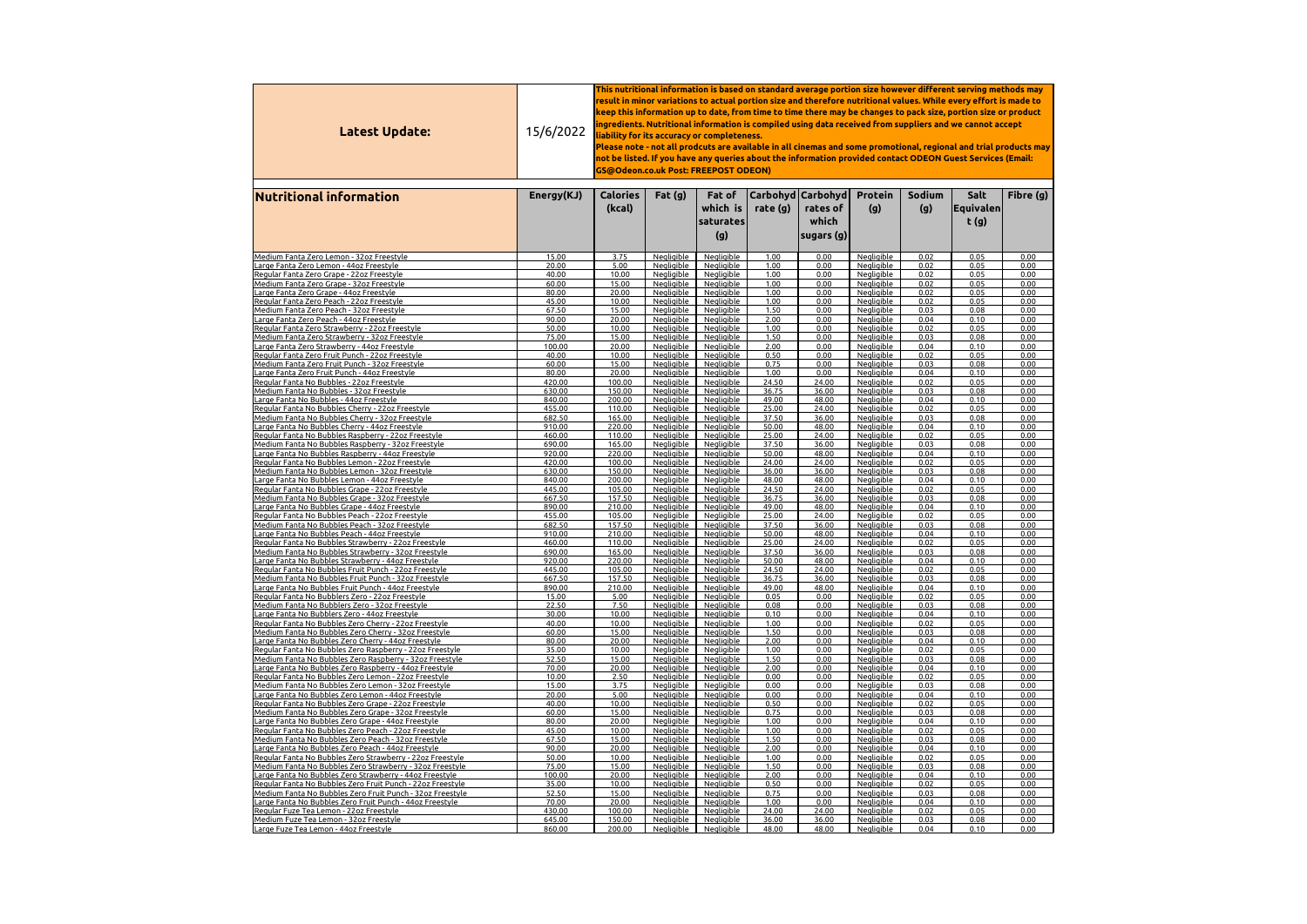| Latest Update:                                                                                                        | 15/6/2022        | This nutritional information is based on standard average portion size however different serving methods may $\,$<br>result in minor variations to actual portion size and therefore nutritional values. While every effort is made to<br>keep this information up to date, from time to time there may be changes to pack size, portion size or product<br>ingredients. Nutritional information is compiled using data received from suppliers and we cannot accept $\,$<br>liability for its accuracy or completeness.<br>Please note - not all prodcuts are available in all cinemas and some promotional, regional and trial products may<br>not be listed. If you have any queries about the information provided contact ODEON Guest Services (Email:<br><b>GS@Odeon.co.uk Post: FREEPOST ODEON)</b> |                                        |                                        |                |                                                            |                                        |               |                             |              |  |  |
|-----------------------------------------------------------------------------------------------------------------------|------------------|------------------------------------------------------------------------------------------------------------------------------------------------------------------------------------------------------------------------------------------------------------------------------------------------------------------------------------------------------------------------------------------------------------------------------------------------------------------------------------------------------------------------------------------------------------------------------------------------------------------------------------------------------------------------------------------------------------------------------------------------------------------------------------------------------------|----------------------------------------|----------------------------------------|----------------|------------------------------------------------------------|----------------------------------------|---------------|-----------------------------|--------------|--|--|
| <b>Nutritional information</b>                                                                                        | Energy(KJ)       | <b>Calories</b><br>(kcal)                                                                                                                                                                                                                                                                                                                                                                                                                                                                                                                                                                                                                                                                                                                                                                                  | Fat(g)                                 | Fat of<br>which is<br>saturates<br>(g) | rate (g)       | Carbohyd   Carbohyd  <br>rates of<br>which<br>sugars $(g)$ | <b>Protein</b><br>(g)                  | Sodium<br>(g) | Salt<br> Equivalen <br>t(g) | Fibre (g)    |  |  |
| Medium Fanta Zero Lemon - 32oz Freestyle                                                                              | 15.00            | 3.75                                                                                                                                                                                                                                                                                                                                                                                                                                                                                                                                                                                                                                                                                                                                                                                                       | <b>Negligible</b>                      | Negligible                             | 1.00           | 0.00                                                       | Negligible                             | 0.02          | 0.05                        | 0.00         |  |  |
| Large Fanta Zero Lemon - 44oz Freestyle                                                                               | 20.00            | 5.00                                                                                                                                                                                                                                                                                                                                                                                                                                                                                                                                                                                                                                                                                                                                                                                                       | <b>Negligible</b>                      | Negligible                             | 1.00           | 0.00                                                       | Negligible                             | 0.02          | 0.05                        | 0.00         |  |  |
| Regular Fanta Zero Grape - 22oz Freestyle                                                                             | 40.00            | 10.00                                                                                                                                                                                                                                                                                                                                                                                                                                                                                                                                                                                                                                                                                                                                                                                                      | Negligible                             | Negligible                             | 1.00           | 0.00                                                       | <b>Negligible</b>                      | 0.02          | 0.05                        | 0.00         |  |  |
| Medium Fanta Zero Grape - 32oz Freestyle                                                                              | 60.00<br>80.00   | 15.00<br>20.00                                                                                                                                                                                                                                                                                                                                                                                                                                                                                                                                                                                                                                                                                                                                                                                             | Negligible<br><b>Negligible</b>        | Negligible<br>Negligible               | 1.00<br>1.00   | 0.00<br>0.00                                               | Negligible<br>Negligible               | 0.02<br>0.02  | 0.05<br>0.05                | 0.00<br>0.00 |  |  |
| <u> Large Fanta Zero Grape - 44oz Freestyle</u><br>Regular Fanta Zero Peach - 22oz Freestyle                          | 45.00            | 10.00                                                                                                                                                                                                                                                                                                                                                                                                                                                                                                                                                                                                                                                                                                                                                                                                      | <b>Negligible</b>                      | <b>Negligible</b>                      | 1.00           | 0.00                                                       | <b>Negligible</b>                      | 0.02          | 0.05                        | 0.00         |  |  |
| Medium Fanta Zero Peach - 32oz Freestyle                                                                              | 67.50            | 15.00                                                                                                                                                                                                                                                                                                                                                                                                                                                                                                                                                                                                                                                                                                                                                                                                      | <b>Negligible</b>                      | <b>Negligible</b>                      | 1.50           | 0.00                                                       | <b>Negligible</b>                      | 0.03          | 0.08                        | 0.00         |  |  |
| Large Fanta Zero Peach - 44oz Freestyle                                                                               | 90.00            | 20.00                                                                                                                                                                                                                                                                                                                                                                                                                                                                                                                                                                                                                                                                                                                                                                                                      | Negligible                             | Negligible                             | 2.00           | 0.00                                                       | <b>Negligible</b>                      | 0.04          | 0.10                        | 0.00         |  |  |
| Regular Fanta Zero Strawberry - 22oz Freestyle<br>Medium Fanta Zero Strawberry - 32oz Freestyle                       | 50.00<br>75.00   | 10.00<br>15.00                                                                                                                                                                                                                                                                                                                                                                                                                                                                                                                                                                                                                                                                                                                                                                                             | Negligible<br><b>Negligible</b>        | Negligible<br>Negligible               | 1.00<br>1.50   | 0.00<br>0.00                                               | <b>Negligible</b><br><b>Negligible</b> | 0.02<br>0.03  | 0.05<br>0.08                | 0.00<br>0.00 |  |  |
| Large Fanta Zero Strawberry - 44oz Freestyle                                                                          | 100.00           | 20.00                                                                                                                                                                                                                                                                                                                                                                                                                                                                                                                                                                                                                                                                                                                                                                                                      | Negligible                             | Negligible                             | 2.00           | 0.00                                                       | <b>Negligible</b>                      | 0.04          | 0.10                        | 0.00         |  |  |
| Regular Fanta Zero Fruit Punch - 22oz Freestyle                                                                       | 40.00            | 10.00                                                                                                                                                                                                                                                                                                                                                                                                                                                                                                                                                                                                                                                                                                                                                                                                      | <b>Negligible</b>                      | Negligible                             | 0.50           | 0.00                                                       | <b>Negligible</b>                      | 0.02          | 0.05                        | 0.00         |  |  |
| Medium Fanta Zero Fruit Punch - 32oz Freestyle                                                                        | 60.00            | 15.00                                                                                                                                                                                                                                                                                                                                                                                                                                                                                                                                                                                                                                                                                                                                                                                                      | <u>Negligible</u>                      | <u>Negligible</u>                      | 0.75           | 0.00                                                       | <b>Negligible</b>                      | 0.03          | 0.08                        | 0.00         |  |  |
| Large Fanta Zero Fruit Punch - 44oz Freestyle<br>Regular Fanta No Bubbles - 22oz Freestyle                            | 80.00<br>420.00  | 20.00<br>100.00                                                                                                                                                                                                                                                                                                                                                                                                                                                                                                                                                                                                                                                                                                                                                                                            | <b>Negligible</b><br><b>Negligible</b> | <u>Negligible</u><br><b>Negligible</b> | 1.00<br>24.50  | 0.00<br>24.00                                              | <b>Negligible</b><br><b>Negligible</b> | 0.04<br>0.02  | 0.10<br>0.05                | 0.00<br>0.00 |  |  |
| Medium Fanta No Bubbles - 32oz Freestyle                                                                              | 630.00           | 150.00                                                                                                                                                                                                                                                                                                                                                                                                                                                                                                                                                                                                                                                                                                                                                                                                     | <u>Negligible</u>                      | <u>Negligible</u>                      | 36.75          | 36.00                                                      | <u>Negligible</u>                      | 0.03          | 0.08                        | 0.00         |  |  |
| <u> Large Fanta No Bubbles - 44oz Freestyle</u>                                                                       | 840.00           | 200.00                                                                                                                                                                                                                                                                                                                                                                                                                                                                                                                                                                                                                                                                                                                                                                                                     | Negligible                             | Negligible                             | 49.00          | 48.00                                                      | <b>Negligible</b>                      | 0.04          | 0.10                        | 0.00         |  |  |
| Regular Fanta No Bubbles Cherry - 22oz Freestyle                                                                      | 455.00           | 110.00                                                                                                                                                                                                                                                                                                                                                                                                                                                                                                                                                                                                                                                                                                                                                                                                     | <b>Negligible</b>                      | Negligible                             | 25.00          | 24.00                                                      | Negligible                             | 0.02          | 0.05                        | 0.00         |  |  |
| Medium Fanta No Bubbles Cherry - 32oz Freestyle                                                                       | 682.50<br>910.00 | 165.00                                                                                                                                                                                                                                                                                                                                                                                                                                                                                                                                                                                                                                                                                                                                                                                                     | Negligible<br>Negligible               | Negligible<br><b>Negligible</b>        | 37.50          | 36.00<br>48.00                                             | <b>Negligible</b>                      | 0.03<br>0.04  | 0.08<br>0.10                | 0.00<br>0.00 |  |  |
| <u> Large Fanta No Bubbles Cherry - 44oz Freestyle</u><br>Regular Fanta No Bubbles Raspberry - 22oz Freestyle         | 460.00           | 220.00<br>110.00                                                                                                                                                                                                                                                                                                                                                                                                                                                                                                                                                                                                                                                                                                                                                                                           | Negligible                             | Negligible                             | 50.00<br>25.00 | 24.00                                                      | <b>Negligible</b><br>Negligible        | 0.02          | 0.05                        | 0.00         |  |  |
| Medium Fanta No Bubbles Raspberry - 32oz Freestyle                                                                    | 690.00           | 165.00                                                                                                                                                                                                                                                                                                                                                                                                                                                                                                                                                                                                                                                                                                                                                                                                     | <b>Negligible</b>                      | Nealiaible                             | 37.50          | 36.00                                                      | <b>Negligible</b>                      | 0.03          | 0.08                        | 0.00         |  |  |
| Large Fa <u>nta No Bubbles Raspberry - 44oz Freestyle</u>                                                             | 920.00           | 220.00                                                                                                                                                                                                                                                                                                                                                                                                                                                                                                                                                                                                                                                                                                                                                                                                     | Negligible                             | Negligible                             | 50.00          | 48.00                                                      | <b>Negligible</b>                      | 0.04          | 0.10                        | 0.00         |  |  |
| Regular Fanta No Bubbles Lemon - 22oz Freestyle                                                                       | 420.00           | 100.00                                                                                                                                                                                                                                                                                                                                                                                                                                                                                                                                                                                                                                                                                                                                                                                                     | Negligible                             | Negligible                             | 24.00          | 24.00                                                      | Negligible                             | 0.02          | 0.05                        | 0.00         |  |  |
| Medium Fanta No Bubbles Lemon - 32oz Freestyle<br>Large Fanta <u>No Bubbles Lemon - 44oz Freestyle</u>                | 630.00<br>840.00 | 150.00<br>200.00                                                                                                                                                                                                                                                                                                                                                                                                                                                                                                                                                                                                                                                                                                                                                                                           | <b>Negligible</b><br><b>Negligible</b> | Negligible<br>Negligible               | 36.00<br>48.00 | 36.00<br>48.00                                             | <b>Negligible</b><br><b>Negligible</b> | 0.03<br>0.04  | 0.08<br>0.10                | 0.00<br>0.00 |  |  |
| Regular Fanta No Bubbles Grape - 22oz Freestyle                                                                       | 445.00           | 105.00                                                                                                                                                                                                                                                                                                                                                                                                                                                                                                                                                                                                                                                                                                                                                                                                     | <b>Negligible</b>                      | Negligible                             | 24.50          | 24.00                                                      | <b>Negligible</b>                      | 0.02          | 0.05                        | 0.00         |  |  |
| Medium Fanta No Bubbles Grape - 32oz Freestyle                                                                        | 667.50           | 157.50                                                                                                                                                                                                                                                                                                                                                                                                                                                                                                                                                                                                                                                                                                                                                                                                     | Negligible                             | Negligible                             | 36.75          | 36.00                                                      | <b>Negligible</b>                      | 0.03          | 0.08                        | 0.00         |  |  |
| <u> Large Fanta No Bubbles Grape - 44oz Freestyle</u>                                                                 | 890.00           | 210.00                                                                                                                                                                                                                                                                                                                                                                                                                                                                                                                                                                                                                                                                                                                                                                                                     | <b>Negligible</b>                      | Negligible                             | 49.00          | 48.00                                                      | <b>Negligible</b>                      | 0.04          | 0.10                        | 0.00         |  |  |
| Regular Fanta No Bubbles Peach - 22oz Freestyle<br>Medium Fanta No Bubbles Peach - 32oz Freestyle                     | 455.00<br>682.50 | 105.00<br>157.50                                                                                                                                                                                                                                                                                                                                                                                                                                                                                                                                                                                                                                                                                                                                                                                           | <b>Negligible</b><br><b>Negligible</b> | Negligible<br>Negligible               | 25.00<br>37.50 | 24.00<br>36.00                                             | <b>Negligible</b><br><b>Negligible</b> | 0.02<br>0.03  | 0.05<br>0.08                | 0.00<br>0.00 |  |  |
| <u> Large Fanta No Bubbles Peach - 44oz Freestyle</u>                                                                 | 910.00           | 210.00                                                                                                                                                                                                                                                                                                                                                                                                                                                                                                                                                                                                                                                                                                                                                                                                     | <b>Negligible</b>                      | Negligible                             | 50.00          | 48.00                                                      | <b>Negligible</b>                      | 0.04          | 0.10                        | 0.00         |  |  |
| Regular Fanta No Bubbles Strawberry - 22oz Freestyle                                                                  | 460.00           | 110.00                                                                                                                                                                                                                                                                                                                                                                                                                                                                                                                                                                                                                                                                                                                                                                                                     | Negligible                             | Negligible                             | 25.00          | 24.00                                                      | Negligible                             | 0.02          | 0.05                        | 0.00         |  |  |
| Medium Fanta No Bubbles Strawberry - 32oz Freestyle                                                                   | 690.00           | 165.00                                                                                                                                                                                                                                                                                                                                                                                                                                                                                                                                                                                                                                                                                                                                                                                                     | Negligible                             | Negligible                             | 37.50          | 36.00                                                      | <b>Negligible</b>                      | 0.03          | 0.08                        | 0.00         |  |  |
| <u> Large Fanta No Bubbles Strawberry - 44oz Freestyle</u><br>Regular Fanta No Bubbles Fruit Punch - 22oz Freestyle   | 920.00<br>445.00 | 220.00<br>105.00                                                                                                                                                                                                                                                                                                                                                                                                                                                                                                                                                                                                                                                                                                                                                                                           | <b>Negligible</b><br>Negligible        | Negligible<br>Negligible               | 50.00<br>24.50 | 48.00<br>24.00                                             | <b>Negligible</b><br>Negligible        | 0.04<br>0.02  | 0.10<br>0.05                | 0.00<br>0.00 |  |  |
| Medium Fanta No Bubbles Fruit Punch - 32oz Freestyle                                                                  | 667.50           | 157.50                                                                                                                                                                                                                                                                                                                                                                                                                                                                                                                                                                                                                                                                                                                                                                                                     | Negligible                             | Negligible                             | 36.75          | 36.00                                                      | Negligible                             | 0.03          | 0.08                        | 0.00         |  |  |
| Large Fanta No Bubbles Fruit Punch - 44oz Freestyle                                                                   | 890.00           | 210.00                                                                                                                                                                                                                                                                                                                                                                                                                                                                                                                                                                                                                                                                                                                                                                                                     | Negligible                             | Negligible                             | 49.00          | 48.00                                                      | Negligible                             | 0.04          | 0.10                        | 0.00         |  |  |
| Regular Fanta No Bubblers Zero - 22oz Freestyle                                                                       | 15.00            | 5.00                                                                                                                                                                                                                                                                                                                                                                                                                                                                                                                                                                                                                                                                                                                                                                                                       | Negligible                             | Negligible                             | 0.05           | 0.00                                                       | Negligible                             | 0.02          | 0.05                        | 0.00         |  |  |
| Medium Fanta No Bubblers Zero - 32oz Freestyle                                                                        | 22.50            | 7.50                                                                                                                                                                                                                                                                                                                                                                                                                                                                                                                                                                                                                                                                                                                                                                                                       | <b>Negligible</b>                      | <b>Negligible</b>                      | 0.08           | 0.00                                                       | <b>Negligible</b>                      | 0.03          | 0.08                        | 0.00         |  |  |
| Large Fanta No Bubblers Zero - 44oz Freestyle<br>Regular Fanta No Bubbles Zero Cherry - 22oz Freestyle                | 30.00<br>40.00   | 10.00<br>10.00                                                                                                                                                                                                                                                                                                                                                                                                                                                                                                                                                                                                                                                                                                                                                                                             | Negligible<br><b>Negligible</b>        | Negligible<br>Negligible               | 0.10<br>1.00   | 0.00<br>0.00                                               | <b>Negligible</b><br><b>Negligible</b> | 0.04<br>0.02  | 0.10<br>0.05                | 0.00<br>0.00 |  |  |
| Medium Fanta No Bubbles Zero Cherry - 32oz Freestyle                                                                  | 60.00            | 15.00                                                                                                                                                                                                                                                                                                                                                                                                                                                                                                                                                                                                                                                                                                                                                                                                      | <b>Negligible</b>                      | Negligible                             | 1.50           | 0.00                                                       | <b>Negligible</b>                      | 0.03          | 0.08                        | 0.00         |  |  |
| <u> Large Fanta No Bubbles Zero Cherry - 44oz Freestyle</u>                                                           | 80.00            | 20.00                                                                                                                                                                                                                                                                                                                                                                                                                                                                                                                                                                                                                                                                                                                                                                                                      | Negligible                             | Negligible                             | 2.00           | 0.00                                                       | <b>Negligible</b>                      | 0.04          | 0.10                        | 0.00         |  |  |
| Regular Fanta No Bubbles Zero Raspberry - 22oz Freestyle                                                              | 35.00            | 10.00                                                                                                                                                                                                                                                                                                                                                                                                                                                                                                                                                                                                                                                                                                                                                                                                      | <b>Negligible</b>                      | Nealiaible                             | 1.00<br>1.50   | 0.00                                                       | <b>Negligible</b>                      | 0.02<br>0.03  | 0.05<br>0.08                | 0.00<br>0.00 |  |  |
| Medium Fanta No Bubbles Zero Raspberry - 32oz Freestyle<br>Large Fanta No Bubbles Zero Raspberry - 44oz Freestyle     | 52.50<br>70.00   | 15.00<br>20.00                                                                                                                                                                                                                                                                                                                                                                                                                                                                                                                                                                                                                                                                                                                                                                                             | Negligible<br><b>Negligible</b>        | Negligible<br>Negligible               | 2.00           | 0.00<br>0.00                                               | <b>Negligible</b><br>Negligible        | 0.04          | 0.10                        | 0.00         |  |  |
| Regular Fanta No Bubbles Zero Lemon - 22oz Freestyle                                                                  | 10.00            | 2.50                                                                                                                                                                                                                                                                                                                                                                                                                                                                                                                                                                                                                                                                                                                                                                                                       | Negligible                             | Negligible                             | 0.00           | 0.00                                                       | Negligible                             | 0.02          | 0.05                        | 0.00         |  |  |
| <u> Medium Fanta No Bubbles Zero Lemon - 32oz Freestyle</u>                                                           | 15.00            | 3.75                                                                                                                                                                                                                                                                                                                                                                                                                                                                                                                                                                                                                                                                                                                                                                                                       | Negligible                             | Negligible                             | 0.00           | 0.00                                                       | <b>Negligible</b>                      | 0.03          | 0.08                        | 0.00         |  |  |
| Large Fanta No Bubbles Zero Lemon - 44oz Freestyle<br>Regular Fanta No Bubbles Zero Grape - 22oz Freestyle            | 20.00<br>40.00   | 5.00<br>10.00                                                                                                                                                                                                                                                                                                                                                                                                                                                                                                                                                                                                                                                                                                                                                                                              | Negligible<br><b>Negligible</b>        | Negligible<br><b>Negligible</b>        | 0.00<br>0.50   | 0.00<br>0.00                                               | Negligible<br><b>Negligible</b>        | 0.04<br>0.02  | 0.10<br>0.05                | 0.00<br>0.00 |  |  |
| Medium Fanta No Bubbles Zero Grape - 32oz Freestvle                                                                   | 60.00            | 15.00                                                                                                                                                                                                                                                                                                                                                                                                                                                                                                                                                                                                                                                                                                                                                                                                      | Nealiaible                             | Nealiaible                             | 0.75           | 0.00                                                       | Nealiaible                             | 0.03          | 0.08                        | 0.00         |  |  |
| Large Fanta No Bubbles Zero Grape - 44oz Freestyle                                                                    | 80.00            | 20.00                                                                                                                                                                                                                                                                                                                                                                                                                                                                                                                                                                                                                                                                                                                                                                                                      | Negligible                             | Negligible                             | 1.00           | 0.00                                                       | Negligible                             | 0.04          | 0.10                        | 0.00         |  |  |
| Regular Fanta No Bubbles Zero Peach - 22oz Freestyle                                                                  | 45.00            | 10.00                                                                                                                                                                                                                                                                                                                                                                                                                                                                                                                                                                                                                                                                                                                                                                                                      | Negligible                             | Negligible                             | 1.00           | 0.00                                                       | Negligible                             | 0.02          | 0.05                        | 0.00         |  |  |
| Medium Fanta No Bubbles Zero Peach - 32oz Freestyle                                                                   | 67.50            | 15.00                                                                                                                                                                                                                                                                                                                                                                                                                                                                                                                                                                                                                                                                                                                                                                                                      | <b>Negligible</b>                      | <b>Negligible</b>                      | 1.50           | 0.00                                                       | <b>Negligible</b>                      | 0.03          | 0.08                        | 0.00         |  |  |
| Large Fanta No Bubbles Zero Peach - 44oz Freestyle<br>Regular Fanta No Bubbles Zero Strawberry - 22oz Freestyle       | 90.00<br>50.00   | 20.00<br>10.00                                                                                                                                                                                                                                                                                                                                                                                                                                                                                                                                                                                                                                                                                                                                                                                             | Negligible<br><b>Negligible</b>        | Negligible<br>Negligible               | 2.00<br>1.00   | 0.00<br>0.00                                               | Negligible<br><b>Negligible</b>        | 0.04<br>0.02  | 0.10<br>0.05                | 0.00<br>0.00 |  |  |
| Medium Fanta No Bubbles Zero Strawberry - 32oz Freestyle                                                              | 75.00            | 15.00                                                                                                                                                                                                                                                                                                                                                                                                                                                                                                                                                                                                                                                                                                                                                                                                      | <b>Negligible</b>                      | Negligible                             | 1.50           | 0.00                                                       | <b>Negligible</b>                      | 0.03          | 0.08                        | 0.00         |  |  |
| Large Fanta No Bubbles Zero Strawberry - 44oz Freestyle                                                               | 100.00           | 20.00                                                                                                                                                                                                                                                                                                                                                                                                                                                                                                                                                                                                                                                                                                                                                                                                      | Negligible                             | Negligible                             | 2.00           | 0.00                                                       | <b>Negligible</b>                      | 0.04          | 0.10                        | 0.00         |  |  |
| Regular Fanta No Bubbles Zero Fruit Punch - 22oz Freestyle                                                            | 35.00            | 10.00                                                                                                                                                                                                                                                                                                                                                                                                                                                                                                                                                                                                                                                                                                                                                                                                      | <b>Negligible</b>                      | <b>Negligible</b>                      | 0.50           | 0.00                                                       | Negligible                             | 0.02          | 0.05                        | 0.00         |  |  |
| Medium Fanta No Bubbles Zero Fruit Punch - 32oz Freestyle<br>Large Fanta No Bubbles Zero Fruit Punch - 44oz Freestyle | 52.50<br>70.00   | 15.00<br>20.00                                                                                                                                                                                                                                                                                                                                                                                                                                                                                                                                                                                                                                                                                                                                                                                             | Negligible<br><b>Negligible</b>        | Negligible<br>Negligible               | 0.75<br>1.00   | 0.00<br>0.00                                               | Negligible<br>Negligible               | 0.03<br>0.04  | 0.08<br>0.10                | 0.00<br>0.00 |  |  |
| Regular Fuze Tea Lemon - 22oz Freestyle                                                                               | 430.00           | 100.00                                                                                                                                                                                                                                                                                                                                                                                                                                                                                                                                                                                                                                                                                                                                                                                                     | <b>Negligible</b>                      | <b>Negligible</b>                      | 24.00          | 24.00                                                      | <b>Negligible</b>                      | 0.02          | 0.05                        | 0.00         |  |  |
| Medium Fuze Tea Lemon - 32oz Freestyle                                                                                | 645.00           | 150.00                                                                                                                                                                                                                                                                                                                                                                                                                                                                                                                                                                                                                                                                                                                                                                                                     | <b>Negligible</b>                      | Negligible                             | 36.00          | 36.00                                                      | <b>Negligible</b>                      | 0.03          | 0.08                        | 0.00         |  |  |
| Large Fuze Tea Lemon - 44oz Freestyle                                                                                 | 860.00           | 200.00                                                                                                                                                                                                                                                                                                                                                                                                                                                                                                                                                                                                                                                                                                                                                                                                     | <u>Negligible</u>                      | <b>Negligible</b>                      | 48.00          | 48.00                                                      | <u>Negligible</u>                      | 0.04          | 0.10                        | 0.00         |  |  |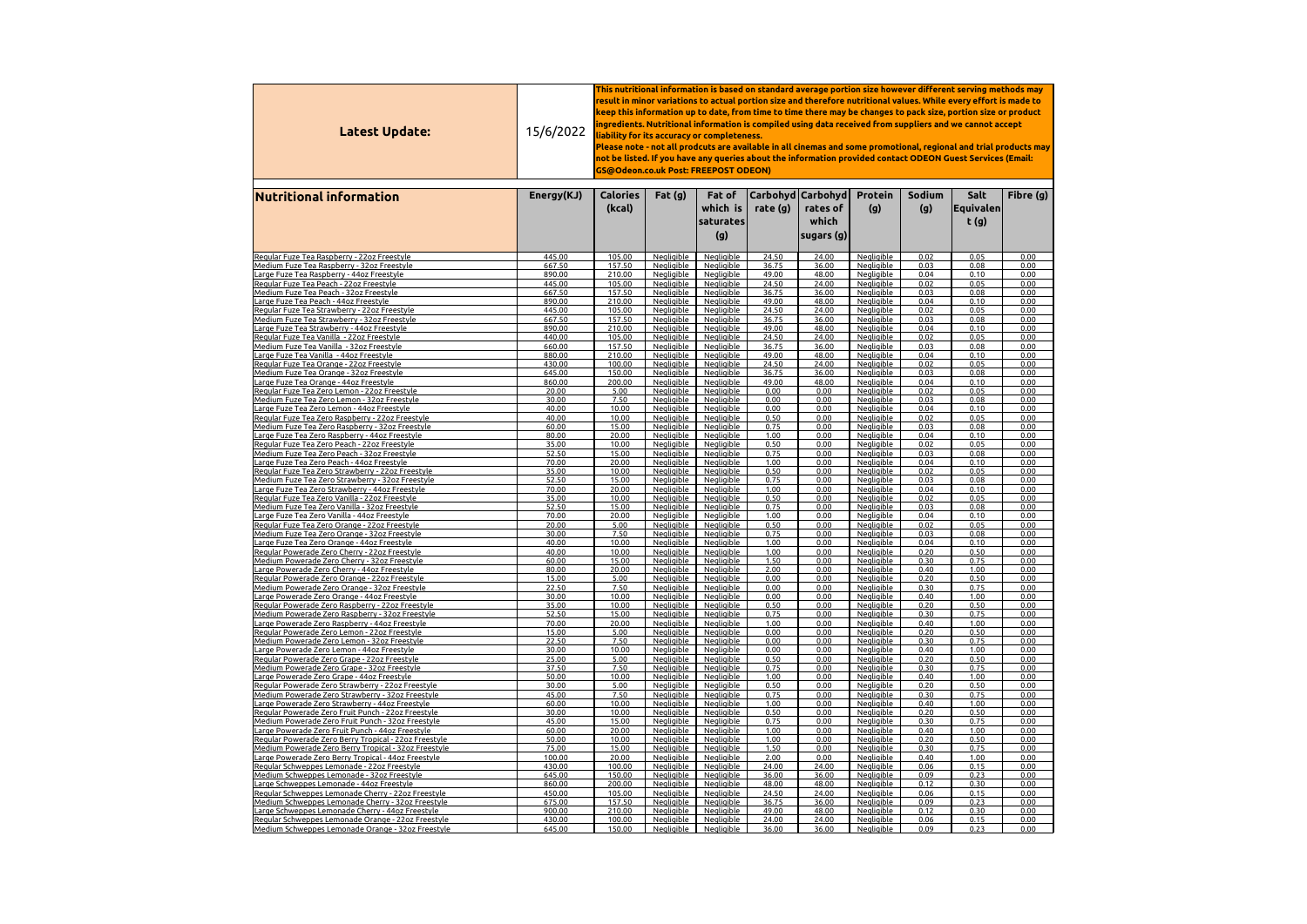| Latest Update:                                                                                            | 15/6/2022        | This nutritional information is based on standard average portion size however different serving methods may $\,$<br>result in minor variations to actual portion size and therefore nutritional values. While every effort is made to<br>keep this information up to date, from time to time there may be changes to pack size, portion size or product<br>ingredients. Nutritional information is compiled using data received from suppliers and we cannot accept $\,$<br>liability for its accuracy or completeness.<br>Please note - not all prodcuts are available in all cinemas and some promotional, regional and trial products may<br>not be listed. If you have any queries about the information provided contact ODEON Guest Services (Email:<br>GS@Odeon.co.uk Post: FREEPOST ODEON) |                                        |                                        |                |                                                           |                                        |               |                               |              |  |  |
|-----------------------------------------------------------------------------------------------------------|------------------|-----------------------------------------------------------------------------------------------------------------------------------------------------------------------------------------------------------------------------------------------------------------------------------------------------------------------------------------------------------------------------------------------------------------------------------------------------------------------------------------------------------------------------------------------------------------------------------------------------------------------------------------------------------------------------------------------------------------------------------------------------------------------------------------------------|----------------------------------------|----------------------------------------|----------------|-----------------------------------------------------------|----------------------------------------|---------------|-------------------------------|--------------|--|--|
| <b>Nutritional information</b>                                                                            | Energy(KJ)       | <b>Calories</b><br>(kcal)                                                                                                                                                                                                                                                                                                                                                                                                                                                                                                                                                                                                                                                                                                                                                                           | Fat $(g)$                              | Fat of<br>which is<br>saturates<br>(g) | rate $(g)$     | Carbohyd   Carbohyd  <br>rates of<br>which<br> sugars (g) | <b>Protein</b><br>(g)                  | Sodium<br>(g) | Salt<br> Equivalence <br>t(g) | Fibre (g)    |  |  |
| Regular Fuze Tea Raspberry - 22oz Freestyle                                                               | 445.00           | 105.00                                                                                                                                                                                                                                                                                                                                                                                                                                                                                                                                                                                                                                                                                                                                                                                              | <b>Negligible</b>                      | <b>Negligible</b>                      | 24.50          | 24.00                                                     | Negligible                             | 0.02          | 0.05                          | 0.00         |  |  |
| Medium Fuze Tea Raspberry - 32oz Freestyle                                                                | 667.50           | 157.50                                                                                                                                                                                                                                                                                                                                                                                                                                                                                                                                                                                                                                                                                                                                                                                              | <b>Negligible</b>                      | <b>Negligible</b>                      | 36.75          | 36.00                                                     | Negligible                             | 0.03          | 0.08                          | 0.00         |  |  |
| Large Fuze Tea Raspberry - 44oz Freestyle                                                                 | 890.00           | 210.00                                                                                                                                                                                                                                                                                                                                                                                                                                                                                                                                                                                                                                                                                                                                                                                              | <b>Negligible</b>                      | <b>Negligible</b>                      | 49.00          | 48.00                                                     | <b>Negligible</b>                      | 0.04          | 0.10                          | 0.00         |  |  |
| Regular Fuze Tea Peach - 22oz Freestyle<br>Medium Fuze Tea Peach - 32oz Freestyle                         | 445.00<br>667.50 | 105.00<br>157.50                                                                                                                                                                                                                                                                                                                                                                                                                                                                                                                                                                                                                                                                                                                                                                                    | Negligible<br><b>Negligible</b>        | Negligible<br>Negligible               | 24.50<br>36.75 | 24.00<br>36.00                                            | Negligible<br><b>Negligible</b>        | 0.02<br>0.03  | 0.05<br>0.08                  | 0.00<br>0.00 |  |  |
| Large Fuze Tea Peach - 44oz Freestyle                                                                     | 890.00           | 210.00                                                                                                                                                                                                                                                                                                                                                                                                                                                                                                                                                                                                                                                                                                                                                                                              | <b>Negligible</b>                      | <b>Negligible</b>                      | 49.00          | 48.00                                                     | <b>Negligible</b>                      | 0.04          | 0.10                          | 0.00         |  |  |
| Regular Fuze Tea Strawberry - 22oz Freestyle                                                              | 445.00           | 105.00                                                                                                                                                                                                                                                                                                                                                                                                                                                                                                                                                                                                                                                                                                                                                                                              | <b>Negligible</b>                      | <b>Negligible</b>                      | 24.50          | 24.00                                                     | <u>Negligible</u>                      | 0.02          | 0.05                          | 0.00         |  |  |
| Medium Fuze Tea Strawberry - 32oz Freestyle                                                               | 667.50           | 157.50                                                                                                                                                                                                                                                                                                                                                                                                                                                                                                                                                                                                                                                                                                                                                                                              | Negligible                             | <u>Negligible</u>                      | 36.75          | 36.00                                                     | Negligible                             | 0.03          | 0.08                          | 0.00         |  |  |
| Large Fuze Tea Strawberry - 44oz Freestyle<br>Regular Fuze Tea Vanilla - 22oz Freestyle                   | 890.00<br>440.00 | 210.00<br>105.00                                                                                                                                                                                                                                                                                                                                                                                                                                                                                                                                                                                                                                                                                                                                                                                    | Negligible<br><b>Negligible</b>        | Negligible<br>Negligible               | 49.00<br>24.50 | 48.00<br>24.00                                            | <b>Negligible</b><br><b>Negligible</b> | 0.04<br>0.02  | 0.10<br>0.05                  | 0.00<br>0.00 |  |  |
| Medium Fuze Tea Vanilla - 32oz Freestyle                                                                  | 660.00           | 157.50                                                                                                                                                                                                                                                                                                                                                                                                                                                                                                                                                                                                                                                                                                                                                                                              | Negligible                             | Negligible                             | 36.75          | 36.00                                                     | <b>Negligible</b>                      | 0.03          | 0.08                          | 0.00         |  |  |
| Large Fuze Tea Vanilla - 44oz Freestyle                                                                   | 880.00           | 210.00                                                                                                                                                                                                                                                                                                                                                                                                                                                                                                                                                                                                                                                                                                                                                                                              | <b>Negligible</b>                      | <b>Negligible</b>                      | 49.00          | 48.00                                                     | <b>Negligible</b>                      | 0.04          | 0.10                          | 0.00         |  |  |
| Regular Fuze Tea Orange - 22oz Freestyle<br>Medium Fuze Tea Orange - 32oz Freestyle                       | 430.00<br>645.00 | 100.00<br>150.00                                                                                                                                                                                                                                                                                                                                                                                                                                                                                                                                                                                                                                                                                                                                                                                    | <b>Negligible</b><br><b>Negligible</b> | <b>Negligible</b><br><u>Negligible</u> | 24.50<br>36.75 | 24.00<br>36.00                                            | Negligible<br><u>Negligible</u>        | 0.02<br>0.03  | 0.05<br>0.08                  | 0.00<br>0.00 |  |  |
| Large Fuze Tea Orange - 44oz Freestyle                                                                    | 860.00           | 200.00                                                                                                                                                                                                                                                                                                                                                                                                                                                                                                                                                                                                                                                                                                                                                                                              | <b>Negligible</b>                      | <u>Negligible</u>                      | 49.00          | 48.00                                                     | <b>Negligible</b>                      | 0.04          | 0.10                          | 0.00         |  |  |
| Regular Fuze Tea Zero Lemon - 22oz Freestyle                                                              | 20.00            | 5.00                                                                                                                                                                                                                                                                                                                                                                                                                                                                                                                                                                                                                                                                                                                                                                                                | <u>Negligible</u>                      | <u>Negligible</u>                      | 0.00           | 0.00                                                      | <u>Negligible</u>                      | 0.02          | 0.05                          | 0.00         |  |  |
| <u> Medium Fuze Tea Zero Lemon - 32oz Freestyle</u>                                                       | 30.00            | 7.50                                                                                                                                                                                                                                                                                                                                                                                                                                                                                                                                                                                                                                                                                                                                                                                                | <b>Negligible</b>                      | <b>Negligible</b>                      | 0.00           | 0.00                                                      | <b>Negligible</b>                      | 0.03          | 0.08                          | 0.00         |  |  |
| Large Fuze Tea Zero Lemon - 44oz Freestyle<br>Regular Fuze Tea Zero Raspberry - 22oz Freestyle            | 40.00<br>40.00   | 10.00<br>10.00                                                                                                                                                                                                                                                                                                                                                                                                                                                                                                                                                                                                                                                                                                                                                                                      | Negligible<br>Negligible               | Negligible<br>Negligible               | 0.00<br>0.50   | 0.00<br>0.00                                              | <b>Negligible</b><br>Negligible        | 0.04<br>0.02  | 0.10<br>0.05                  | 0.00<br>0.00 |  |  |
| Medium Fuze Tea Zero Raspberry - 32oz Freestyle                                                           | 60.00            | 15.00                                                                                                                                                                                                                                                                                                                                                                                                                                                                                                                                                                                                                                                                                                                                                                                               | <b>Negligible</b>                      | <b>Negligible</b>                      | 0.75           | 0.00                                                      | <b>Negligible</b>                      | 0.03          | 0.08                          | 0.00         |  |  |
| Large Fuze Tea Zero Raspberry - 44oz Freestyle                                                            | 80.00            | 20.00                                                                                                                                                                                                                                                                                                                                                                                                                                                                                                                                                                                                                                                                                                                                                                                               | Negligible                             | Negligible                             | 1.00           | 0.00                                                      | <b>Negligible</b>                      | 0.04          | 0.10                          | 0.00         |  |  |
| Regular Fuze Tea Zero Peach - 22oz Freestyle<br><u> Medium Fuze Tea Zero Peach - 32oz Freestyle</u>       | 35.00<br>52.50   | 10.00<br>15.00                                                                                                                                                                                                                                                                                                                                                                                                                                                                                                                                                                                                                                                                                                                                                                                      | Negligible<br>Negligible               | <b>Negligible</b><br>Negligible        | 0.50<br>0.75   | 0.00<br>0.00                                              | <b>Negligible</b><br>Negligible        | 0.02<br>0.03  | 0.05<br>0.08                  | 0.00<br>0.00 |  |  |
| Large Fuze Tea Zero Peach - 44oz Freestyle                                                                | 70.00            | 20.00                                                                                                                                                                                                                                                                                                                                                                                                                                                                                                                                                                                                                                                                                                                                                                                               | Negligible                             | Negligible                             | 1.00           | 0.00                                                      | <b>Negligible</b>                      | 0.04          | 0.10                          | 0.00         |  |  |
| Regular Fuze Tea Zero Strawberry - 22oz Freestyle                                                         | 35.00            | 10.00                                                                                                                                                                                                                                                                                                                                                                                                                                                                                                                                                                                                                                                                                                                                                                                               | <b>Negligible</b>                      | <b>Negligible</b>                      | 0.50           | 0.00                                                      | <u>Negligible</u>                      | 0.02          | 0.05                          | 0.00         |  |  |
| Medium Fuze Tea Zero Strawberry - 32oz Freestyle                                                          | 52.50            | 15.00                                                                                                                                                                                                                                                                                                                                                                                                                                                                                                                                                                                                                                                                                                                                                                                               | <b>Negligible</b>                      | Negligible                             | 0.75           | 0.00                                                      | <u>Negligible</u>                      | 0.03          | 0.08                          | 0.00         |  |  |
| <u> Large Fuze Tea Zero Strawberry - 44oz Freestyle</u><br>Regular Fuze Tea Zero Vanilla - 22oz Freestyle | 70.00<br>35.00   | 20.00<br>10.00                                                                                                                                                                                                                                                                                                                                                                                                                                                                                                                                                                                                                                                                                                                                                                                      | <b>Negligible</b><br>Negligible        | Negligible<br>Negligible               | 1.00<br>0.50   | 0.00<br>0.00                                              | <b>Negligible</b><br>Negligible        | 0.04<br>0.02  | 0.10<br>0.05                  | 0.00<br>0.00 |  |  |
| <u> Medium Fuze Tea Zero Vanilla - 32oz Freestyle</u>                                                     | 52.50            | 15.00                                                                                                                                                                                                                                                                                                                                                                                                                                                                                                                                                                                                                                                                                                                                                                                               | <b>Negligible</b>                      | Negligible                             | 0.75           | 0.00                                                      | <b>Negligible</b>                      | 0.03          | 0.08                          | 0.00         |  |  |
| <u> Large Fuze Tea Zero Vanilla - 44oz Freestyle</u>                                                      | 70.00            | 20.00                                                                                                                                                                                                                                                                                                                                                                                                                                                                                                                                                                                                                                                                                                                                                                                               | <b>Negligible</b>                      | Negligible                             | 1.00           | 0.00                                                      | <b>Negligible</b>                      | 0.04          | 0.10                          | 0.00         |  |  |
| Regular Fuze Tea Zero Orange - 22oz Freestyle<br>Medium Fuze Tea Zero Orange - 32oz Freestyle             | 20.00<br>30.00   | 5.00<br>7.50                                                                                                                                                                                                                                                                                                                                                                                                                                                                                                                                                                                                                                                                                                                                                                                        | <u>Negligible</u><br><b>Negligible</b> | <u>Negligible</u><br><b>Negligible</b> | 0.50<br>0.75   | 0.00<br>0.00                                              | <u>Negligible</u><br><b>Negligible</b> | 0.02<br>0.03  | 0.05<br>0.08                  | 0.00<br>0.00 |  |  |
| Large Fuze Tea Zero Orange - 44oz Freestyle                                                               | 40.00            | 10.00                                                                                                                                                                                                                                                                                                                                                                                                                                                                                                                                                                                                                                                                                                                                                                                               | Negligible                             | Negligible                             | 1.00           | 0.00                                                      | Negligible                             | 0.04          | 0.10                          | 0.00         |  |  |
| Regular Powerade Zero Cherry - 22oz Freestyle                                                             | 40.00            | 10.00                                                                                                                                                                                                                                                                                                                                                                                                                                                                                                                                                                                                                                                                                                                                                                                               | Negligible                             | Negligible                             | 1.00           | 0.00                                                      | Negligible                             | 0.20          | 0.50                          | 0.00         |  |  |
| Medium Powerade Zero Cherry - 32oz Freestyle<br>Large Powerade Zero Cherry - 44oz Freestyle               | 60.00<br>80.00   | 15.00<br>20.00                                                                                                                                                                                                                                                                                                                                                                                                                                                                                                                                                                                                                                                                                                                                                                                      | Negligible<br>Negligible               | <u>Negligible</u><br>Negligible        | 1.50<br>2.00   | 0.00<br>0.00                                              | <b>Negligible</b><br>Negligible        | 0.30<br>0.40  | 0.75<br>1.00                  | 0.00<br>0.00 |  |  |
| Regular Powerade Zero Orange - 22oz Freestyle                                                             | 15.00            | 5.00                                                                                                                                                                                                                                                                                                                                                                                                                                                                                                                                                                                                                                                                                                                                                                                                | <b>Negligible</b>                      | <b>Negligible</b>                      | 0.00           | 0.00                                                      | <b>Negligible</b>                      | 0.20          | 0.50                          | 0.00         |  |  |
| Medium Powerade Zero Orange - 32oz Freestyle                                                              | 22.50            | 7.50                                                                                                                                                                                                                                                                                                                                                                                                                                                                                                                                                                                                                                                                                                                                                                                                | Negligible                             | Negligible                             | 0.00           | 0.00                                                      | Negligible                             | 0.30          | 0.75                          | 0.00         |  |  |
| Large Powerade Zero Orange - 44oz Freestyle                                                               | 30.00            | 10.00                                                                                                                                                                                                                                                                                                                                                                                                                                                                                                                                                                                                                                                                                                                                                                                               | Negligible                             | Negligible                             | 0.00           | 0.00                                                      | <b>Negligible</b>                      | 0.40          | 1.00                          | 0.00         |  |  |
| Regular Powerade Zero Raspberry - 22oz Freestyle<br>Medium Powerade Zero Raspberry - 32oz Freestyle       | 35.00<br>52.50   | 10.00<br>15.00                                                                                                                                                                                                                                                                                                                                                                                                                                                                                                                                                                                                                                                                                                                                                                                      | <b>Negligible</b><br>Negligible        | Negligible<br>Negligible               | 0.50<br>0.75   | 0.00<br>0.00                                              | <b>Negligible</b><br><b>Negligible</b> | 0.20<br>0.30  | 0.50<br>0.75                  | 0.00<br>0.00 |  |  |
| Large Powerade Zero Raspberry - 44oz Freestyle                                                            | 70.00            | 20.00                                                                                                                                                                                                                                                                                                                                                                                                                                                                                                                                                                                                                                                                                                                                                                                               | Negligible                             | <b>Negligible</b>                      | 1.00           | 0.00                                                      | <b>Negligible</b>                      | 0.40          | 1.00                          | 0.00         |  |  |
| Regular Powerade Zero Lemon - 22oz Freestyle                                                              | 15.00            | 5.00                                                                                                                                                                                                                                                                                                                                                                                                                                                                                                                                                                                                                                                                                                                                                                                                | <b>Negligible</b>                      | <u>Negligible</u>                      | 0.00           | 0.00                                                      | <u>Negligible</u>                      | 0.20          | 0.50                          | 0.00         |  |  |
| Medium Powerade Zero Lemon - 32oz Freestyle<br>Large Powerade Zero Lemon - 44oz Freestyle                 | 22.50<br>30.00   | 7.50<br>10.00                                                                                                                                                                                                                                                                                                                                                                                                                                                                                                                                                                                                                                                                                                                                                                                       | <b>Negligible</b><br>Negligible        | <u>Negligible</u><br>Negligible        | 0.00<br>0.00   | 0.00<br>0.00                                              | <u>Negligible</u><br><b>Negligible</b> | 0.30<br>0.40  | 0.75<br>1.00                  | 0.00<br>0.00 |  |  |
| Regular Powerade Zero Grape - 22oz Freestyle                                                              | 25.00            | 5.00                                                                                                                                                                                                                                                                                                                                                                                                                                                                                                                                                                                                                                                                                                                                                                                                | Negligible                             | Negligible                             | 0.50           | 0.00                                                      | Negligible                             | 0.20          | 0.50                          | 0.00         |  |  |
| <u> Medium Powerade Zero Grape - 32oz Freestyle</u>                                                       | 37.50            | 7.50                                                                                                                                                                                                                                                                                                                                                                                                                                                                                                                                                                                                                                                                                                                                                                                                | Negligible                             | <b>Negligible</b>                      | 0.75           | 0.00                                                      | <b>Negligible</b>                      | 0.30          | 0.75                          | 0.00         |  |  |
| Large Powerade Zero Grape - 44oz Freestyle<br>Regular Powerade Zero Strawberry - 22oz Freestyle           | 50.00<br>30.00   | 10.00<br>5.00                                                                                                                                                                                                                                                                                                                                                                                                                                                                                                                                                                                                                                                                                                                                                                                       | Negligible<br><b>Negligible</b>        | Negligible<br>Negligible               | 1.00<br>0.50   | 0.00<br>0.00                                              | Negligible<br><b>Negligible</b>        | 0.40<br>0.20  | 1.00<br>0.50                  | 0.00<br>0.00 |  |  |
| Medium Powerade Zero Strawberry - 32oz Freestyle                                                          | 45.00            | 7.50                                                                                                                                                                                                                                                                                                                                                                                                                                                                                                                                                                                                                                                                                                                                                                                                | Negligible                             | <b>Negligible</b>                      | 0.75           | 0.00                                                      | <b>Negligible</b>                      | 0.30          | 0.75                          | 0.00         |  |  |
| Large Powerade Zero Strawberry - 44oz Freestyle                                                           | 60.00            | 10.00                                                                                                                                                                                                                                                                                                                                                                                                                                                                                                                                                                                                                                                                                                                                                                                               | <b>Negligible</b>                      | Nealiaible                             | 1.00           | 0.00                                                      | Negligible                             | 0.40          | 1.00                          | 0.00         |  |  |
| lRegular Powerade Zero Fruit Punch - 22oz Freestvle                                                       | 30.00            | 10.00                                                                                                                                                                                                                                                                                                                                                                                                                                                                                                                                                                                                                                                                                                                                                                                               | Nealiaible                             | Nealiaible<br>Negligible               | 0.50           | 0.00                                                      | <b>Negligible</b>                      | 0.20          | 0.50                          | 0.00         |  |  |
| Medium Powerade Zero Fruit Punch - 32oz Freestyle<br>Large Powerade Zero Fruit Punch - 44oz Freestyle     | 45.00<br>60.00   | 15.00<br>20.00                                                                                                                                                                                                                                                                                                                                                                                                                                                                                                                                                                                                                                                                                                                                                                                      | <b>Negligible</b><br>Negligible        | Negligible                             | 0.75<br>1.00   | 0.00<br>0.00                                              | Negligible<br><b>Negligible</b>        | 0.30<br>0.40  | 0.75<br>1.00                  | 0.00<br>0.00 |  |  |
| <u> Regular Powerade Zero Berry Tropical - 22oz Freestyle</u>                                             | 50.00            | 10.00                                                                                                                                                                                                                                                                                                                                                                                                                                                                                                                                                                                                                                                                                                                                                                                               | <b>Negligible</b>                      | Negligible                             | 1.00           | 0.00                                                      | <u>Negligible</u>                      | 0.20          | 0.50                          | 0.00         |  |  |
| Medium Powerade Zero Berry Tropical - 32oz Freestyle                                                      | 75.00            | 15.00                                                                                                                                                                                                                                                                                                                                                                                                                                                                                                                                                                                                                                                                                                                                                                                               | Negligible                             | Negligible                             | 1.50           | 0.00                                                      | Negligible                             | 0.30          | 0.75                          | 0.00         |  |  |
| Large Powerade Zero Berry Tropical - 44oz Freestyle<br>Regular Schweppes Lemonade - 22oz Freestyle        | 100.00<br>430.00 | 20.00<br>100.00                                                                                                                                                                                                                                                                                                                                                                                                                                                                                                                                                                                                                                                                                                                                                                                     | <b>Negligible</b><br><b>Negligible</b> | <b>Negligible</b><br><b>Negligible</b> | 2.00<br>24.00  | 0.00<br>24.00                                             | <b>Negligible</b><br><b>Negligible</b> | 0.40<br>0.06  | 1.00<br>0.15                  | 0.00<br>0.00 |  |  |
| Medium Schweppes Lemonade - 32oz Freestyle                                                                | 645.00           | 150.00                                                                                                                                                                                                                                                                                                                                                                                                                                                                                                                                                                                                                                                                                                                                                                                              | <b>Negligible</b>                      | <b>Negligible</b>                      | 36.00          | 36.00                                                     | <b>Negligible</b>                      | 0.09          | 0.23                          | 0.00         |  |  |
| Large Schweppes Lemonade - 44oz Freestyle                                                                 | 860.00           | 200.00                                                                                                                                                                                                                                                                                                                                                                                                                                                                                                                                                                                                                                                                                                                                                                                              | <b>Negligible</b>                      | <b>Negligible</b>                      | 48.00          | 48.00                                                     | <b>Negligible</b>                      | 0.12          | 0.30                          | 0.00         |  |  |
| Regular Schweppes Lemonade Cherry - 22oz Freestyle<br>Medium Schweppes Lemonade Cherry - 32oz Freestyle   | 450.00<br>675.00 | 105.00<br>157.50                                                                                                                                                                                                                                                                                                                                                                                                                                                                                                                                                                                                                                                                                                                                                                                    | Negligible<br>Negligible               | Negligible<br>Negligible               | 24.50<br>36.75 | 24.00<br>36.00                                            | Negligible<br>Negligible               | 0.06<br>0.09  | 0.15<br>0.23                  | 0.00<br>0.00 |  |  |
| Large Schweppes Lemonade Cherry - 44oz Freestyle                                                          | 900.00           | 210.00                                                                                                                                                                                                                                                                                                                                                                                                                                                                                                                                                                                                                                                                                                                                                                                              | <b>Negligible</b>                      | <b>Negligible</b>                      | 49.00          | 48.00                                                     | <b>Negligible</b>                      | 0.12          | 0.30                          | 0.00         |  |  |
| Regular Schweppes Lemonade Orange - 22oz Freestyle                                                        | 430.00           | 100.00                                                                                                                                                                                                                                                                                                                                                                                                                                                                                                                                                                                                                                                                                                                                                                                              | Negligible                             | <u>Negligible</u>                      | 24.00          | 24.00                                                     | <b>Negligible</b>                      | 0.06          | 0.15                          | 0.00         |  |  |
| Medium Schweppes Lemonade Orange - 32oz Freestyle                                                         | 645.00           | 150.00                                                                                                                                                                                                                                                                                                                                                                                                                                                                                                                                                                                                                                                                                                                                                                                              | <u>Negligible</u>                      | <u>Negligible</u>                      | 36.00          | 36.00                                                     | <u>Negligible</u>                      | 0.09          | 0.23                          | 0.00         |  |  |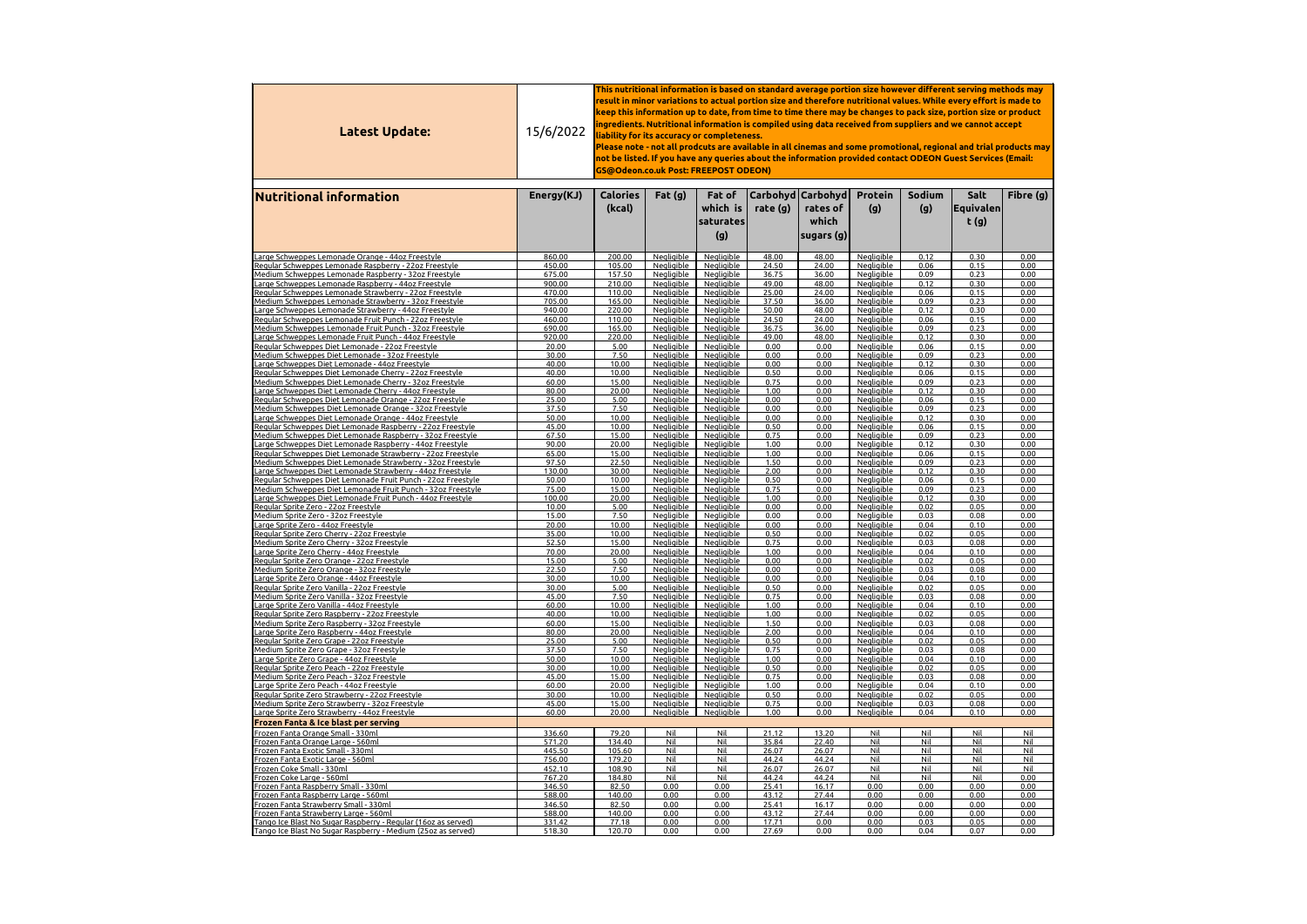| <b>Latest Update:</b>                                                                                                     | 15/6/2022        | This nutritional information is based on standard average portion size however different serving methods may<br>result in minor variations to actual portion size and therefore nutritional values. While every effort is made to<br>keep this information up to date, from time to time there may be changes to pack size, portion size or product<br>ingredients. Nutritional information is compiled using data received from suppliers and we cannot accept $\,$<br>liability for its accuracy or completeness.<br>Please note - not all prodcuts are available in all cinemas and some promotional, regional and trial products may<br>not be listed. If you have any queries about the information provided contact ODEON Guest Services (Email:<br>GS@Odeon.co.uk Post: FREEPOST ODEON) |                                        |                                        |                |                                                           |                                        |               |                                    |                   |  |
|---------------------------------------------------------------------------------------------------------------------------|------------------|------------------------------------------------------------------------------------------------------------------------------------------------------------------------------------------------------------------------------------------------------------------------------------------------------------------------------------------------------------------------------------------------------------------------------------------------------------------------------------------------------------------------------------------------------------------------------------------------------------------------------------------------------------------------------------------------------------------------------------------------------------------------------------------------|----------------------------------------|----------------------------------------|----------------|-----------------------------------------------------------|----------------------------------------|---------------|------------------------------------|-------------------|--|
| <b>Nutritional information</b>                                                                                            | Energy(KJ)       | <b>Calories</b><br>(kcal)                                                                                                                                                                                                                                                                                                                                                                                                                                                                                                                                                                                                                                                                                                                                                                      | Fat $(g)$                              | Fat of<br>which is<br>saturates<br>(g) | rate $(g)$     | Carbohyd   Carbohyd  <br>rates of<br>which<br> sugars (g) | <b>Protein</b><br>(g)                  | Sodium<br>(g) | Salt<br><b> Equivalen </b><br>t(g) | Fibre (g)         |  |
| Large Schweppes Lemonade Orange - 44oz Freestyle                                                                          | 860.00           | 200.00                                                                                                                                                                                                                                                                                                                                                                                                                                                                                                                                                                                                                                                                                                                                                                                         | Negligible                             | Negligible                             | 48.00          | 48.00                                                     | Negligible                             | 0.12          | 0.30                               | 0.00              |  |
| Regular Schweppes Lemonade Raspberry - 22oz Freestyle                                                                     | 450.00           | 105.00                                                                                                                                                                                                                                                                                                                                                                                                                                                                                                                                                                                                                                                                                                                                                                                         | Negligible                             | Negligible                             | 24.50          | 24.00                                                     | <u>Negligible</u>                      | 0.06          | 0.15                               | 0.00              |  |
| Medium Schweppes Lemonade Raspberry - 32oz Freestyle                                                                      | 675.00           | 157.50                                                                                                                                                                                                                                                                                                                                                                                                                                                                                                                                                                                                                                                                                                                                                                                         | Negligible                             | Negligible                             | 36.75          | 36.00                                                     | <b>Negligible</b>                      | 0.09          | 0.23                               | 0.00              |  |
| Large Schweppes Lemonade Raspberry - 44oz Freestyle<br><u> Regular Schweppes Lemonade Strawberry - 22oz Freestyle</u>     | 900.00<br>470.00 | 210.00<br>110.00                                                                                                                                                                                                                                                                                                                                                                                                                                                                                                                                                                                                                                                                                                                                                                               | Negligible<br><b>Negligible</b>        | Negligible<br><b>Negligible</b>        | 49.00<br>25.00 | 48.00<br>24.00                                            | <b>Negligible</b><br><b>Negligible</b> | 0.12<br>0.06  | 0.30<br>0.15                       | 0.00<br>0.00      |  |
| Medium Schweppes Lemonade Strawberry - 32oz Freestyle                                                                     | 705.00           | 165.00                                                                                                                                                                                                                                                                                                                                                                                                                                                                                                                                                                                                                                                                                                                                                                                         | <b>Negligible</b>                      | Negligible                             | 37.50          | 36.00                                                     | Negligible                             | 0.09          | 0.23                               | 0.00              |  |
| Large Schweppes Lemonade Strawberry - 44oz Freestyle                                                                      | 940.00           | 220.00                                                                                                                                                                                                                                                                                                                                                                                                                                                                                                                                                                                                                                                                                                                                                                                         | Negligible                             | <b>Negligible</b>                      | 50.00          | 48.00                                                     | <b>Negligible</b>                      | 0.12          | 0.30                               | 0.00              |  |
| Regular Schweppes Lemonade Fruit Punch - 22oz Freestyle                                                                   | 460.00           | 110.00                                                                                                                                                                                                                                                                                                                                                                                                                                                                                                                                                                                                                                                                                                                                                                                         | Negligible                             | Negligible                             | 24.50          | 24.00                                                     | <b>Negligible</b>                      | 0.06          | 0.15                               | 0.00              |  |
| Medium Schweppes Lemonade Fruit Punch - 32oz Freestyle<br>Large Schweppes Lemonade Fruit Punch - 44oz Freestyle           | 690.00<br>920.00 | 165.00<br>220.00                                                                                                                                                                                                                                                                                                                                                                                                                                                                                                                                                                                                                                                                                                                                                                               | <b>Negligible</b><br>Negligible        | Negligible<br><b>Negligible</b>        | 36.75<br>49.00 | 36.00<br>48.00                                            | Negligible<br><b>Negligible</b>        | 0.09<br>0.12  | 0.23<br>0.30                       | 0.00<br>0.00      |  |
| Regular Schweppes Diet Lemonade - 22oz Freestyle                                                                          | 20.00            | 5.00                                                                                                                                                                                                                                                                                                                                                                                                                                                                                                                                                                                                                                                                                                                                                                                           | Negligible                             | Negligible                             | 0.00           | 0.00                                                      | <b>Negligible</b>                      | 0.06          | 0.15                               | 0.00              |  |
| Medium Schweppes Diet Lemonade - 32oz Freestyle                                                                           | 30.00            | 7.50                                                                                                                                                                                                                                                                                                                                                                                                                                                                                                                                                                                                                                                                                                                                                                                           | <b>Negligible</b>                      | <b>Negligible</b>                      | 0.00           | 0.00                                                      | <b>Negligible</b>                      | 0.09          | 0.23                               | 0.00              |  |
| Large Schweppes Diet Lemonade - 44oz Freestyle                                                                            | 40.00            | 10.00                                                                                                                                                                                                                                                                                                                                                                                                                                                                                                                                                                                                                                                                                                                                                                                          | Negligible                             | Negligible                             | 0.00           | 0.00                                                      | <b>Negligible</b>                      | 0.12          | 0.30                               | 0.00              |  |
| Regular Schweppes Diet Lemonade Cherry - 22oz Freestyle<br>Medium Schweppes Diet Lemonade Cherry - 32oz Freestyle         | 40.00<br>60.00   | 10.00<br>15.00                                                                                                                                                                                                                                                                                                                                                                                                                                                                                                                                                                                                                                                                                                                                                                                 | <b>Negligible</b><br><b>Negligible</b> | Negligible<br><b>Negligible</b>        | 0.50<br>0.75   | 0.00<br>0.00                                              | <b>Negligible</b><br><b>Negligible</b> | 0.06<br>0.09  | 0.15<br>0.23                       | 0.00<br>0.00      |  |
| Large Schweppes Diet Lemonade Cherry - 44oz Freestyle                                                                     | 80.00            | 20.00                                                                                                                                                                                                                                                                                                                                                                                                                                                                                                                                                                                                                                                                                                                                                                                          | Negligible                             | <b>Negligible</b>                      | 1.00           | 0.00                                                      | <u>Negligible</u>                      | 0.12          | 0.30                               | 0.00              |  |
| Regular Schweppes Diet Lemonade Orange - 22oz Freestyle                                                                   | 25.00            | 5.00                                                                                                                                                                                                                                                                                                                                                                                                                                                                                                                                                                                                                                                                                                                                                                                           | <b>Negligible</b>                      | <b>Negligible</b>                      | 0.00           | 0.00                                                      | <b>Negligible</b>                      | 0.06          | 0.15                               | 0.00              |  |
| Medium Schweppes Diet Lemonade Orange - 32oz Freestyle<br>Large Schweppes Diet Lemonade Orange - 44oz Freestyle           | 37.50<br>50.00   | 7.50<br>10.00                                                                                                                                                                                                                                                                                                                                                                                                                                                                                                                                                                                                                                                                                                                                                                                  | <b>Negligible</b><br><b>Negligible</b> | <b>Negligible</b><br><b>Negligible</b> | 0.00<br>0.00   | 0.00<br>0.00                                              | Negligible<br><b>Negligible</b>        | 0.09<br>0.12  | 0.23<br>0.30                       | 0.00<br>0.00      |  |
| Regular Schweppes Diet Lemonade Raspberry - 22oz Freestyle                                                                | 45.00            | 10.00                                                                                                                                                                                                                                                                                                                                                                                                                                                                                                                                                                                                                                                                                                                                                                                          | Negligible                             | <b>Negligible</b>                      | 0.50           | 0.00                                                      | <b>Negliaible</b>                      | 0.06          | 0.15                               | 0.00              |  |
| Medium Schweppes Diet Lemonade Raspberry - 32oz Freestyle                                                                 | 67.50            | 15.00                                                                                                                                                                                                                                                                                                                                                                                                                                                                                                                                                                                                                                                                                                                                                                                          | Negligible                             | Negligible                             | 0.75           | 0.00                                                      | <b>Negligible</b>                      | 0.09          | 0.23                               | 0.00              |  |
| Large Schweppes Diet Lemonade Raspberry - 44oz Freestyle                                                                  | 90.00            | 20.00                                                                                                                                                                                                                                                                                                                                                                                                                                                                                                                                                                                                                                                                                                                                                                                          | Negligible                             | <b>Negligible</b>                      | 1.00           | 0.00                                                      | <b>Negligible</b>                      | 0.12          | 0.30                               | 0.00              |  |
| Regular Schweppes Diet Lemonade Strawberry - 22oz Freestyle<br>Medium Schweppes Diet Lemonade Strawberry - 32oz Freestyle | 65.00<br>97.50   | 15.00<br>22.50                                                                                                                                                                                                                                                                                                                                                                                                                                                                                                                                                                                                                                                                                                                                                                                 | Negligible<br>Negligible               | Negligible<br>Negligible               | 1.00<br>1.50   | 0.00<br>0.00                                              | Negligible<br>Negligible               | 0.06<br>0.09  | 0.15<br>0.23                       | 0.00<br>0.00      |  |
| Large Schweppes Diet Lemonade Strawberry - 44oz Freestyle                                                                 | 130.00           | 30.00                                                                                                                                                                                                                                                                                                                                                                                                                                                                                                                                                                                                                                                                                                                                                                                          | Negligible                             | Negligible                             | 2.00           | 0.00                                                      | <b>Negligible</b>                      | 0.12          | 0.30                               | 0.00              |  |
| Regular Schweppes Diet Lemonade Fruit Punch - 22oz Freestyle                                                              | 50.00            | 10.00                                                                                                                                                                                                                                                                                                                                                                                                                                                                                                                                                                                                                                                                                                                                                                                          | Negligible                             | Negligible                             | 0.50           | 0.00                                                      | Negligible                             | 0.06          | 0.15                               | 0.00              |  |
| <u> Medium Schweppes Diet Lemonade Fruit Punch - 32oz Freestyle</u>                                                       | 75.00            | 15.00                                                                                                                                                                                                                                                                                                                                                                                                                                                                                                                                                                                                                                                                                                                                                                                          | Negligible                             | <b>Negligible</b>                      | 0.75           | 0.00                                                      | <u>Negligible</u>                      | 0.09          | 0.23                               | 0.00              |  |
| Large Schweppes Diet Lemonade Fruit Punch - 44oz Freestyle<br>Regular Sprite Zero - 22oz Freestyle                        | 100.00<br>10.00  | 20.00<br>5.00                                                                                                                                                                                                                                                                                                                                                                                                                                                                                                                                                                                                                                                                                                                                                                                  | Negligible<br><b>Negligible</b>        | Negligible<br>Negligible               | 1.00<br>0.00   | 0.00<br>0.00                                              | Negligible<br>Negligible               | 0.12<br>0.02  | 0.30<br>0.05                       | 0.00<br>0.00      |  |
| Medium Sprite Zero - 32oz Freestyle                                                                                       | 15.00            | 7.50                                                                                                                                                                                                                                                                                                                                                                                                                                                                                                                                                                                                                                                                                                                                                                                           | Negligible                             | <b>Negligible</b>                      | 0.00           | 0.00                                                      | <b>Negligible</b>                      | 0.03          | 0.08                               | 0.00              |  |
| Large Sprite Zero - 44oz Freestyle                                                                                        | 20.00            | 10.00                                                                                                                                                                                                                                                                                                                                                                                                                                                                                                                                                                                                                                                                                                                                                                                          | Negligible                             | <b>Negligible</b>                      | 0.00           | 0.00                                                      | <b>Negligible</b>                      | 0.04          | 0.10                               | 0.00              |  |
| Regular Sprite Zero Cherry - 22oz Freestyle                                                                               | 35.00            | 10.00                                                                                                                                                                                                                                                                                                                                                                                                                                                                                                                                                                                                                                                                                                                                                                                          | <b>Negligible</b>                      | <b>Negligible</b>                      | 0.50           | 0.00                                                      | <b>Negligible</b>                      | 0.02          | 0.05                               | 0.00              |  |
| Medium Sprite Zero Cherry - 32oz Freestyle<br>Large Sprite Zero Cherry - 44oz Freestyle                                   | 52.50<br>70.00   | 15.00<br>20.00                                                                                                                                                                                                                                                                                                                                                                                                                                                                                                                                                                                                                                                                                                                                                                                 | Negligible<br>Negligible               | Negligible<br><b>Negligible</b>        | 0.75<br>1.00   | 0.00<br>0.00                                              | <u>Negligible</u><br><u>Negligible</u> | 0.03<br>0.04  | 0.08<br>0.10                       | 0.00<br>0.00      |  |
| Regular Sprite Zero Orange - 22oz Freestyle                                                                               | 15.00            | 5.00                                                                                                                                                                                                                                                                                                                                                                                                                                                                                                                                                                                                                                                                                                                                                                                           | <b>Negligible</b>                      | Negligible                             | 0.00           | 0.00                                                      | <b>Negligible</b>                      | 0.02          | 0.05                               | 0.00              |  |
| Medium Sprite Zero Orange - 32oz Freestyle                                                                                | 22.50            | 7.50                                                                                                                                                                                                                                                                                                                                                                                                                                                                                                                                                                                                                                                                                                                                                                                           | Negligible                             | Negligible                             | 0.00           | 0.00                                                      | Negligible                             | 0.03          | 0.08                               | 0.00              |  |
| Large Sprite Zero Orange - 44oz Freestyle<br>Regular Sprite Zero Vanilla - 22oz Freestyle                                 | 30.00<br>30.00   | 10.00<br>5.00                                                                                                                                                                                                                                                                                                                                                                                                                                                                                                                                                                                                                                                                                                                                                                                  | Negligible<br>Negligible               | <b>Negligible</b><br>Negligible        | 0.00<br>0.50   | 0.00<br>0.00                                              | <u>Negligible</u><br>Negligible        | 0.04<br>0.02  | 0.10<br>0.05                       | 0.00<br>0.00      |  |
| <u> Medium Sprite Zero Vanilla - 32oz Freestyle</u>                                                                       | 45.00            | 7.50                                                                                                                                                                                                                                                                                                                                                                                                                                                                                                                                                                                                                                                                                                                                                                                           | Negligible                             | Negligible                             | 0.75           | 0.00                                                      | <b>Negligible</b>                      | 0.03          | 0.08                               | 0.00              |  |
| Large Sprite Zero Vanilla - 44oz Freestyle                                                                                | 60.00            | 10.00                                                                                                                                                                                                                                                                                                                                                                                                                                                                                                                                                                                                                                                                                                                                                                                          | <b>Negligible</b>                      | <b>Negligible</b>                      | 1.00           | 0.00                                                      | <b>Negligible</b>                      | 0.04          | 0.10                               | 0.00              |  |
| Regular Sprite Zero Raspberry - 22oz Freestyle                                                                            | 40.00            | 10.00                                                                                                                                                                                                                                                                                                                                                                                                                                                                                                                                                                                                                                                                                                                                                                                          | <b>Negligible</b>                      | Negligible                             | 1.00           | 0.00                                                      | Negligible                             | 0.02          | 0.05                               | 0.00              |  |
| <u> Medium Sprite Zero Raspberry - 32oz Freestyle</u><br>Large Sprite Zero Raspberry - 44oz Freestyle                     | 60.00<br>80.00   | 15.00<br>20.00                                                                                                                                                                                                                                                                                                                                                                                                                                                                                                                                                                                                                                                                                                                                                                                 | <b>Negligible</b><br>Negligible        | <b>Negligible</b><br>Negligible        | 1.50<br>2.00   | 0.00<br>0.00                                              | <b>Negligible</b><br>Negligible        | 0.03<br>0.04  | 0.08<br>0.10                       | 0.00<br>0.00      |  |
| Regular Sprite Zero Grape - 22oz Freestyle                                                                                | 25.00            | 5.00                                                                                                                                                                                                                                                                                                                                                                                                                                                                                                                                                                                                                                                                                                                                                                                           | <b>Negligible</b>                      | <b>Negligible</b>                      | 0.50           | 0.00                                                      | <b>Negligible</b>                      | 0.02          | 0.05                               | 0.00              |  |
| <u> Medium Sprite Zero Grape - 32oz Freestyle</u>                                                                         | 37.50            | 7.50                                                                                                                                                                                                                                                                                                                                                                                                                                                                                                                                                                                                                                                                                                                                                                                           | <b>Negligible</b>                      | <b>Negligible</b>                      | 0.75           | 0.00                                                      | <b>Negligible</b>                      | 0.03          | 0.08                               | 0.00              |  |
| Large Sprite Zero Grape - 44oz Freestyle<br>Regular Sprite Zero Peach - 22oz Freestyle                                    | 50.00<br>30.00   | 10.00<br>10.00                                                                                                                                                                                                                                                                                                                                                                                                                                                                                                                                                                                                                                                                                                                                                                                 | Negligible<br>Negligible               | Negligible<br>Negligible               | 1.00<br>0.50   | 0.00<br>0.00                                              | Negligible<br><b>Negligible</b>        | 0.04<br>0.02  | 0.10<br>0.05                       | 0.00<br>0.00      |  |
| <u> Medium Sprite Zero Peach - 32oz Freestyle</u>                                                                         | 45.00            | 15.00                                                                                                                                                                                                                                                                                                                                                                                                                                                                                                                                                                                                                                                                                                                                                                                          | Negligible                             | Negligible                             | 0.75           | 0.00                                                      | <b>Negligible</b>                      | 0.03          | 0.08                               | 0.00              |  |
| Large Sprite Zero Peach - 44oz Freestyle                                                                                  | 60.00            | 20.00                                                                                                                                                                                                                                                                                                                                                                                                                                                                                                                                                                                                                                                                                                                                                                                          | Negligible                             | Negligible                             | 1.00           | 0.00                                                      | Negligible                             | 0.04          | 0.10                               | 0.00              |  |
| Regular Sprite Zero Strawberry - 22oz Freestyle<br>Medium Sprite Zero Strawberry - 32oz Freestyle                         | 30.00<br>45.00   | 10.00<br>15.00                                                                                                                                                                                                                                                                                                                                                                                                                                                                                                                                                                                                                                                                                                                                                                                 | Negligible<br>Negligible               | <b>Negligible</b><br>Negligible        | 0.50<br>0.75   | 0.00<br>0.00                                              | <b>Negligible</b>                      | 0.02<br>0.03  | 0.05<br>0.08                       | 0.00<br>0.00      |  |
| Large Sprite Zero Strawberry - 44oz Freestyle                                                                             | 60.00            | 20.00                                                                                                                                                                                                                                                                                                                                                                                                                                                                                                                                                                                                                                                                                                                                                                                          | <b>Negligible</b>                      | <b>Negligible</b>                      | 1.00           | 0.00                                                      | <b>Negligible</b><br><b>Negligible</b> | 0.04          | 0.10                               | 0.00              |  |
| <b>Frozen Fanta &amp; Ice blast per serving</b>                                                                           |                  |                                                                                                                                                                                                                                                                                                                                                                                                                                                                                                                                                                                                                                                                                                                                                                                                |                                        |                                        |                |                                                           |                                        |               |                                    |                   |  |
| Frozen Fanta Orange Small - 330ml                                                                                         | 336.60           | 79.20                                                                                                                                                                                                                                                                                                                                                                                                                                                                                                                                                                                                                                                                                                                                                                                          | Nil                                    | <b>Nil</b>                             | 21.12          | 13.20                                                     | Nil                                    | Nil           | Nil                                | Nil               |  |
| Frozen Fanta Orange Large - 560ml                                                                                         | 571.20           | 134.40                                                                                                                                                                                                                                                                                                                                                                                                                                                                                                                                                                                                                                                                                                                                                                                         | Nil                                    | <b>Nil</b>                             | 35.84          | 22.40                                                     | Nil                                    | Nil           | Nil                                | Nil               |  |
| Frozen Fanta Exotic Small - 330ml<br>Frozen Fanta Exotic Large - 560ml                                                    | 445.50<br>756.00 | 105.60<br>179.20                                                                                                                                                                                                                                                                                                                                                                                                                                                                                                                                                                                                                                                                                                                                                                               | Nil<br>Nil                             | <b>Nil</b><br>Nil                      | 26.07<br>44.24 | 26.07<br>44.24                                            | Nil<br>Nil                             | Nil<br>Nil    | Nil<br>Nil                         | <b>Nil</b><br>Nil |  |
| Frozen Coke Small - 330ml                                                                                                 | 452.10           | 108.90                                                                                                                                                                                                                                                                                                                                                                                                                                                                                                                                                                                                                                                                                                                                                                                         | Nil                                    | Nil                                    | 26.07          | 26.07                                                     | Nil                                    | Nil           | Nil                                | Nil               |  |
| Frozen Coke Large - 560ml                                                                                                 | 767.20           | 184.80                                                                                                                                                                                                                                                                                                                                                                                                                                                                                                                                                                                                                                                                                                                                                                                         | Nil                                    | <b>Nil</b>                             | 44.24          | 44.24                                                     | Nil                                    | Nil           | Nil                                | 0.00              |  |
| Frozen Fanta Raspberry Small - 330ml                                                                                      | 346.50           | 82.50                                                                                                                                                                                                                                                                                                                                                                                                                                                                                                                                                                                                                                                                                                                                                                                          | 0.00                                   | 0.00                                   | 25.41          | 16.17                                                     | 0.00                                   | 0.00          | 0.00                               | 0.00              |  |
| Frozen Fanta Raspberry Large - 560ml<br>Frozen Fanta Strawberry Small - 330ml                                             | 588.00<br>346.50 | 140.00<br>82.50                                                                                                                                                                                                                                                                                                                                                                                                                                                                                                                                                                                                                                                                                                                                                                                | 0.00<br>0.00                           | 0.00<br>0.00                           | 43.12<br>25.41 | 27.44<br>16.17                                            | 0.00<br>0.00                           | 0.00<br>0.00  | 0.00<br>0.00                       | 0.00<br>0.00      |  |
| Frozen Fanta Strawberry Large - 560ml                                                                                     | 588.00           | 140.00                                                                                                                                                                                                                                                                                                                                                                                                                                                                                                                                                                                                                                                                                                                                                                                         | 0.00                                   | 0.00                                   | 43.12          | 27.44                                                     | 0.00                                   | 0.00          | 0.00                               | 0.00              |  |
| Tango Ice Blast No Sugar Raspberry - Regular (16oz as served)                                                             | 331.42           | 77.18                                                                                                                                                                                                                                                                                                                                                                                                                                                                                                                                                                                                                                                                                                                                                                                          | 0.00                                   | 0.00                                   | 17.71          | 0.00                                                      | 0.00                                   | 0.03          | 0.05                               | 0.00              |  |
| Tango Ice Blast No Sugar Raspberry - Medium (25oz as served)                                                              | 518.30           | 120.70                                                                                                                                                                                                                                                                                                                                                                                                                                                                                                                                                                                                                                                                                                                                                                                         | 0.00                                   | 0.00                                   | 27.69          | 0.00                                                      | 0.00                                   | 0.04          | 0.07                               | 0.00              |  |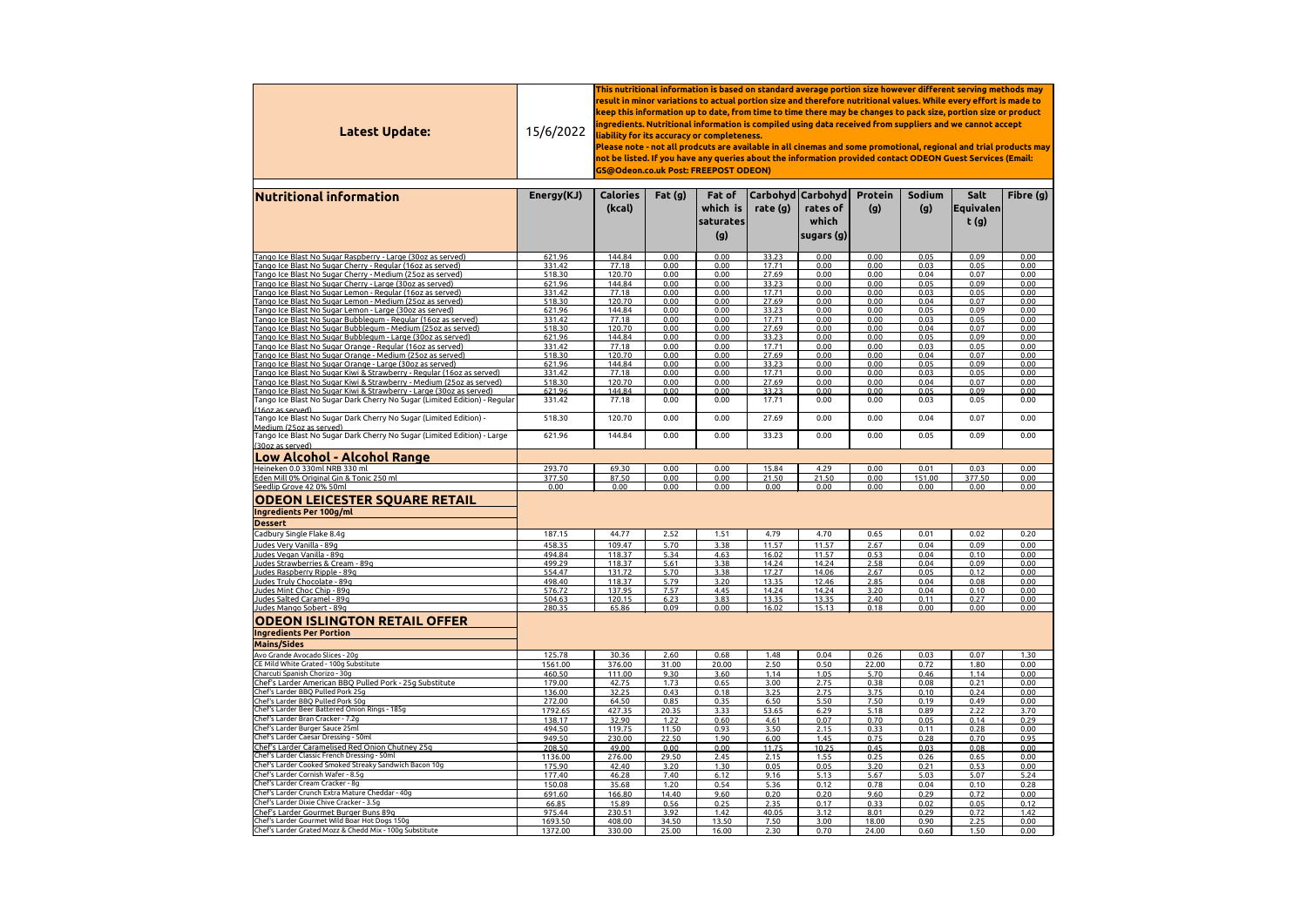| Latest Update:                                                                                                                                          | 15/6/2022        | $\,$ This nutritional information is based on standard average portion size however different serving methods may<br>result in minor variations to actual portion size and therefore nutritional values. While every effort is made to<br>keep this information up to date, from time to time there may be changes to pack size, portion size or product<br>ingredients. Nutritional information is compiled using data received from suppliers and we cannot accept<br>liability for its accuracy or completeness.<br>Please note - not all prodcuts are available in all cinemas and some promotional, regional and trial products may<br>not be listed. If you have any queries about the information provided contact ODEON Guest Services (Email:<br><b>GS@Odeon.co.uk Post: FREEPOST ODEON)</b><br> Carbohyd Carbohyd |               |                                               |                |                                   |                       |                |                           |              |  |  |
|---------------------------------------------------------------------------------------------------------------------------------------------------------|------------------|-----------------------------------------------------------------------------------------------------------------------------------------------------------------------------------------------------------------------------------------------------------------------------------------------------------------------------------------------------------------------------------------------------------------------------------------------------------------------------------------------------------------------------------------------------------------------------------------------------------------------------------------------------------------------------------------------------------------------------------------------------------------------------------------------------------------------------|---------------|-----------------------------------------------|----------------|-----------------------------------|-----------------------|----------------|---------------------------|--------------|--|--|
| <b>Nutritional information</b>                                                                                                                          | Energy(KJ)       | <b>Calories</b><br>(kcal)                                                                                                                                                                                                                                                                                                                                                                                                                                                                                                                                                                                                                                                                                                                                                                                                   | Fat $(g)$     | <b>Fat of</b><br>which is<br>saturates<br>(g) | rate $(g)$     | rates of<br>which<br>sugars $(g)$ | <b>Protein</b><br>(g) | Sodium<br>(g)  | Salt<br>Equivalen<br>t(g) | Fibre (g)    |  |  |
| Tango Ice Blast No Sugar Raspberry - Large (30oz as served)                                                                                             | 621.96           | 144.84                                                                                                                                                                                                                                                                                                                                                                                                                                                                                                                                                                                                                                                                                                                                                                                                                      | 0.00          | 0.00                                          | 33.23          | 0.00                              | 0.00                  | 0.05           | 0.09                      | 0.00         |  |  |
| Tango Ice Blast No Sugar Cherry - Regular (16oz as served)                                                                                              | 331.42           | 77.18                                                                                                                                                                                                                                                                                                                                                                                                                                                                                                                                                                                                                                                                                                                                                                                                                       | 0.00          | 0.00                                          | 17.71          | 0.00                              | 0.00                  | 0.03           | 0.05                      | 0.00         |  |  |
| Tango Ice Blast No Sugar Cherry - Medium (25oz as served)                                                                                               | 518.30           | 120.70                                                                                                                                                                                                                                                                                                                                                                                                                                                                                                                                                                                                                                                                                                                                                                                                                      | 0.00          | 0.00                                          | 27.69          | 0.00                              | 0.00                  | 0.04           | 0.07                      | 0.00         |  |  |
| Tango Ice Blast No Sugar Cherry - Large (30oz as served)                                                                                                | 621.96           | 144.84                                                                                                                                                                                                                                                                                                                                                                                                                                                                                                                                                                                                                                                                                                                                                                                                                      | 0.00<br>0.00  | 0.00                                          | 33.23          | 0.00                              | 0.00                  | 0.05<br>0.03   | 0.09                      | 0.00         |  |  |
| Tango Ice Blast No Sugar Lemon - Regular (16oz as served)<br>Tango Ice Blast No Sugar Lemon - Medium (25oz as served)                                   | 331.42<br>518.30 | 77.18<br>120.70                                                                                                                                                                                                                                                                                                                                                                                                                                                                                                                                                                                                                                                                                                                                                                                                             | 0.00          | 0.00<br>0.00                                  | 17.71<br>27.69 | 0.00<br>0.00                      | 0.00<br>0.00          | 0.04           | 0.05<br>0.07              | 0.00<br>0.00 |  |  |
| Tango Ice Blast No Sugar Lemon - Large (30oz as served)                                                                                                 | 621.96           | 144.84                                                                                                                                                                                                                                                                                                                                                                                                                                                                                                                                                                                                                                                                                                                                                                                                                      | 0.00          | 0.00                                          | 33.23          | 0.00                              | 0.00                  | 0.05           | 0.09                      | 0.00         |  |  |
| Tango Ice Blast No Sugar Bubblegum - Regular (16oz as served)                                                                                           | 331.42           | 77.18                                                                                                                                                                                                                                                                                                                                                                                                                                                                                                                                                                                                                                                                                                                                                                                                                       | 0.00          | 0.00                                          | 17.71          | 0.00                              | 0.00                  | 0.03           | 0.05                      | 0.00         |  |  |
| Tango Ice Blast No Sugar Bubblegum - Medium (25oz as served)                                                                                            | 518.30           | 120.70                                                                                                                                                                                                                                                                                                                                                                                                                                                                                                                                                                                                                                                                                                                                                                                                                      | 0.00          | 0.00                                          | 27.69          | 0.00                              | 0.00                  | 0.04           | 0.07                      | 0.00         |  |  |
| Tango Ice Blast No Sugar Bubblegum - Large (30oz as served)<br>Tango Ice Blast No Sugar Orange - Regular (16oz as served)                               | 621.96<br>331.42 | 144.84<br>77.18                                                                                                                                                                                                                                                                                                                                                                                                                                                                                                                                                                                                                                                                                                                                                                                                             | 0.00<br>0.00  | 0.00<br>0.00                                  | 33.23<br>17.71 | 0.00<br>0.00                      | 0.00<br>0.00          | 0.05<br>0.03   | 0.09<br>0.05              | 0.00<br>0.00 |  |  |
| Tango Ice Blast No Sugar Orange - Medium (25oz as served)                                                                                               | 518.30           | 120.70                                                                                                                                                                                                                                                                                                                                                                                                                                                                                                                                                                                                                                                                                                                                                                                                                      | 0.00          | 0.00                                          | 27.69          | 0.00                              | 0.00                  | 0.04           | 0.07                      | 0.00         |  |  |
| Tango Ice Blast No Sugar Orange - Large (30oz as served)                                                                                                | 621.96           | 144.84                                                                                                                                                                                                                                                                                                                                                                                                                                                                                                                                                                                                                                                                                                                                                                                                                      | 0.00          | 0.00                                          | 33.23          | 0.00                              | 0.00                  | 0.05           | 0.09                      | 0.00         |  |  |
| Tango Ice Blast No Sugar Kiwi & Strawberry - Regular (16oz as served)                                                                                   | 331.42           | 77.18                                                                                                                                                                                                                                                                                                                                                                                                                                                                                                                                                                                                                                                                                                                                                                                                                       | 0.00          | 0.00                                          | 17.71          | 0.00                              | 0.00                  | 0.03           | 0.05                      | 0.00         |  |  |
| <u> Tango Ice Blast No Sugar Kiwi &amp; Strawberry - Medium (25oz as served)</u><br>Tango Ice Blast No Sugar Kiwi & Strawberry - Large (30oz as served) | 518.30<br>621.96 | 120.70                                                                                                                                                                                                                                                                                                                                                                                                                                                                                                                                                                                                                                                                                                                                                                                                                      | 0.00          | 0.00                                          | 27.69<br>33.23 | 0.00                              | 0.00                  | 0.04<br>0.05   | 0.07                      | 0.00         |  |  |
| Tango Ice Blast No Sugar Dark Cherry No Sugar (Limited Edition) - Regular<br>(16oz as served)                                                           | 331.42           | 144.84<br>77.18                                                                                                                                                                                                                                                                                                                                                                                                                                                                                                                                                                                                                                                                                                                                                                                                             | 0.00<br>0.00  | 0.00<br>0.00                                  | 17.71          | 0.00<br>0.00                      | 0.00<br>0.00          | 0.03           | 0.09<br>0.05              | 0.00<br>0.00 |  |  |
| Tango Ice Blast No Sugar Dark Cherry No Sugar (Limited Edition) -<br>Medium (25oz as served)                                                            | 518.30           | 120.70                                                                                                                                                                                                                                                                                                                                                                                                                                                                                                                                                                                                                                                                                                                                                                                                                      | 0.00          | 0.00                                          | 27.69          | 0.00                              | 0.00                  | 0.04           | 0.07                      | 0.00         |  |  |
| Tango Ice Blast No Sugar Dark Cherry No Sugar (Limited Edition) - Large<br>(30oz as served)                                                             | 621.96           | 144.84                                                                                                                                                                                                                                                                                                                                                                                                                                                                                                                                                                                                                                                                                                                                                                                                                      | 0.00          | 0.00                                          | 33.23          | 0.00                              | 0.00                  | 0.05           | 0.09                      | 0.00         |  |  |
| Low Alcohol - Alcohol Range                                                                                                                             |                  |                                                                                                                                                                                                                                                                                                                                                                                                                                                                                                                                                                                                                                                                                                                                                                                                                             |               |                                               |                |                                   |                       |                |                           |              |  |  |
| Heineken 0.0 330ml NRB 330 ml<br>Eden Mill 0% Original Gin & Tonic 250 ml                                                                               | 293.70           | 69.30                                                                                                                                                                                                                                                                                                                                                                                                                                                                                                                                                                                                                                                                                                                                                                                                                       | 0.00          | 0.00                                          | 15.84          | 4.29                              | 0.00                  | 0.01           | 0.03                      | 0.00         |  |  |
| Seedlip Grove 42 0% 50ml                                                                                                                                | 377.50<br>0.00   | 87.50<br>0.00                                                                                                                                                                                                                                                                                                                                                                                                                                                                                                                                                                                                                                                                                                                                                                                                               | 0.00<br>0.00  | 0.00<br>0.00                                  | 21.50<br>0.00  | 21.50<br>0.00                     | 0.00<br>0.00          | 151.00<br>0.00 | 377.50<br>0.00            | 0.00<br>0.00 |  |  |
| <b>ODEON LEICESTER SQUARE RETAIL</b><br>Ingredients Per 100g/ml<br><b>Dessert</b>                                                                       |                  |                                                                                                                                                                                                                                                                                                                                                                                                                                                                                                                                                                                                                                                                                                                                                                                                                             |               |                                               |                |                                   |                       |                |                           |              |  |  |
| Cadbury Single Flake 8.4g                                                                                                                               | 187.15           | 44.77                                                                                                                                                                                                                                                                                                                                                                                                                                                                                                                                                                                                                                                                                                                                                                                                                       | 2.52          | 1.51                                          | 4.79           | 4.70                              | 0.65                  | 0.01           | 0.02                      | 0.20         |  |  |
| Judes Very Vanilla - 89g<br>Judes Vegan Vanilla - 89g                                                                                                   | 458.35<br>494.84 | 109.47<br>118.37                                                                                                                                                                                                                                                                                                                                                                                                                                                                                                                                                                                                                                                                                                                                                                                                            | 5.70<br>5.34  | 3.38<br>4.63                                  | 11.57<br>16.02 | 11.57<br>11.57                    | 2.67<br>0.53          | 0.04<br>0.04   | 0.09<br>0.10              | 0.00<br>0.00 |  |  |
| Judes Strawberries & Cream - 89g                                                                                                                        | 499.29           | 118.37                                                                                                                                                                                                                                                                                                                                                                                                                                                                                                                                                                                                                                                                                                                                                                                                                      | 5.61          | 3.38                                          | 14.24          | 14.24                             | 2.58                  | 0.04           | 0.09                      | 0.00         |  |  |
| <u> Judes Raspberry Ripple - 89q</u>                                                                                                                    | 554.47           | 131.72                                                                                                                                                                                                                                                                                                                                                                                                                                                                                                                                                                                                                                                                                                                                                                                                                      | 5.70          | 3.38                                          | 17.27          | 14.06                             | 2.67                  | 0.05           | 0.12                      | 0.00         |  |  |
| Judes Truly Chocolate - 89g                                                                                                                             | 498.40           | 118.37                                                                                                                                                                                                                                                                                                                                                                                                                                                                                                                                                                                                                                                                                                                                                                                                                      | 5.79          | 3.20                                          | 13.35          | 12.46                             | 2.85                  | 0.04           | 0.08                      | 0.00         |  |  |
| Judes Mint Choc Chip - 89g<br>Judes Salted Caramel - 89g                                                                                                | 576.72<br>504.63 | 137.95<br>120.15                                                                                                                                                                                                                                                                                                                                                                                                                                                                                                                                                                                                                                                                                                                                                                                                            | 7.57<br>6.23  | 4.45<br>3.83                                  | 14.24<br>13.35 | 14.24<br>13.35                    | 3.20<br>2.40          | 0.04<br>0.11   | 0.10<br>0.27              | 0.00<br>0.00 |  |  |
| Judes Mango Sobert - 89g                                                                                                                                | 280.35           | 65.86                                                                                                                                                                                                                                                                                                                                                                                                                                                                                                                                                                                                                                                                                                                                                                                                                       | 0.09          | 0.00                                          | 16.02          | 15.13                             | 0.18                  | 0.00           | 0.00                      | 0.00         |  |  |
| <b>ODEON ISLINGTON RETAIL OFFER</b><br><b>Ingredients Per Portion</b><br><b>Mains/Sides</b>                                                             |                  |                                                                                                                                                                                                                                                                                                                                                                                                                                                                                                                                                                                                                                                                                                                                                                                                                             |               |                                               |                |                                   |                       |                |                           |              |  |  |
| Avo Grande Avocado Slices - 20g                                                                                                                         | 125.78           | 30.36                                                                                                                                                                                                                                                                                                                                                                                                                                                                                                                                                                                                                                                                                                                                                                                                                       | 2.60          | 0.68                                          | 1.48           | 0.04                              | 0.26                  | 0.03           | 0.07                      | 1.30         |  |  |
| CE Mild White Grated - 100g Substitute                                                                                                                  | 1561.00          | 376.00                                                                                                                                                                                                                                                                                                                                                                                                                                                                                                                                                                                                                                                                                                                                                                                                                      | 31.00         | 20.00                                         | 2.50           | 0.50                              | 22.00                 | 0.72           | 1.80                      | 0.00         |  |  |
| Charcuti Spanish Chorizo - 30g<br>Chef's Larder American BBQ Pulled Pork - 25g Substitute                                                               | 460.50           | 111.00                                                                                                                                                                                                                                                                                                                                                                                                                                                                                                                                                                                                                                                                                                                                                                                                                      | 9.30          | 3.60                                          | 1.14           | 1.05                              | 5.70                  | 0.46           | 1.14                      | 0.00         |  |  |
| Chef's Larder BBQ Pulled Pork 25g                                                                                                                       | 179.00<br>136.00 | 42.75<br>32.25                                                                                                                                                                                                                                                                                                                                                                                                                                                                                                                                                                                                                                                                                                                                                                                                              | 1.73<br>0.43  | 0.65<br>0.18                                  | 3.00<br>3.25   | 2.75<br>2.75                      | 0.38<br>3.75          | 0.08<br>0.10   | 0.21<br>0.24              | 0.00<br>0.00 |  |  |
| Chef's Larder BBQ Pulled Pork 50g                                                                                                                       | 272.00           | 64.50                                                                                                                                                                                                                                                                                                                                                                                                                                                                                                                                                                                                                                                                                                                                                                                                                       | 0.85          | 0.35                                          | 6.50           | 5.50                              | 7.50                  | 0.19           | 0.49                      | 0.00         |  |  |
| Chef's Larder Beer Battered Onion Rings - 185g                                                                                                          | 1792.65          | 427.35                                                                                                                                                                                                                                                                                                                                                                                                                                                                                                                                                                                                                                                                                                                                                                                                                      | 20.35         | 3.33                                          | 53.65          | 6.29                              | 5.18                  | 0.89           | 2.22                      | 3.70         |  |  |
| Chef's Larder Bran Cracker - 7.2g                                                                                                                       | 138.17           | 32.90                                                                                                                                                                                                                                                                                                                                                                                                                                                                                                                                                                                                                                                                                                                                                                                                                       | 1.22          | 0.60                                          | 4.61           | 0.07                              | 0.70                  | 0.05           | 0.14                      | 0.29         |  |  |
| Chef's Larder Burger Sauce 25ml<br>Chef's Larder Caesar Dressing - 50ml                                                                                 | 494.50           | 119.75                                                                                                                                                                                                                                                                                                                                                                                                                                                                                                                                                                                                                                                                                                                                                                                                                      | 11.50         | 0.93                                          | 3.50           | 2.15                              | 0.33                  | 0.11           | 0.28                      | 0.00         |  |  |
| Chef's Larder Caramelised Red Onion Chutney 25g                                                                                                         | 949.50<br>208.50 | 230.00<br>49.00                                                                                                                                                                                                                                                                                                                                                                                                                                                                                                                                                                                                                                                                                                                                                                                                             | 22.50<br>0.00 | 1.90<br>0.00                                  | 6.00<br>11.75  | 1.45<br>10.25                     | 0.75<br>0.45          | 0.28<br>0.03   | 0.70<br>0.08              | 0.95<br>0.00 |  |  |
| Chef's Larder Classic French Dressing - 50ml                                                                                                            | 1136.00          | 276.00                                                                                                                                                                                                                                                                                                                                                                                                                                                                                                                                                                                                                                                                                                                                                                                                                      | 29.50         | 2.45                                          | 2.15           | 1.55                              | 0.25                  | 0.26           | 0.65                      | 0.00         |  |  |
| Chef's Larder Cooked Smoked Streaky Sandwich Bacon 10g                                                                                                  | 175.90           | 42.40                                                                                                                                                                                                                                                                                                                                                                                                                                                                                                                                                                                                                                                                                                                                                                                                                       | 3.20          | 1.30                                          | 0.05           | 0.05                              | 3.20                  | 0.21           | 0.53                      | 0.00         |  |  |
| Chef's Larder Cornish Wafer - 8.5g                                                                                                                      | 177.40           | 46.28                                                                                                                                                                                                                                                                                                                                                                                                                                                                                                                                                                                                                                                                                                                                                                                                                       | 7.40          | 6.12                                          | 9.16           | 5.13                              | 5.67                  | 5.03           | 5.07                      | 5.24         |  |  |
| Chef's Larder Cream Cracker - 8q                                                                                                                        | 150.08           | 35.68                                                                                                                                                                                                                                                                                                                                                                                                                                                                                                                                                                                                                                                                                                                                                                                                                       | 1.20          | 0.54                                          | 5.36           | 0.12                              | 0.78                  | 0.04           | 0.10                      | 0.28         |  |  |
| Chef's Larder Crunch Extra Mature Cheddar - 40g<br>Chef's Larder Dixie Chive Cracker - 3.5g                                                             | 691.60           | 166.80                                                                                                                                                                                                                                                                                                                                                                                                                                                                                                                                                                                                                                                                                                                                                                                                                      | 14.40         | 9.60                                          | 0.20           | 0.20                              | 9.60                  | 0.29           | 0.72                      | 0.00         |  |  |
| Chef's Larder Gourmet Burger Buns 89g                                                                                                                   | 66.85<br>975.44  | 15.89<br>230.51                                                                                                                                                                                                                                                                                                                                                                                                                                                                                                                                                                                                                                                                                                                                                                                                             | 0.56<br>3.92  | 0.25<br>1.42                                  | 2.35<br>40.05  | 0.17<br>3.12                      | 0.33<br>8.01          | 0.02<br>0.29   | 0.05<br>0.72              | 0.12<br>1.42 |  |  |
| Chef's Larder Gourmet Wild Boar Hot Dogs 150g                                                                                                           | 1693.50          | 408.00                                                                                                                                                                                                                                                                                                                                                                                                                                                                                                                                                                                                                                                                                                                                                                                                                      | 34.50         | 13.50                                         | 7.50           | 3.00                              | 18.00                 | 0.90           | 2.25                      | 0.00         |  |  |
| Chef's Larder Grated Mozz & Chedd Mix - 100g Substitute                                                                                                 | 1372.00          | 330.00                                                                                                                                                                                                                                                                                                                                                                                                                                                                                                                                                                                                                                                                                                                                                                                                                      | 25.00         | 16.00                                         | 2.30           | 0.70                              | 24.00                 | 0.60           | 1.50                      | 0.00         |  |  |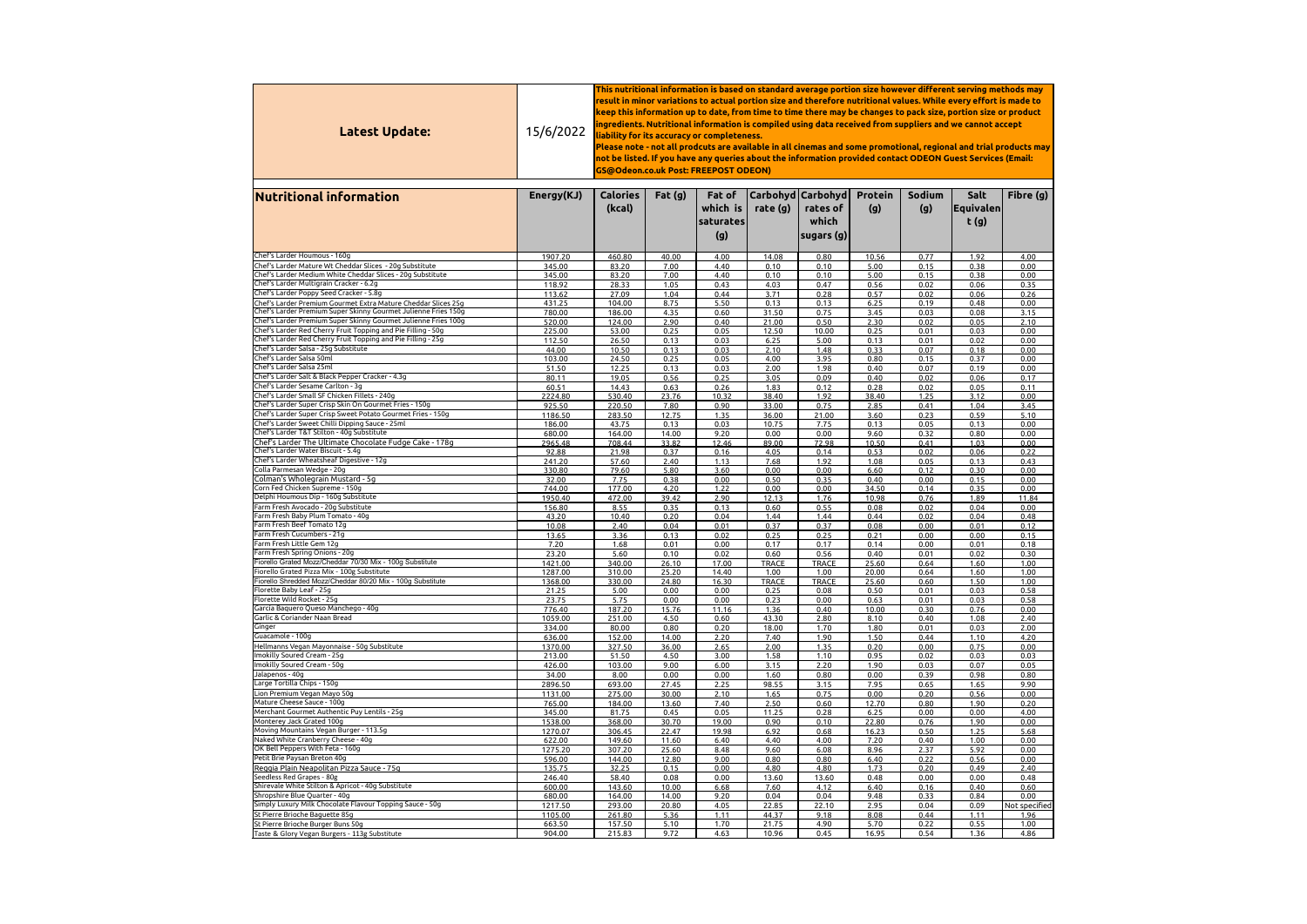| Latest Update:                                                                                          | 15/6/2022          | This nutritional information is based on standard average portion size however different serving methods may<br>result in minor variations to actual portion size and therefore nutritional values. While every effort is made to<br>keep this information up to date, from time to time there may be changes to pack size, portion size or product<br>ingredients. Nutritional information is compiled using data received from suppliers and we cannot accept<br>liability for its accuracy or completeness.<br>Please note - not all prodcuts are available in all cinemas and some promotional, regional and trial products may<br>not be listed. If you have any queries about the information provided contact ODEON Guest Services (Email:<br>GS@Odeon.co.uk Post: FREEPOST ODEON) |                |                                        |                      |                                                           |                       |               |                                    |                       |  |  |
|---------------------------------------------------------------------------------------------------------|--------------------|-------------------------------------------------------------------------------------------------------------------------------------------------------------------------------------------------------------------------------------------------------------------------------------------------------------------------------------------------------------------------------------------------------------------------------------------------------------------------------------------------------------------------------------------------------------------------------------------------------------------------------------------------------------------------------------------------------------------------------------------------------------------------------------------|----------------|----------------------------------------|----------------------|-----------------------------------------------------------|-----------------------|---------------|------------------------------------|-----------------------|--|--|
| <b>Nutritional information</b>                                                                          | Energy(KJ)         | <b>Calories</b><br>(kcal)                                                                                                                                                                                                                                                                                                                                                                                                                                                                                                                                                                                                                                                                                                                                                                 | Fat $(g)$      | Fat of<br>which is<br>saturates<br>(g) | rate (g)             | Carbohyd   Carbohyd  <br>rates of<br>which<br> sugars (g) | <b>Protein</b><br>(g) | Sodium<br>(g) | Salt<br><b> Equivalen </b><br>t(g) | Fibre (g)             |  |  |
| Chef's Larder Houmous - 160g                                                                            | 1907.20            | 460.80                                                                                                                                                                                                                                                                                                                                                                                                                                                                                                                                                                                                                                                                                                                                                                                    | 40.00          | 4.00                                   | 14.08                | 0.80                                                      | 10.56                 | 0.77          | 1.92                               | 4.00                  |  |  |
| Chef's Larder Mature Wt Cheddar Slices - 20g Substitute                                                 | 345.00             | 83.20                                                                                                                                                                                                                                                                                                                                                                                                                                                                                                                                                                                                                                                                                                                                                                                     | 7.00           | 4.40                                   | 0.10                 | 0.10                                                      | 5.00                  | 0.15          | 0.38                               | 0.00                  |  |  |
| Chef's Larder Medium White Cheddar Slices - 20g Substitute                                              | 345.00             | 83.20                                                                                                                                                                                                                                                                                                                                                                                                                                                                                                                                                                                                                                                                                                                                                                                     | 7.00           | 4.40                                   | 0.10                 | 0.10                                                      | 5.00                  | 0.15          | 0.38                               | 0.00                  |  |  |
| Chef's Larder Multigrain Cracker - 6.2g<br>Chef's Larder Poppy Seed Cracker - 5.8g                      | 118.92             | 28.33                                                                                                                                                                                                                                                                                                                                                                                                                                                                                                                                                                                                                                                                                                                                                                                     | 1.05           | 0.43                                   | 4.03                 | 0.47                                                      | 0.56                  | 0.02          | 0.06                               | 0.35                  |  |  |
| Chef's Larder Premium Gourmet Extra Mature Cheddar Slices 25g                                           | 113.62<br>431.25   | 27.09<br>104.00                                                                                                                                                                                                                                                                                                                                                                                                                                                                                                                                                                                                                                                                                                                                                                           | 1.04<br>8.75   | 0.44<br>5.50                           | 3.71<br>0.13         | 0.28<br>0.13                                              | 0.57<br>6.25          | 0.02<br>0.19  | 0.06<br>0.48                       | 0.26<br>0.00          |  |  |
| Chef's Larder Premium Super Skinny Gourmet Julienne Fries 150g                                          | 780.00             | 186.00                                                                                                                                                                                                                                                                                                                                                                                                                                                                                                                                                                                                                                                                                                                                                                                    | 4.35           | 0.60                                   | 31.50                | 0.75                                                      | 3.45                  | 0.03          | 0.08                               | 3.15                  |  |  |
| Chef's Larder Premium Super Skinny Gourmet Julienne Fries 100g                                          | 520.00             | 124.00                                                                                                                                                                                                                                                                                                                                                                                                                                                                                                                                                                                                                                                                                                                                                                                    | 2.90           | 0.40                                   | 21.00                | 0.50                                                      | 2.30                  | 0.02          | 0.05                               | 2.10                  |  |  |
| Chef's Larder Red Cherry Fruit Topping and Pie Filling - 50g                                            | 225.00             | 53.00                                                                                                                                                                                                                                                                                                                                                                                                                                                                                                                                                                                                                                                                                                                                                                                     | 0.25           | 0.05                                   | 12.50                | 10.00                                                     | 0.25                  | 0.01          | 0.03                               | 0.00                  |  |  |
| Chef's Larder Red Cherry Fruit Topping and Pie Filling - 25g<br>Chef's Larder Salsa - 25g Substitute    | 112.50<br>44.00    | 26.50<br>10.50                                                                                                                                                                                                                                                                                                                                                                                                                                                                                                                                                                                                                                                                                                                                                                            | 0.13<br>0.13   | 0.03<br>0.03                           | 6.25<br>2.10         | 5.00<br>1.48                                              | 0.13<br>0.33          | 0.01<br>0.07  | 0.02<br>0.18                       | 0.00<br>0.00          |  |  |
| Chef's Larder Salsa 50ml                                                                                | 103.00             | 24.50                                                                                                                                                                                                                                                                                                                                                                                                                                                                                                                                                                                                                                                                                                                                                                                     | 0.25           | 0.05                                   | 4.00                 | 3.95                                                      | 0.80                  | 0.15          | 0.37                               | 0.00                  |  |  |
| Chef's Larder Salsa 25ml                                                                                | 51.50              | 12.25                                                                                                                                                                                                                                                                                                                                                                                                                                                                                                                                                                                                                                                                                                                                                                                     | 0.13           | 0.03                                   | 2.00                 | 1.98                                                      | 0.40                  | 0.07          | 0.19                               | 0.00                  |  |  |
| Chef's Larder Salt & Black Pepper Cracker - 4.3g                                                        | 80.11              | 19.05                                                                                                                                                                                                                                                                                                                                                                                                                                                                                                                                                                                                                                                                                                                                                                                     | 0.56           | 0.25                                   | 3.05                 | 0.09                                                      | 0.40                  | 0.02          | 0.06                               | 0.17                  |  |  |
| Chef's Larder Sesame Carlton - 3q<br>Chef's Larder Small SF Chicken Fillets - 240g                      | 60.51              | 14.43                                                                                                                                                                                                                                                                                                                                                                                                                                                                                                                                                                                                                                                                                                                                                                                     | 0.63           | 0.26                                   | 1.83                 | 0.12                                                      | 0.28                  | 0.02          | 0.05                               | 0.11                  |  |  |
| Chef's Larder Super Crisp Skin On Gourmet Fries - 150g                                                  | 2224.80<br>925.50  | 530.40<br>220.50                                                                                                                                                                                                                                                                                                                                                                                                                                                                                                                                                                                                                                                                                                                                                                          | 23.76<br>7.80  | 10.32<br>0.90                          | 38.40<br>33.00       | 1.92<br>0.75                                              | 38.40<br>2.85         | 1.25<br>0.41  | 3.12<br>1.04                       | 0.00<br>3.45          |  |  |
| Chef's Larder Super Crisp Sweet Potato Gourmet Fries - 150g                                             | 1186.50            | 283.50                                                                                                                                                                                                                                                                                                                                                                                                                                                                                                                                                                                                                                                                                                                                                                                    | 12.75          | 1.35                                   | 36.00                | 21.00                                                     | 3.60                  | 0.23          | 0.59                               | 5.10                  |  |  |
| Chef's Larder Sweet Chilli Dipping Sauce - 25ml                                                         | 186.00             | 43.75                                                                                                                                                                                                                                                                                                                                                                                                                                                                                                                                                                                                                                                                                                                                                                                     | 0.13           | 0.03                                   | 10.75                | 7.75                                                      | 0.13                  | 0.05          | 0.13                               | 0.00                  |  |  |
| Chef's Larder T&T Stilton - 40g Substitute<br>Chef's Larder The Ultimate Chocolate Fudge Cake - 178g    | 680.00<br>2965.48  | 164.00<br>708.44                                                                                                                                                                                                                                                                                                                                                                                                                                                                                                                                                                                                                                                                                                                                                                          | 14.00<br>33.82 | 9.20<br>12.46                          | 0.00<br>89.00        | 0.00<br>72.98                                             | 9.60<br>10.50         | 0.32<br>0.41  | 0.80<br>1.03                       | 0.00<br>0.00          |  |  |
| Chef's Larder Water Biscuit - 5.4g                                                                      | 92.88              | 21.98                                                                                                                                                                                                                                                                                                                                                                                                                                                                                                                                                                                                                                                                                                                                                                                     | 0.37           | 0.16                                   | 4.05                 | 0.14                                                      | 0.53                  | 0.02          | 0.06                               | 0.22                  |  |  |
| Chef's Larder Wheatsheaf Digestive - 12g                                                                | 241.20             | 57.60                                                                                                                                                                                                                                                                                                                                                                                                                                                                                                                                                                                                                                                                                                                                                                                     | 2.40           | 1.13                                   | 7.68                 | 1.92                                                      | 1.08                  | 0.05          | 0.13                               | 0.43                  |  |  |
| Colla Parmesan Wedge - 20g                                                                              | 330.80             | 79.60                                                                                                                                                                                                                                                                                                                                                                                                                                                                                                                                                                                                                                                                                                                                                                                     | 5.80           | 3.60                                   | 0.00                 | 0.00                                                      | 6.60                  | 0.12          | 0.30                               | 0.00                  |  |  |
| Colman's Wholegrain Mustard - 5g<br>Corn Fed Chicken Supreme - 150g                                     | 32.00<br>744.00    | 7.75<br>177.00                                                                                                                                                                                                                                                                                                                                                                                                                                                                                                                                                                                                                                                                                                                                                                            | 0.38<br>4.20   | 0.00<br>1.22                           | 0.50<br>0.00         | 0.35<br>0.00                                              | 0.40<br>34.50         | 0.00<br>0.14  | 0.15<br>0.35                       | 0.00<br>0.00          |  |  |
| Delphi Houmous Dip - 160g Substitute                                                                    | 1950.40            | 472.00                                                                                                                                                                                                                                                                                                                                                                                                                                                                                                                                                                                                                                                                                                                                                                                    | 39.42          | 2.90                                   | 12.13                | 1.76                                                      | 10.98                 | 0.76          | 1.89                               | 11.84                 |  |  |
| Farm Fresh Avocado - 20g Substitute                                                                     | 156.80             | 8.55                                                                                                                                                                                                                                                                                                                                                                                                                                                                                                                                                                                                                                                                                                                                                                                      | 0.35           | 0.13                                   | 0.60                 | 0.55                                                      | 0.08                  | 0.02          | 0.04                               | 0.00                  |  |  |
| Farm Fresh Baby Plum Tomato - 40g<br>Farm Fresh Beef Tomato 12g                                         | 43.20              | 10.40                                                                                                                                                                                                                                                                                                                                                                                                                                                                                                                                                                                                                                                                                                                                                                                     | 0.20           | 0.04                                   | 1.44                 | 1.44                                                      | 0.44                  | 0.02          | 0.04                               | 0.48                  |  |  |
| Farm Fresh Cucumbers - 21g                                                                              | 10.08<br>13.65     | 2.40<br>3.36                                                                                                                                                                                                                                                                                                                                                                                                                                                                                                                                                                                                                                                                                                                                                                              | 0.04<br>0.13   | 0.01<br>0.02                           | 0.37<br>0.25         | 0.37<br>0.25                                              | 0.08<br>0.21          | 0.00<br>0.00  | 0.01<br>0.00                       | 0.12<br>0.15          |  |  |
| Farm Fresh Little Gem 12g                                                                               | 7.20               | 1.68                                                                                                                                                                                                                                                                                                                                                                                                                                                                                                                                                                                                                                                                                                                                                                                      | 0.01           | 0.00                                   | 0.17                 | 0.17                                                      | 0.14                  | 0.00          | 0.01                               | 0.18                  |  |  |
| Farm Fresh Spring Onions - 20g                                                                          | 23.20              | 5.60                                                                                                                                                                                                                                                                                                                                                                                                                                                                                                                                                                                                                                                                                                                                                                                      | 0.10           | 0.02                                   | 0.60                 | 0.56                                                      | 0.40                  | 0.01          | 0.02                               | 0.30                  |  |  |
| Fiorello Grated Mozz/Cheddar 70/30 Mix - 100g Substitute<br>Fiorello Grated Pizza Mix - 100g Substitute | 1421.00            | 340.00                                                                                                                                                                                                                                                                                                                                                                                                                                                                                                                                                                                                                                                                                                                                                                                    | 26.10          | 17.00                                  | <b>TRACE</b>         | <b>TRACE</b>                                              | 25.60                 | 0.64          | 1.60                               | 1.00                  |  |  |
| Fiorello Shredded Mozz/Cheddar 80/20 Mix - 100g Substitute                                              | 1287.00<br>1368.00 | 310.00<br>330.00                                                                                                                                                                                                                                                                                                                                                                                                                                                                                                                                                                                                                                                                                                                                                                          | 25.20<br>24.80 | 14.40<br>16.30                         | 1.00<br><b>TRACE</b> | 1.00<br><b>TRACE</b>                                      | 20.00<br>25.60        | 0.64<br>0.60  | 1.60<br>1.50                       | 1.00<br>1.00          |  |  |
| Florette Baby Leaf - 25g                                                                                | 21.25              | 5.00                                                                                                                                                                                                                                                                                                                                                                                                                                                                                                                                                                                                                                                                                                                                                                                      | 0.00           | 0.00                                   | 0.25                 | 0.08                                                      | 0.50                  | 0.01          | 0.03                               | 0.58                  |  |  |
| Florette Wild Rocket - 25g                                                                              | 23.75              | 5.75                                                                                                                                                                                                                                                                                                                                                                                                                                                                                                                                                                                                                                                                                                                                                                                      | 0.00           | 0.00                                   | 0.23                 | 0.00                                                      | 0.63                  | 0.01          | 0.03                               | 0.58                  |  |  |
| García Baquero Queso Manchego - 40g<br>Garlic & Coriander Naan Bread                                    | 776.40<br>1059.00  | 187.20<br>251.00                                                                                                                                                                                                                                                                                                                                                                                                                                                                                                                                                                                                                                                                                                                                                                          | 15.76<br>4.50  | 11.16<br>0.60                          | 1.36<br>43.30        | 0.40<br>2.80                                              | 10.00<br>8.10         | 0.30<br>0.40  | 0.76<br>1.08                       | 0.00<br>2.40          |  |  |
| Ginger                                                                                                  | 334.00             | 80.00                                                                                                                                                                                                                                                                                                                                                                                                                                                                                                                                                                                                                                                                                                                                                                                     | 0.80           | 0.20                                   | 18.00                | 1.70                                                      | 1.80                  | 0.01          | 0.03                               | 2.00                  |  |  |
| Guacamole - 100g                                                                                        | 636.00             | 152.00                                                                                                                                                                                                                                                                                                                                                                                                                                                                                                                                                                                                                                                                                                                                                                                    | 14.00          | 2.20                                   | 7.40                 | 1.90                                                      | 1.50                  | 0.44          | 1.10                               | 4.20                  |  |  |
| Hellmanns Vegan Mayonnaise - 50g Substitute                                                             | 1370.00            | 327.50                                                                                                                                                                                                                                                                                                                                                                                                                                                                                                                                                                                                                                                                                                                                                                                    | 36.00          | 2.65                                   | 2.00                 | 1.35                                                      | 0.20                  | 0.00          | 0.75                               | 0.00                  |  |  |
| Imokilly Soured Cream - 25g<br>Imokilly Soured Cream - 50g                                              | 213.00<br>426.00   | 51.50<br>103.00                                                                                                                                                                                                                                                                                                                                                                                                                                                                                                                                                                                                                                                                                                                                                                           | 4.50<br>9.00   | 3.00<br>6.00                           | 1.58<br>3.15         | 1.10<br>2.20                                              | 0.95<br>1.90          | 0.02<br>0.03  | 0.03<br>0.07                       | 0.03<br>0.05          |  |  |
| Jalapenos - 40g                                                                                         | 34.00              | 8.00                                                                                                                                                                                                                                                                                                                                                                                                                                                                                                                                                                                                                                                                                                                                                                                      | 0.00           | 0.00                                   | 1.60                 | 0.80                                                      | 0.00                  | 0.39          | 0.98                               | 0.80                  |  |  |
| Large Tortilla Chips - 150g                                                                             | 2896.50            | 693.00                                                                                                                                                                                                                                                                                                                                                                                                                                                                                                                                                                                                                                                                                                                                                                                    | 27.45          | 2.25                                   | 98.55                | 3.15                                                      | 7.95                  | 0.65          | 1.65                               | 9.90                  |  |  |
| Lion Premium Vegan Mayo 50g                                                                             | 1131.00            | 275.00                                                                                                                                                                                                                                                                                                                                                                                                                                                                                                                                                                                                                                                                                                                                                                                    | 30.00          | 2.10                                   | 1.65                 | 0.75                                                      | 0.00                  | 0.20          | 0.56                               | 0.00                  |  |  |
| Mature Cheese Sauce - 100g<br>Merchant Gourmet Authentic Puy Lentils - 25g                              | 765.00<br>345.00   | 184.00<br>81.75                                                                                                                                                                                                                                                                                                                                                                                                                                                                                                                                                                                                                                                                                                                                                                           | 13.60<br>0.45  | 7.40<br>0.05                           | 2.50<br>11.25        | 0.60<br>0.28                                              | 12.70<br>6.25         | 0.80<br>0.00  | 1.90<br>0.00                       | 0.20<br>4.00          |  |  |
| Monterey Jack Grated 100g                                                                               | 1538.00            | 368.00                                                                                                                                                                                                                                                                                                                                                                                                                                                                                                                                                                                                                                                                                                                                                                                    | 30.70          | 19.00                                  | 0.90                 | 0.10                                                      | 22.80                 | 0.76          | 1.90                               | 0.00                  |  |  |
| Moving Mountains Vegan Burger - 113.5g                                                                  | 1270.07            | 306.45                                                                                                                                                                                                                                                                                                                                                                                                                                                                                                                                                                                                                                                                                                                                                                                    | 22.47          | 19.98                                  | 6.92                 | 0.68                                                      | 16.23                 | 0.50          | 1.25                               | 5.68                  |  |  |
| Naked White Cranberry Cheese - 40g<br>OK Bell Peppers With Feta - 160g                                  | 622.00             | 149.60                                                                                                                                                                                                                                                                                                                                                                                                                                                                                                                                                                                                                                                                                                                                                                                    | 11.60          | 6.40                                   | 4.40                 | 4.00                                                      | 7.20                  | 0.40          | 1.00                               | 0.00                  |  |  |
| Petit Brie Paysan Breton 40g                                                                            | 1275.20<br>596.00  | 307.20<br>144.00                                                                                                                                                                                                                                                                                                                                                                                                                                                                                                                                                                                                                                                                                                                                                                          | 25.60<br>12.80 | 8.48<br>9.00                           | 9.60<br>0.80         | 6.08<br>0.80                                              | 8.96<br>6.40          | 2.37<br>0.22  | 5.92<br>0.56                       | 0.00<br>0.00          |  |  |
| Reggia Plain Neapolitan Pizza Sauce - 75g                                                               | 135.75             | 32.25                                                                                                                                                                                                                                                                                                                                                                                                                                                                                                                                                                                                                                                                                                                                                                                     | 0.15           | 0.00                                   | 4.80                 | 4.80                                                      | 1.73                  | 0.20          | 0.49                               | 2.40                  |  |  |
| Seedless Red Grapes - 80g                                                                               | 246.40             | 58.40                                                                                                                                                                                                                                                                                                                                                                                                                                                                                                                                                                                                                                                                                                                                                                                     | 0.08           | 0.00                                   | 13.60                | 13.60                                                     | 0.48                  | 0.00          | 0.00                               | 0.48                  |  |  |
| Shirevale White Stilton & Apricot - 40g Substitute<br>Shropshire Blue Quarter - 40g                     | 600.00             | 143.60                                                                                                                                                                                                                                                                                                                                                                                                                                                                                                                                                                                                                                                                                                                                                                                    | 10.00          | 6.68                                   | 7.60                 | 4.12                                                      | 6.40                  | 0.16          | 0.40                               | 0.60                  |  |  |
| Simply Luxury Milk Chocolate Flavour Topping Sauce - 50g                                                | 680.00<br>1217.50  | 164.00<br>293.00                                                                                                                                                                                                                                                                                                                                                                                                                                                                                                                                                                                                                                                                                                                                                                          | 14.00<br>20.80 | 9.20<br>4.05                           | 0.04<br>22.85        | 0.04<br>22.10                                             | 9.48<br>2.95          | 0.33<br>0.04  | 0.84<br>0.09                       | 0.00<br>Not specified |  |  |
| St Pierre Brioche Baguette 85g                                                                          | 1105.00            | 261.80                                                                                                                                                                                                                                                                                                                                                                                                                                                                                                                                                                                                                                                                                                                                                                                    | 5.36           | 1.11                                   | 44.37                | 9.18                                                      | 8.08                  | 0.44          | 1.11                               | 1.96                  |  |  |
| St Pierre Brioche Burger Buns 50g                                                                       | 663.50             | 157.50                                                                                                                                                                                                                                                                                                                                                                                                                                                                                                                                                                                                                                                                                                                                                                                    | 5.10           | 1.70                                   | 21.75                | 4.90                                                      | 5.70                  | 0.22          | 0.55                               | 1.00                  |  |  |
| Taste & Glory Vegan Burgers - 113g Substitute                                                           | 904.00             | 215.83                                                                                                                                                                                                                                                                                                                                                                                                                                                                                                                                                                                                                                                                                                                                                                                    | 9.72           | 4.63                                   | 10.96                | 0.45                                                      | 16.95                 | 0.54          | 1.36                               | 4.86                  |  |  |